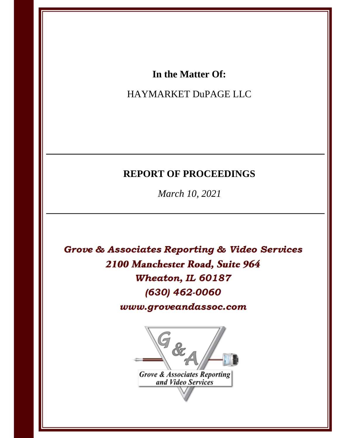# In the Matter Of:

# HAYMARKET DuPAGE LLC

# **REPORT OF PROCEEDINGS**

March 10, 2021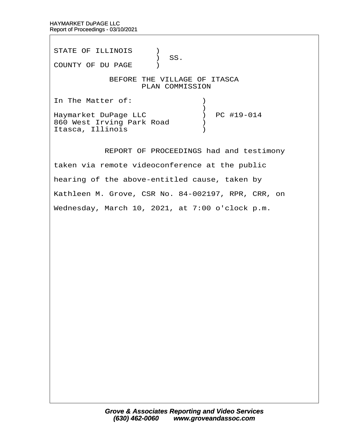STATE OF ILLINOIS )  $\big)$  SS. COUNTY OF DU PAGE )

# BEFORE THE VILLAGE OF ITASCA PLAN COMMISSION

In The Matter of:  $\qquad \qquad$  )  $\hspace{0.5cm}$   $\hspace{0.5cm}$   $\hspace{0.5cm}$   $\hspace{0.5cm}$   $\hspace{0.5cm}$   $\hspace{0.5cm}$   $\hspace{0.5cm}$   $\hspace{0.5cm}$   $\hspace{0.5cm}$   $\hspace{0.5cm}$   $\hspace{0.5cm}$   $\hspace{0.5cm}$   $\hspace{0.5cm}$   $\hspace{0.5cm}$   $\hspace{0.5cm}$   $\hspace{0.5cm}$   $\hspace{0.5cm}$   $\hspace{0.5cm}$   $\hspace{$ Haymarket DuPage LLC ) PC #19-014 860 West Irving Park Road  $\qquad$ Itasca, Illinois (1998)

REPORT OF PROCEEDINGS had and testimony

taken via remote videoconference at the public

hearing of the above-entitled cause, taken by

Kathleen M. Grove, CSR No. 84-002197, RPR, CRR, on

Wednesday, March 10, 2021, at 7:00 o'clock p.m.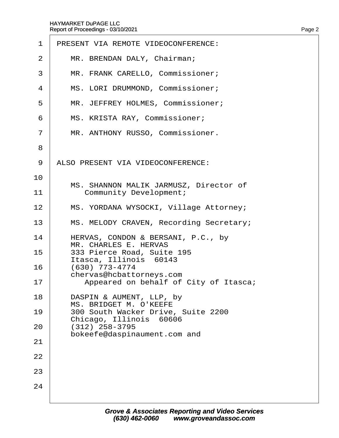| $\mathbf 1$    | PRESENT VIA REMOTE VIDEOCONFERENCE:                           |
|----------------|---------------------------------------------------------------|
| 2              | MR. BRENDAN DALY, Chairman;                                   |
| 3              | MR. FRANK CARELLO, Commissioner;                              |
| 4              | MS. LORI DRUMMOND, Commissioner;                              |
| 5              | MR. JEFFREY HOLMES, Commissioner;                             |
| 6              | MS. KRISTA RAY, Commissioner;                                 |
| $\overline{7}$ | MR. ANTHONY RUSSO, Commissioner.                              |
| 8              |                                                               |
| 9              | ALSO PRESENT VIA VIDEOCONFERENCE:                             |
| 10             | MS. SHANNON MALIK JARMUSZ, Director of                        |
| 11             | <b>Community Development;</b>                                 |
| 12             | MS. YORDANA WYSOCKI, Village Attorney;                        |
| 13             | MS. MELODY CRAVEN, Recording Secretary;                       |
| 14             | HERVAS, CONDON & BERSANI, P.C., by<br>MR. CHARLES E. HERVAS   |
| 15             | 333 Pierce Road, Suite 195<br>Itasca, Illinois 60143          |
| 16             | (630) 773-4774<br>chervas@hcbattorneys.com                    |
| 17             | Appeared on behalf of City of Itasca;                         |
| 18             | DASPIN & AUMENT, LLP, by<br><b>MS. BRIDGET M. O'KEEFE</b>     |
| 19             | 300 South Wacker Drive, Suite 2200<br>Chicago, Illinois 60606 |
| 20             | $(312)$ 258-3795<br>bokeefe@daspinaument.com and              |
| 21             |                                                               |
| 22             |                                                               |
| 23             |                                                               |
| 24             |                                                               |
|                |                                                               |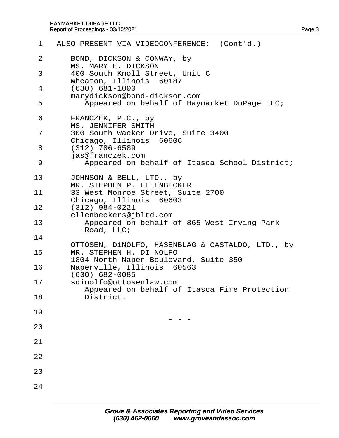|    | 1 ALSO PRESENT VIA VIDEOCONFERENCE: (Cont'd.)                           |
|----|-------------------------------------------------------------------------|
| 2  | BOND, DICKSON & CONWAY, by<br><b>MS. MARY E. DICKSON</b>                |
| 3  | 400 South Knoll Street, Unit C<br>Wheaton, Illinois 60187               |
| 4  | $(630) 681 - 1000$<br>marydickson@bond-dickson.com                      |
| 5  | Appeared on behalf of Haymarket DuPage LLC;                             |
| 6  | FRANCZEK, P.C., by<br><b>MS. JENNIFER SMITH</b>                         |
| 7  | 300 South Wacker Drive, Suite 3400<br>Chicago, Illinois 60606           |
| 8  | $(312)$ 786-6589<br>jas@franczek.com                                    |
| 9  | Appeared on behalf of Itasca School District;                           |
| 10 | JOHNSON & BELL, LTD., by<br>MR. STEPHEN P. ELLENBECKER                  |
| 11 | 33 West Monroe Street, Suite 2700<br>Chicago, Illinois 60603            |
| 12 | $(312)$ 984-0221<br>ellenbeckers@jbltd.com                              |
| 13 | Appeared on behalf of 865 West Irving Park<br>Road, LLC;                |
| 14 | OTTOSEN, DINOLFO, HASENBLAG & CASTALDO, LTD., by                        |
| 15 | MR. STEPHEN H. DI NOLFO<br>1804 North Naper Boulevard, Suite 350        |
| 16 | Naperville, Illinois 60563<br>(630) 682-0085                            |
| 17 | sdinolfo@ottosenlaw.com<br>Appeared on behalf of Itasca Fire Protection |
| 18 | District.                                                               |
| 19 |                                                                         |
| 20 |                                                                         |
| 21 |                                                                         |
| 22 |                                                                         |
| 23 |                                                                         |
| 24 |                                                                         |
|    |                                                                         |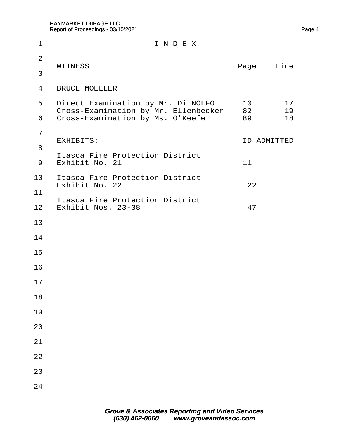| 1                   | INDEX                                                                                                          |                    |                |                |
|---------------------|----------------------------------------------------------------------------------------------------------------|--------------------|----------------|----------------|
| $\overline{2}$<br>3 | <b>WITNESS</b>                                                                                                 | Page<br>Line       |                |                |
| $\overline{4}$      | <b>BRUCE MOELLER</b>                                                                                           |                    |                |                |
| 5<br>6              | Direct Examination by Mr. Di NOLFO<br>Cross-Examination by Mr. Ellenbecker<br>Cross-Examination by Ms. O'Keefe |                    | 10<br>82<br>89 | 17<br>19<br>18 |
| $\overline{7}$<br>8 | <b>EXHIBITS:</b>                                                                                               | <b>ID ADMITTED</b> |                |                |
| 9                   | <b>Itasca Fire Protection District</b><br><b>t Exhibit No. 21</b>                                              | 11                 |                |                |
| 10<br>11            | Itasca Fire Protection District<br>Exhibit No. 22                                                              | 22                 |                |                |
|                     | <b>Itasca Fire Protection District</b><br>12 Exhibit Nos. 23-38                                                | 47                 |                |                |
| 13                  |                                                                                                                |                    |                |                |
| 14                  |                                                                                                                |                    |                |                |
| 15                  |                                                                                                                |                    |                |                |
| 16<br>17            |                                                                                                                |                    |                |                |
| 18                  |                                                                                                                |                    |                |                |
| 19                  |                                                                                                                |                    |                |                |
| 20                  |                                                                                                                |                    |                |                |
| 21                  |                                                                                                                |                    |                |                |
| 22                  |                                                                                                                |                    |                |                |
| 23<br>24            |                                                                                                                |                    |                |                |
|                     |                                                                                                                |                    |                |                |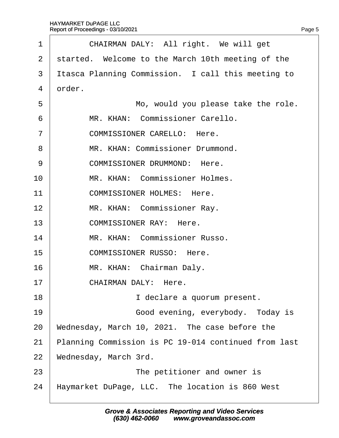| 1              | CHAIRMAN DALY: All right. We will get                |
|----------------|------------------------------------------------------|
| $\overline{2}$ | started. Welcome to the March 10th meeting of the    |
| 3              | Itasca Planning Commission. I call this meeting to   |
| 4              | drder.                                               |
| 5              | Mo, would you please take the role.                  |
| 6              | MR. KHAN: Commissioner Carello.                      |
| $\overline{7}$ | <b>COMMISSIONER CARELLO: Here.</b>                   |
| 8              | MR. KHAN: Commissioner Drummond.                     |
| 9              | <b>COMMISSIONER DRUMMOND: Here.</b>                  |
| 10             | MR. KHAN: Commissioner Holmes.                       |
| 11             | <b>COMMISSIONER HOLMES: Here.</b>                    |
| 12             | MR. KHAN: Commissioner Ray.                          |
| 13             | <b>COMMISSIONER RAY: Here.</b>                       |
| 14             | MR. KHAN: Commissioner Russo.                        |
| 15             | <b>COMMISSIONER RUSSO: Here.</b>                     |
| 16             | MR. KHAN: Chairman Daly.                             |
| 17             | CHAIRMAN DALY: Here.                                 |
| 18             | I declare a quorum present.                          |
| 19             | Good evening, everybody. Today is                    |
| 20             | Wednesday, March 10, 2021. The case before the       |
| 21             | Planning Commission is PC 19-014 continued from last |
| 22             | Wednesday, March 3rd.                                |
| 23             | The petitioner and owner is                          |
| 24             | Haymarket DuPage, LLC. The location is 860 West      |
|                |                                                      |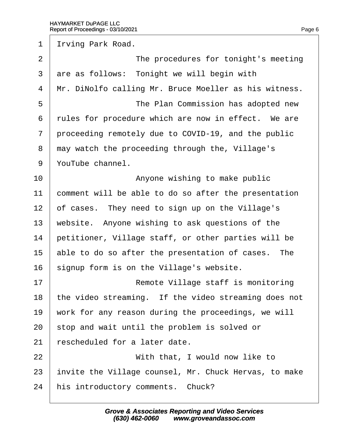1 Irving Park Road.

| $\overline{2}$ | The procedures for tonight's meeting                  |
|----------------|-------------------------------------------------------|
| 3              | are as follows: Tonight we will begin with            |
| $\overline{4}$ | Mr. DiNolfo calling Mr. Bruce Moeller as his witness. |
| 5              | The Plan Commission has adopted new                   |
| 6              | rules for procedure which are now in effect. We are   |
| $\overline{7}$ | proceeding remotely due to COVID-19, and the public   |
| 8              | may watch the proceeding through the, Village's       |
| 9              | YouTube channel.                                      |
| 10             | Anyone wishing to make public                         |
| 11             | comment will be able to do so after the presentation  |
| 12             | of cases. They need to sign up on the Village's       |
| 13             | website. Anyone wishing to ask questions of the       |
| 14             | petitioner, Village staff, or other parties will be   |
| 15             | able to do so after the presentation of cases. The    |
| 16             | signup form is on the Village's website.              |
| 17             | Remote Village staff is monitoring                    |
| 18             | the video streaming. If the video streaming does not  |
| 19             | work for any reason during the proceedings, we will   |
| 20             | stop and wait until the problem is solved or          |
| 21             | rescheduled for a later date.                         |
| 22             | With that, I would now like to                        |
| 23             | invite the Village counsel, Mr. Chuck Hervas, to make |
| 24             | his introductory comments. Chuck?                     |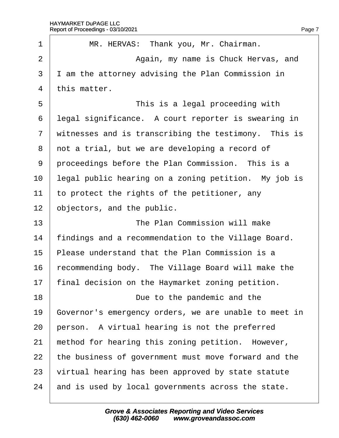| 1              | MR. HERVAS: Thank you, Mr. Chairman.                  |
|----------------|-------------------------------------------------------|
| $\overline{2}$ | Again, my name is Chuck Hervas, and                   |
| 3              | I am the attorney advising the Plan Commission in     |
| 4              | this matter.                                          |
| 5              | This is a legal proceeding with                       |
| 6              | legal significance. A court reporter is swearing in   |
| $\overline{7}$ | witnesses and is transcribing the testimony. This is  |
| 8              | not a trial, but we are developing a record of        |
| 9              | proceedings before the Plan Commission. This is a     |
| 10             | legal public hearing on a zoning petition. My job is  |
| 11             | to protect the rights of the petitioner, any          |
| 12             | objectors, and the public.                            |
| 13             | The Plan Commission will make                         |
| 14             | findings and a recommendation to the Village Board.   |
| 15             | Please understand that the Plan Commission is a       |
| 16             | recommending body. The Village Board will make the    |
| 17             | final decision on the Haymarket zoning petition.      |
| 18             | Due to the pandemic and the                           |
| 19             | Governor's emergency orders, we are unable to meet in |
| 20             | person. A virtual hearing is not the preferred        |
| 21             | method for hearing this zoning petition. However,     |
| 22             | the business of government must move forward and the  |
| 23             | virtual hearing has been approved by state statute    |
| 24             | and is used by local governments across the state.    |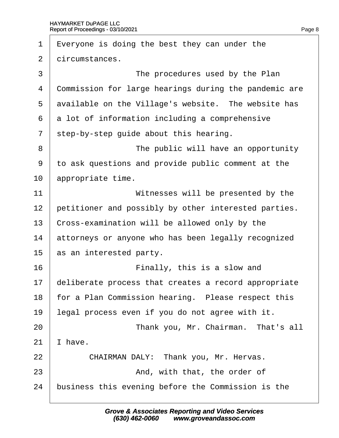| 1              | $E$ veryone is doing the best they can under the      |
|----------------|-------------------------------------------------------|
| $\overline{2}$ | dircumstances.                                        |
| 3              | The procedures used by the Plan                       |
| 4              | Commission for large hearings during the pandemic are |
| 5              | available on the Village's website. The website has   |
| 6              | a lot of information including a comprehensive        |
| $\overline{7}$ | step-by-step guide about this hearing.                |
| 8              | The public will have an opportunity                   |
| 9              | to ask questions and provide public comment at the    |
| 10             | appropriate time.                                     |
| 11             | Witnesses will be presented by the                    |
| 12             | petitioner and possibly by other interested parties.  |
| 13             | Cross-examination will be allowed only by the         |
| 14             | attorneys or anyone who has been legally recognized   |
| 15             | as an interested party.                               |
| 16             | Finally, this is a slow and                           |
| 17             | deliberate process that creates a record appropriate  |
| 18             | for a Plan Commission hearing. Please respect this    |
| 19             | egal process even if you do not agree with it.        |
| 20             | Thank you, Mr. Chairman. That's all                   |
| 21             | have.                                                 |
| 22             | CHAIRMAN DALY: Thank you, Mr. Hervas.                 |
| 23             | And, with that, the order of                          |
| 24             | business this evening before the Commission is the    |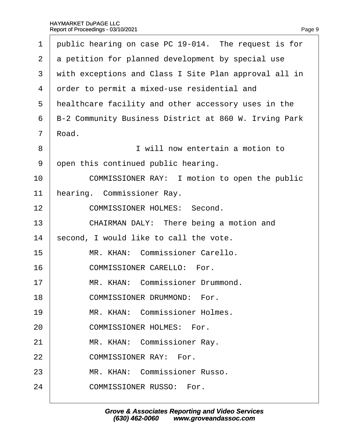1 public hearing on case PC 19-014. The request is for 2 a petition for planned development by special use 3 with exceptions and Class I Site Plan approval all in 4 drder to permit a mixed-use residential and 5 healthcare facility and other accessory uses in the 6 B-2 Community Business District at 860 W. Irving Park 7 Road. 8 **b b i will now entertain a motion to** 9 open this continued public hearing. 10 **COMMISSIONER RAY:** I motion to open the public 11 hearing. Commissioner Ray. 12 **COMMISSIONER HOLMES: Second.** 13 **CHAIRMAN DALY:** There being a motion and 14 second, I would like to call the vote. 15· · · · · MR. KHAN:· Commissioner Carello. 16 **COMMISSIONER CARELLO:** For. 17 | MR. KHAN: Commissioner Drummond. 18 **COMMISSIONER DRUMMOND:** For. 19 | MR. KHAN: Commissioner Holmes. 20 **COMMISSIONER HOLMES: For.** 21 | MR. KHAN: Commissioner Ray. 22 **COMMISSIONER RAY: For.** 23 | MR. KHAN: Commissioner Russo. 24 **COMMISSIONER RUSSO: For.**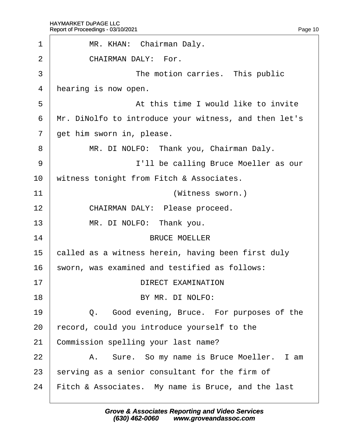| 1              | MR. KHAN: Chairman Daly.                              |
|----------------|-------------------------------------------------------|
| $\overline{2}$ | <b>CHAIRMAN DALY: For.</b>                            |
| 3              | The motion carries. This public                       |
| 4              | hearing is now open.                                  |
| 5              | At this time I would like to invite                   |
| 6              | Mr. DiNolfo to introduce your witness, and then let's |
| $\overline{7}$ | get him sworn in, please.                             |
| 8              | MR. DI NOLFO: Thank you, Chairman Daly.               |
| 9              | I'll be calling Bruce Moeller as our                  |
| 10             | witness tonight from Fitch & Associates.              |
| 11             | (Witness sworn.)                                      |
| 12             | CHAIRMAN DALY: Please proceed.                        |
| 13             | MR. DI NOLFO: Thank you.                              |
| 14             | <b>BRUCE MOELLER</b>                                  |
| 15             | called as a witness herein, having been first duly    |
| 16             | sworn, was examined and testified as follows:         |
| 17             | DIRECT EXAMINATION                                    |
| 18             | BY MR. DI NOLFO:                                      |
| 19             | Q. Good evening, Bruce. For purposes of the           |
| 20             | fecord, could you introduce yourself to the           |
| 21             | Commission spelling your last name?                   |
| 22             | A. Sure. So my name is Bruce Moeller. I am            |
| 23             | serving as a senior consultant for the firm of        |
| 24             | Fitch & Associates. My name is Bruce, and the last    |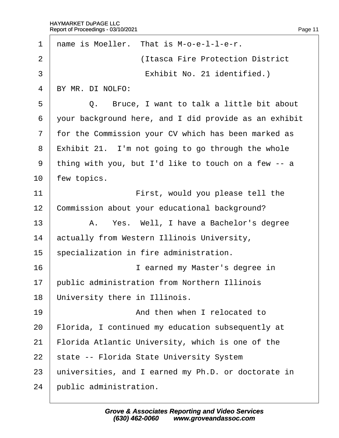| 1              | name is Moeller. That is M-o-e-I-I-e-r.               |
|----------------|-------------------------------------------------------|
| $\overline{2}$ | (Itasca Fire Protection District                      |
| 3              | Exhibit No. 21 identified.)                           |
| 4              | BY MR. DI NOLFO:                                      |
| 5              | Q. Bruce, I want to talk a little bit about           |
| 6              | your background here, and I did provide as an exhibit |
| $\overline{7}$ | for the Commission your CV which has been marked as   |
| 8              | $Exhibit 21.$ I'm not going to go through the whole   |
| 9              | thing with you, but I'd like to touch on a few -- a   |
| 10             | few topics.                                           |
| 11             | First, would you please tell the                      |
| 12             | Commission about your educational background?         |
| 13             | A. Yes. Well, I have a Bachelor's degree              |
| 14             | actually from Western Illinois University,            |
| 15             | specialization in fire administration.                |
| 16             | I earned my Master's degree in                        |
| 17             | public administration from Northern Illinois          |
| 18             | University there in Illinois.                         |
| 19             | And then when I relocated to                          |
| 20             | Florida, I continued my education subsequently at     |
| 21             | Florida Atlantic University, which is one of the      |
| 22             | state -- Florida State University System              |
| 23             | universities, and I earned my Ph.D. or doctorate in   |
| 24             | public administration.                                |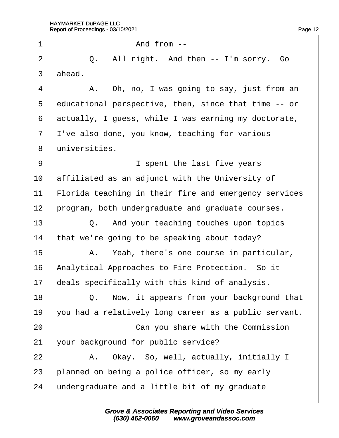| 1              | And from --                                           |
|----------------|-------------------------------------------------------|
| $\overline{2}$ | Q. All right. And then -- I'm sorry. Go               |
| 3              | ahead.                                                |
| 4              | A. Oh, no, I was going to say, just from an           |
| 5              | educational perspective, then, since that time -- or  |
| 6              | actually, I guess, while I was earning my doctorate,  |
| $\overline{7}$ | I've also done, you know, teaching for various        |
| 8              | universities.                                         |
| 9              | I spent the last five years                           |
| 10             | affiliated as an adjunct with the University of       |
| 11             | Florida teaching in their fire and emergency services |
| 12             | program, both undergraduate and graduate courses.     |
| 13             | Q. And your teaching touches upon topics              |
| 14             | that we're going to be speaking about today?          |
| 15             | A. Yeah, there's one course in particular,            |
| 16             | Analytical Approaches to Fire Protection. So it       |
| 17             | deals specifically with this kind of analysis.        |
| 18             | Q. Now, it appears from your background that          |
| 19             | you had a relatively long career as a public servant. |
| 20             | Can you share with the Commission                     |
| 21             | your background for public service?                   |
| 22             | A. Okay. So, well, actually, initially I              |
| 23             | planned on being a police officer, so my early        |
| 24             | undergraduate and a little bit of my graduate         |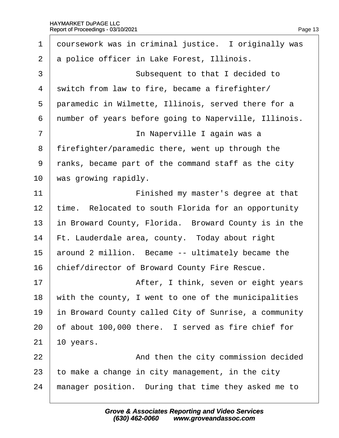| 1              | doursework was in criminal justice. I originally was  |
|----------------|-------------------------------------------------------|
| $\overline{2}$ | a police officer in Lake Forest, Illinois.            |
| 3              | Subsequent to that I decided to                       |
| 4              | switch from law to fire, became a firefighter/        |
| 5              | paramedic in Wilmette, Illinois, served there for a   |
| 6              | number of years before going to Naperville, Illinois. |
| 7              | In Naperville I again was a                           |
| 8              | firefighter/paramedic there, went up through the      |
| 9              | ranks, became part of the command staff as the city   |
| 10             | was growing rapidly.                                  |
| 11             | Finished my master's degree at that                   |
| 12             | time. Relocated to south Florida for an opportunity   |
| 13             | in Broward County, Florida. Broward County is in the  |
| 14             | Ft. Lauderdale area, county. Today about right        |
| 15             | around 2 million. Became -- ultimately became the     |
| 16             | chief/director of Broward County Fire Rescue.         |
| 17             | After, I think, seven or eight years                  |
| 18             | with the county, I went to one of the municipalities  |
| 19             | in Broward County called City of Sunrise, a community |
| 20             | of about 100,000 there. I served as fire chief for    |
| 21             | 10 years.                                             |
| 22             | And then the city commission decided                  |
| 23             | to make a change in city management, in the city      |
| 24             | manager position. During that time they asked me to   |
|                |                                                       |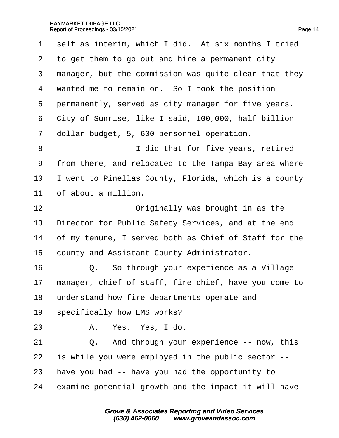| 1              | self as interim, which I did. At six months I tried   |
|----------------|-------------------------------------------------------|
| $\overline{2}$ | to get them to go out and hire a permanent city       |
| 3              | manager, but the commission was quite clear that they |
| 4              | wanted me to remain on. So I took the position        |
| 5              | permanently, served as city manager for five years.   |
| 6              | City of Sunrise, like I said, 100,000, half billion   |
| $\overline{7}$ | dollar budget, 5, 600 personnel operation.            |
| 8              | I did that for five years, retired                    |
| 9              | from there, and relocated to the Tampa Bay area where |
| 10             | went to Pinellas County, Florida, which is a county   |
| 11             | of about a million.                                   |
| 12             | Originally was brought in as the                      |
| 13             | Director for Public Safety Services, and at the end   |
| 14             | of my tenure, I served both as Chief of Staff for the |
| 15             | county and Assistant County Administrator.            |
| 16             | Q. So through your experience as a Village            |
| 17             | manager, chief of staff, fire chief, have you come to |
| 18             | understand how fire departments operate and           |
| 19             | specifically how EMS works?                           |
| 20             | A. Yes. Yes, I do.                                    |
| 21             | Q. And through your experience -- now, this           |
| 22             | s while you were employed in the public sector --     |
| 23             | have you had -- have you had the opportunity to       |
| 24             | examine potential growth and the impact it will have  |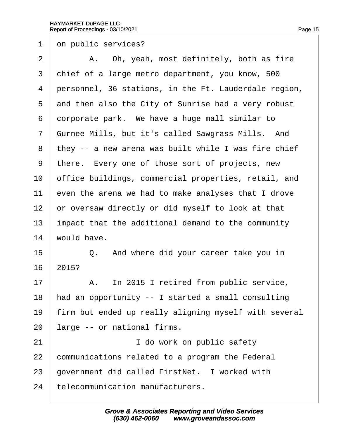1 on public services?

 $2 \mid$  A. Oh, yeah, most definitely, both as fire 3 chief of a large metro department, you know, 500 4 personnel, 36 stations, in the Ft. Lauderdale region, 5 and then also the City of Sunrise had a very robust 6 dorporate park. We have a huge mall similar to 7 Gurnee Mills, but it's called Sawgrass Mills. And 8 they -- a new arena was built while I was fire chief 9 there. Every one of those sort of projects, new 10 biffice buildings, commercial properties, retail, and 11 even the arena we had to make analyses that I drove 12 or oversaw directly or did myself to look at that 13 impact that the additional demand to the community 14 would have.  $15$   $\Box$  Q. And where did your career take you in 16 2015? 17 | A. In 2015 I retired from public service, 18 had an opportunity -- I started a small consulting 19 firm but ended up really aligning myself with several 20 large -- or national firms. 21 **I** do work on public safety 22 communications related to a program the Federal 23 government did called FirstNet. I worked with 24 telecommunication manufacturers.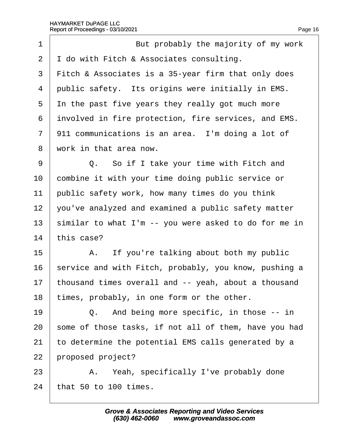$\Gamma$ 

| 1              | But probably the majority of my work                  |
|----------------|-------------------------------------------------------|
| 2              | I do with Fitch & Associates consulting.              |
| 3              | Fitch & Associates is a 35-year firm that only does   |
| 4              | public safety. Its origins were initially in EMS.     |
| 5              | In the past five years they really got much more      |
| 6              | involved in fire protection, fire services, and EMS.  |
| $\overline{7}$ | 911 communications is an area. I'm doing a lot of     |
| 8              | work in that area now.                                |
| 9              | Q. So if I take your time with Fitch and              |
| 10             | combine it with your time doing public service or     |
| 11             | public safety work, how many times do you think       |
| 12             | you've analyzed and examined a public safety matter   |
| 13             | similar to what I'm -- you were asked to do for me in |
| 14             | this case?                                            |
| 15             | A. If you're talking about both my public             |
| 16             | service and with Fitch, probably, you know, pushing a |
| 17             | thousand times overall and -- yeah, about a thousand  |
| 18             | times, probably, in one form or the other.            |
| 19             | Q. And being more specific, in those -- in            |
| 20             | some of those tasks, if not all of them, have you had |
| 21             | to determine the potential EMS calls generated by a   |
| 22             | proposed project?                                     |
| 23             | A. Yeah, specifically I've probably done              |
|                |                                                       |

24  $<sub>th</sub>$  that 50 to 100 times.</sub>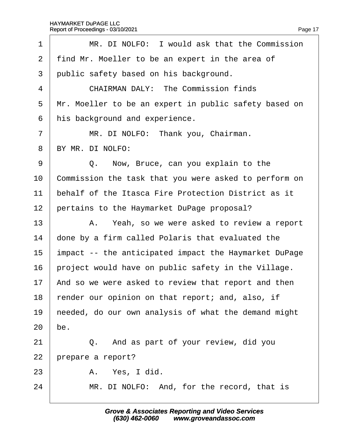| 1              | MR. DI NOLFO: I would ask that the Commission         |
|----------------|-------------------------------------------------------|
| $\overline{2}$ | find Mr. Moeller to be an expert in the area of       |
| 3              | public safety based on his background.                |
| 4              | <b>CHAIRMAN DALY: The Commission finds</b>            |
| 5              | Mr. Moeller to be an expert in public safety based on |
| 6              | his background and experience.                        |
| $\overline{7}$ | MR. DI NOLFO: Thank you, Chairman.                    |
| 8              | BY MR. DI NOLFO:                                      |
| 9              | Q. Now, Bruce, can you explain to the                 |
| 10             | Commission the task that you were asked to perform on |
| 11             | behalf of the Itasca Fire Protection District as it   |
| 12             | pertains to the Haymarket DuPage proposal?            |
| 13             | A. Yeah, so we were asked to review a report          |
| 14             | done by a firm called Polaris that evaluated the      |
| 15             | impact -- the anticipated impact the Haymarket DuPage |
| 16             | project would have on public safety in the Village.   |
| 17             | And so we were asked to review that report and then   |
| 18             | render our opinion on that report; and, also, if      |
| 19             | heeded, do our own analysis of what the demand might  |
| 20             | be.                                                   |
| 21             | Q. And as part of your review, did you                |
| 22             | prepare a report?                                     |
| 23             | A. Yes, I did.                                        |
| 24             | MR. DI NOLFO: And, for the record, that is            |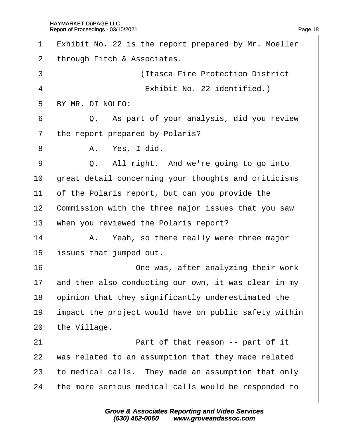| 1              | Exhibit No. 22 is the report prepared by Mr. Moeller  |
|----------------|-------------------------------------------------------|
| 2              | through Fitch & Associates.                           |
| 3              | (Itasca Fire Protection District                      |
| $\overline{4}$ | Exhibit No. 22 identified.)                           |
| 5              | BY MR. DI NOLFO:                                      |
| 6              | Q. As part of your analysis, did you review           |
| $\overline{7}$ | the report prepared by Polaris?                       |
| 8              | A. Yes, I did.                                        |
| 9              | Q. All right. And we're going to go into              |
| 10             | great detail concerning your thoughts and criticisms  |
| 11             | of the Polaris report, but can you provide the        |
| 12             | Commission with the three major issues that you saw   |
| 13             | when you reviewed the Polaris report?                 |
| 14             | A. Yeah, so there really were three major             |
| 15             | issues that jumped out.                               |
| 16             | One was, after analyzing their work                   |
| 17             | and then also conducting our own, it was clear in my  |
| 18             | opinion that they significantly underestimated the    |
| 19             | impact the project would have on public safety within |
| 20             | the Village.                                          |
| 21             | Part of that reason -- part of it                     |
| 22             | was related to an assumption that they made related   |
| 23             | to medical calls. They made an assumption that only   |
| 24             | the more serious medical calls would be responded to  |
|                |                                                       |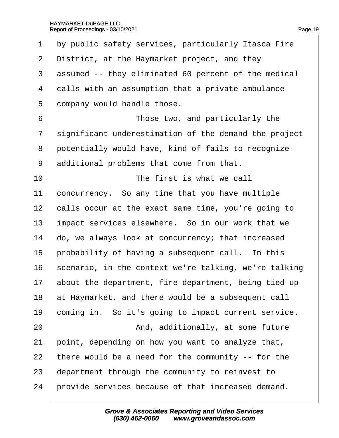| 1              | by public safety services, particularly Itasca Fire   |
|----------------|-------------------------------------------------------|
| $\overline{2}$ | District, at the Haymarket project, and they          |
| 3              | assumed -- they eliminated 60 percent of the medical  |
| 4              | dalls with an assumption that a private ambulance     |
| 5              | dompany would handle those.                           |
| 6              | Those two, and particularly the                       |
| $\overline{7}$ | significant underestimation of the demand the project |
| 8              | potentially would have, kind of fails to recognize    |
| 9              | additional problems that come from that.              |
| 10             | The first is what we call                             |
| 11             | concurrency. So any time that you have multiple       |
| 12             | calls occur at the exact same time, you're going to   |
| 13             | impact services elsewhere. So in our work that we     |
| 14             | do, we always look at concurrency; that increased     |
| 15             | probability of having a subsequent call. In this      |
| 16             | scenario, in the context we're talking, we're talking |
| 17             | about the department, fire department, being tied up  |
| 18             | at Haymarket, and there would be a subsequent call    |
| 19             | coming in. So it's going to impact current service.   |
| 20             | And, additionally, at some future                     |
| 21             | point, depending on how you want to analyze that,     |
| 22             | there would be a need for the community -- for the    |
| 23             | department through the community to reinvest to       |
| 24             | provide services because of that increased demand.    |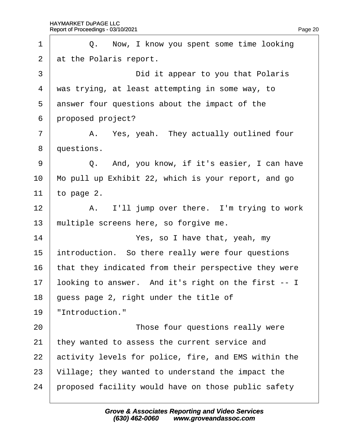| 1              | Q. Now, I know you spent some time looking           |
|----------------|------------------------------------------------------|
| $\overline{2}$ | at the Polaris report.                               |
| 3              | Did it appear to you that Polaris                    |
| 4              | was trying, at least attempting in some way, to      |
| 5              | answer four questions about the impact of the        |
| 6              | proposed project?                                    |
| 7              | A. Yes, yeah. They actually outlined four            |
| 8              | questions.                                           |
| 9              | Q. And, you know, if it's easier, I can have         |
| 10             | Mo pull up Exhibit 22, which is your report, and go  |
| 11             | to page 2.                                           |
| 12             | A. I'll jump over there. I'm trying to work          |
| 13             | multiple screens here, so forgive me.                |
| 14             | Yes, so I have that, yeah, my                        |
| 15             | introduction. So there really were four questions    |
| 16             | that they indicated from their perspective they were |
| 17             | looking to answer. And it's right on the first -- I  |
| 18             | guess page 2, right under the title of               |
| 19             | "Introduction."                                      |
| 20             | Those four questions really were                     |
| 21             | they wanted to assess the current service and        |
| 22             | activity levels for police, fire, and EMS within the |
| 23             | Village; they wanted to understand the impact the    |
| 24             | proposed facility would have on those public safety  |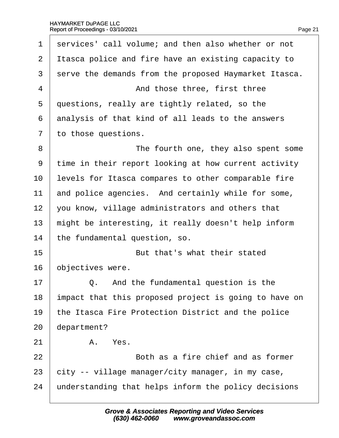| 1              | services' call volume; and then also whether or not   |
|----------------|-------------------------------------------------------|
| 2              | It as capolice and fire have an existing capacity to  |
|                |                                                       |
| 3              | serve the demands from the proposed Haymarket Itasca. |
| 4              | And those three, first three                          |
| 5              | questions, really are tightly related, so the         |
| 6              | analysis of that kind of all leads to the answers     |
| $\overline{7}$ | to those questions.                                   |
| 8              | The fourth one, they also spent some                  |
| 9              | time in their report looking at how current activity  |
| 10             | evels for Itasca compares to other comparable fire    |
| 11             | and police agencies. And certainly while for some,    |
| 12             | you know, village administrators and others that      |
| 13             | might be interesting, it really doesn't help inform   |
| 14             | the fundamental question, so.                         |
| 15             | But that's what their stated                          |
| 16             | objectives were.                                      |
| 17             | And the fundamental question is the<br>Q.             |
| 18             | impact that this proposed project is going to have on |
| 19             | the Itasca Fire Protection District and the police    |
| 20             | department?                                           |
| 21             | A. Yes.                                               |
| 22             | Both as a fire chief and as former                    |
| 23             | city -- village manager/city manager, in my case,     |
| 24             | understanding that helps inform the policy decisions  |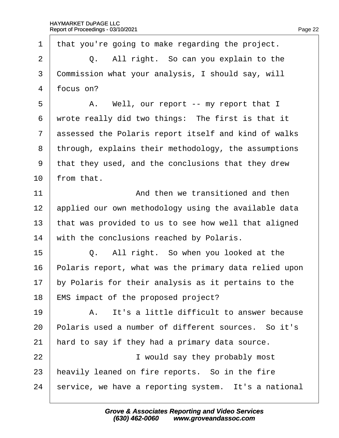1 that you're going to make regarding the project.  $2 \mid Q$ . All right. So can you explain to the 3 Commission what your analysis, I should say, will 4 focus on?  $5 \mid$  A. Well, our report -- my report that I 6 wrote really did two things: The first is that it 7 assessed the Polaris report itself and kind of walks 8 through, explains their methodology, the assumptions ·9· ·that they used, and the conclusions that they drew 10  $\cdot$  from that. 11  $\parallel$  2011 And then we transitioned and then 12 applied our own methodology using the available data 13 that was provided to us to see how well that aligned 14 with the conclusions reached by Polaris.  $15$   $\Box$  Q. All right. So when you looked at the 16 Polaris report, what was the primary data relied upon 17 by Polaris for their analysis as it pertains to the 18 EMS impact of the proposed project?  $19$   $\parallel$  A. It's a little difficult to answer because 20 Polaris used a number of different sources. So it's 21 hard to say if they had a primary data source. 22 **I** would say they probably most 23 heavily leaned on fire reports. So in the fire 24 service, we have a reporting system. It's a national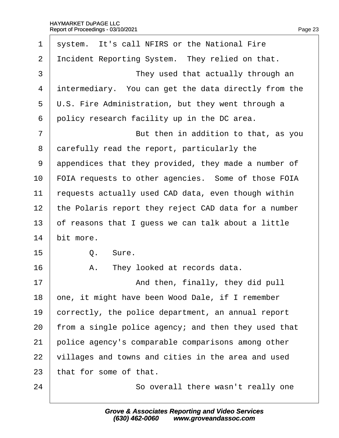| 1  | system. It's call NFIRS or the National Fire            |
|----|---------------------------------------------------------|
| 2  | Incident Reporting System. They relied on that.         |
| 3  | They used that actually through an                      |
| 4  | intermediary. You can get the data directly from the    |
| 5  | $\psi$ .S. Fire Administration, but they went through a |
| 6  | policy research facility up in the DC area.             |
| 7  | But then in addition to that, as you                    |
| 8  | darefully read the report, particularly the             |
| 9  | appendices that they provided, they made a number of    |
| 10 | FOIA requests to other agencies. Some of those FOIA     |
| 11 | requests actually used CAD data, even though within     |
| 12 | the Polaris report they reject CAD data for a number    |
| 13 | of reasons that I guess we can talk about a little      |
| 14 | bit more.                                               |
| 15 | Q. Sure.                                                |
| 16 | A. They looked at records data.                         |
| 17 | And then, finally, they did pull                        |
| 18 | one, it might have been Wood Dale, if I remember        |
| 19 | correctly, the police department, an annual report      |
| 20 | from a single police agency; and then they used that    |
| 21 | police agency's comparable comparisons among other      |
| 22 | villages and towns and cities in the area and used      |
| 23 | that for some of that.                                  |
| 24 | So overall there wasn't really one                      |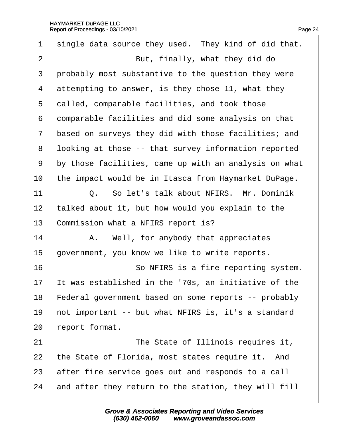| 1              | single data source they used. They kind of did that.  |
|----------------|-------------------------------------------------------|
| $\overline{2}$ | But, finally, what they did do                        |
| 3              | probably most substantive to the question they were   |
| 4              | attempting to answer, is they chose 11, what they     |
| 5              | dalled, comparable facilities, and took those         |
| 6              | domparable facilities and did some analysis on that   |
| 7              | based on surveys they did with those facilities; and  |
| 8              | Iboking at those -- that survey information reported  |
| 9              | by those facilities, came up with an analysis on what |
| 10             | the impact would be in Itasca from Haymarket DuPage.  |
| 11             | Q. So let's talk about NFIRS. Mr. Dominik             |
| 12             | talked about it, but how would you explain to the     |
| 13             | Commission what a NFIRS report is?                    |
| 14             | A. Well, for anybody that appreciates                 |
| 15             | government, you know we like to write reports.        |
| 16             | So NFIRS is a fire reporting system.                  |
| 17             | t was established in the '70s, an initiative of the   |
| 18             | Federal government based on some reports -- probably  |
| 19             | hot important -- but what NFIRS is, it's a standard   |
| 20             | eport format.                                         |
| 21             | The State of Illinois requires it,                    |
| 22             | the State of Florida, most states require it. And     |
| 23             | after fire service goes out and responds to a call    |
| 24             | and after they return to the station, they will fill  |
|                |                                                       |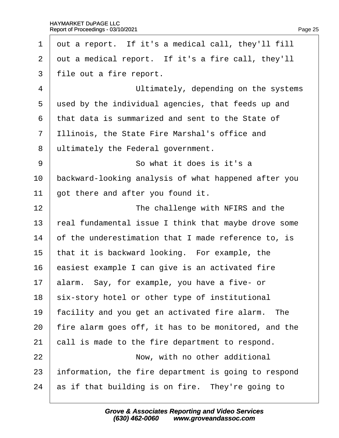| $\mathbf 1$    | out a report. If it's a medical call, they'll fill   |
|----------------|------------------------------------------------------|
| $\overline{2}$ | out a medical report. If it's a fire call, they'll   |
| 3              | file out a fire report.                              |
| $\overline{4}$ | Ultimately, depending on the systems                 |
| 5              | used by the individual agencies, that feeds up and   |
| 6              | that data is summarized and sent to the State of     |
| $\overline{7}$ | Illinois, the State Fire Marshal's office and        |
| 8              | ultimately the Federal government.                   |
| 9              | So what it does is it's a                            |
| 10             | backward-looking analysis of what happened after you |
| 11             | got there and after you found it.                    |
| 12             | The challenge with NFIRS and the                     |
| 13             | real fundamental issue I think that maybe drove some |
| 14             | of the underestimation that I made reference to, is  |
| 15             | that it is backward looking. For example, the        |
| 16             | easiest example I can give is an activated fire      |
| 17             | alarm. Say, for example, you have a five- or         |
| 18             | six-story hotel or other type of institutional       |
| 19             | facility and you get an activated fire alarm. The    |
| 20             | fire alarm goes off, it has to be monitored, and the |
| 21             | call is made to the fire department to respond.      |
| 22             | Now, with no other additional                        |
| 23             | information, the fire department is going to respond |
| 24             | as if that building is on fire. They're going to     |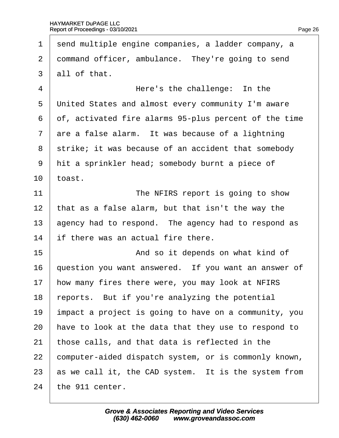1 send multiple engine companies, a ladder company, a 2 dommand officer, ambulance. They're going to send 3 all of that. 4 **Here's the challenge: In the** 5 United States and almost every community I'm aware 6 of, activated fire alarms 95-plus percent of the time 7 are a false alarm. It was because of a lightning 8 strike; it was because of an accident that somebody 9 hit a sprinkler head; somebody burnt a piece of 10  $\pm$  toast. 11 **I** The NFIRS report is going to show 12 that as a false alarm, but that isn't the way the 13 agency had to respond. The agency had to respond as 14 if there was an actual fire there. 15 **And so it depends on what kind of** 16 duestion you want answered. If you want an answer of 17 how many fires there were, you may look at NFIRS 18 reports. But if you're analyzing the potential 19 impact a project is going to have on a community, you 20 have to look at the data that they use to respond to 21 those calls, and that data is reflected in the 22 computer-aided dispatch system, or is commonly known, 23 as we call it, the CAD system. It is the system from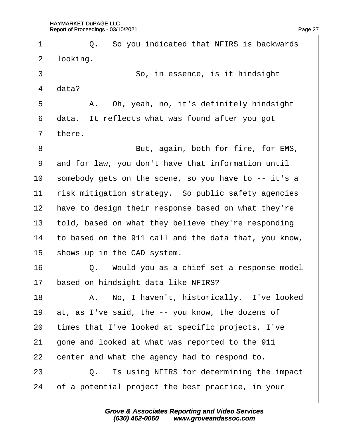| 1              | Q. So you indicated that NFIRS is backwards           |
|----------------|-------------------------------------------------------|
| $\overline{2}$ | looking.                                              |
| 3              | So, in essence, is it hindsight                       |
| 4              | data?                                                 |
| 5              | A. Oh, yeah, no, it's definitely hindsight            |
| 6              | data. It reflects what was found after you got        |
| $\overline{7}$ | there.                                                |
| 8              | But, again, both for fire, for EMS,                   |
| 9              | and for law, you don't have that information until    |
| 10             | somebody gets on the scene, so you have to -- it's a  |
| 11             | risk mitigation strategy. So public safety agencies   |
| 12             | have to design their response based on what they're   |
| 13             | told, based on what they believe they're responding   |
| 14             | to based on the 911 call and the data that, you know, |
| 15             | shows up in the CAD system.                           |
| 16             | Q. Would you as a chief set a response model          |
| 17             | based on hindsight data like NFIRS?                   |
| 18             | A. No, I haven't, historically. I've looked           |
| 19             | at, as I've said, the -- you know, the dozens of      |
| 20             | times that I've looked at specific projects, I've     |
| 21             | gone and looked at what was reported to the 911       |
| 22             | center and what the agency had to respond to.         |
| 23             | Is using NFIRS for determining the impact<br>Q.       |
| 24             | of a potential project the best practice, in your     |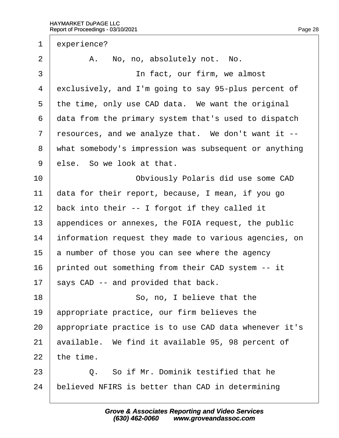| 1              | experience?                                           |
|----------------|-------------------------------------------------------|
| $\overline{2}$ | A. No, no, absolutely not. No.                        |
| 3              | In fact, our firm, we almost                          |
| 4              | exclusively, and I'm going to say 95-plus percent of  |
| 5              | the time, only use CAD data. We want the original     |
| 6              | data from the primary system that's used to dispatch  |
| $\overline{7}$ | resources, and we analyze that. We don't want it --   |
| 8              | what somebody's impression was subsequent or anything |
| 9              | else. So we look at that.                             |
| 10             | Obviously Polaris did use some CAD                    |
| 11             | data for their report, because, I mean, if you go     |
| 12             | back into their -- I forgot if they called it         |
| 13             | appendices or annexes, the FOIA request, the public   |
| 14             | information request they made to various agencies, on |
| 15             | a number of those you can see where the agency        |
| 16             | printed out something from their CAD system -- it     |
| 17             | says CAD -- and provided that back.                   |
| 18             | So, no, I believe that the                            |
| 19             | appropriate practice, our firm believes the           |
| 20             | appropriate practice is to use CAD data whenever it's |
| 21             | available. We find it available 95, 98 percent of     |
| 22             | the time.                                             |
| 23             | Q. So if Mr. Dominik testified that he                |
| 24             | believed NFIRS is better than CAD in determining      |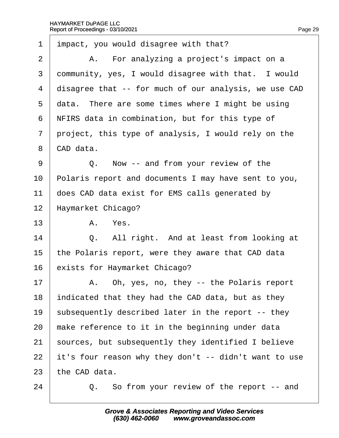| $\mathbf 1$    | impact, you would disagree with that?                 |
|----------------|-------------------------------------------------------|
| 2              | A. For analyzing a project's impact on a              |
| 3              | dommunity, yes, I would disagree with that. I would   |
| 4              | disagree that -- for much of our analysis, we use CAD |
| 5              | data. There are some times where I might be using     |
| 6              | NFIRS data in combination, but for this type of       |
| $\overline{7}$ | project, this type of analysis, I would rely on the   |
| 8              | CAD data.                                             |
| 9              | Q. Now -- and from your review of the                 |
| 10             | Polaris report and documents I may have sent to you,  |
| 11             | does CAD data exist for EMS calls generated by        |
| 12             | Haymarket Chicago?                                    |
| 13             | A. Yes.                                               |
| 14             | Q. All right. And at least from looking at            |
| 15             | the Polaris report, were they aware that CAD data     |
| 16             | exists for Haymarket Chicago?                         |
| 17             | A. Oh, yes, no, they -- the Polaris report            |
| 18             | indicated that they had the CAD data, but as they     |
| 19             | subsequently described later in the report -- they    |
| 20             | make reference to it in the beginning under data      |
| 21             | sources, but subsequently they identified I believe   |
| 22             | it's four reason why they don't -- didn't want to use |
| 23             | the CAD data.                                         |
| 24             | Q. So from your review of the report -- and           |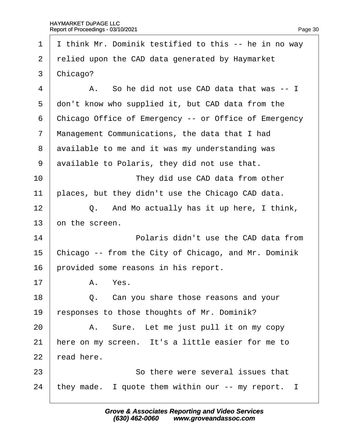1 Ithink Mr. Dominik testified to this -- he in no way 2 relied upon the CAD data generated by Haymarket 3 Chicago?  $4 \mid$  A. So he did not use CAD data that was -- I 5 don't know who supplied it, but CAD data from the 6 Chicago Office of Emergency -- or Office of Emergency 7 Management Communications, the data that I had 8 available to me and it was my understanding was 9 available to Polaris, they did not use that. 10 **I** They did use CAD data from other 11 places, but they didn't use the Chicago CAD data.  $12$   $\Box$  Q. And Mo actually has it up here, I think, 13 bn the screen. 14 **14** Polaris didn't use the CAD data from 15 Chicago -- from the City of Chicago, and Mr. Dominik 16 brovided some reasons in his report. 17 | A. Yes.  $18$   $\Box$  Q. Can you share those reasons and your 19 responses to those thoughts of Mr. Dominik?  $20$  | A. Sure. Let me just pull it on my copy 21 here on my screen. It's a little easier for me to  $22$  read here. 23 **So there were several issues that** 24 they made. I quote them within our -- my report. I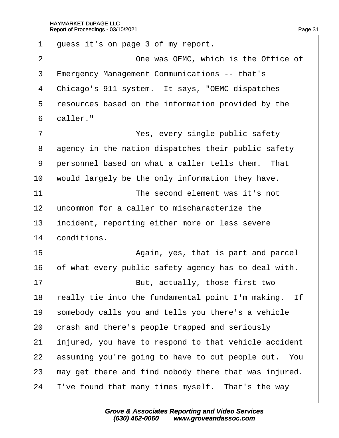1 guess it's on page 3 of my report. 2 **Deal** One was OEMC, which is the Office of 3 Emergency Management Communications -- that's 4 Chicago's 911 system. It says, "OEMC dispatches 5 resources based on the information provided by the 6 daller." 7 | Yes, every single public safety 8 agency in the nation dispatches their public safety 9 personnel based on what a caller tells them. That 10 would largely be the only information they have. 11 **I I** *The second element was it's not* 12 uncommon for a caller to mischaracterize the 13 incident, reporting either more or less severe 14 **conditions.** 15 **I** Again, yes, that is part and parcel 16 b f what every public safety agency has to deal with. 17 **But, actually, those first two** 18 really tie into the fundamental point I'm making. If 19 somebody calls you and tells you there's a vehicle 20 crash and there's people trapped and seriously 21 injured, you have to respond to that vehicle accident 22 assuming you're going to have to cut people out. You 23 hay get there and find nobody there that was injured. 24 I've found that many times myself. That's the way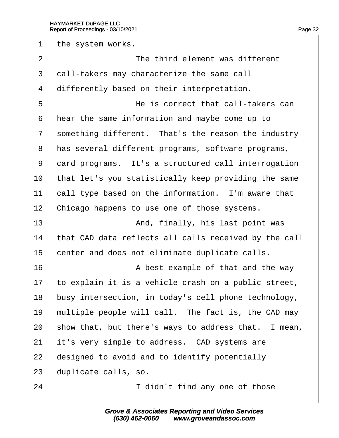1 the system works.

 $2 \quad | \quad$  The third element was different 3 dall-takers may characterize the same call 4 differently based on their interpretation. ·5· · · · · · · · · · He is correct that call-takers can 6 hear the same information and maybe come up to 7 something different. That's the reason the industry 8 has several different programs, software programs, 9 dard programs. It's a structured call interrogation 10 that let's you statistically keep providing the same 11 call type based on the information. I'm aware that 12 Chicago happens to use one of those systems. 13 | And, finally, his last point was 14 that CAD data reflects all calls received by the call 15 center and does not eliminate duplicate calls.  $16$   $\parallel$  A best example of that and the way 17 to explain it is a vehicle crash on a public street, 18 busy intersection, in today's cell phone technology, 19 multiple people will call. The fact is, the CAD may 20 show that, but there's ways to address that. I mean, 21 it's very simple to address. CAD systems are 22 designed to avoid and to identify potentially 23 duplicate calls, so. 24 **I** didn't find any one of those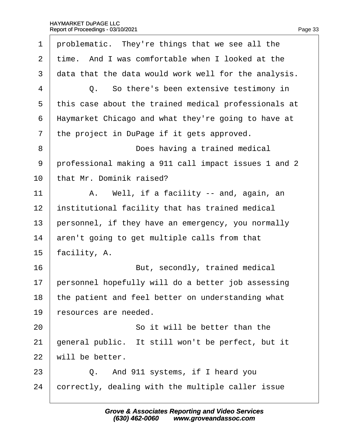|  |  | Page 33 |
|--|--|---------|
|  |  |         |

| 1              | problematic. They're things that we see all the      |  |  |
|----------------|------------------------------------------------------|--|--|
| 2              | time. And I was comfortable when I looked at the     |  |  |
| 3              | data that the data would work well for the analysis. |  |  |
| 4              | Q. So there's been extensive testimony in            |  |  |
| 5              | this case about the trained medical professionals at |  |  |
| 6              | Haymarket Chicago and what they're going to have at  |  |  |
| $\overline{7}$ | the project in DuPage if it gets approved.           |  |  |
| 8              | Does having a trained medical                        |  |  |
| 9              | professional making a 911 call impact issues 1 and 2 |  |  |
| 10             | that Mr. Dominik raised?                             |  |  |
| 11             | A. Well, if a facility -- and, again, an             |  |  |
| 12             | institutional facility that has trained medical      |  |  |
| 13             | personnel, if they have an emergency, you normally   |  |  |
| 14             | aren't going to get multiple calls from that         |  |  |
| 15             | facility, A.                                         |  |  |
| 16             | But, secondly, trained medical                       |  |  |
| 17             | personnel hopefully will do a better job assessing   |  |  |
| 18             | the patient and feel better on understanding what    |  |  |
| 19             | resources are needed.                                |  |  |
| 20             | So it will be better than the                        |  |  |
| 21             | general public. It still won't be perfect, but it    |  |  |
| 22             | will be better.                                      |  |  |
| 23             | Q. And 911 systems, if I heard you                   |  |  |
| 24             | correctly, dealing with the multiple caller issue    |  |  |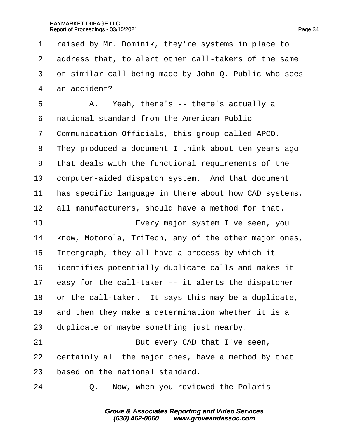1 raised by Mr. Dominik, they're systems in place to

| $\overline{2}$           | address that, to alert other call-takers of the same  |  |  |  |  |
|--------------------------|-------------------------------------------------------|--|--|--|--|
| 3                        | or similar call being made by John Q. Public who sees |  |  |  |  |
| 4                        | an accident?                                          |  |  |  |  |
| 5                        | A. Yeah, there's -- there's actually a                |  |  |  |  |
| 6                        | national standard from the American Public            |  |  |  |  |
| $\overline{\phantom{a}}$ | Communication Officials, this group called APCO.      |  |  |  |  |
| 8                        | They produced a document I think about ten years ago  |  |  |  |  |
| 9                        | that deals with the functional requirements of the    |  |  |  |  |
| 10                       | computer-aided dispatch system. And that document     |  |  |  |  |
| 11                       | has specific language in there about how CAD systems, |  |  |  |  |
| 12                       | all manufacturers, should have a method for that.     |  |  |  |  |
| 13                       | Every major system I've seen, you                     |  |  |  |  |
| 14                       | know, Motorola, TriTech, any of the other major ones, |  |  |  |  |
| 15                       | Intergraph, they all have a process by which it       |  |  |  |  |
| 16                       | dentifies potentially duplicate calls and makes it    |  |  |  |  |
| 17                       | easy for the call-taker -- it alerts the dispatcher   |  |  |  |  |
| 18                       | or the call-taker. It says this may be a duplicate,   |  |  |  |  |
| 19                       | and then they make a determination whether it is a    |  |  |  |  |
| 20                       | duplicate or maybe something just nearby.             |  |  |  |  |
| 21                       | But every CAD that I've seen,                         |  |  |  |  |
| 22                       | certainly all the major ones, have a method by that   |  |  |  |  |
| 23                       | based on the national standard.                       |  |  |  |  |
| 24                       | Now, when you reviewed the Polaris<br>Q.              |  |  |  |  |
|                          |                                                       |  |  |  |  |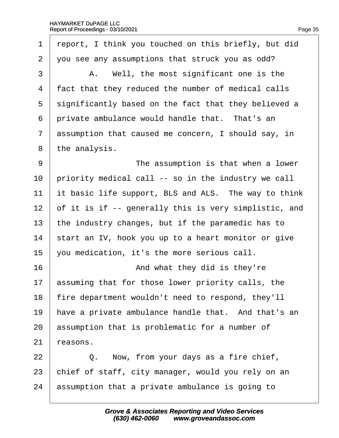1 report, I think you touched on this briefly, but did ·2· ·you see any assumptions that struck you as odd?  $3 \mid$  A. Well, the most significant one is the 4 fact that they reduced the number of medical calls 5 significantly based on the fact that they believed a 6 private ambulance would handle that. That's an 7 assumption that caused me concern, I should say, in 8 the analysis. 9 **I** The assumption is that when a lower 10 priority medical call -- so in the industry we call 11 it basic life support, BLS and ALS. The way to think 12 of it is if -- generally this is very simplistic, and 13 the industry changes, but if the paramedic has to 14 start an IV, hook you up to a heart monitor or give 15  $\sqrt{v}$  vou medication, it's the more serious call.  $16$   $\parallel$  **And what they did is they're** 17 assuming that for those lower priority calls, the 18 fire department wouldn't need to respond, they'll 19 have a private ambulance handle that. And that's an 20 assumption that is problematic for a number of  $21$  reasons.  $22 \mid Q$ . Now, from your days as a fire chief, 23 chief of staff, city manager, would you rely on an 24 assumption that a private ambulance is going to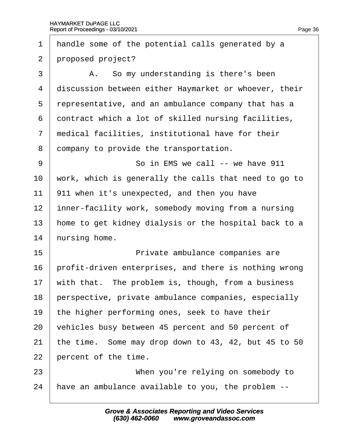| $\mathbf 1$    | handle some of the potential calls generated by a     |
|----------------|-------------------------------------------------------|
| 2              | proposed project?                                     |
| 3              | A. So my understanding is there's been                |
| 4              | discussion between either Haymarket or whoever, their |
| 5              | representative, and an ambulance company that has a   |
| 6              | dontract which a lot of skilled nursing facilities,   |
| $\overline{7}$ | medical facilities, institutional have for their      |
| 8              | dompany to provide the transportation.                |
| 9              | So in EMS we call -- we have 911                      |
| 10             | work, which is generally the calls that need to go to |
| 11             | 911 when it's unexpected, and then you have           |
| 12             | inner-facility work, somebody moving from a nursing   |
| 13             | home to get kidney dialysis or the hospital back to a |
| 14             | hursing home.                                         |
| 15             | Private ambulance companies are                       |
| 16             | profit-driven enterprises, and there is nothing wrong |
| 17             | with that. The problem is, though, from a business    |
| 18             | perspective, private ambulance companies, especially  |
| 19             | the higher performing ones, seek to have their        |
| 20             | vehicles busy between 45 percent and 50 percent of    |
| 21             | the time. Some may drop down to 43, 42, but 45 to 50  |
| 22             | percent of the time.                                  |
| 23             | When you're relying on somebody to                    |
| 24             | have an ambulance available to you, the problem --    |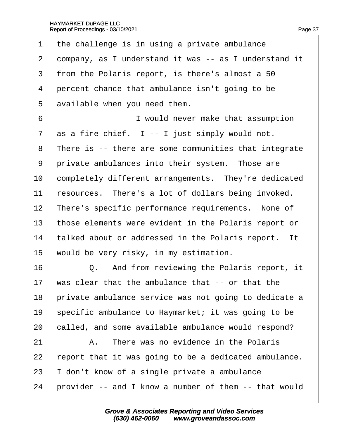| 1              | the challenge is in using a private ambulance         |
|----------------|-------------------------------------------------------|
| $\mathbf{2}$   | dompany, as I understand it was -- as I understand it |
| 3              | from the Polaris report, is there's almost a 50       |
| 4              | percent chance that ambulance isn't going to be       |
| 5              | available when you need them.                         |
| 6              | I would never make that assumption                    |
| $\overline{7}$ | as a fire chief. I -- I just simply would not.        |
| 8              | There is -- there are some communities that integrate |
| 9              | private ambulances into their system. Those are       |
| 10             | completely different arrangements. They're dedicated  |
| 11             | resources. There's a lot of dollars being invoked.    |
| 12             | There's specific performance requirements. None of    |
| 13             | those elements were evident in the Polaris report or  |
| 14             | talked about or addressed in the Polaris report. It   |
| 15             | would be very risky, in my estimation.                |
| 16             | Q. And from reviewing the Polaris report, it          |
| 17             | was clear that the ambulance that -- or that the      |
| 18             | private ambulance service was not going to dedicate a |
| 19             | specific ambulance to Haymarket; it was going to be   |
| 20             | called, and some available ambulance would respond?   |
| 21             | There was no evidence in the Polaris<br>A.            |
| 22             | report that it was going to be a dedicated ambulance. |
| 23             | don't know of a single private a ambulance            |
| 24             | provider -- and I know a number of them -- that would |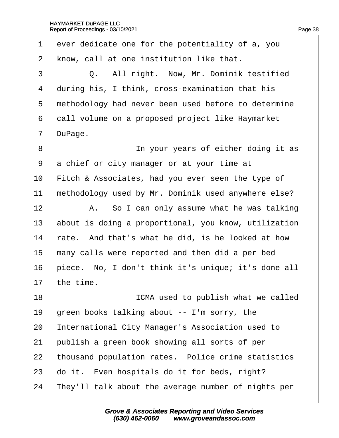1 ever dedicate one for the potentiality of a, you 2 know, call at one institution like that. 3 | Q. All right. Now, Mr. Dominik testified 4 during his, I think, cross-examination that his 5 methodology had never been used before to determine 6 dall volume on a proposed project like Haymarket 7 DuPage. 8 **IDED** In your years of either doing it as 9 a chief or city manager or at your time at 10 Fitch & Associates, had you ever seen the type of 11 methodology used by Mr. Dominik used anywhere else?  $12$  | A. So I can only assume what he was talking 13 about is doing a proportional, you know, utilization 14 rate. And that's what he did, is he looked at how 15 many calls were reported and then did a per bed 16 biece. No, I don't think it's unique; it's done all 17  $\,$  the time. 18 **IGMA** used to publish what we called 19  $\beta$  preen books talking about -- I'm sorry, the 20 International City Manager's Association used to 21 bublish a green book showing all sorts of per 22 thousand population rates. Police crime statistics 23 do it. Even hospitals do it for beds, right? 24 They'll talk about the average number of nights per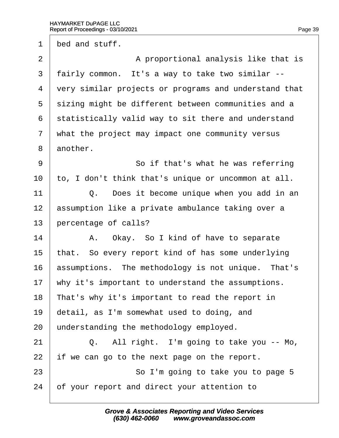1 bed and stuff.

2 A proportional analysis like that is 3 fairly common. It's a way to take two similar --4 very similar projects or programs and understand that 5 sizing might be different between communities and a 6 statistically valid way to sit there and understand 7 what the project may impact one community versus 8 another. 9 | So if that's what he was referring 10 to, I don't think that's unique or uncommon at all. 11  $\vert$  Q. Does it become unique when you add in an 12 assumption like a private ambulance taking over a 13 percentage of calls?  $14$  | A. Okay. So I kind of have to separate 15 that. So every report kind of has some underlying 16 **assumptions.** The methodology is not unique. That's 17 why it's important to understand the assumptions. 18 That's why it's important to read the report in 19 detail, as I'm somewhat used to doing, and 20 understanding the methodology employed.  $21$   $\Box$  Q. All right. I'm going to take you -- Mo, 22 if we can go to the next page on the report. 23 **So I'm going to take you to page 5** 24 b f your report and direct your attention to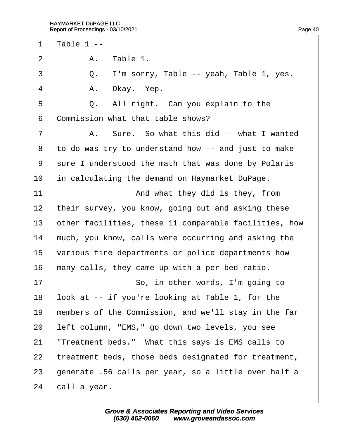1 Table 1 -- $2 \mid$  A. Table 1.  $3 \mid Q_{\cdot}$  I'm sorry, Table -- yeah, Table 1, yes. 4 | A. Okay. Yep.  $5 \mid Q_i$ . All right. Can you explain to the 6 Commission what that table shows? 7 | A. Sure. So what this did -- what I wanted ·8· ·to do was try to understand how -- and just to make 9 sure I understood the math that was done by Polaris 10 in calculating the demand on Haymarket DuPage. 11 **And what they did is they, from** 12 their survey, you know, going out and asking these 13 bther facilities, these 11 comparable facilities, how 14 much, you know, calls were occurring and asking the 15 various fire departments or police departments how 16 many calls, they came up with a per bed ratio. 17 **So, in other words, I'm going to** 18 look at -- if you're looking at Table 1, for the 19 members of the Commission, and we'll stay in the far 20 left column, "EMS," go down two levels, you see 21 *Treatment beds."* What this says is EMS calls to 22 treatment beds, those beds designated for treatment, 23 generate .56 calls per year, so a little over half a 24 call a year.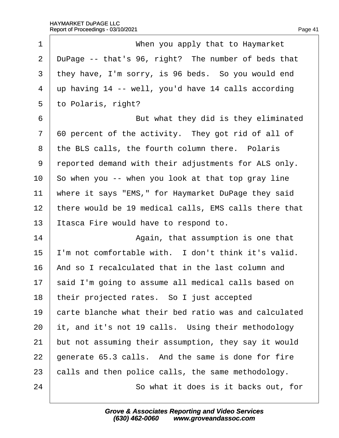| 1              | When you apply that to Haymarket                      |
|----------------|-------------------------------------------------------|
| 2              | DuPage -- that's 96, right? The number of beds that   |
| 3              | they have, I'm sorry, is 96 beds. So you would end    |
| 4              | up having 14 -- well, you'd have 14 calls according   |
| 5              | to Polaris, right?                                    |
| 6              | But what they did is they eliminated                  |
| $\overline{7}$ | 60 percent of the activity. They got rid of all of    |
| 8              | the BLS calls, the fourth column there. Polaris       |
| 9              | reported demand with their adjustments for ALS only.  |
| 10             | So when you -- when you look at that top gray line    |
| 11             | where it says "EMS," for Haymarket DuPage they said   |
| 12             | there would be 19 medical calls, EMS calls there that |
| 13             | Itasca Fire would have to respond to.                 |
| 14             | Again, that assumption is one that                    |
| 15             | I'm not comfortable with. I don't think it's valid.   |
| 16             | And so I recalculated that in the last column and     |
| 17             | said I'm going to assume all medical calls based on   |
| 18             | their projected rates. So I just accepted             |
| 19             | carte blanche what their bed ratio was and calculated |
| 20             | it, and it's not 19 calls. Using their methodology    |
| 21             | but not assuming their assumption, they say it would  |
| 22             | generate 65.3 calls. And the same is done for fire    |
| 23             | calls and then police calls, the same methodology.    |
| 24             | So what it does is it backs out, for                  |
|                |                                                       |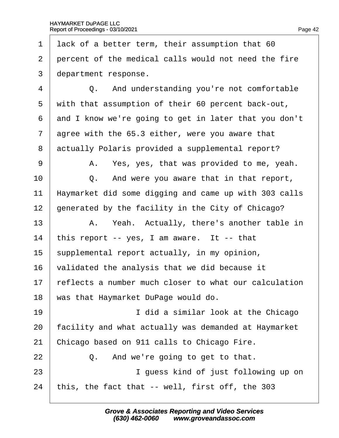| 1              | lack of a better term, their assumption that 60       |
|----------------|-------------------------------------------------------|
| $\overline{2}$ | percent of the medical calls would not need the fire  |
| 3              | department response.                                  |
| 4              | Q. And understanding you're not comfortable           |
| 5              | with that assumption of their 60 percent back-out,    |
| 6              | and I know we're going to get in later that you don't |
| $\overline{7}$ | agree with the 65.3 either, were you aware that       |
| 8              | actually Polaris provided a supplemental report?      |
| 9              | A. Yes, yes, that was provided to me, yeah.           |
| 10             | Q. And were you aware that in that report,            |
| 11             | Haymarket did some digging and came up with 303 calls |
| 12             | generated by the facility in the City of Chicago?     |
| 13             | A. Yeah. Actually, there's another table in           |
| 14             | this report -- yes, I am aware. It -- that            |
| 15             | supplemental report actually, in my opinion,          |
| 16             | validated the analysis that we did because it         |
| 17             | reflects a number much closer to what our calculation |
| 18             | was that Haymarket DuPage would do.                   |
| 19             | I did a similar look at the Chicago                   |
| 20             | facility and what actually was demanded at Haymarket  |
| 21             | Chicago based on 911 calls to Chicago Fire.           |
| 22             | Q. And we're going to get to that.                    |
| 23             | I guess kind of just following up on                  |
| 24             | this, the fact that -- well, first off, the 303       |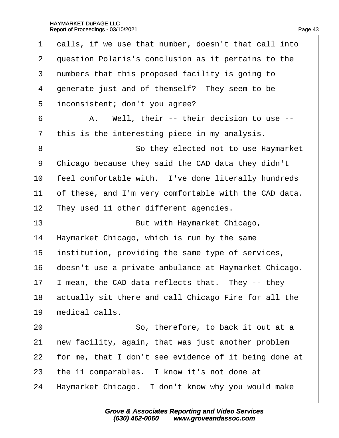| 1              | dalls, if we use that number, doesn't that call into  |
|----------------|-------------------------------------------------------|
| $\overline{2}$ | question Polaris's conclusion as it pertains to the   |
| 3              | numbers that this proposed facility is going to       |
| 4              | generate just and of themself? They seem to be        |
| 5              | inconsistent; don't you agree?                        |
| 6              | A. Well, their -- their decision to use --            |
| 7              | this is the interesting piece in my analysis.         |
| 8              | So they elected not to use Haymarket                  |
| 9              | Chicago because they said the CAD data they didn't    |
| 10             | feel comfortable with. I've done literally hundreds   |
| 11             | of these, and I'm very comfortable with the CAD data. |
| 12             | They used 11 other different agencies.                |
| 13             | But with Haymarket Chicago,                           |
| 14             | Haymarket Chicago, which is run by the same           |
| 15             | institution, providing the same type of services,     |
| 16             | doesn't use a private ambulance at Haymarket Chicago. |
| 17             | mean, the CAD data reflects that. They -- they        |
| 18             | actually sit there and call Chicago Fire for all the  |
| 19             | medical calls.                                        |
| 20             | So, therefore, to back it out at a                    |
| 21             | hew facility, again, that was just another problem    |
| 22             | for me, that I don't see evidence of it being done at |
| 23             | the 11 comparables. I know it's not done at           |
| 24             | Haymarket Chicago. I don't know why you would make    |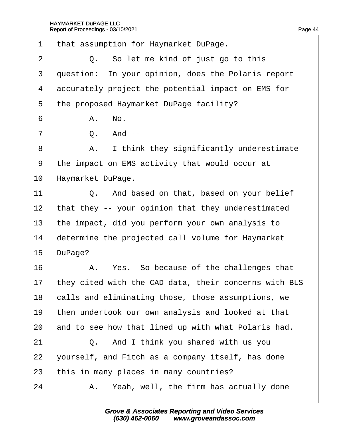·1· ·that assumption for Haymarket DuPage.  $2 \mid Q$ . So let me kind of just go to this 3 duestion: In your opinion, does the Polaris report 4 dccurately project the potential impact on EMS for 5 the proposed Haymarket DuPage facility?  $6$   $A. No.$  $7 \mid$  Q. And --8 | A. I think they significantly underestimate ·9· ·the impact on EMS activity that would occur at 10 Haymarket DuPage.  $11$   $\Box$  Q. And based on that, based on your belief 12 that they -- your opinion that they underestimated 13 the impact, did you perform your own analysis to 14 determine the projected call volume for Haymarket 15 DuPage? 16 A. Yes. So because of the challenges that 17 they cited with the CAD data, their concerns with BLS 18 calls and eliminating those, those assumptions, we 19 then undertook our own analysis and looked at that 20 and to see how that lined up with what Polaris had.  $21$   $\Box$  Q. And I think you shared with us you 22 vourself, and Fitch as a company itself, has done 23 this in many places in many countries?  $24$  | A. Yeah, well, the firm has actually done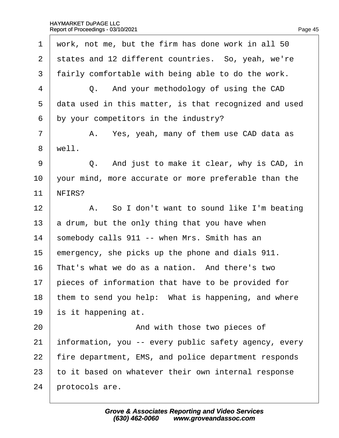| $\mathbf 1$    | work, not me, but the firm has done work in all 50    |
|----------------|-------------------------------------------------------|
| $\overline{2}$ | states and 12 different countries. So, yeah, we're    |
| 3              | fairly comfortable with being able to do the work.    |
| $\overline{4}$ | Q. And your methodology of using the CAD              |
| 5              | data used in this matter, is that recognized and used |
| 6              | by your competitors in the industry?                  |
| 7              | A. Yes, yeah, many of them use CAD data as            |
| 8              | well.                                                 |
| 9              | Q. And just to make it clear, why is CAD, in          |
| 10             | your mind, more accurate or more preferable than the  |
| 11             | NFIRS?                                                |
| 12             | A. So I don't want to sound like I'm beating          |
| 13             | a drum, but the only thing that you have when         |
| 14             | somebody calls 911 -- when Mrs. Smith has an          |
| 15             | emergency, she picks up the phone and dials 911.      |
| 16             | That's what we do as a nation. And there's two        |
| 17             | pieces of information that have to be provided for    |
| 18             | them to send you help: What is happening, and where   |
| 19             | is it happening at.                                   |
| 20             | And with those two pieces of                          |
| 21             | information, you -- every public safety agency, every |
| 22             | fire department, EMS, and police department responds  |
| 23             | to it based on whatever their own internal response   |
| 24             | protocols are.                                        |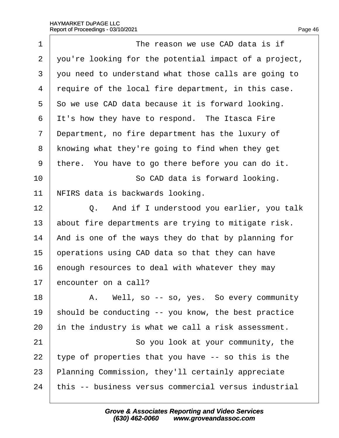| 1              | The reason we use CAD data is if                      |
|----------------|-------------------------------------------------------|
| $\overline{2}$ | you're looking for the potential impact of a project, |
| 3              | you need to understand what those calls are going to  |
| $\overline{4}$ | require of the local fire department, in this case.   |
| 5              | So we use CAD data because it is forward looking.     |
| 6              | It's how they have to respond. The Itasca Fire        |
| 7              | Department, no fire department has the luxury of      |
| 8              | knowing what they're going to find when they get      |
| 9              | there. You have to go there before you can do it.     |
| 10             | So CAD data is forward looking.                       |
| 11             | NFIRS data is backwards looking.                      |
| 12             | Q. And if I understood you earlier, you talk          |
| 13             | about fire departments are trying to mitigate risk.   |
| 14             | And is one of the ways they do that by planning for   |
| 15             | operations using CAD data so that they can have       |
| 16             | enough resources to deal with whatever they may       |
| 17             | encounter on a call?                                  |
| 18             | A. Well, so -- so, yes. So every community            |
| 19             | should be conducting -- you know, the best practice   |
| 20             | in the industry is what we call a risk assessment.    |
| 21             | So you look at your community, the                    |
| 22             | type of properties that you have -- so this is the    |
| 23             | Planning Commission, they'll certainly appreciate     |
| 24             | this -- business versus commercial versus industrial  |
|                |                                                       |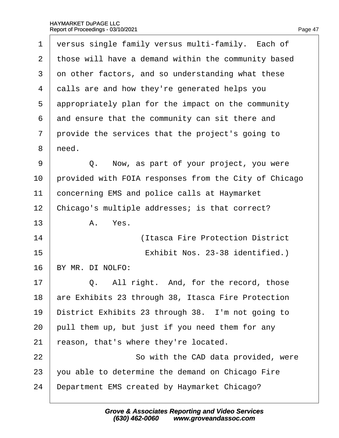| 1              | versus single family versus multi-family. Each of     |
|----------------|-------------------------------------------------------|
| $\overline{2}$ | those will have a demand within the community based   |
| 3              | on other factors, and so understanding what these     |
| 4              | dalls are and how they're generated helps you         |
| 5              | appropriately plan for the impact on the community    |
| 6              | and ensure that the community can sit there and       |
| $\overline{7}$ | provide the services that the project's going to      |
| 8              | need.                                                 |
| 9              | Q. Now, as part of your project, you were             |
| 10             | provided with FOIA responses from the City of Chicago |
| 11             | concerning EMS and police calls at Haymarket          |
| 12             | Chicago's multiple addresses; is that correct?        |
| 13             | A. Yes.                                               |
| 14             | (Itasca Fire Protection District                      |
| 15             | Exhibit Nos. 23-38 identified.)                       |
| 16             | BY MR. DI NOLFO:                                      |
| 17             | Q. All right. And, for the record, those              |
| 18             | are Exhibits 23 through 38, Itasca Fire Protection    |
| 19             | District Exhibits 23 through 38. I'm not going to     |
| 20             | pull them up, but just if you need them for any       |
| 21             | reason, that's where they're located.                 |
| 22             | So with the CAD data provided, were                   |
| 23             | you able to determine the demand on Chicago Fire      |
| 24             | Department EMS created by Haymarket Chicago?          |
|                |                                                       |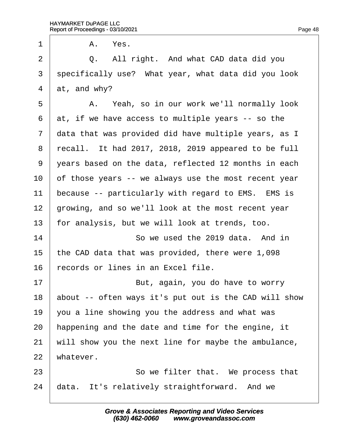1 | A. Yes.

 $2 \mid Q$ . All right. And what CAD data did you 3 specifically use? What year, what data did you look 4  $\,$  at, and whv? 5 | A. Yeah, so in our work we'll normally look 6 at, if we have access to multiple years -- so the 7 data that was provided did have multiple years, as I 8 recall. It had 2017, 2018, 2019 appeared to be full 9 vears based on the data, reflected 12 months in each 10 of those years -- we always use the most recent year 11 because -- particularly with regard to EMS. EMS is 12 growing, and so we'll look at the most recent year 13 for analysis, but we will look at trends, too. 14 **So we used the 2019 data.** And in 15 the CAD data that was provided, there were 1,098 16 records or lines in an Excel file.  $17$  **But, again, you do have to worry** 18 about -- often ways it's put out is the CAD will show 19  $\sqrt{ }$  you a line showing you the address and what was 20 happening and the date and time for the engine, it 21 will show you the next line for maybe the ambulance, 22 whatever. 23 **So we filter that.** We process that 24 data. It's relatively straightforward. And we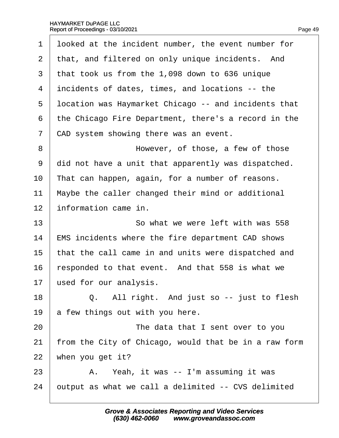| 1  | Iboked at the incident number, the event number for   |
|----|-------------------------------------------------------|
| 2  | that, and filtered on only unique incidents. And      |
| 3  | that took us from the 1,098 down to 636 unique        |
| 4  | incidents of dates, times, and locations -- the       |
| 5  | Ibcation was Haymarket Chicago -- and incidents that  |
| 6  | the Chicago Fire Department, there's a record in the  |
| 7  | CAD system showing there was an event.                |
| 8  | However, of those, a few of those                     |
| 9  | did not have a unit that apparently was dispatched.   |
| 10 | That can happen, again, for a number of reasons.      |
| 11 | Maybe the caller changed their mind or additional     |
| 12 | information came in.                                  |
| 13 | So what we were left with was 558                     |
| 14 | EMS incidents where the fire department CAD shows     |
| 15 | that the call came in and units were dispatched and   |
| 16 | responded to that event. And that 558 is what we      |
| 17 | used for our analysis.                                |
| 18 | Q. All right. And just so -- just to flesh            |
| 19 | a few things out with you here.                       |
| 20 | The data that I sent over to you                      |
| 21 | from the City of Chicago, would that be in a raw form |
| 22 | when you get it?                                      |
| 23 | A. Yeah, it was -- I'm assuming it was                |
| 24 | putput as what we call a delimited -- CVS delimited   |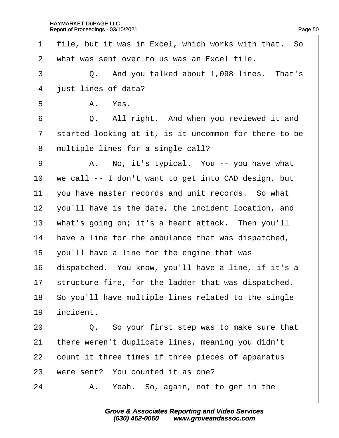1 file, but it was in Excel, which works with that. So 2 what was sent over to us was an Excel file.  $3 \mid Q$ . And you talked about 1,098 lines. That's 4 iust lines of data?  $5 \parallel$  A. Yes. 6 **Q.** All right. And when you reviewed it and 7 started looking at it, is it uncommon for there to be 8 multiple lines for a single call? 9 | A. No, it's typical. You -- you have what 10 we call -- I don't want to get into CAD design, but 11 vou have master records and unit records. So what 12  $\sqrt{ }$  you'll have is the date, the incident location, and 13 what's going on; it's a heart attack. Then you'll 14 have a line for the ambulance that was dispatched, 15  $\sqrt{ }$  you'll have a line for the engine that was 16 dispatched. You know, you'll have a line, if it's a 17 structure fire, for the ladder that was dispatched. 18 So you'll have multiple lines related to the single 19 incident.  $20$   $\Box$  Q. So your first step was to make sure that 21 there weren't duplicate lines, meaning you didn't 22 count it three times if three pieces of apparatus 23 were sent? You counted it as one?  $24$  | A. Yeah. So, again, not to get in the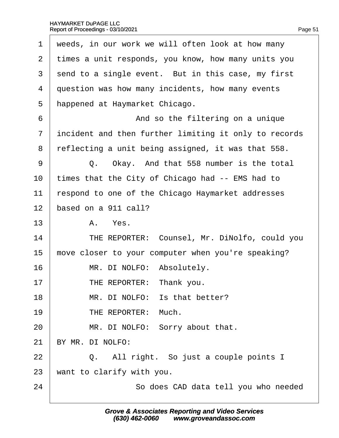| 1              | weeds, in our work we will often look at how many     |
|----------------|-------------------------------------------------------|
| 2              | times a unit responds, you know, how many units you   |
| 3              | send to a single event. But in this case, my first    |
| 4              | question was how many incidents, how many events      |
| 5              | happened at Haymarket Chicago.                        |
| 6              | And so the filtering on a unique                      |
| $\overline{7}$ | incident and then further limiting it only to records |
| 8              | reflecting a unit being assigned, it was that 558.    |
| 9              | Q. Okay. And that 558 number is the total             |
| 10             | times that the City of Chicago had -- EMS had to      |
| 11             | espond to one of the Chicago Haymarket addresses      |
| 12             | based on a 911 call?                                  |
| 13             | A. Yes.                                               |
| 14             | THE REPORTER: Counsel, Mr. DiNolfo, could you         |
| 15             | move closer to your computer when you're speaking?    |
| 16             | MR. DI NOLFO: Absolutely.                             |
| 17             | THE REPORTER: Thank you.                              |
| 18             | MR. DI NOLFO: Is that better?                         |
| 19             | THE REPORTER: Much.                                   |
| 20             | MR. DI NOLFO: Sorry about that.                       |
| 21             | BY MR. DI NOLFO:                                      |
| 22             | Q. All right. So just a couple points I               |
| 23             | want to clarify with you.                             |
| 24             | So does CAD data tell you who needed                  |
|                |                                                       |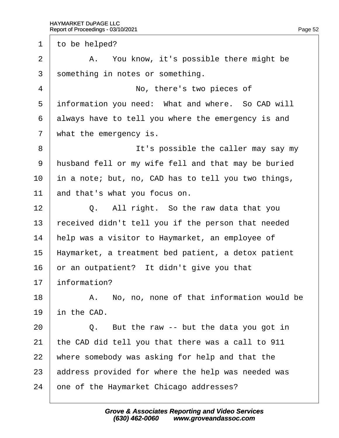1 to be helped?  $2 \mid$  A. You know, it's possible there might be 3 something in notes or something. 4 | No, there's two pieces of 5 information you need: What and where. So CAD will 6 always have to tell you where the emergency is and 7 what the emergency is. 8 **It's possible the caller may say my** 9 husband fell or my wife fell and that may be buried 10 in a note; but, no, CAD has to tell you two things, 11 and that's what you focus on.  $12 \mid$  Q. All right. So the raw data that you 13 received didn't tell you if the person that needed 14 help was a visitor to Haymarket, an employee of 15 Haymarket, a treatment bed patient, a detox patient 16  $\sigma$  or an outpatient? It didn't give you that 17 **information?**  $18$  | A. No, no, none of that information would be 19 in the CAD.  $20$   $\Box$  Q. But the raw -- but the data you got in 21 the CAD did tell you that there was a call to 911 22 where somebody was asking for help and that the 23 address provided for where the help was needed was

24 one of the Haymarket Chicago addresses?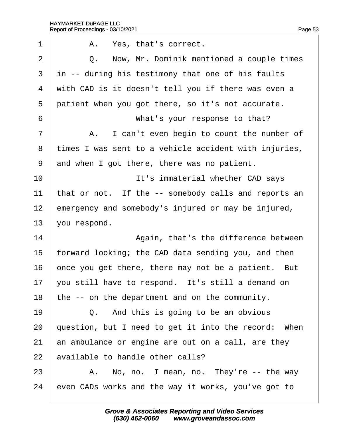| 1              | A. Yes, that's correct.                               |
|----------------|-------------------------------------------------------|
| $\overline{2}$ | Now, Mr. Dominik mentioned a couple times<br>Q.       |
| 3              | in -- during his testimony that one of his faults     |
| 4              | with CAD is it doesn't tell you if there was even a   |
| 5              | patient when you got there, so it's not accurate.     |
| 6              | What's your response to that?                         |
| 7              | A. I can't even begin to count the number of          |
| 8              | times I was sent to a vehicle accident with injuries, |
| 9              | and when I got there, there was no patient.           |
| 10             | It's immaterial whether CAD says                      |
| 11             | that or not. If the -- somebody calls and reports an  |
| 12             | emergency and somebody's injured or may be injured,   |
| 13             | you respond.                                          |
| 14             | Again, that's the difference between                  |
| 15             | forward looking; the CAD data sending you, and then   |
| 16             | once you get there, there may not be a patient. But   |
| 17             | you still have to respond. It's still a demand on     |
| 18             | the -- on the department and on the community.        |
| 19             | Q. And this is going to be an obvious                 |
| 20             | question, but I need to get it into the record: When  |
| 21             | an ambulance or engine are out on a call, are they    |
| 22             | available to handle other calls?                      |
| 23             | A. No, no. I mean, no. They're -- the way             |
| 24             | even CADs works and the way it works, you've got to   |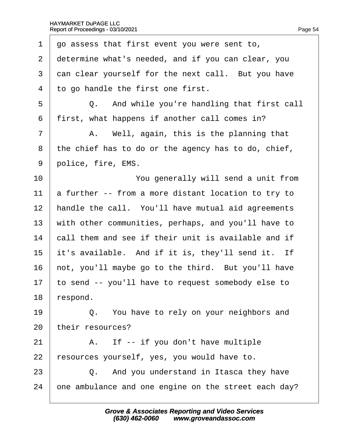| 1  | go assess that first event you were sent to,         |
|----|------------------------------------------------------|
| 2  | determine what's needed, and if you can clear, you   |
| 3  | dan clear yourself for the next call. But you have   |
| 4  | to go handle the first one first.                    |
| 5  | Q. And while you're handling that first call         |
| 6  | first, what happens if another call comes in?        |
| 7  | A. Well, again, this is the planning that            |
| 8  | the chief has to do or the agency has to do, chief,  |
| 9  | police, fire, EMS.                                   |
| 10 | You generally will send a unit from                  |
| 11 | a further -- from a more distant location to try to  |
| 12 | handle the call. You'll have mutual aid agreements   |
| 13 | with other communities, perhaps, and you'll have to  |
| 14 | call them and see if their unit is available and if  |
| 15 | it's available. And if it is, they'll send it. If    |
| 16 | hot, you'll maybe go to the third. But you'll have   |
| 17 | to send -- you'll have to request somebody else to   |
| 18 | espond.                                              |
| 19 | Q. You have to rely on your neighbors and            |
| 20 | their resources?                                     |
| 21 | A. If -- if you don't have multiple                  |
| 22 | resources yourself, yes, you would have to.          |
| 23 | Q. And you understand in Itasca they have            |
| 24 | one ambulance and one engine on the street each day? |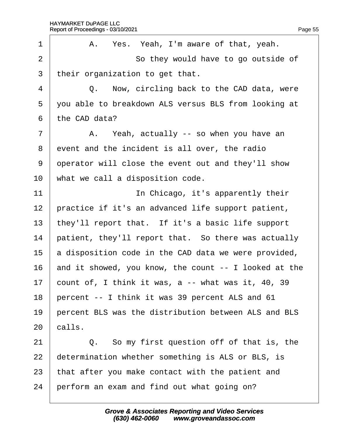| 1              | A. Yes. Yeah, I'm aware of that, yeah.                |
|----------------|-------------------------------------------------------|
| $\overline{2}$ | So they would have to go outside of                   |
| 3              | their organization to get that.                       |
| 4              | Q. Now, circling back to the CAD data, were           |
| 5              | you able to breakdown ALS versus BLS from looking at  |
| 6              | the CAD data?                                         |
| $\overline{7}$ | A. Yeah, actually -- so when you have an              |
| 8              | event and the incident is all over, the radio         |
| 9              | operator will close the event out and they'll show    |
| 10             | what we call a disposition code.                      |
| 11             | In Chicago, it's apparently their                     |
| 12             | practice if it's an advanced life support patient,    |
| 13             | they'll report that. If it's a basic life support     |
| 14             | patient, they'll report that. So there was actually   |
| 15             | a disposition code in the CAD data we were provided,  |
| 16             | and it showed, you know, the count -- I looked at the |
| 17             | count of, I think it was, a -- what was it, 40, 39    |
| 18             | percent -- I think it was 39 percent ALS and 61       |
| 19             | percent BLS was the distribution between ALS and BLS  |
| 20             | calls.                                                |
| 21             | Q. So my first question off of that is, the           |
| 22             | determination whether something is ALS or BLS, is     |
| 23             | that after you make contact with the patient and      |
| 24             | perform an exam and find out what going on?           |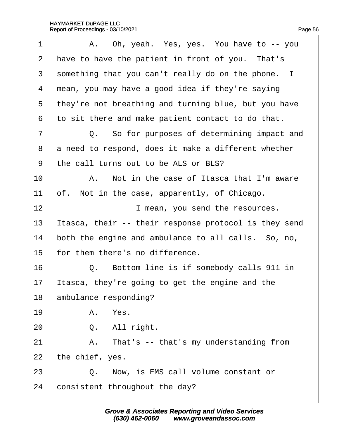| 1              | A. Oh, yeah. Yes, yes. You have to -- you            |
|----------------|------------------------------------------------------|
| 2              | have to have the patient in front of you. That's     |
| 3              | something that you can't really do on the phone. I   |
| 4              | mean, you may have a good idea if they're saying     |
| 5              | they're not breathing and turning blue, but you have |
| 6              | to sit there and make patient contact to do that.    |
| $\overline{7}$ | Q. So for purposes of determining impact and         |
| 8              | a need to respond, does it make a different whether  |
| 9              | the call turns out to be ALS or BLS?                 |
| 10             | A. Not in the case of Itasca that I'm aware          |
| 11             | of. Not in the case, apparently, of Chicago.         |
| 12             | I mean, you send the resources.                      |
| 13             | tasca, their -- their response protocol is they send |
| 14             | both the engine and ambulance to all calls. So, no,  |
| 15             | for them there's no difference.                      |
| 16             | Bottom line is if somebody calls 911 in<br>Q.        |
| 17             | tasca, they're going to get the engine and the       |
| 18             | ambulance responding?                                |
| 19             | A. Yes.                                              |
| 20             | Q. All right.                                        |
| 21             | A. That's -- that's my understanding from            |
| 22             | the chief, yes.                                      |
| 23             | Q. Now, is EMS call volume constant or               |
| 24             | consistent throughout the day?                       |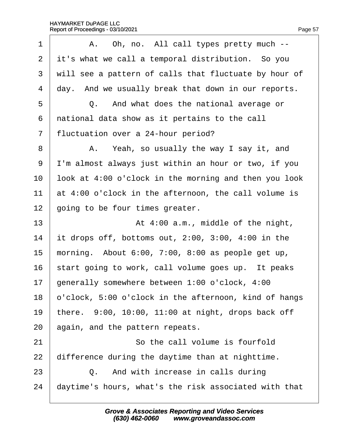| 1                        | A. Oh, no. All call types pretty much --              |
|--------------------------|-------------------------------------------------------|
| $\overline{2}$           | it's what we call a temporal distribution. So you     |
| 3                        | will see a pattern of calls that fluctuate by hour of |
| $\overline{\mathcal{A}}$ | day. And we usually break that down in our reports.   |
| 5                        | Q. And what does the national average or              |
| 6                        | national data show as it pertains to the call         |
| 7                        | fluctuation over a 24-hour period?                    |
| 8                        | A. Yeah, so usually the way I say it, and             |
| 9                        | I'm almost always just within an hour or two, if you  |
| 10                       | look at 4:00 o'clock in the morning and then you look |
| 11                       | at 4:00 o'clock in the afternoon, the call volume is  |
| 12                       | going to be four times greater.                       |
| 13                       | At 4:00 a.m., middle of the night,                    |
| 14                       | it drops off, bottoms out, 2:00, 3:00, 4:00 in the    |
| 15                       | morning. About 6:00, 7:00, 8:00 as people get up,     |
| 16                       | start going to work, call volume goes up. It peaks    |
| 17                       | generally somewhere between 1:00 o'clock, 4:00        |
| 18                       | b'clock, 5:00 o'clock in the afternoon, kind of hangs |
| 19                       | there. 9:00, 10:00, 11:00 at night, drops back off    |
| 20                       | again, and the pattern repeats.                       |
| 21                       | So the call volume is fourfold                        |
| 22                       | difference during the daytime than at nighttime.      |
| 23                       | Q. And with increase in calls during                  |
| 24                       | daytime's hours, what's the risk associated with that |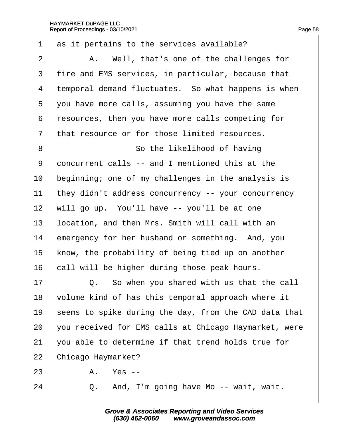| $\mathbf 1$    | as it pertains to the services available?             |
|----------------|-------------------------------------------------------|
| 2              | A. Well, that's one of the challenges for             |
| 3              | fire and EMS services, in particular, because that    |
| 4              | temporal demand fluctuates. So what happens is when   |
| 5              | you have more calls, assuming you have the same       |
| 6              | resources, then you have more calls competing for     |
| $\overline{7}$ | that resource or for those limited resources.         |
| 8              | So the likelihood of having                           |
| 9              | doncurrent calls -- and I mentioned this at the       |
| 10             | beginning; one of my challenges in the analysis is    |
| 11             | they didn't address concurrency -- your concurrency   |
| 12             | will go up. You'll have -- you'll be at one           |
| 13             | location, and then Mrs. Smith will call with an       |
| 14             | emergency for her husband or something. And, you      |
| 15             | know, the probability of being tied up on another     |
| 16             | call will be higher during those peak hours.          |
| 17             | Q. So when you shared with us that the call           |
| 18             | volume kind of has this temporal approach where it    |
| 19             | seems to spike during the day, from the CAD data that |
| 20             | you received for EMS calls at Chicago Haymarket, were |
| 21             | you able to determine if that trend holds true for    |
| 22             | Chicago Haymarket?                                    |
| 23             | A. Yes --                                             |
| 24             | And, I'm going have Mo -- wait, wait.<br>Q.           |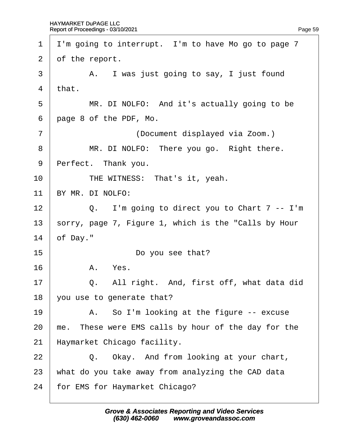| 1              | I'm going to interrupt. I'm to have Mo go to page 7  |
|----------------|------------------------------------------------------|
| $\overline{2}$ | of the report.                                       |
| 3              | A. I was just going to say, I just found             |
| 4              | that.                                                |
| 5              | MR. DI NOLFO: And it's actually going to be          |
| 6              | page 8 of the PDF, Mo.                               |
| $\overline{7}$ | (Document displayed via Zoom.)                       |
| 8              | MR. DI NOLFO: There you go. Right there.             |
| 9              | Perfect. Thank you.                                  |
| 10             | THE WITNESS: That's it, yeah.                        |
| 11             | BY MR. DI NOLFO:                                     |
| 12             | Q. I'm going to direct you to Chart 7 -- I'm         |
| 13             | sorry, page 7, Figure 1, which is the "Calls by Hour |
| 14             | of Day."                                             |
| 15             | Do you see that?                                     |
| 16             | A. Yes.                                              |
| 17             | All right. And, first off, what data did<br>Q.       |
| 18             | you use to generate that?                            |
| 19             | A. So I'm looking at the figure -- excuse            |
| 20             | me. These were EMS calls by hour of the day for the  |
| 21             | Haymarket Chicago facility.                          |
| 22             | Q. Okay. And from looking at your chart,             |
| 23             | what do you take away from analyzing the CAD data    |
| 24             | for EMS for Haymarket Chicago?                       |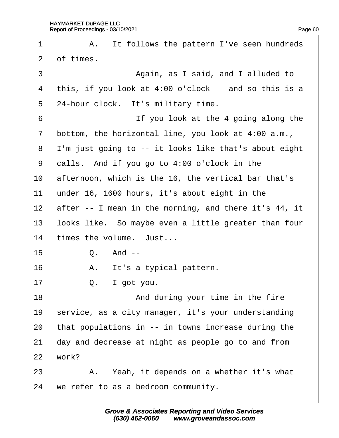| 1              | A. It follows the pattern I've seen hundreds          |
|----------------|-------------------------------------------------------|
| $\overline{2}$ | of times.                                             |
| 3              | Again, as I said, and I alluded to                    |
| 4              | this, if you look at 4:00 o'clock -- and so this is a |
| 5              | 24-hour clock. It's military time.                    |
| 6              | If you look at the 4 going along the                  |
| 7              | bottom, the horizontal line, you look at 4:00 a.m.,   |
| 8              | I'm just going to -- it looks like that's about eight |
| 9              | dalls. And if you go to 4:00 o'clock in the           |
| 10             | afternoon, which is the 16, the vertical bar that's   |
| 11             | under 16, 1600 hours, it's about eight in the         |
| 12             | after -- I mean in the morning, and there it's 44, it |
| 13             | looks like. So maybe even a little greater than four  |
| 14             | times the volume. Just                                |
| 15             | Q. And --                                             |
| 16             | A. It's a typical pattern.                            |
| 17             | Q.<br>I got you.                                      |
| 18             | And during your time in the fire                      |
| 19             | service, as a city manager, it's your understanding   |
| 20             | that populations in -- in towns increase during the   |
| 21             | day and decrease at night as people go to and from    |
| 22             | work?                                                 |
| 23             | A. Yeah, it depends on a whether it's what            |
| 24             | we refer to as a bedroom community.                   |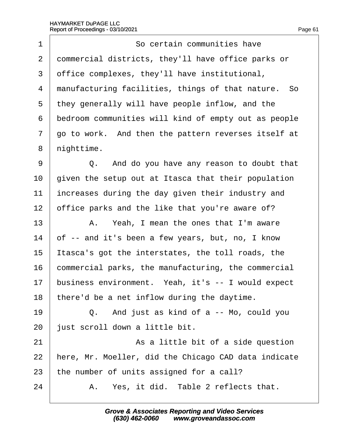| 1              | So certain communities have                          |
|----------------|------------------------------------------------------|
| $\overline{2}$ | dommercial districts, they'll have office parks or   |
| 3              | office complexes, they'll have institutional,        |
| 4              | manufacturing facilities, things of that nature. So  |
| 5              | they generally will have people inflow, and the      |
| 6              | bedroom communities will kind of empty out as people |
| $\overline{7}$ | go to work. And then the pattern reverses itself at  |
| 8              | nighttime.                                           |
| 9              | Q. And do you have any reason to doubt that          |
| 10             | given the setup out at Itasca that their population  |
| 11             | increases during the day given their industry and    |
| 12             | office parks and the like that you're aware of?      |
| 13             | A. Yeah, I mean the ones that I'm aware              |
| 14             | of -- and it's been a few years, but, no, I know     |
| 15             | tasca's got the interstates, the toll roads, the     |
| 16             | commercial parks, the manufacturing, the commercial  |
| 17             | business environment. Yeah, it's -- I would expect   |
| 18             | there'd be a net inflow during the daytime.          |
| 19             | Q. And just as kind of a -- Mo, could you            |
| 20             | just scroll down a little bit.                       |
| 21             | As a little bit of a side question                   |
| 22             | here, Mr. Moeller, did the Chicago CAD data indicate |
| 23             | the number of units assigned for a call?             |
| 24             | A. Yes, it did. Table 2 reflects that.               |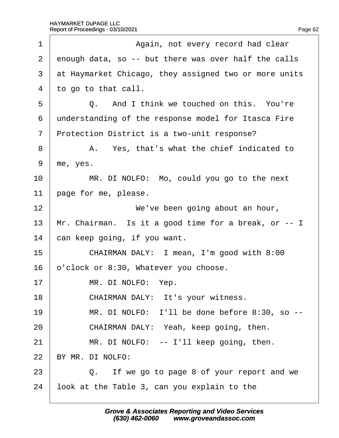| 1  | Again, not every record had clear                     |
|----|-------------------------------------------------------|
| 2  | enough data, so -- but there was over half the calls  |
| 3  | at Haymarket Chicago, they assigned two or more units |
| 4  | to go to that call.                                   |
| 5  | Q. And I think we touched on this. You're             |
| 6  | understanding of the response model for Itasca Fire   |
| 7  | Protection District is a two-unit response?           |
| 8  | A. Yes, that's what the chief indicated to            |
| 9  | me, yes.                                              |
| 10 | MR. DI NOLFO: Mo, could you go to the next            |
| 11 | page for me, please.                                  |
| 12 | We've been going about an hour,                       |
| 13 | Mr. Chairman. Is it a good time for a break, or -- I  |
| 14 | can keep going, if you want.                          |
| 15 | CHAIRMAN DALY: I mean, I'm good with 8:00             |
| 16 | b'clock or 8:30, Whatever you choose.                 |
| 17 | MR. DI NOLFO: Yep.                                    |
| 18 | CHAIRMAN DALY: It's your witness.                     |
| 19 | MR. DI NOLFO: I'll be done before 8:30, so --         |
| 20 | CHAIRMAN DALY: Yeah, keep going, then.                |
| 21 | MR. DI NOLFO: -- I'll keep going, then.               |
| 22 | BY MR. DI NOLFO:                                      |
| 23 | Q. If we go to page 8 of your report and we           |
| 24 | look at the Table 3, can you explain to the           |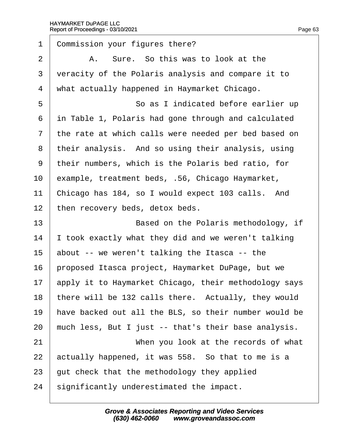| 1              | Commission your figures there?                        |
|----------------|-------------------------------------------------------|
| 2              | A. Sure. So this was to look at the                   |
| 3              | veracity of the Polaris analysis and compare it to    |
| 4              | what actually happened in Haymarket Chicago.          |
| 5              | So as I indicated before earlier up                   |
| 6              | in Table 1, Polaris had gone through and calculated   |
| $\overline{7}$ | the rate at which calls were needed per bed based on  |
| 8              | their analysis. And so using their analysis, using    |
| 9              | their numbers, which is the Polaris bed ratio, for    |
| 10             | example, treatment beds, .56, Chicago Haymarket,      |
| 11             | Chicago has 184, so I would expect 103 calls. And     |
| 12             | then recovery beds, detox beds.                       |
| 13             | Based on the Polaris methodology, if                  |
| 14             | took exactly what they did and we weren't talking     |
| 15             | about -- we weren't talking the Itasca -- the         |
| 16             | proposed Itasca project, Haymarket DuPage, but we     |
| 17             | apply it to Haymarket Chicago, their methodology says |
| 18             | there will be 132 calls there. Actually, they would   |
| 19             | have backed out all the BLS, so their number would be |
| 20             | much less, But I just -- that's their base analysis.  |
| 21             | When you look at the records of what                  |
| 22             | actually happened, it was 558. So that to me is a     |
| 23             | gut check that the methodology they applied           |
| 24             | significantly underestimated the impact.              |
|                |                                                       |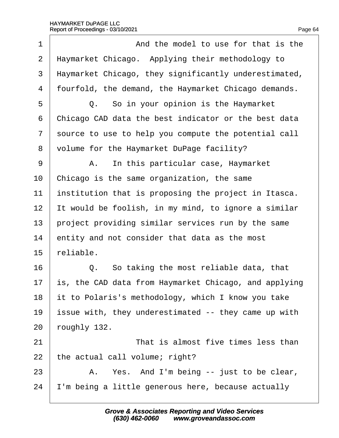| 1              | And the model to use for that is the                  |
|----------------|-------------------------------------------------------|
| $\overline{2}$ | Haymarket Chicago. Applying their methodology to      |
| 3              | Haymarket Chicago, they significantly underestimated, |
| 4              | fourfold, the demand, the Haymarket Chicago demands.  |
| 5              | Q. So in your opinion is the Haymarket                |
| 6              | Chicago CAD data the best indicator or the best data  |
| 7              | source to use to help you compute the potential call  |
| 8              | Volume for the Haymarket DuPage facility?             |
| 9              | In this particular case, Haymarket<br>A.              |
| 10             | Chicago is the same organization, the same            |
| 11             | institution that is proposing the project in Itasca.  |
| 12             | It would be foolish, in my mind, to ignore a similar  |
| 13             | project providing similar services run by the same    |
| 14             | entity and not consider that data as the most         |
| 15             | reliable.                                             |
| 16             | Q. So taking the most reliable data, that             |
| 17             | s, the CAD data from Haymarket Chicago, and applying  |
| 18             | it to Polaris's methodology, which I know you take    |
| 19             | ssue with, they underestimated -- they came up with   |
| 20             | oughly 132.                                           |
| 21             | That is almost five times less than                   |
| 22             | the actual call volume; right?                        |
| 23             | A. Yes. And I'm being -- just to be clear,            |
| 24             | 'm being a little generous here, because actually     |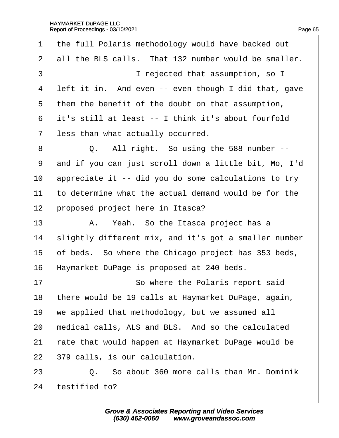#### HAYMARKET DuPAGE LLC Report of Proceedings - 03/10/2021  $\overline{a}$

| $\mathbf 1$    | the full Polaris methodology would have backed out    |
|----------------|-------------------------------------------------------|
| 2              | all the BLS calls. That 132 number would be smaller.  |
| 3              | I rejected that assumption, so I                      |
| 4              | left it in. And even -- even though I did that, gave  |
| 5              | them the benefit of the doubt on that assumption,     |
| 6              | it's still at least -- I think it's about fourfold    |
| $\overline{7}$ | less than what actually occurred.                     |
| 8              | Q. All right. So using the 588 number --              |
| 9              | and if you can just scroll down a little bit, Mo, I'd |
| 10             | appreciate it -- did you do some calculations to try  |
| 11             | to determine what the actual demand would be for the  |
| 12             | proposed project here in Itasca?                      |
| 13             | A. Yeah. So the Itasca project has a                  |
| 14             | slightly different mix, and it's got a smaller number |
| 15             | of beds. So where the Chicago project has 353 beds,   |
| 16             | Haymarket DuPage is proposed at 240 beds.             |
| 17             | So where the Polaris report said                      |
| 18             | there would be 19 calls at Haymarket DuPage, again,   |
| 19             | we applied that methodology, but we assumed all       |
| 20             | medical calls, ALS and BLS. And so the calculated     |
| 21             | rate that would happen at Haymarket DuPage would be   |
| 22             | 379 calls, is our calculation.                        |
| 23             | Q. So about 360 more calls than Mr. Dominik           |
| 24             | testified to?                                         |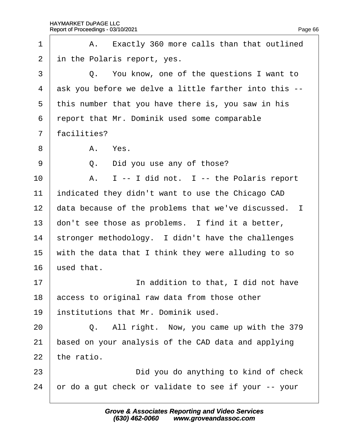| 1              | A. Exactly 360 more calls than that outlined          |  |
|----------------|-------------------------------------------------------|--|
| 2              | in the Polaris report, yes.                           |  |
| 3              | Q. You know, one of the questions I want to           |  |
| $\overline{4}$ | ask you before we delve a little farther into this -- |  |
| 5              | this number that you have there is, you saw in his    |  |
| 6              | report that Mr. Dominik used some comparable          |  |
| $\overline{7}$ | facilities?                                           |  |
| 8              | A. Yes.                                               |  |
| 9              | Q. Did you use any of those?                          |  |
| 10             | A. I -- I did not. I -- the Polaris report            |  |
| 11             | indicated they didn't want to use the Chicago CAD     |  |
| 12             | data because of the problems that we've discussed. I  |  |
| 13             | don't see those as problems. I find it a better,      |  |
| 14             | stronger methodology. I didn't have the challenges    |  |
| 15             | with the data that I think they were alluding to so   |  |
| 16             | used that.                                            |  |
| 17             | In addition to that, I did not have                   |  |
| 18             | access to original raw data from those other          |  |
| 19             | institutions that Mr. Dominik used.                   |  |
| 20             | Q. All right. Now, you came up with the 379           |  |
| 21             | based on your analysis of the CAD data and applying   |  |
| 22             | the ratio.                                            |  |
| 23             | Did you do anything to kind of check                  |  |
| 24             | or do a gut check or validate to see if your -- your  |  |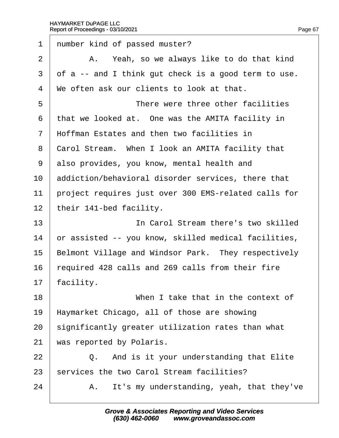| 1               | number kind of passed muster?                        |
|-----------------|------------------------------------------------------|
| $\overline{2}$  | A. Yeah, so we always like to do that kind           |
| 3               | of a -- and I think gut check is a good term to use. |
| 4               | We often ask our clients to look at that.            |
| 5               | There were three other facilities                    |
| 6               | that we looked at. One was the AMITA facility in     |
| $\mathbf{7}$    | Hoffman Estates and then two facilities in           |
| 8               | Carol Stream. When I look an AMITA facility that     |
| 9               | also provides, you know, mental health and           |
| 10              | addiction/behavioral disorder services, there that   |
| 11              | project requires just over 300 EMS-related calls for |
| 12 <sub>2</sub> | their 141-bed facility.                              |
| 13              | In Carol Stream there's two skilled                  |
| 14              | or assisted -- you know, skilled medical facilities, |
| 15              | Belmont Village and Windsor Park. They respectively  |
| 16              | required 428 calls and 269 calls from their fire     |
| 17              | facility.                                            |
| 18              | When I take that in the context of                   |
| 19              | Haymarket Chicago, all of those are showing          |
| 20              | significantly greater utilization rates than what    |
| 21              | was reported by Polaris.                             |
| 22              | Q. And is it your understanding that Elite           |
| 23              | services the two Carol Stream facilities?            |
| 24              | It's my understanding, yeah, that they've<br>А.      |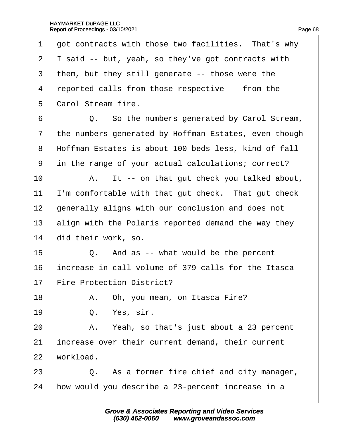| 1              | got contracts with those two facilities. That's why   |
|----------------|-------------------------------------------------------|
| 2              | Isaid -- but, yeah, so they've got contracts with     |
| 3              | them, but they still generate -- those were the       |
| 4              | reported calls from those respective -- from the      |
| 5              | <b>Carol Stream fire.</b>                             |
| 6              | Q. So the numbers generated by Carol Stream,          |
| $\overline{7}$ | the numbers generated by Hoffman Estates, even though |
| 8              | Hoffman Estates is about 100 beds less, kind of fall  |
| 9              | in the range of your actual calculations; correct?    |
| 10             | A. It -- on that gut check you talked about,          |
| 11             | 'm comfortable with that gut check. That gut check    |
| 12             | generally aligns with our conclusion and does not     |
| 13             | align with the Polaris reported demand the way they   |
| 14             | did their work, so.                                   |
| 15             | Q. And as -- what would be the percent                |
| 16             | increase in call volume of 379 calls for the Itasca   |
| 17             | <b>Fire Protection District?</b>                      |
| 18             | A. Oh, you mean, on Itasca Fire?                      |
| 19             | Yes, sir.<br>Q.                                       |
| 20             | A. Yeah, so that's just about a 23 percent            |
| 21             | increase over their current demand, their current     |
| 22             | workload.                                             |
| 23             | Q. As a former fire chief and city manager,           |
| 24             | how would you describe a 23-percent increase in a     |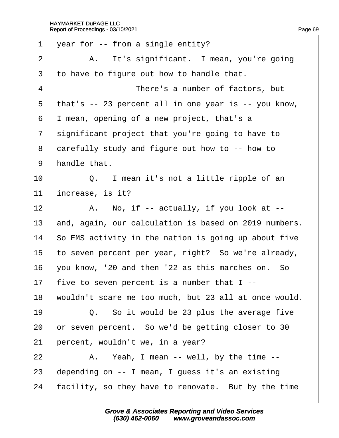| 1              | year for -- from a single entity?                     |
|----------------|-------------------------------------------------------|
| 2              | A. It's significant. I mean, you're going             |
| 3              | to have to figure out how to handle that.             |
| 4              | There's a number of factors, but                      |
| 5              | that's -- 23 percent all in one year is -- you know,  |
| 6              | I mean, opening of a new project, that's a            |
| $\overline{7}$ | significant project that you're going to have to      |
| 8              | darefully study and figure out how to -- how to       |
| 9              | handle that.                                          |
| 10             | Q. I mean it's not a little ripple of an              |
| 11             | increase, is it?                                      |
| 12             | A. No, if -- actually, if you look at --              |
| 13             | and, again, our calculation is based on 2019 numbers. |
| 14             | So EMS activity in the nation is going up about five  |
| 15             | to seven percent per year, right? So we're already,   |
| 16             | you know, '20 and then '22 as this marches on. So     |
| 17             | five to seven percent is a number that I --           |
| 18             | wouldn't scare me too much, but 23 all at once would. |
| 19             | Q. So it would be 23 plus the average five            |
| 20             | or seven percent. So we'd be getting closer to 30     |
| 21             | percent, wouldn't we, in a year?                      |
| 22             | A. Yeah, I mean -- well, by the time --               |
| 23             | depending on -- I mean, I guess it's an existing      |
| 24             | facility, so they have to renovate. But by the time   |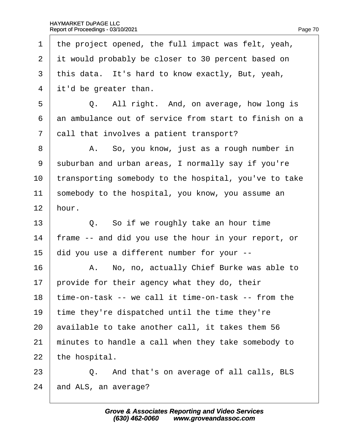1 the project opened, the full impact was felt, yeah, 2 it would probably be closer to 30 percent based on 3 this data. It's hard to know exactly, But, yeah, 4 it'd be greater than.  $5 \mid Q$ . All right. And, on average, how long is 6 an ambulance out of service from start to finish on a 7 dall that involves a patient transport? 8 | A. So, you know, just as a rough number in 9 suburban and urban areas, I normally say if you're 10 transporting somebody to the hospital, you've to take 11 somebody to the hospital, you know, you assume an 12 hour.  $13 \parallel Q$ . So if we roughly take an hour time 14 frame -- and did you use the hour in your report, or 15 did you use a different number for your --16 A. No, no, actually Chief Burke was able to 17 brovide for their agency what they do, their 18 time-on-task -- we call it time-on-task -- from the 19 time they're dispatched until the time they're 20 available to take another call, it takes them 56 21 minutes to handle a call when they take somebody to 22 the hospital. 23 **Q.** And that's on average of all calls, BLS

24 and ALS, an average?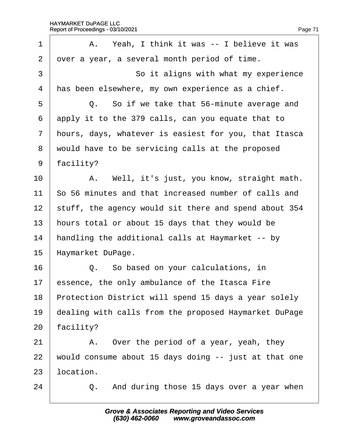| 1              | A. Yeah, I think it was -- I believe it was           |
|----------------|-------------------------------------------------------|
| $\overline{2}$ | over a year, a several month period of time.          |
| 3              | So it aligns with what my experience                  |
| 4              | has been elsewhere, my own experience as a chief.     |
| 5              | Q. So if we take that 56-minute average and           |
| 6              | apply it to the 379 calls, can you equate that to     |
| $\overline{7}$ | hours, days, whatever is easiest for you, that Itasca |
| 8              | would have to be servicing calls at the proposed      |
| 9              | facility?                                             |
| 10             | A. Well, it's just, you know, straight math.          |
| 11             | So 56 minutes and that increased number of calls and  |
| 12             | stuff, the agency would sit there and spend about 354 |
| 13             | hours total or about 15 days that they would be       |
| 14             | handling the additional calls at Haymarket -- by      |
| 15             | Haymarket DuPage.                                     |
| 16             | Q. So based on your calculations, in                  |
| 17             | essence, the only ambulance of the Itasca Fire        |
| 18             | Protection District will spend 15 days a year solely  |
| 19             | dealing with calls from the proposed Haymarket DuPage |
| 20             | facility?                                             |
| 21             | A. Over the period of a year, yeah, they              |
| 22             | would consume about 15 days doing -- just at that one |
| 23             | location.                                             |
| 24             | Q. And during those 15 days over a year when          |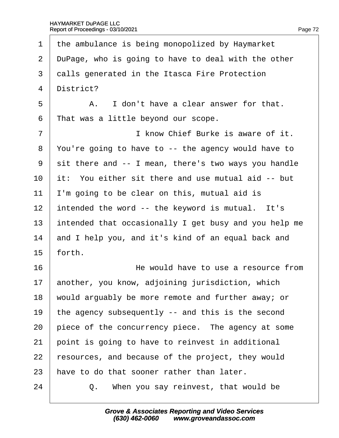# HAYMARKET DuPAGE LLC

| c<br>۳ |  |
|--------|--|

1 the ambulance is being monopolized by Haymarket 2 DuPage, who is going to have to deal with the other 3 dalls generated in the Itasca Fire Protection 4 District?  $5 \parallel$  A. I don't have a clear answer for that. 6 That was a little beyond our scope. 7 **I** know Chief Burke is aware of it. ·8· ·You're going to have to -- the agency would have to 9 sit there and -- I mean, there's two ways you handle 10 it: You either sit there and use mutual aid -- but 11 I'm going to be clear on this, mutual aid is 12 intended the word -- the keyword is mutual. It's 13 intended that occasionally I get busy and you help me 14 and I help you, and it's kind of an equal back and  $15$  forth. 16 **He would have to use a resource from** 17 another, you know, adjoining jurisdiction, which 18 would arguably be more remote and further away; or 19 the agency subsequently -- and this is the second 20 piece of the concurrency piece. The agency at some 21 point is going to have to reinvest in additional 22 resources, and because of the project, they would 23 have to do that sooner rather than later.  $24$   $\Box$  Q. When you say reinvest, that would be Report of Proceedings - 03/10/2021 Page 72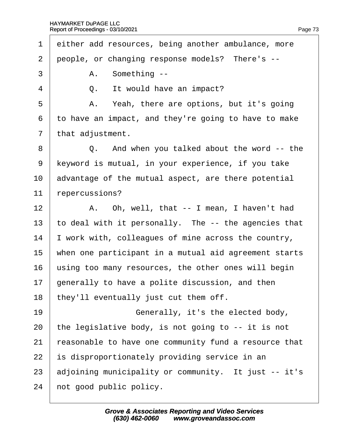1 either add resources, being another ambulance, more 2 people, or changing response models? There's -- $3 \mid$  A. Something -- $4 \mid Q$ . It would have an impact?  $5 \mid$  A. Yeah, there are options, but it's going ·6· ·to have an impact, and they're going to have to make 7 that adjustment. 8 | Q. And when you talked about the word -- the 9 Keyword is mutual, in your experience, if you take 10 advantage of the mutual aspect, are there potential 11 repercussions? 12  $\parallel$  A. Oh, well, that  $\text{-}$  I mean, I haven't had 13 to deal with it personally. The -- the agencies that 14 vork with, colleagues of mine across the country, 15 when one participant in a mutual aid agreement starts 16 using too many resources, the other ones will begin 17 generally to have a polite discussion, and then 18 they'll eventually just cut them off. 19 **• Cenerally, it's the elected body,** 20 the legislative body, is not going to  $-$  it is not 21 reasonable to have one community fund a resource that 22 is disproportionately providing service in an 23 adjoining municipality or community. It just -- it's 24 hot good public policy.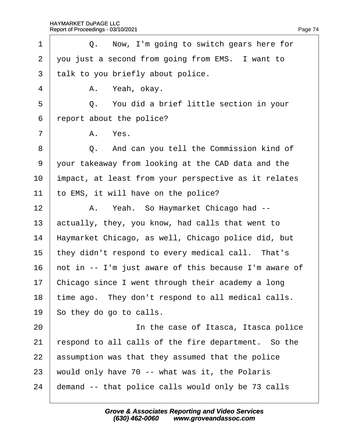| 1              | Q. Now, I'm going to switch gears here for            |
|----------------|-------------------------------------------------------|
| $\overline{2}$ | you just a second from going from EMS. I want to      |
| 3              | talk to you briefly about police.                     |
| 4              | A. Yeah, okay.                                        |
| 5              | Q. You did a brief little section in your             |
| 6              | report about the police?                              |
| $\overline{7}$ | A. Yes.                                               |
| 8              | Q. And can you tell the Commission kind of            |
| 9              | your takeaway from looking at the CAD data and the    |
| 10             | impact, at least from your perspective as it relates  |
| 11             | to EMS, it will have on the police?                   |
| 12             | A. Yeah. So Haymarket Chicago had --                  |
| 13             | actually, they, you know, had calls that went to      |
| 14             | Haymarket Chicago, as well, Chicago police did, but   |
| 15             | they didn't respond to every medical call. That's     |
| 16             | hot in -- I'm just aware of this because I'm aware of |
| 17             | Chicago since I went through their academy a long     |
| 18             | time ago. They don't respond to all medical calls.    |
| 19             | So they do go to calls.                               |
| 20             | In the case of Itasca, Itasca police                  |
| 21             | espond to all calls of the fire department. So the    |
| 22             | assumption was that they assumed that the police      |
| 23             | would only have 70 -- what was it, the Polaris        |
| 24             | demand -- that police calls would only be 73 calls    |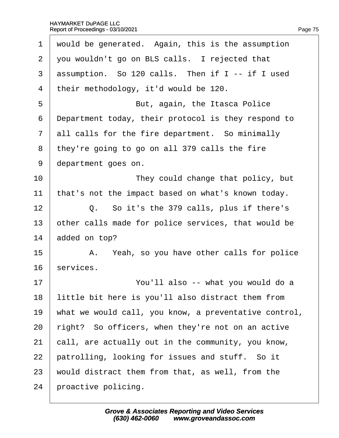| 1              | would be generated. Again, this is the assumption     |
|----------------|-------------------------------------------------------|
| $\overline{2}$ | you wouldn't go on BLS calls. I rejected that         |
| 3              | assumption. So 120 calls. Then if I -- if I used      |
| 4              | their methodology, it'd would be 120.                 |
| 5              | But, again, the Itasca Police                         |
| 6              | Department today, their protocol is they respond to   |
| $\overline{7}$ | all calls for the fire department. So minimally       |
| 8              | they're going to go on all 379 calls the fire         |
| 9              | department goes on.                                   |
| 10             | They could change that policy, but                    |
| 11             | that's not the impact based on what's known today.    |
| 12             | Q. So it's the 379 calls, plus if there's             |
| 13             | other calls made for police services, that would be   |
| 14             | added on top?                                         |
| 15             | A. Yeah, so you have other calls for police           |
| 16             | services.                                             |
| 17             | You'll also -- what you would do a                    |
| 18             | little bit here is you'll also distract them from     |
| 19             | what we would call, you know, a preventative control, |
| 20             | right? So officers, when they're not on an active     |
| 21             | call, are actually out in the community, you know,    |
| 22             | patrolling, looking for issues and stuff. So it       |
| 23             | would distract them from that, as well, from the      |
| 24             | proactive policing.                                   |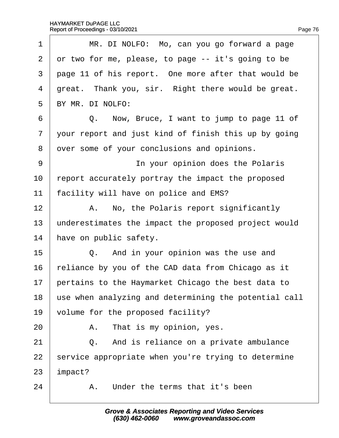| MR. DI NOLFO: Mo, can you go forward a page           |
|-------------------------------------------------------|
| or two for me, please, to page -- it's going to be    |
| page 11 of his report. One more after that would be   |
| great. Thank you, sir. Right there would be great.    |
| BY MR. DI NOLFO:                                      |
| Now, Bruce, I want to jump to page 11 of<br>Q.        |
| your report and just kind of finish this up by going  |
| dver some of your conclusions and opinions.           |
| In your opinion does the Polaris                      |
| report accurately portray the impact the proposed     |
| facility will have on police and EMS?                 |
| A. No, the Polaris report significantly               |
| underestimates the impact the proposed project would  |
| have on public safety.                                |
| Q. And in your opinion was the use and                |
| reliance by you of the CAD data from Chicago as it    |
| pertains to the Haymarket Chicago the best data to    |
| use when analyzing and determining the potential call |
| volume for the proposed facility?                     |
| A. That is my opinion, yes.                           |
| Q. And is reliance on a private ambulance             |
| service appropriate when you're trying to determine   |
| mpact?                                                |
| A. Under the terms that it's been                     |
|                                                       |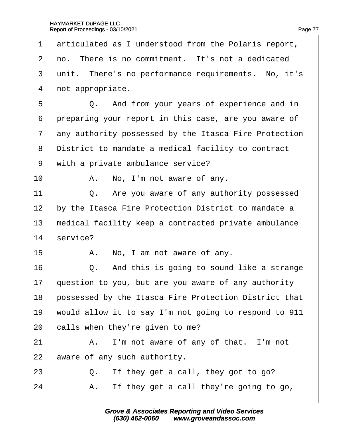| 1              | articulated as I understood from the Polaris report,  |
|----------------|-------------------------------------------------------|
| 2              | no. There is no commitment. It's not a dedicated      |
| 3              | unit. There's no performance requirements. No, it's   |
| 4              | not appropriate.                                      |
| 5              | Q. And from your years of experience and in           |
| 6              | preparing your report in this case, are you aware of  |
| $\overline{7}$ | any authority possessed by the Itasca Fire Protection |
| 8              | District to mandate a medical facility to contract    |
| 9              | with a private ambulance service?                     |
| 10             | A. No, I'm not aware of any.                          |
| 11             | Q. Are you aware of any authority possessed           |
| 12             | by the Itasca Fire Protection District to mandate a   |
| 13             | medical facility keep a contracted private ambulance  |
| 14             | service?                                              |
| 15             | A. No, I am not aware of any.                         |
| 16             | Q. And this is going to sound like a strange          |
| 17             | question to you, but are you aware of any authority   |
| 18             | possessed by the Itasca Fire Protection District that |
| 19             | would allow it to say I'm not going to respond to 911 |
| 20             | calls when they're given to me?                       |
| 21             | A. I'm not aware of any of that. I'm not              |
| 22             | aware of any such authority.                          |
| 23             | If they get a call, they got to go?<br>Q.             |
| 24             | If they get a call they're going to go,<br>А.         |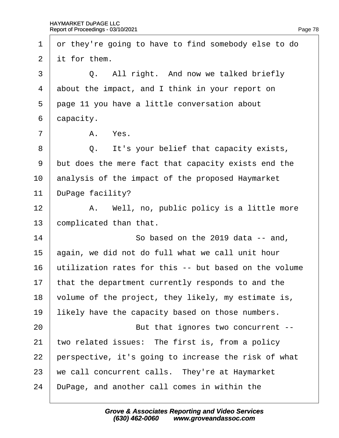1 or they're going to have to find somebody else to do 2 if for them.  $3 \mid Q$ . All right. And now we talked briefly 4 about the impact, and I think in your report on 5 page 11 you have a little conversation about 6 dapacity.  $7 \parallel$  A. Yes. 8 **Q.** It's your belief that capacity exists, 9 but does the mere fact that capacity exists end the 10 analysis of the impact of the proposed Haymarket 11 DuPage facility?  $12$  | A. Well, no, public policy is a little more 13 complicated than that.  $14$   $\sim$  So based on the 2019 data -- and, 15 again, we did not do full what we call unit hour 16 Utilization rates for this -- but based on the volume 17 that the department currently responds to and the 18 volume of the project, they likely, my estimate is, 19 likely have the capacity based on those numbers. 20 **But that ignores two concurrent --**21 two related issues: The first is, from a policy 22 perspective, it's going to increase the risk of what 23 we call concurrent calls. They're at Haymarket 24 DuPage, and another call comes in within the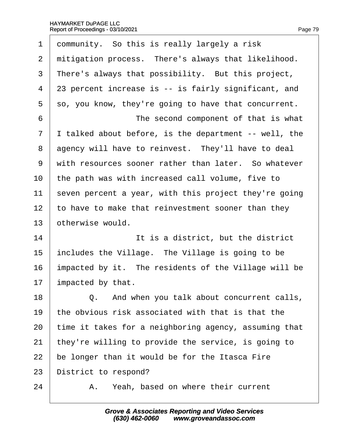| 1              | dommunity. So this is really largely a risk           |
|----------------|-------------------------------------------------------|
| $\overline{2}$ | mitigation process. There's always that likelihood.   |
| 3              | There's always that possibility. But this project,    |
| 4              | 23 percent increase is -- is fairly significant, and  |
| 5              | so, you know, they're going to have that concurrent.  |
| 6              | The second component of that is what                  |
| 7              | I talked about before, is the department -- well, the |
| 8              | agency will have to reinvest. They'll have to deal    |
| 9              | with resources sooner rather than later. So whatever  |
| 10             | the path was with increased call volume, five to      |
| 11             | seven percent a year, with this project they're going |
| 12             | to have to make that reinvestment sooner than they    |
| 13             | otherwise would.                                      |
| 14             | It is a district, but the district                    |
| 15             | includes the Village. The Village is going to be      |
| 16             | impacted by it. The residents of the Village will be  |
| 17             | impacted by that.                                     |
| 18             | Q. And when you talk about concurrent calls,          |
| 19             | the obvious risk associated with that is that the     |
| 20             | time it takes for a neighboring agency, assuming that |
| 21             | they're willing to provide the service, is going to   |
| 22             | be longer than it would be for the Itasca Fire        |
| 23             | District to respond?                                  |
| 24             | Yeah, based on where their current<br>А.              |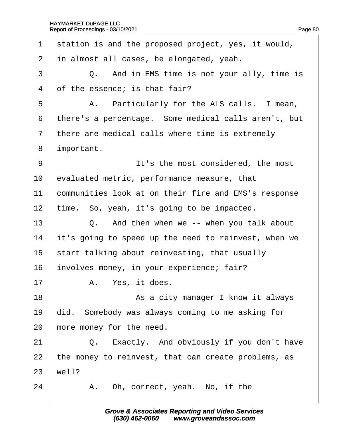| station is and the proposed project, yes, it would,  |
|------------------------------------------------------|
| in almost all cases, be elongated, yeah.             |
| Q. And in EMS time is not your ally, time is         |
| of the essence; is that fair?                        |
| A. Particularly for the ALS calls. I mean,           |
| there's a percentage. Some medical calls aren't, but |
| there are medical calls where time is extremely      |
| important.                                           |
| It's the most considered, the most                   |
| evaluated metric, performance measure, that          |
| communities look at on their fire and EMS's response |
| time. So, yeah, it's going to be impacted.           |
| Q. And then when we -- when you talk about           |
| it's going to speed up the need to reinvest, when we |
| start talking about reinvesting, that usually        |
| involves money, in your experience; fair?            |
| A. Yes, it does.                                     |
| As a city manager I know it always                   |
| did. Somebody was always coming to me asking for     |
| more money for the need.                             |
| Q. Exactly. And obviously if you don't have          |
| the money to reinvest, that can create problems, as  |
| well?                                                |
| A. Oh, correct, yeah. No, if the                     |
|                                                      |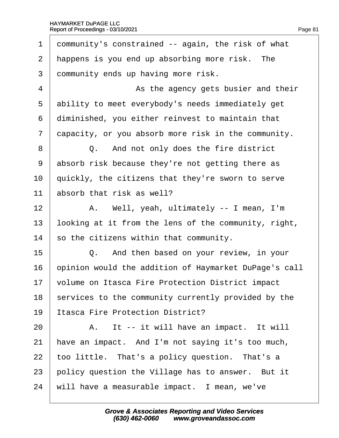| 1  | dommunity's constrained -- again, the risk of what    |
|----|-------------------------------------------------------|
| 2  | happens is you end up absorbing more risk. The        |
| 3  | dommunity ends up having more risk.                   |
| 4  | As the agency gets busier and their                   |
| 5  | ability to meet everybody's needs immediately get     |
| 6  | diminished, you either reinvest to maintain that      |
| 7  | dapacity, or you absorb more risk in the community.   |
| 8  | Q. And not only does the fire district                |
| 9  | absorb risk because they're not getting there as      |
| 10 | quickly, the citizens that they're sworn to serve     |
| 11 | absorb that risk as well?                             |
| 12 | A. Well, yeah, ultimately -- I mean, I'm              |
| 13 | looking at it from the lens of the community, right,  |
| 14 | so the citizens within that community.                |
| 15 | Q. And then based on your review, in your             |
| 16 | opinion would the addition of Haymarket DuPage's call |
| 17 | volume on Itasca Fire Protection District impact      |
| 18 | services to the community currently provided by the   |
| 19 | Itasca Fire Protection District?                      |
| 20 | A. It -- it will have an impact. It will              |
| 21 | have an impact. And I'm not saying it's too much,     |
| 22 | too little. That's a policy question. That's a        |
| 23 | policy question the Village has to answer. But it     |
| 24 | will have a measurable impact. I mean, we've          |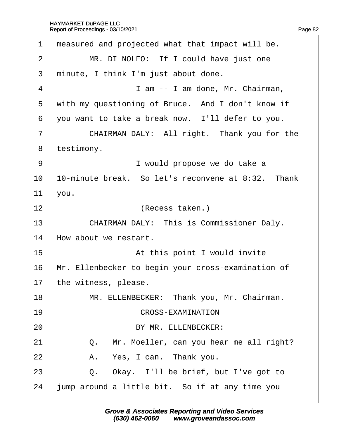| 1              | measured and projected what that impact will be.   |
|----------------|----------------------------------------------------|
| $\overline{2}$ | MR. DI NOLFO: If I could have just one             |
| 3              | minute, I think I'm just about done.               |
| 4              | I am -- I am done, Mr. Chairman,                   |
| 5              | with my questioning of Bruce. And I don't know if  |
| 6              | you want to take a break now. I'll defer to you.   |
| $\overline{7}$ | CHAIRMAN DALY: All right. Thank you for the        |
| 8              | testimony.                                         |
| 9              | I would propose we do take a                       |
| 10             | 10-minute break. So let's reconvene at 8:32. Thank |
| 11             | you.                                               |
| 12             | (Recess taken.)                                    |
| 13             | <b>CHAIRMAN DALY: This is Commissioner Daly.</b>   |
| 14             | How about we restart.                              |
| 15             | At this point I would invite                       |
| 16             | Mr. Ellenbecker to begin your cross-examination of |
| 17             | the witness, please.                               |
| 18             | MR. ELLENBECKER: Thank you, Mr. Chairman.          |
| 19             | <b>CROSS-EXAMINATION</b>                           |
| 20             | BY MR. ELLENBECKER:                                |
| 21             | Q. Mr. Moeller, can you hear me all right?         |
| 22             | A. Yes, I can. Thank you.                          |
| 23             | Q. Okay. I'll be brief, but I've got to            |
| 24             | ump around a little bit. So if at any time you     |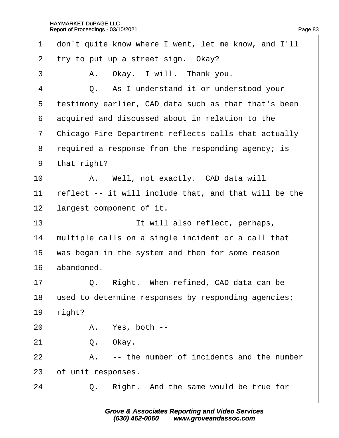| 1              | don't quite know where I went, let me know, and I'll  |
|----------------|-------------------------------------------------------|
| $\overline{2}$ | try to put up a street sign. Okay?                    |
| 3              | A. Okay. I will. Thank you.                           |
| 4              | Q. As I understand it or understood your              |
| 5              | testimony earlier, CAD data such as that that's been  |
| 6              | acquired and discussed about in relation to the       |
| 7              | Chicago Fire Department reflects calls that actually  |
| 8              | required a response from the responding agency; is    |
| 9              | that right?                                           |
| 10             | A. Well, not exactly. CAD data will                   |
| 11             | reflect -- it will include that, and that will be the |
| 12             | largest component of it.                              |
| 13             | It will also reflect, perhaps,                        |
| 14             | multiple calls on a single incident or a call that    |
| 15             | was began in the system and then for some reason      |
| 16             | abandoned.                                            |
| 17             | Right. When refined, CAD data can be<br>Q.            |
| 18             | used to determine responses by responding agencies;   |
| 19             | right?                                                |
| 20             | A. Yes, both --                                       |
| 21             | Okay.<br>Q.                                           |
| 22             | -- the number of incidents and the number<br>A.       |
| 23             | of unit responses.                                    |
| 24             | Right. And the same would be true for<br>Q.           |
|                |                                                       |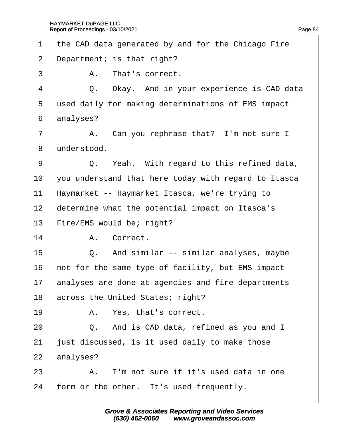| 1              |             | the CAD data generated by and for the Chicago Fire   |
|----------------|-------------|------------------------------------------------------|
| $\overline{2}$ |             | Department; is that right?                           |
| 3              |             | A. That's correct.                                   |
| 4              |             | Q. Okay. And in your experience is CAD data          |
| 5              |             | used daily for making determinations of EMS impact   |
| 6              | analyses?   |                                                      |
| $\overline{7}$ |             | A. Can you rephrase that? I'm not sure I             |
| 8              | understood. |                                                      |
| 9              |             | Q. Yeah. With regard to this refined data,           |
| 10             |             | you understand that here today with regard to Itasca |
| 11             |             | Haymarket -- Haymarket Itasca, we're trying to       |
| 12             |             | determine what the potential impact on Itasca's      |
| 13             |             | Fire/EMS would be; right?                            |
| 14             |             | A. Correct.                                          |
| 15             |             | Q. And similar -- similar analyses, maybe            |
| 16             |             | not for the same type of facility, but EMS impact    |
| 17             |             | analyses are done at agencies and fire departments   |
| 18             |             | across the United States; right?                     |
| 19             |             | A. Yes, that's correct.                              |
| 20             |             | Q. And is CAD data, refined as you and I             |
| 21             |             | ust discussed, is it used daily to make those        |
| 22             | analyses?   |                                                      |
| 23             |             | A. I'm not sure if it's used data in one             |
| 24             |             | form or the other. It's used frequently.             |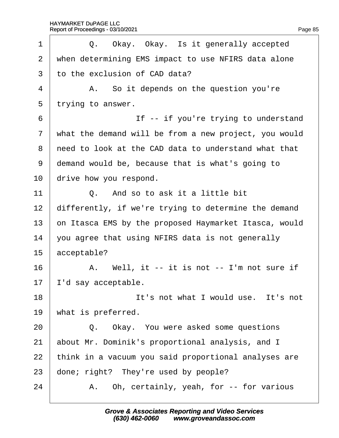| 1              | Q. Okay. Okay. Is it generally accepted               |
|----------------|-------------------------------------------------------|
| 2              | when determining EMS impact to use NFIRS data alone   |
| 3              | to the exclusion of CAD data?                         |
| 4              | A. So it depends on the question you're               |
| 5              | trying to answer.                                     |
| 6              | If -- if you're trying to understand                  |
| $\overline{7}$ | what the demand will be from a new project, you would |
| 8              | need to look at the CAD data to understand what that  |
| 9              | demand would be, because that is what's going to      |
| 10             | drive how you respond.                                |
| 11             | Q. And so to ask it a little bit                      |
| 12             | differently, if we're trying to determine the demand  |
| 13             | on Itasca EMS by the proposed Haymarket Itasca, would |
| 14             | you agree that using NFIRS data is not generally      |
| 15             | acceptable?                                           |
| 16             | A. Well, it -- it is not -- I'm not sure if           |
| 17             | d say acceptable.                                     |
| 18             | It's not what I would use. It's not                   |
| 19             | what is preferred.                                    |
| 20             | Q. Okay. You were asked some questions                |
| 21             | about Mr. Dominik's proportional analysis, and I      |
| 22             | think in a vacuum you said proportional analyses are  |
| 23             | done; right? They're used by people?                  |
| 24             | A. Oh, certainly, yeah, for -- for various            |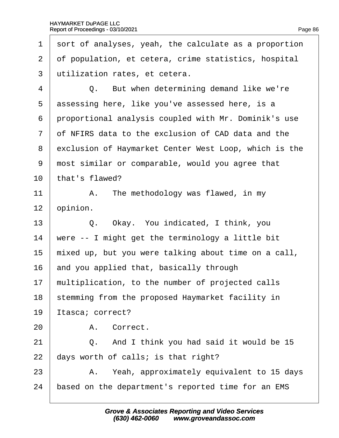1 sort of analyses, yeah, the calculate as a proportion 2 of population, et cetera, crime statistics, hospital 3 dilization rates, et cetera.  $4 \mid Q$ . But when determining demand like we're 5 dssessing here, like you've assessed here, is a 6 proportional analysis coupled with Mr. Dominik's use 7 of NFIRS data to the exclusion of CAD data and the 8 exclusion of Haymarket Center West Loop, which is the 9 most similar or comparable, would you agree that 10 that's flawed? 11  $\parallel$  A. The methodology was flawed, in my 12 **b**pinion. 13 | Q. Okay. You indicated, I think, you 14 were  $-$  I might get the terminology a little bit 15 mixed up, but you were talking about time on a call, 16 and you applied that, basically through 17 multiplication, to the number of projected calls 18 stemming from the proposed Haymarket facility in 19 Itasca; correct? 20 | A. Correct. 21  $\vert$  Q. And I think you had said it would be 15 22  $\,$  days worth of calls; is that right? 23 | A. Yeah, approximately equivalent to 15 days 24 based on the department's reported time for an EMS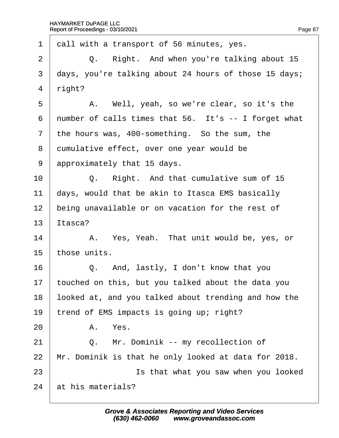| 1              | dall with a transport of 56 minutes, yes.             |
|----------------|-------------------------------------------------------|
| $\overline{2}$ | Right. And when you're talking about 15<br>Q.         |
| 3              | days, you're talking about 24 hours of those 15 days; |
| 4              | right?                                                |
| 5              | A. Well, yeah, so we're clear, so it's the            |
| 6              | number of calls times that 56. It's -- I forget what  |
| $\overline{7}$ | the hours was, 400-something. So the sum, the         |
| 8              | dumulative effect, over one year would be             |
| 9              | approximately that 15 days.                           |
| 10             | Q. Right. And that cumulative sum of 15               |
| 11             | days, would that be akin to Itasca EMS basically      |
| 12             | being unavailable or on vacation for the rest of      |
| 13             | Itasca?                                               |
| 14             | A. Yes, Yeah. That unit would be, yes, or             |
| 15             | those units.                                          |
| 16             | Q. And, lastly, I don't know that you                 |
| 17             | touched on this, but you talked about the data you    |
| 18             | ooked at, and you talked about trending and how the   |
| 19             | trend of EMS impacts is going up; right?              |
| 20             | A. Yes.                                               |
| 21             | Q. Mr. Dominik -- my recollection of                  |
| 22             | Mr. Dominik is that he only looked at data for 2018.  |
| 23             | Is that what you saw when you looked                  |
| 24             | at his materials?                                     |
|                |                                                       |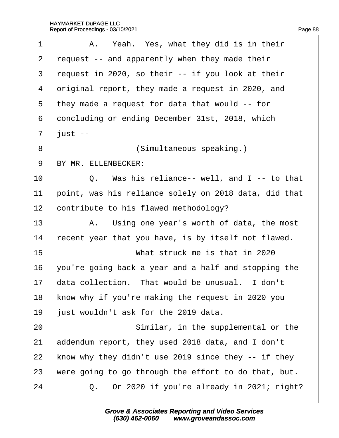| 1              | A. Yeah. Yes, what they did is in their               |
|----------------|-------------------------------------------------------|
| $\overline{2}$ | request -- and apparently when they made their        |
| 3              | request in 2020, so their -- if you look at their     |
| 4              | driginal report, they made a request in 2020, and     |
| 5              | they made a request for data that would -- for        |
| 6              | doncluding or ending December 31st, 2018, which       |
| 7              | just --                                               |
| 8              | (Simultaneous speaking.)                              |
| 9              | BY MR. ELLENBECKER:                                   |
| 10             | Q. Was his reliance-- well, and I -- to that          |
| 11             | point, was his reliance solely on 2018 data, did that |
| 12             | contribute to his flawed methodology?                 |
| 13             | A. Using one year's worth of data, the most           |
| 14             | recent year that you have, is by itself not flawed.   |
| 15             | What struck me is that in 2020                        |
| 16             | you're going back a year and a half and stopping the  |
| 17             | data collection. That would be unusual. I don't       |
| 18             | know why if you're making the request in 2020 you     |
| 19             | just wouldn't ask for the 2019 data.                  |
| 20             | Similar, in the supplemental or the                   |
| 21             | addendum report, they used 2018 data, and I don't     |
| 22             | know why they didn't use 2019 since they -- if they   |
| 23             | were going to go through the effort to do that, but.  |
| 24             | Q. Or 2020 if you're already in 2021; right?          |
|                |                                                       |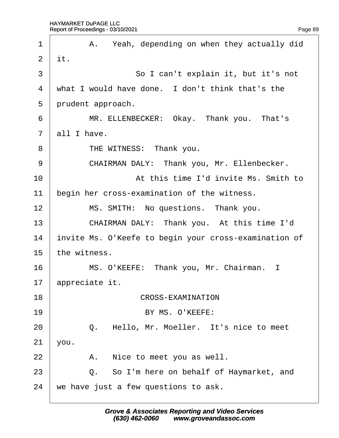| 1              | A. Yeah, depending on when they actually did          |
|----------------|-------------------------------------------------------|
| $\overline{2}$ | it.                                                   |
| 3              | So I can't explain it, but it's not                   |
| $\overline{4}$ | what I would have done. I don't think that's the      |
| 5              | prudent approach.                                     |
| 6              | MR. ELLENBECKER: Okay. Thank you. That's              |
| $\overline{7}$ | all I have.                                           |
| 8              | THE WITNESS: Thank you.                               |
| 9              | CHAIRMAN DALY: Thank you, Mr. Ellenbecker.            |
| 10             | At this time I'd invite Ms. Smith to                  |
| 11             | begin her cross-examination of the witness.           |
| 12             | MS. SMITH: No questions. Thank you.                   |
| 13             | CHAIRMAN DALY: Thank you. At this time I'd            |
| 14             | invite Ms. O'Keefe to begin your cross-examination of |
| 15             | the witness.                                          |
| 16             | MS. O'KEEFE: Thank you, Mr. Chairman. I               |
| 17             | appreciate it.                                        |
| 18             | <b>CROSS-EXAMINATION</b>                              |
| 19             | BY MS. O'KEEFE:                                       |
| 20             | Hello, Mr. Moeller. It's nice to meet<br>Q.           |
| 21             | you.                                                  |
| 22             | Nice to meet you as well.<br>A.                       |
| 23             | Q. So I'm here on behalf of Haymarket, and            |
| 24             | we have just a few questions to ask.                  |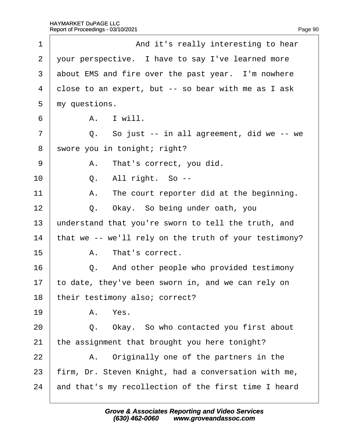| 1              | And it's really interesting to hear                   |
|----------------|-------------------------------------------------------|
| $\overline{2}$ | your perspective. I have to say I've learned more     |
| 3              | about EMS and fire over the past year. I'm nowhere    |
| 4              | dose to an expert, but -- so bear with me as I ask    |
| 5              | my questions.                                         |
| 6              | A. I will.                                            |
| $\overline{7}$ | Q. So just -- in all agreement, did we -- we          |
| 8              | swore you in tonight; right?                          |
| 9              | A. That's correct, you did.                           |
| 10             | Q. All right. So --                                   |
| 11             | A. The court reporter did at the beginning.           |
| 12             | Q. Okay. So being under oath, you                     |
| 13             | understand that you're sworn to tell the truth, and   |
| 14             | that we -- we'll rely on the truth of your testimony? |
| 15             | A. That's correct.                                    |
| 16             | Q. And other people who provided testimony            |
| 17             | to date, they've been sworn in, and we can rely on    |
| 18             | their testimony also; correct?                        |
| 19             | A. Yes.                                               |
| 20             | Q. Okay. So who contacted you first about             |
| 21             | the assignment that brought you here tonight?         |
| 22             | A. Originally one of the partners in the              |
| 23             | firm, Dr. Steven Knight, had a conversation with me,  |
| 24             | and that's my recollection of the first time I heard  |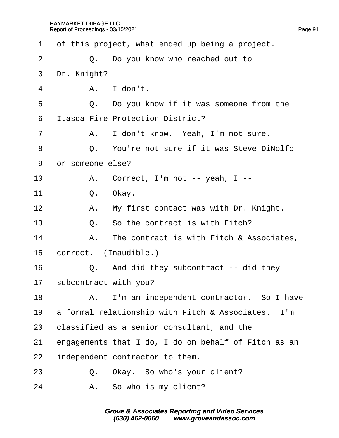| 1              | of this project, what ended up being a project.      |
|----------------|------------------------------------------------------|
| 2              | Q. Do you know who reached out to                    |
| 3              | Dr. Knight?                                          |
| 4              | A. I don't.                                          |
| 5              | Q. Do you know if it was someone from the            |
| 6              | <b>Itasca Fire Protection District?</b>              |
| $\overline{7}$ | I don't know. Yeah, I'm not sure.<br>А.              |
| 8              | Q. You're not sure if it was Steve DiNolfo           |
| 9              | dr someone else?                                     |
| 10             | A. Correct, I'm not -- yeah, I --                    |
| 11             | Q.<br>Okay.                                          |
| 12             | A. My first contact was with Dr. Knight.             |
| 13             | Q. So the contract is with Fitch?                    |
| 14             | A. The contract is with Fitch & Associates,          |
| 15             | correct. (Inaudible.)                                |
| 16             | Q. And did they subcontract -- did they              |
| 17             | subcontract with you?                                |
| 18             | A. I'm an independent contractor. So I have          |
| 19             | a formal relationship with Fitch & Associates. I'm   |
| 20             | classified as a senior consultant, and the           |
| 21             | engagements that I do, I do on behalf of Fitch as an |
| 22             | independent contractor to them.                      |
| 23             | Q. Okay. So who's your client?                       |
| 24             | A. So who is my client?                              |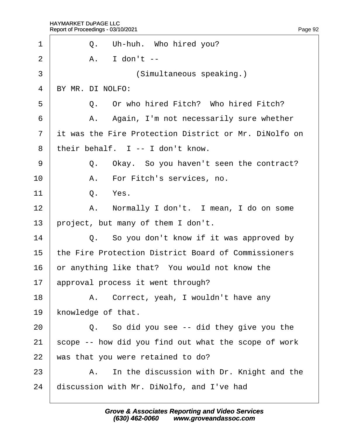| 1              | Q. Uh-huh. Who hired you?                             |
|----------------|-------------------------------------------------------|
| 2              | A. I don't --                                         |
| 3              | (Simultaneous speaking.)                              |
| $\overline{4}$ | BY MR. DI NOLFO:                                      |
| 5              | Q. Or who hired Fitch? Who hired Fitch?               |
| 6              | A. Again, I'm not necessarily sure whether            |
| $\overline{7}$ | it was the Fire Protection District or Mr. DiNolfo on |
| 8              | their behalf. I -- I don't know.                      |
| 9              | Q. Okay. So you haven't seen the contract?            |
| 10             | A. For Fitch's services, no.                          |
| 11             | Q. Yes.                                               |
| 12             | A. Normally I don't. I mean, I do on some             |
| 13             | project, but many of them I don't.                    |
| 14             | Q. So you don't know if it was approved by            |
| 15             | the Fire Protection District Board of Commissioners   |
| 16             | or anything like that? You would not know the         |
| 17             | approval process it went through?                     |
| 18             | A. Correct, yeah, I wouldn't have any                 |
| 19             | knowledge of that.                                    |
| 20             | Q. So did you see -- did they give you the            |
| 21             | scope -- how did you find out what the scope of work  |
| 22             | was that you were retained to do?                     |
| 23             | A. In the discussion with Dr. Knight and the          |
| 24             | discussion with Mr. DiNolfo, and I've had             |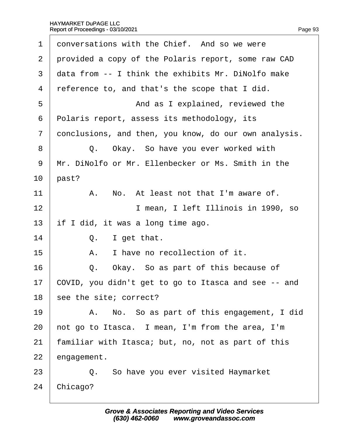| 1              | donversations with the Chief. And so we were          |
|----------------|-------------------------------------------------------|
| $\overline{2}$ | provided a copy of the Polaris report, some raw CAD   |
| 3              | data from -- I think the exhibits Mr. DiNolfo make    |
| 4              | reference to, and that's the scope that I did.        |
| 5              | And as I explained, reviewed the                      |
| 6              | Polaris report, assess its methodology, its           |
| $\overline{7}$ | donclusions, and then, you know, do our own analysis. |
| 8              | Q. Okay. So have you ever worked with                 |
| 9              | Mr. DiNolfo or Mr. Ellenbecker or Ms. Smith in the    |
| 10             | past?                                                 |
| 11             | A. No. At least not that I'm aware of.                |
| 12             | I mean, I left Illinois in 1990, so                   |
| 13             | if I did, it was a long time ago.                     |
| 14             | Q. I get that.                                        |
| 15             | I have no recollection of it.<br>А.                   |
| 16             | Q. Okay. So as part of this because of                |
| 17             | COVID, you didn't get to go to Itasca and see -- and  |
| 18             | see the site; correct?                                |
| 19             | A. No. So as part of this engagement, I did           |
| 20             | hot go to Itasca. I mean, I'm from the area, I'm      |
| 21             | familiar with Itasca; but, no, not as part of this    |
| 22             | engagement.                                           |
| 23             | Q. So have you ever visited Haymarket                 |
| 24             | Chicago?                                              |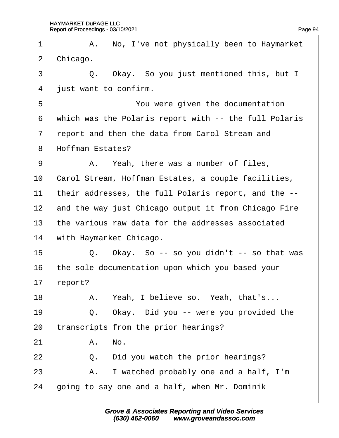| 1              | A. No, I've not physically been to Haymarket          |
|----------------|-------------------------------------------------------|
| 2              | Chicago.                                              |
| 3              | Q. Okay. So you just mentioned this, but I            |
| $\overline{4}$ | just want to confirm.                                 |
| 5              | You were given the documentation                      |
| 6              | which was the Polaris report with -- the full Polaris |
| $\overline{7}$ | report and then the data from Carol Stream and        |
| 8              | Hoffman Estates?                                      |
| 9              | A. Yeah, there was a number of files,                 |
| 10             | Carol Stream, Hoffman Estates, a couple facilities,   |
| 11             | their addresses, the full Polaris report, and the --  |
| 12             | and the way just Chicago output it from Chicago Fire  |
| 13             | the various raw data for the addresses associated     |
| 14             | with Haymarket Chicago.                               |
| 15             | Q. Okay. So -- so you didn't -- so that was           |
| 16             | the sole documentation upon which you based your      |
| 17             | report?                                               |
| 18             | A. Yeah, I believe so. Yeah, that's                   |
| 19             | Okay. Did you -- were you provided the<br>Q.          |
| 20             | transcripts from the prior hearings?                  |
| 21             | A. No.                                                |
| 22             | Did you watch the prior hearings?<br>Q.               |
| 23             | A. I watched probably one and a half, I'm             |
| 24             | going to say one and a half, when Mr. Dominik         |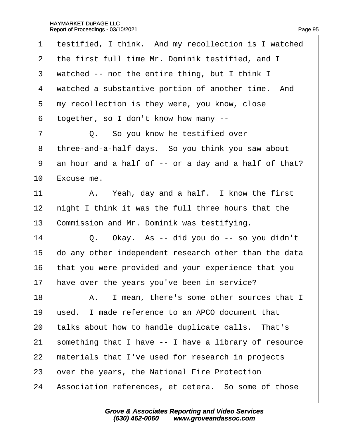| $\mathbf 1$    | testified, I think. And my recollection is I watched  |
|----------------|-------------------------------------------------------|
| 2              | the first full time Mr. Dominik testified, and I      |
| 3              | watched -- not the entire thing, but I think I        |
| 4              | watched a substantive portion of another time. And    |
| 5              | my recollection is they were, you know, close         |
| 6              | together, so I don't know how many --                 |
| $\overline{7}$ | Q. So you know he testified over                      |
| 8              | three-and-a-half days. So you think you saw about     |
| 9              | an hour and a half of -- or a day and a half of that? |
| 10             | Excuse me.                                            |
| 11             | A. Yeah, day and a half. I know the first             |
| 12             | hight I think it was the full three hours that the    |
| 13             | Commission and Mr. Dominik was testifying.            |
| 14             | Q. Okay. As -- did you do -- so you didn't            |
| 15             | do any other independent research other than the data |
| 16             | that you were provided and your experience that you   |
| 17             | have over the years you've been in service?           |
| 18             | A. I mean, there's some other sources that I          |
| 19             | used. I made reference to an APCO document that       |
| 20             | talks about how to handle duplicate calls. That's     |
| 21             | something that I have -- I have a library of resource |
| 22             | materials that I've used for research in projects     |
| 23             | over the years, the National Fire Protection          |
| 24             | Association references, et cetera. So some of those   |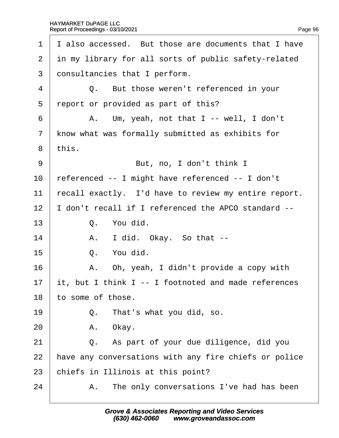| 1              | I also accessed. But those are documents that I have  |
|----------------|-------------------------------------------------------|
| 2              | in my library for all sorts of public safety-related  |
| 3              | donsultancies that I perform.                         |
| 4              | Q. But those weren't referenced in your               |
| 5              | report or provided as part of this?                   |
| 6              | A. Um, yeah, not that I -- well, I don't              |
| $\overline{7}$ | know what was formally submitted as exhibits for      |
| 8              | this.                                                 |
| 9              | But, no, I don't think I                              |
| 10             | referenced -- I might have referenced -- I don't      |
| 11             | recall exactly. I'd have to review my entire report.  |
| 12             | don't recall if I referenced the APCO standard --     |
| 13             | Q. You did.                                           |
| 14             | A. I did. Okay. So that --                            |
| 15             | Q. You did.                                           |
| 16             | A. Oh, yeah, I didn't provide a copy with             |
| 17             | it, but I think I -- I footnoted and made references  |
| 18             | to some of those.                                     |
| 19             | That's what you did, so.<br>Q.                        |
| 20             | A. Okay.                                              |
| 21             | Q. As part of your due diligence, did you             |
| 22             | have any conversations with any fire chiefs or police |
| 23             | chiefs in Illinois at this point?                     |
| 24             | A. The only conversations I've had has been           |
|                |                                                       |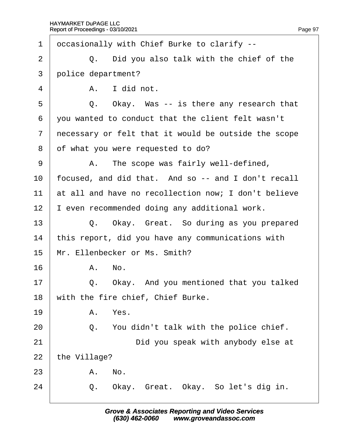| 1              | dccasionally with Chief Burke to clarify --          |
|----------------|------------------------------------------------------|
| 2              | Q. Did you also talk with the chief of the           |
| 3              | police department?                                   |
| 4              | A. I did not.                                        |
| 5              | Okay. Was -- is there any research that<br>Q.        |
| 6              | you wanted to conduct that the client felt wasn't    |
| $\overline{7}$ | necessary or felt that it would be outside the scope |
| 8              | of what you were requested to do?                    |
| 9              | A. The scope was fairly well-defined,                |
| 10             | focused, and did that. And so -- and I don't recall  |
| 11             | at all and have no recollection now; I don't believe |
| 12             | even recommended doing any additional work.          |
| 13             | Q. Okay. Great. So during as you prepared            |
| 14             | this report, did you have any communications with    |
| 15             | Mr. Ellenbecker or Ms. Smith?                        |
| 16             | A. No.                                               |
| 17             | Okay. And you mentioned that you talked<br>Q.        |
| 18             | with the fire chief, Chief Burke.                    |
| 19             | A. Yes.                                              |
| 20             | Q. You didn't talk with the police chief.            |
| 21             | Did you speak with anybody else at                   |
| 22             | the Village?                                         |
| 23             | A. No.                                               |
| 24             | Q. Okay. Great. Okay. So let's dig in.               |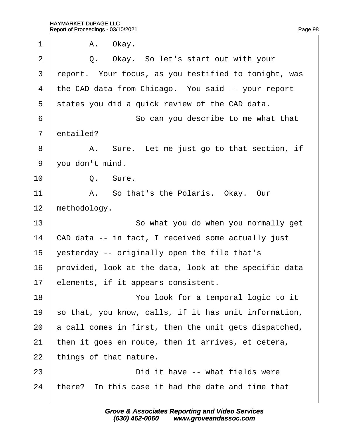| 1              | A. Okay.                                              |
|----------------|-------------------------------------------------------|
| 2              | Q. Okay. So let's start out with your                 |
| 3              | report. Your focus, as you testified to tonight, was  |
| 4              | the CAD data from Chicago. You said -- your report    |
| 5              | states you did a quick review of the CAD data.        |
| 6              | So can you describe to me what that                   |
| $\overline{7}$ | entailed?                                             |
| 8              | A. Sure. Let me just go to that section, if           |
| 9              | you don't mind.                                       |
| 10             | Q. Sure.                                              |
| 11             | A. So that's the Polaris. Okay. Our                   |
| 12             | methodology.                                          |
| 13             | So what you do when you normally get                  |
| 14             | CAD data -- in fact, I received some actually just    |
| 15             | yesterday -- originally open the file that's          |
| 16             | provided, look at the data, look at the specific data |
| 17             | elements, if it appears consistent.                   |
| 18             | You look for a temporal logic to it                   |
| 19             | so that, you know, calls, if it has unit information, |
| 20             | a call comes in first, then the unit gets dispatched, |
| 21             | then it goes en route, then it arrives, et cetera,    |
| 22             | things of that nature.                                |
| 23             | Did it have -- what fields were                       |
| 24             | there? In this case it had the date and time that     |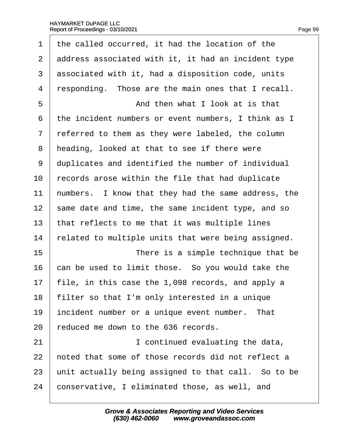| 1              | the called occurred, it had the location of the     |
|----------------|-----------------------------------------------------|
| $\overline{2}$ | address associated with it, it had an incident type |
| 3              | associated with it, had a disposition code, units   |
| 4              | responding. Those are the main ones that I recall.  |
| 5              | And then what I look at is that                     |
| 6              | the incident numbers or event numbers, I think as I |
| 7              | referred to them as they were labeled, the column   |
| 8              | heading, looked at that to see if there were        |
| 9              | duplicates and identified the number of individual  |
| 10             | records arose within the file that had duplicate    |
| 11             | humbers. I know that they had the same address, the |
| 12             | same date and time, the same incident type, and so  |
| 13             | that reflects to me that it was multiple lines      |
| 14             | related to multiple units that were being assigned. |
| 15             | There is a simple technique that be                 |
| 16             | can be used to limit those. So you would take the   |
| 17             | file, in this case the 1,098 records, and apply a   |
| 18             | filter so that I'm only interested in a unique      |
| 19             | incident number or a unique event number. That      |
| 20             | educed me down to the 636 records.                  |
| 21             | I continued evaluating the data,                    |
| 22             | hoted that some of those records did not reflect a  |
| 23             | unit actually being assigned to that call. So to be |
| 24             | conservative, I eliminated those, as well, and      |
|                |                                                     |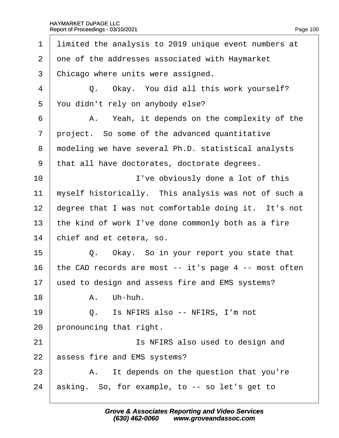| 1              | limited the analysis to 2019 unique event numbers at  |
|----------------|-------------------------------------------------------|
| $\overline{2}$ | one of the addresses associated with Haymarket        |
| 3              | Chicago where units were assigned.                    |
| 4              | Q. Okay. You did all this work yourself?              |
| 5              | You didn't rely on anybody else?                      |
| 6              | A. Yeah, it depends on the complexity of the          |
| $\overline{7}$ | project. So some of the advanced quantitative         |
| 8              | modeling we have several Ph.D. statistical analysts   |
| 9              | that all have doctorates, doctorate degrees.          |
| 10             | I've obviously done a lot of this                     |
| 11             | myself historically. This analysis was not of such a  |
| 12             | degree that I was not comfortable doing it. It's not  |
| 13             | the kind of work I've done commonly both as a fire    |
| 14             | chief and et cetera, so.                              |
| 15             | Q. Okay. So in your report you state that             |
| 16             | the CAD records are most -- it's page 4 -- most often |
| 17             | used to design and assess fire and EMS systems?       |
| 18             | A. Uh-huh.                                            |
| 19             | Q. Is NFIRS also -- NFIRS, I'm not                    |
| 20             | pronouncing that right.                               |
| 21             | Is NFIRS also used to design and                      |
| 22             | assess fire and EMS systems?                          |
| 23             | A. It depends on the question that you're             |
| 24             | asking. So, for example, to -- so let's get to        |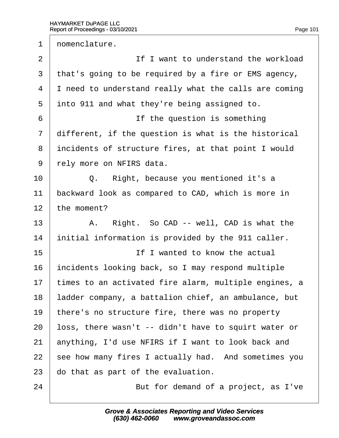1 domenclature.  $2 \parallel$  if I want to understand the workload 3 that's going to be required by a fire or EMS agency, 4 I need to understand really what the calls are coming 5 into 911 and what they're being assigned to. 6 **If the question is something** 7 different, if the question is what is the historical 8 incidents of structure fires, at that point I would 9 rely more on NFIRS data.  $10$   $\Box$  Q. Right, because you mentioned it's a 11 backward look as compared to CAD, which is more in 12 the moment? 13  $\parallel$  A. Right. So CAD -- well, CAD is what the 14 initial information is provided by the 911 caller. 15 **If I wanted to know the actual** 16 incidents looking back, so I may respond multiple 17 times to an activated fire alarm, multiple engines, a 18 adder company, a battalion chief, an ambulance, but 19 there's no structure fire, there was no property 20 loss, there wasn't -- didn't have to squirt water or 21 anything, I'd use NFIRS if I want to look back and 22 see how many fires I actually had. And sometimes you 23 do that as part of the evaluation. 24 **But for demand of a project, as I've**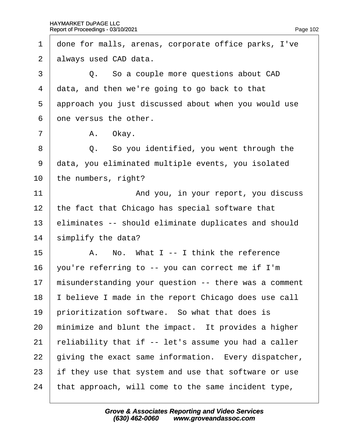| 1              | done for malls, arenas, corporate office parks, I've  |
|----------------|-------------------------------------------------------|
| $\overline{2}$ | always used CAD data.                                 |
| 3              | Q. So a couple more questions about CAD               |
| 4              | data, and then we're going to go back to that         |
| 5              | approach you just discussed about when you would use  |
| 6              | one versus the other.                                 |
| $\overline{7}$ | A. Okay.                                              |
| 8              | Q. So you identified, you went through the            |
| 9              | data, you eliminated multiple events, you isolated    |
| 10             | the numbers, right?                                   |
| 11             | And you, in your report, you discuss                  |
| 12             | the fact that Chicago has special software that       |
| 13             | eliminates -- should eliminate duplicates and should  |
| 14             | simplify the data?                                    |
| 15             | A. No. What I -- I think the reference                |
| 16             | you're referring to -- you can correct me if I'm      |
| 17             | misunderstanding your question -- there was a comment |
| 18             | believe I made in the report Chicago does use call    |
| 19             | prioritization software. So what that does is         |
| 20             | minimize and blunt the impact. It provides a higher   |
| 21             | reliability that if -- let's assume you had a caller  |
| 22             | giving the exact same information. Every dispatcher,  |
| 23             | if they use that system and use that software or use  |
| 24             | that approach, will come to the same incident type,   |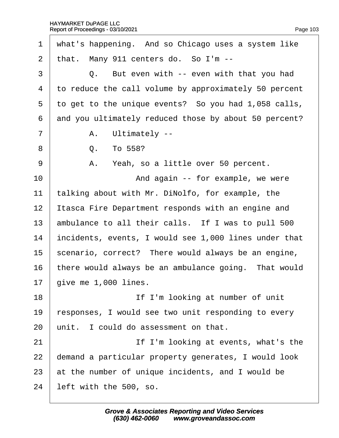| $\mathbf 1$    | what's happening. And so Chicago uses a system like   |
|----------------|-------------------------------------------------------|
| $\overline{2}$ | that. Many 911 centers do. So I'm --                  |
| 3              | Q. But even with -- even with that you had            |
| 4              | to reduce the call volume by approximately 50 percent |
| 5              | to get to the unique events? So you had 1,058 calls,  |
| 6              | and you ultimately reduced those by about 50 percent? |
| $\overline{7}$ | A. Ultimately --                                      |
| 8              | To 558?<br>Q.                                         |
| 9              | A. Yeah, so a little over 50 percent.                 |
| 10             | And again -- for example, we were                     |
| 11             | talking about with Mr. DiNolfo, for example, the      |
| 12             | Itasca Fire Department responds with an engine and    |
| 13             | ambulance to all their calls. If I was to pull 500    |
| 14             | incidents, events, I would see 1,000 lines under that |
| 15             | scenario, correct? There would always be an engine,   |
| 16             | there would always be an ambulance going. That would  |
| 17             | give me 1,000 lines.                                  |
| 18             | If I'm looking at number of unit                      |
| 19             | responses, I would see two unit responding to every   |
| 20             | unit. I could do assessment on that.                  |
| 21             | If I'm looking at events, what's the                  |
| 22             | demand a particular property generates, I would look  |
| 23             | at the number of unique incidents, and I would be     |
| 24             | left with the 500, so.                                |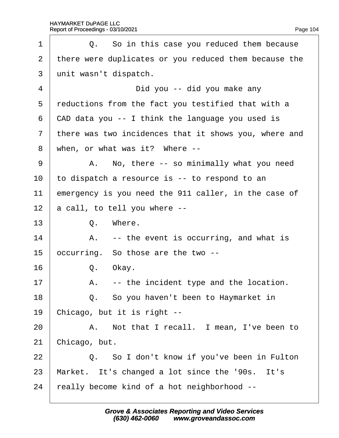| 1              | Q. So in this case you reduced them because           |
|----------------|-------------------------------------------------------|
| 2              | there were duplicates or you reduced them because the |
| 3              | unit wasn't dispatch.                                 |
| 4              | Did you -- did you make any                           |
| 5              | reductions from the fact you testified that with a    |
| 6              | CAD data you -- I think the language you used is      |
| $\overline{7}$ | there was two incidences that it shows you, where and |
| 8              | when, or what was it? Where --                        |
| 9              | A. No, there -- so minimally what you need            |
| 10             | to dispatch a resource is -- to respond to an         |
| 11             | emergency is you need the 911 caller, in the case of  |
| 12             | a call, to tell you where --                          |
| 13             | Q. Where.                                             |
| 14             | A. -- the event is occurring, and what is             |
| 15             | occurring. So those are the two --                    |
| 16             | Q. Okay.                                              |
| 17             | A. -- the incident type and the location.             |
| 18             | Q. So you haven't been to Haymarket in                |
| 19             | Chicago, but it is right --                           |
| 20             | A. Not that I recall. I mean, I've been to            |
| 21             | Chicago, but.                                         |
| 22             | Q. So I don't know if you've been in Fulton           |
| 23             | Market. It's changed a lot since the '90s. It's       |
| 24             | really become kind of a hot neighborhood --           |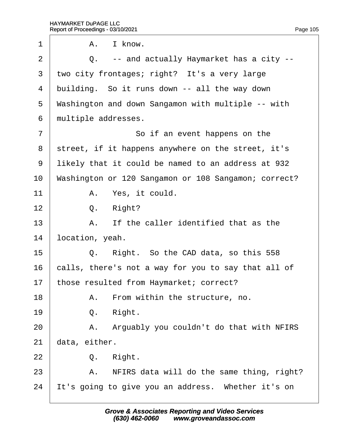| 1               | А.            | I know.                                              |
|-----------------|---------------|------------------------------------------------------|
| $\overline{2}$  |               | Q. -- and actually Haymarket has a city --           |
| 3               |               | two city frontages; right? It's a very large         |
| 4               |               | building. So it runs down -- all the way down        |
| 5               |               | Washington and down Sangamon with multiple -- with   |
| 6               |               | multiple addresses.                                  |
| $\overline{7}$  |               | So if an event happens on the                        |
| 8               |               | street, if it happens anywhere on the street, it's   |
| 9               |               | likely that it could be named to an address at 932   |
| 10              |               | Washington or 120 Sangamon or 108 Sangamon; correct? |
| 11              |               | A. Yes, it could.                                    |
| 12              | Q.            | Right?                                               |
| 13              |               | A. If the caller identified that as the              |
| 14              |               | location, yeah.                                      |
| 15              |               | Q. Right. So the CAD data, so this 558               |
| 16              |               | calls, there's not a way for you to say that all of  |
| 17 <sup>1</sup> |               | those resulted from Haymarket; correct?              |
| 18              | А.            | From within the structure, no.                       |
| 19              | Q.            | Right.                                               |
| 20              | A.            | Arguably you couldn't do that with NFIRS             |
| 21              | data, either. |                                                      |
| 22              | Q.            | Right.                                               |
| 23              |               | A. NFIRS data will do the same thing, right?         |
| 24              |               | It's going to give you an address. Whether it's on   |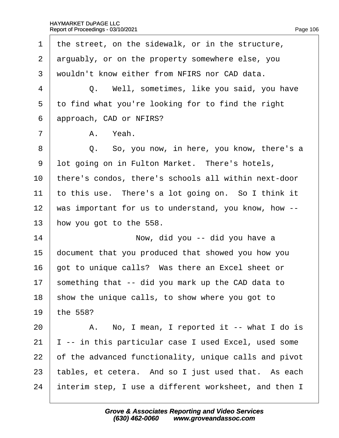| 1              | the street, on the sidewalk, or in the structure,     |
|----------------|-------------------------------------------------------|
| 2              | arguably, or on the property somewhere else, you      |
| 3              | wouldn't know either from NFIRS nor CAD data.         |
| 4              | Q. Well, sometimes, like you said, you have           |
| 5              | to find what you're looking for to find the right     |
| 6              | approach, CAD or NFIRS?                               |
| $\overline{7}$ | A. Yeah.                                              |
| 8              | Q. So, you now, in here, you know, there's a          |
| 9              | lot going on in Fulton Market. There's hotels,        |
| 10             | there's condos, there's schools all within next-door  |
| 11             | to this use. There's a lot going on. So I think it    |
| 12             | was important for us to understand, you know, how --  |
| 13             | how you got to the 558.                               |
| 14             | Now, did you -- did you have a                        |
| 15             | document that you produced that showed you how you    |
| 16             | got to unique calls? Was there an Excel sheet or      |
| 17             | something that -- did you mark up the CAD data to     |
| 18             | show the unique calls, to show where you got to       |
| 19             | the 558?                                              |
| 20             | A. No, I mean, I reported it -- what I do is          |
| 21             | -- in this particular case I used Excel, used some    |
| 22             | of the advanced functionality, unique calls and pivot |
| 23             | tables, et cetera. And so I just used that. As each   |
| 24             | interim step, I use a different worksheet, and then I |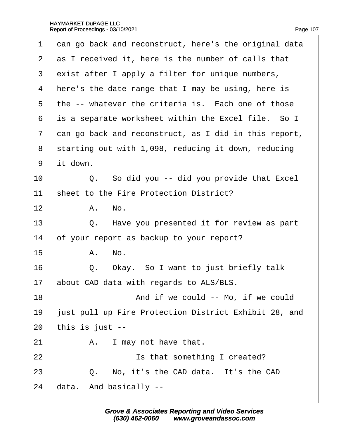| 1  | dan go back and reconstruct, here's the original data |
|----|-------------------------------------------------------|
| 2  | as I received it, here is the number of calls that    |
| 3  | exist after I apply a filter for unique numbers,      |
| 4  | Here's the date range that I may be using, here is    |
| 5  | the -- whatever the criteria is. Each one of those    |
| 6  | is a separate worksheet within the Excel file. So I   |
| 7  | dan go back and reconstruct, as I did in this report, |
| 8  | starting out with 1,098, reducing it down, reducing   |
| 9  | it down.                                              |
| 10 | Q. So did you -- did you provide that Excel           |
| 11 | sheet to the Fire Protection District?                |
| 12 | A. No.                                                |
| 13 | Q. Have you presented it for review as part           |
| 14 | of your report as backup to your report?              |
| 15 | A. No.                                                |
| 16 | Okay. So I want to just briefly talk<br>Q.            |
| 17 | about CAD data with regards to ALS/BLS.               |
| 18 | And if we could -- Mo, if we could                    |
| 19 | just pull up Fire Protection District Exhibit 28, and |
| 20 | this is just --                                       |
| 21 | I may not have that.<br>А.                            |
| 22 | Is that something I created?                          |
| 23 | Q. No, it's the CAD data. It's the CAD                |
| 24 | data. And basically --                                |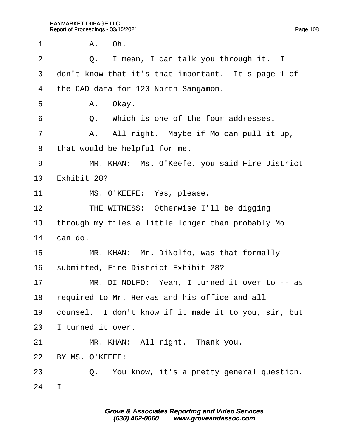| 1              | A. Oh.                                               |
|----------------|------------------------------------------------------|
| $\overline{2}$ | Q. I mean, I can talk you through it. I              |
| 3              | don't know that it's that important. It's page 1 of  |
| 4              | the CAD data for 120 North Sangamon.                 |
| 5              | A. Okay.                                             |
| 6              | Q. Which is one of the four addresses.               |
| 7              | A. All right. Maybe if Mo can pull it up,            |
| 8              | that would be helpful for me.                        |
| 9              | MR. KHAN: Ms. O'Keefe, you said Fire District        |
| 10             | Exhibit 28?                                          |
| 11             | MS. O'KEEFE: Yes, please.                            |
| 12             | THE WITNESS: Otherwise I'll be digging               |
| 13             | through my files a little longer than probably Mo    |
| 14             | can do.                                              |
| 15             | MR. KHAN: Mr. DiNolfo, was that formally             |
| 16             | submitted, Fire District Exhibit 28?                 |
| 17             | MR. DI NOLFO: Yeah, I turned it over to -- as        |
| 18             | required to Mr. Hervas and his office and all        |
| 19             | counsel. I don't know if it made it to you, sir, but |
| 20             | turned it over.                                      |
| 21             | MR. KHAN: All right. Thank you.                      |
| 22             | BY MS. O'KEEFE:                                      |
| 23             | Q. You know, it's a pretty general question.         |
| 24             |                                                      |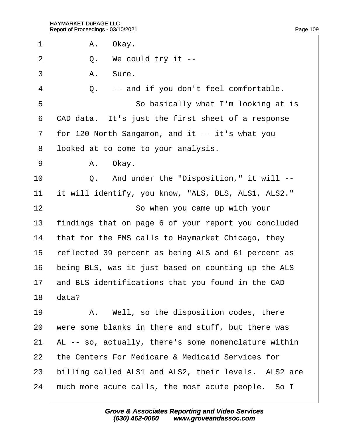$\Gamma$ 

| 1              | A. Okay.                                             |
|----------------|------------------------------------------------------|
| $\overline{2}$ | Q. We could try it --                                |
| 3              | A. Sure.                                             |
| 4              | -- and if you don't feel comfortable.<br>Q.          |
| 5              | So basically what I'm looking at is                  |
| 6              | CAD data. It's just the first sheet of a response    |
| $\overline{7}$ | for 120 North Sangamon, and it -- it's what you      |
| 8              | Iboked at to come to your analysis.                  |
| 9              | A. Okay.                                             |
| 10             | Q. And under the "Disposition," it will --           |
| 11             | it will identify, you know, "ALS, BLS, ALS1, ALS2."  |
| 12             | So when you came up with your                        |
| 13             | findings that on page 6 of your report you concluded |
| 14             | that for the EMS calls to Haymarket Chicago, they    |
| 15             | reflected 39 percent as being ALS and 61 percent as  |
| 16             | being BLS, was it just based on counting up the ALS  |
| 17             | and BLS identifications that you found in the CAD    |
| 18             | data?                                                |
| 19             | A. Well, so the disposition codes, there             |
| 20             | were some blanks in there and stuff, but there was   |
| 21             | AL -- so, actually, there's some nomenclature within |
| 22             | the Centers For Medicare & Medicaid Services for     |
| 23             | billing called ALS1 and ALS2, their levels. ALS2 are |
| 24             | much more acute calls, the most acute people. So I   |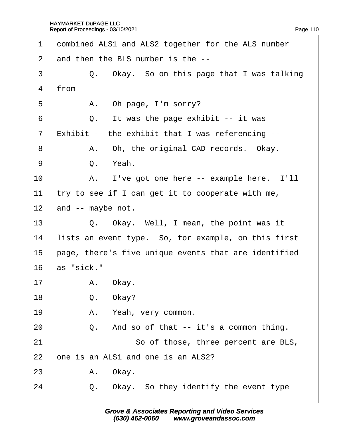| 1              | dombined ALS1 and ALS2 together for the ALS number   |
|----------------|------------------------------------------------------|
| 2              | and then the BLS number is the --                    |
| 3              | Q. Okay. So on this page that I was talking          |
| $\overline{4}$ | from $-$                                             |
| 5              | A. Oh page, I'm sorry?                               |
| 6              | It was the page exhibit -- it was<br>Q.              |
| $\overline{7}$ | Exhibit -- the exhibit that I was referencing --     |
| 8              | A. Oh, the original CAD records. Okay.               |
| 9              | Q. Yeah.                                             |
| 10             | A. I've got one here -- example here. I'll           |
| 11             | try to see if I can get it to cooperate with me,     |
| 12             | and -- maybe not.                                    |
| 13             | Q. Okay. Well, I mean, the point was it              |
| 14             | lists an event type. So, for example, on this first  |
| 15             | page, there's five unique events that are identified |
| 16             | as "sick."                                           |
| 17             | A. Okay.                                             |
| 18             | Q. Okay?                                             |
| 19             | A. Yeah, very common.                                |
| 20             | And so of that -- it's a common thing.<br>Q.         |
| 21             | So of those, three percent are BLS,                  |
| 22             | one is an ALS1 and one is an ALS2?                   |
| 23             | A. Okay.                                             |
| 24             | Okay. So they identify the event type<br>Q.          |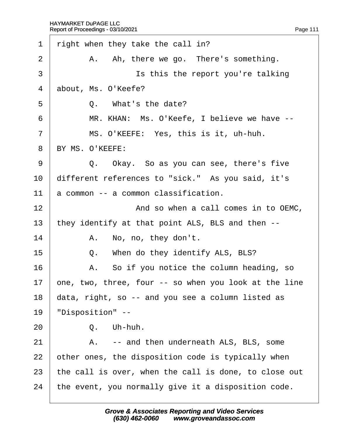$\Gamma$ 

| 1              | right when they take the call in?                     |
|----------------|-------------------------------------------------------|
| $\overline{2}$ | A. Ah, there we go. There's something.                |
| 3              | Is this the report you're talking                     |
| 4              | about, Ms. O'Keefe?                                   |
| 5              | Q. What's the date?                                   |
| 6              | MR. KHAN: Ms. O'Keefe, I believe we have --           |
| $\overline{7}$ | MS. O'KEEFE: Yes, this is it, uh-huh.                 |
| 8              | BY MS. O'KEEFE:                                       |
| 9              | Q. Okay. So as you can see, there's five              |
| 10             | different references to "sick." As you said, it's     |
| 11             | a common -- a common classification.                  |
| 12             | And so when a call comes in to OEMC,                  |
| 13             | they identify at that point ALS, BLS and then --      |
| 14             | A. No, no, they don't.                                |
| 15             | When do they identify ALS, BLS?<br>Q.                 |
| 16             | A. So if you notice the column heading, so            |
| 17             | one, two, three, four -- so when you look at the line |
| 18             | data, right, so -- and you see a column listed as     |
| 19             | 'Disposition" --                                      |
| 20             | Q. Uh-huh.                                            |
| 21             | -- and then underneath ALS, BLS, some<br>А.           |
| 22             | other ones, the disposition code is typically when    |
| 23             | the call is over, when the call is done, to close out |
| 24             | the event, you normally give it a disposition code.   |
|                |                                                       |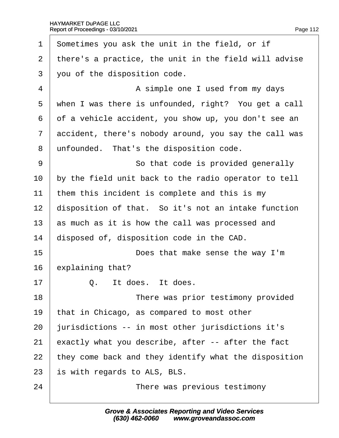| 1              | Sometimes you ask the unit in the field, or if        |
|----------------|-------------------------------------------------------|
| 2              | there's a practice, the unit in the field will advise |
| 3              | you of the disposition code.                          |
| $\overline{4}$ | A simple one I used from my days                      |
| 5              | when I was there is unfounded, right? You get a call  |
| 6              | of a vehicle accident, you show up, you don't see an  |
| $\overline{7}$ | accident, there's nobody around, you say the call was |
| 8              | unfounded. That's the disposition code.               |
| 9              | So that code is provided generally                    |
| 10             | by the field unit back to the radio operator to tell  |
| 11             | them this incident is complete and this is my         |
| 12             | disposition of that. So it's not an intake function   |
| 13             | as much as it is how the call was processed and       |
| 14             | disposed of, disposition code in the CAD.             |
| 15             | Does that make sense the way I'm                      |
| 16             | explaining that?                                      |
| 17             | Q. It does. It does                                   |
| 18             | There was prior testimony provided                    |
| 19             | that in Chicago, as compared to most other            |
| 20             | jurisdictions -- in most other jurisdictions it's     |
| 21             | exactly what you describe, after -- after the fact    |
| 22             | they come back and they identify what the disposition |
| 23             | is with regards to ALS, BLS.                          |
| 24             | There was previous testimony                          |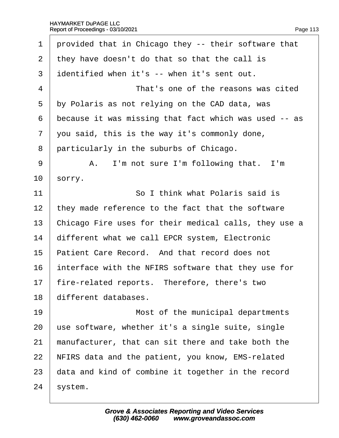| 1              | provided that in Chicago they -- their software that  |
|----------------|-------------------------------------------------------|
| 2              | they have doesn't do that so that the call is         |
| 3              | identified when it's -- when it's sent out.           |
| 4              | That's one of the reasons was cited                   |
| 5              | by Polaris as not relying on the CAD data, was        |
| 6              | because it was missing that fact which was used -- as |
| $\overline{7}$ | you said, this is the way it's commonly done,         |
| 8              | particularly in the suburbs of Chicago.               |
| 9              | A. I'm not sure I'm following that. I'm               |
| 10             | sorry.                                                |
| 11             | So I think what Polaris said is                       |
| 12             | they made reference to the fact that the software     |
| 13             | Chicago Fire uses for their medical calls, they use a |
| 14             | different what we call EPCR system, Electronic        |
| 15             | Patient Care Record. And that record does not         |
| 16             | interface with the NFIRS software that they use for   |
| 17             | fire-related reports. Therefore, there's two          |
| 18             | different databases.                                  |
| 19             | Most of the municipal departments                     |
| 20             | use software, whether it's a single suite, single     |
| 21             | manufacturer, that can sit there and take both the    |
| 22             | NFIRS data and the patient, you know, EMS-related     |
| 23             | data and kind of combine it together in the record    |
| 24             | system.                                               |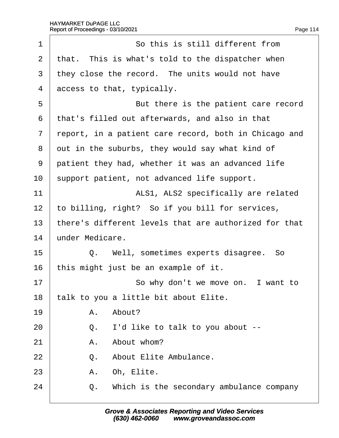| 1  | So this is still different from                       |
|----|-------------------------------------------------------|
| 2  | that. This is what's told to the dispatcher when      |
| 3  | they close the record. The units would not have       |
| 4  | access to that, typically.                            |
| 5  | But there is the patient care record                  |
| 6  | that's filled out afterwards, and also in that        |
| 7  | report, in a patient care record, both in Chicago and |
| 8  | out in the suburbs, they would say what kind of       |
| 9  | patient they had, whether it was an advanced life     |
| 10 | support patient, not advanced life support.           |
| 11 | ALS1, ALS2 specifically are related                   |
| 12 | to billing, right? So if you bill for services,       |
| 13 | there's different levels that are authorized for that |
| 14 | under Medicare.                                       |
| 15 | Q. Well, sometimes experts disagree. So               |
| 16 | this might just be an example of it.                  |
| 17 | So why don't we move on. I want to                    |
| 18 | talk to you a little bit about Elite.                 |
| 19 | A. About?                                             |
| 20 | Q. I'd like to talk to you about --                   |
| 21 | A. About whom?                                        |
| 22 | Q.<br>About Elite Ambulance.                          |
| 23 | A. Oh, Elite.                                         |
| 24 | Q. Which is the secondary ambulance company           |
|    |                                                       |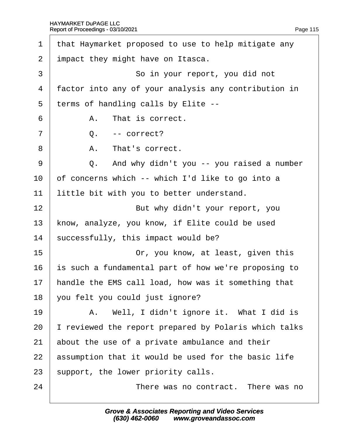| 1              | that Haymarket proposed to use to help mitigate any  |
|----------------|------------------------------------------------------|
| $\overline{2}$ | impact they might have on Itasca.                    |
| 3              | So in your report, you did not                       |
| 4              | factor into any of your analysis any contribution in |
| 5              | terms of handling calls by Elite --                  |
| 6              | A. That is correct.                                  |
| 7              | $Q. - correct?$                                      |
| 8              | A. That's correct.                                   |
| 9              | Q. And why didn't you -- you raised a number         |
| 10             | of concerns which -- which I'd like to go into a     |
| 11             | little bit with you to better understand.            |
| 12             | But why didn't your report, you                      |
| 13             | know, analyze, you know, if Elite could be used      |
| 14             | successfully, this impact would be?                  |
| 15             | Or, you know, at least, given this                   |
| 16             | is such a fundamental part of how we're proposing to |
| 17             | handle the EMS call load, how was it something that  |
| 18             | you felt you could just ignore?                      |
| 19             | A. Well, I didn't ignore it. What I did is           |
| 20             | reviewed the report prepared by Polaris which talks  |
| 21             | about the use of a private ambulance and their       |
| 22             | assumption that it would be used for the basic life  |
| 23             | support, the lower priority calls.                   |
| 24             | There was no contract. There was no                  |
|                |                                                      |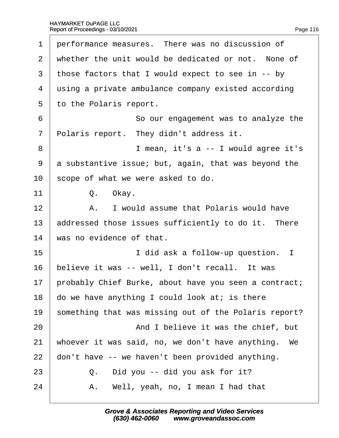| Page 116 |
|----------|
|          |

| 1              | performance measures. There was no discussion of      |
|----------------|-------------------------------------------------------|
| $\overline{2}$ | whether the unit would be dedicated or not. None of   |
| 3              | those factors that I would expect to see in -- by     |
| 4              | using a private ambulance company existed according   |
| 5              | to the Polaris report.                                |
| 6              | So our engagement was to analyze the                  |
| $\overline{7}$ | Polaris report. They didn't address it.               |
| 8              | I mean, it's a -- I would agree it's                  |
| 9              | a substantive issue; but, again, that was beyond the  |
| 10             | scope of what we were asked to do.                    |
| 11             | Q. Okay.                                              |
| 12             | A. I would assume that Polaris would have             |
| 13             | addressed those issues sufficiently to do it. There   |
| 14             | was no evidence of that.                              |
| 15             | I did ask a follow-up question. I                     |
| 16             | believe it was -- well, I don't recall. It was        |
| 17             | probably Chief Burke, about have you seen a contract; |
| 18             | do we have anything I could look at; is there         |
| 19             | something that was missing out of the Polaris report? |
| 20             | And I believe it was the chief, but                   |
| 21             | whoever it was said, no, we don't have anything. We   |
| 22             | don't have -- we haven't been provided anything.      |
| 23             | Q. Did you -- did you ask for it?                     |
| 24             | A. Well, yeah, no, I mean I had that                  |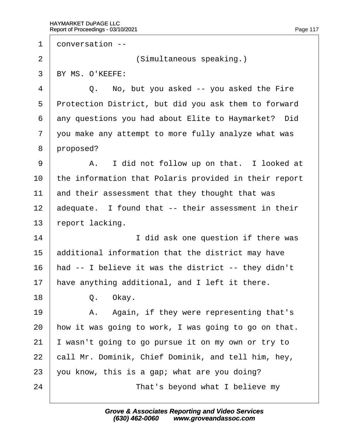1 donversation --2 | **Simultaneous speaking.**) 3 BY MS. O'KEEFE:  $\frac{4}{1}$  Q. No, but you asked -- you asked the Fire 5 Protection District, but did you ask them to forward 6 any questions you had about Elite to Haymarket? Did 7 you make any attempt to more fully analyze what was 8 proposed? 9 | A. I did not follow up on that. I looked at 10 the information that Polaris provided in their report 11 and their assessment that they thought that was 12 adequate. I found that -- their assessment in their 13 report lacking. 14 **I** did ask one question if there was 15 **additional information that the district may have** 16 had -- I believe it was the district -- they didn't 17 have anything additional, and I left it there. 18 | Q. Okay. 19 | A. Again, if they were representing that's 20 how it was going to work, I was going to go on that. 21  $\parallel$  wasn't going to go pursue it on my own or try to 22 call Mr. Dominik, Chief Dominik, and tell him, hey, 23 vou know, this is a gap; what are you doing? 24 **That's beyond what I believe my**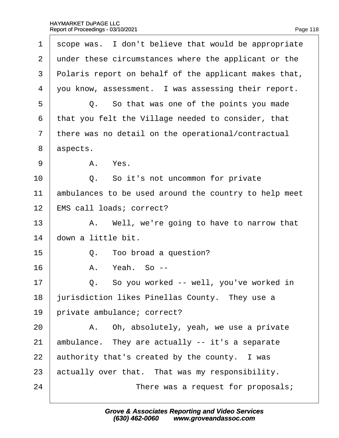| Page 118 |
|----------|

| 1              | scope was. I don't believe that would be appropriate  |
|----------------|-------------------------------------------------------|
| 2              | under these circumstances where the applicant or the  |
| 3              | Polaris report on behalf of the applicant makes that, |
| 4              | you know, assessment. I was assessing their report.   |
| 5              | Q. So that was one of the points you made             |
| 6              | that you felt the Village needed to consider, that    |
| $\overline{7}$ | there was no detail on the operational/contractual    |
| 8              | aspects.                                              |
| 9              | A. Yes.                                               |
| 10             | Q. So it's not uncommon for private                   |
| 11             | ambulances to be used around the country to help meet |
| 12             | EMS call loads; correct?                              |
| 13             | A. Well, we're going to have to narrow that           |
| 14             | down a little bit.                                    |
| 15             | Q. Too broad a question?                              |
| 16             | A. Yeah. So --                                        |
| 17             | Q. So you worked -- well, you've worked in            |
| 18             | jurisdiction likes Pinellas County. They use a        |
| 19             | private ambulance; correct?                           |
| 20             | A. Oh, absolutely, yeah, we use a private             |
| 21             | ambulance. They are actually -- it's a separate       |
| 22             | authority that's created by the county. I was         |
| 23             | actually over that. That was my responsibility.       |
| 24             | There was a request for proposals;                    |
|                |                                                       |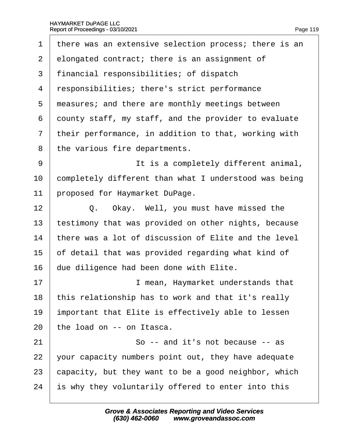| 1              | there was an extensive selection process; there is an |
|----------------|-------------------------------------------------------|
| $\overline{2}$ | elongated contract; there is an assignment of         |
| 3              | financial responsibilities; of dispatch               |
| 4              | responsibilities; there's strict performance          |
| 5              | measures; and there are monthly meetings between      |
| 6              | dounty staff, my staff, and the provider to evaluate  |
| $\overline{7}$ | their performance, in addition to that, working with  |
| 8              | the various fire departments.                         |
| 9              | It is a completely different animal,                  |
| 10             | completely different than what I understood was being |
| 11             | proposed for Haymarket DuPage.                        |
| 12             | Q. Okay. Well, you must have missed the               |
| 13             | testimony that was provided on other nights, because  |
| 14             | there was a lot of discussion of Elite and the level  |
| 15             | of detail that was provided regarding what kind of    |
| 16             | due diligence had been done with Elite.               |
| 17             | I mean, Haymarket understands that                    |
| 18             | this relationship has to work and that it's really    |
| 19             | important that Elite is effectively able to lessen    |
| 20             | the load on -- on Itasca.                             |
| 21             | So -- and it's not because -- as                      |
| 22             | your capacity numbers point out, they have adequate   |
| 23             | capacity, but they want to be a good neighbor, which  |
| 24             | is why they voluntarily offered to enter into this    |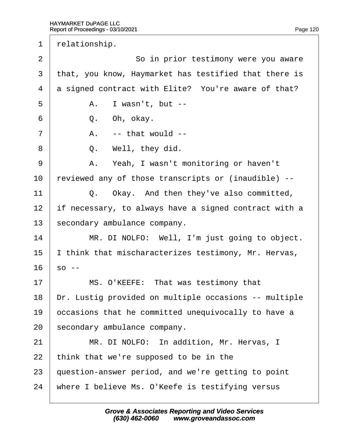1 relationship. 2 **So in prior testimony were you aware** 3 that, you know, Haymarket has testified that there is 4 **d** signed contract with Elite? You're aware of that?  $5 \mid$  A. I wasn't, but -- $6 \mid Q.$  Oh, okay.  $7 \mid$  A. -- that would -- $8 \mid Q$ . Well, they did. 9 | A. Yeah, I wasn't monitoring or haven't 10 reviewed any of those transcripts or (inaudible) --11  $\vert$  Q. Okay. And then they've also committed, 12 If necessary, to always have a signed contract with a 13 secondary ambulance company. 14 | MR. DI NOLFO: Well, I'm just going to object. 15 I think that mischaracterizes testimony, Mr. Hervas,  $16\;$  so --17 | MS. O'KEEFE: That was testimony that 18 Dr. Lustig provided on multiple occasions -- multiple 19 bccasions that he committed unequivocally to have a 20 secondary ambulance company. 21 | MR. DI NOLFO: In addition, Mr. Hervas, I 22 think that we're supposed to be in the 23 guestion-answer period, and we're getting to point 24 where I believe Ms. O'Keefe is testifying versus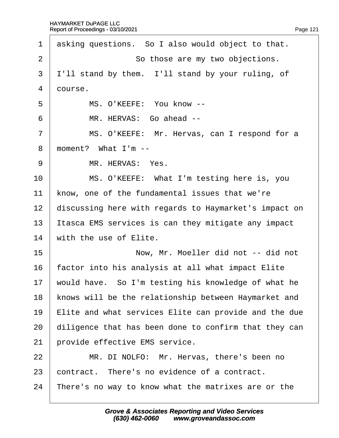| 1              | asking questions. So I also would object to that.     |
|----------------|-------------------------------------------------------|
| $\overline{2}$ | So those are my two objections.                       |
| 3              | I'll stand by them. I'll stand by your ruling, of     |
| 4              | dourse.                                               |
| 5              | MS. O'KEEFE: You know --                              |
| 6              | MR. HERVAS: Go ahead --                               |
| $\overline{7}$ | MS. O'KEEFE: Mr. Hervas, can I respond for a          |
| 8              | moment? What I'm --                                   |
| 9              | MR. HERVAS: Yes.                                      |
| 10             | MS. O'KEEFE: What I'm testing here is, you            |
| 11             | know, one of the fundamental issues that we're        |
| 12             | discussing here with regards to Haymarket's impact on |
| 13             | Itasca EMS services is can they mitigate any impact   |
| 14             | with the use of Elite.                                |
| 15             | Now, Mr. Moeller did not -- did not                   |
| 16             | factor into his analysis at all what impact Elite     |
| 17             | would have. So I'm testing his knowledge of what he   |
| 18             | knows will be the relationship between Haymarket and  |
| 19             | Elite and what services Elite can provide and the due |
| 20             | diligence that has been done to confirm that they can |
| 21             | provide effective EMS service.                        |
| 22             | MR. DI NOLFO: Mr. Hervas, there's been no             |
| 23             | contract. There's no evidence of a contract.          |
| 24             | There's no way to know what the matrixes are or the   |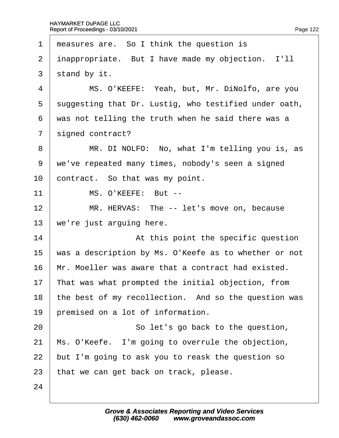| 1              | measures are. So I think the question is              |
|----------------|-------------------------------------------------------|
| $\overline{2}$ | inappropriate. But I have made my objection. I'll     |
| 3              | stand by it.                                          |
| 4              | MS. O'KEEFE: Yeah, but, Mr. DiNolfo, are you          |
| 5              | suggesting that Dr. Lustig, who testified under oath, |
| 6              | was not telling the truth when he said there was a    |
| $\overline{7}$ | signed contract?                                      |
| 8              | MR. DI NOLFO: No, what I'm telling you is, as         |
| 9              | we've repeated many times, nobody's seen a signed     |
| 10             | contract. So that was my point.                       |
| 11             | MS. O'KEEFE: But --                                   |
| 12             | MR. HERVAS: The -- let's move on, because             |
| 13             | we're just arguing here.                              |
| 14             | At this point the specific question                   |
| 15             | was a description by Ms. O'Keefe as to whether or not |
| 16             | Mr. Moeller was aware that a contract had existed.    |
| 17             | That was what prompted the initial objection, from    |
| 18             | the best of my recollection. And so the question was  |
| 19             | premised on a lot of information.                     |
| 20             | So let's go back to the question,                     |
| 21             | Ms. O'Keefe. I'm going to overrule the objection,     |
| 22             | but I'm going to ask you to reask the question so     |
| 23             | that we can get back on track, please.                |
| 24             |                                                       |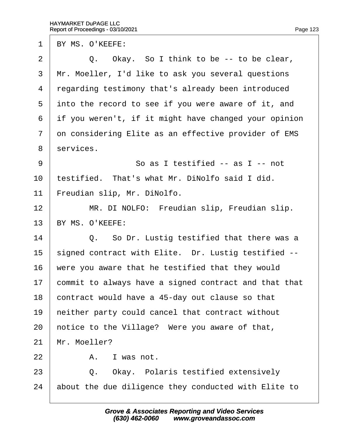1 BY MS. O'KEEFE:

2  $\vert$  Q. Okay. So I think to be -- to be clear, 3 Mr. Moeller, I'd like to ask you several questions 4 regarding testimony that's already been introduced 5 into the record to see if you were aware of it, and ·6· ·if you weren't, if it might have changed your opinion 7 on considering Elite as an effective provider of EMS 8 services. 9 **So as I testified -- as I -- not** 10 testified. That's what Mr. DiNolfo said I did. 11 Freudian slip, Mr. DiNolfo. 12 | MR. DI NOLFO: Freudian slip, Freudian slip. 13 BY MS. O'KEEFE: 14  $\vert$  Q. So Dr. Lustig testified that there was a 15 signed contract with Elite. Dr. Lustig testified --16 were you aware that he testified that they would 17 commit to always have a signed contract and that that 18 contract would have a 45-day out clause so that 19 heither party could cancel that contract without 20 hotice to the Village? Were you aware of that, 21 Mr. Moeller?  $22 \quad | \quad A$ . I was not.  $23$   $\Box$  Q. Okay. Polaris testified extensively 24 about the due diligence they conducted with Elite to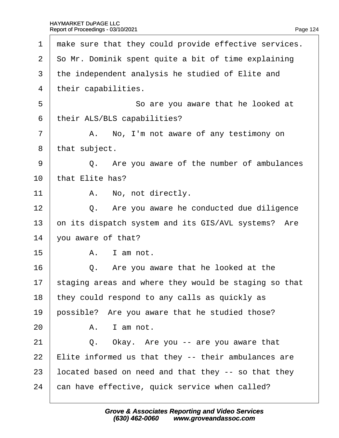| 1  | make sure that they could provide effective services. |
|----|-------------------------------------------------------|
| 2  | So Mr. Dominik spent quite a bit of time explaining   |
| 3  | the independent analysis he studied of Elite and      |
| 4  | their capabilities.                                   |
| 5  | So are you aware that he looked at                    |
| 6  | their ALS/BLS capabilities?                           |
| 7  | A. No, I'm not aware of any testimony on              |
| 8  | that subject.                                         |
| 9  | Q. Are you aware of the number of ambulances          |
| 10 | that Elite has?                                       |
| 11 | A. No, not directly.                                  |
| 12 | Q. Are you aware he conducted due diligence           |
| 13 | on its dispatch system and its GIS/AVL systems? Are   |
| 14 | you aware of that?                                    |
| 15 | A. I am not.                                          |
| 16 | Q. Are you aware that he looked at the                |
| 17 | staging areas and where they would be staging so that |
| 18 | they could respond to any calls as quickly as         |
| 19 | possible? Are you aware that he studied those?        |
| 20 | A. I am not.                                          |
| 21 | Q. Okay. Are you -- are you aware that                |
| 22 | Elite informed us that they -- their ambulances are   |
| 23 | located based on need and that they -- so that they   |
| 24 | can have effective, quick service when called?        |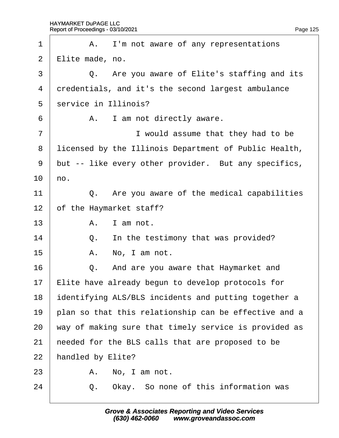| 1              |                         | A. I'm not aware of any representations               |
|----------------|-------------------------|-------------------------------------------------------|
| $\overline{2}$ | <b>∉lite made</b> , no. |                                                       |
| 3              |                         | Q. Are you aware of Elite's staffing and its          |
| 4              |                         | dredentials, and it's the second largest ambulance    |
| 5              |                         | service in Illinois?                                  |
| 6              |                         | A. I am not directly aware.                           |
| $\overline{7}$ |                         | I would assume that they had to be                    |
| 8              |                         | licensed by the Illinois Department of Public Health, |
| 9              |                         | but -- like every other provider. But any specifics,  |
| 10             | ho.                     |                                                       |
| 11             |                         | Q. Are you aware of the medical capabilities          |
| 12             |                         | of the Haymarket staff?                               |
| 13             |                         | A. I am not.                                          |
| 14             |                         | Q. In the testimony that was provided?                |
| 15             | А.                      | No, I am not.                                         |
| 16             |                         | Q. And are you aware that Haymarket and               |
| 17             |                         | Elite have already begun to develop protocols for     |
| 18             |                         | dentifying ALS/BLS incidents and putting together a   |
| 19             |                         | plan so that this relationship can be effective and a |
| 20             |                         | way of making sure that timely service is provided as |
| 21             |                         | heeded for the BLS calls that are proposed to be      |
| 22             |                         | handled by Elite?                                     |
| 23             | А.                      | No, I am not.                                         |
| 24             | Q.                      | Okay. So none of this information was                 |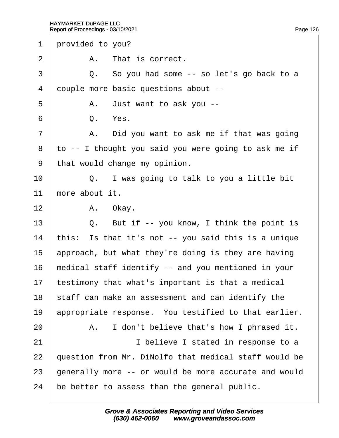| provided to you?<br>1                                         |
|---------------------------------------------------------------|
| $\overline{2}$<br>A. That is correct.                         |
| $\mathfrak{S}$<br>Q. So you had some -- so let's go back to a |
| 4<br>douple more basic questions about --                     |
| 5<br>A. Just want to ask you --                               |
| 6<br>Q. Yes.                                                  |
| $\overline{7}$<br>A. Did you want to ask me if that was going |
| 8<br>to -- I thought you said you were going to ask me if     |
| 9<br>that would change my opinion.                            |
| 10<br>Q. I was going to talk to you a little bit              |
| 11<br>more about it.                                          |
| 12 <sub>2</sub><br>A. Okay.                                   |
| 13<br>Q. But if -- you know, I think the point is             |
| this: Is that it's not -- you said this is a unique<br>14     |
| 15<br>approach, but what they're doing is they are having     |
| 16<br>medical staff identify -- and you mentioned in your     |
| testimony that what's important is that a medical<br>17       |
| 18<br>staff can make an assessment and can identify the       |
| appropriate response. You testified to that earlier.<br>19    |
| 20<br>A. I don't believe that's how I phrased it.             |
| 21<br>I believe I stated in response to a                     |
| 22<br>question from Mr. DiNolfo that medical staff would be   |
| generally more -- or would be more accurate and would<br>23   |
| 24<br>be better to assess than the general public.            |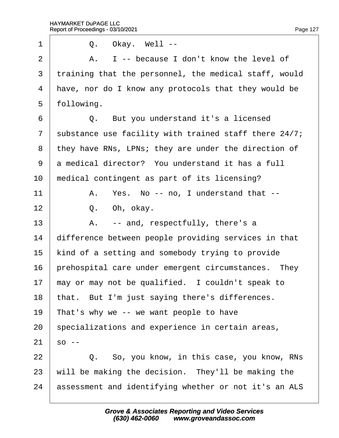| 1              | Q. Okay. Well --                                      |
|----------------|-------------------------------------------------------|
| $\overline{2}$ | A. I -- because I don't know the level of             |
| 3              | training that the personnel, the medical staff, would |
| 4              | have, nor do I know any protocols that they would be  |
| 5              | following.                                            |
| 6              | Q. But you understand it's a licensed                 |
| $\overline{7}$ | substance use facility with trained staff there 24/7; |
| 8              | they have RNs, LPNs; they are under the direction of  |
| 9              | a medical director? You understand it has a full      |
| 10             | medical contingent as part of its licensing?          |
| 11             | A. Yes. No -- no, I understand that --                |
| 12             | Q. Oh, okay.                                          |
| 13             | A. -- and, respectfully, there's a                    |
| 14             | difference between people providing services in that  |
| 15             | kind of a setting and somebody trying to provide      |
| 16             | prehospital care under emergent circumstances. They   |
| 17             | may or may not be qualified. I couldn't speak to      |
| 18             | that. But I'm just saying there's differences.        |
| 19             | That's why we -- we want people to have               |
| 20             | specializations and experience in certain areas,      |
| 21             | 50 --                                                 |
| 22             | Q. So, you know, in this case, you know, RNs          |
| 23             | will be making the decision. They'll be making the    |
| 24             | assessment and identifying whether or not it's an ALS |
|                |                                                       |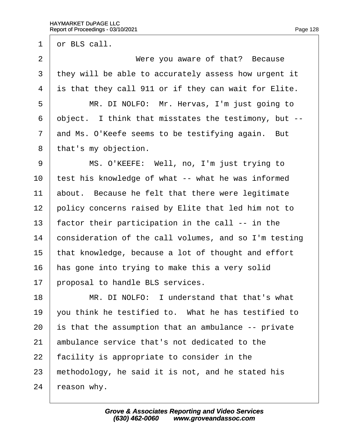1 dr BLS call.

2 **Were you aware of that? Because** 3 they will be able to accurately assess how urgent it 4 is that they call 911 or if they can wait for Elite. 5 | MR. DI NOLFO: Mr. Hervas, I'm just going to 6 dbject. I think that misstates the testimony, but --7 and Ms. O'Keefe seems to be testifying again. But 8 that's my objection. 9 | MS. O'KEEFE: Well, no, I'm just trying to 10 test his knowledge of what -- what he was informed 11 about. Because he felt that there were legitimate 12 policy concerns raised by Elite that led him not to 13 factor their participation in the call -- in the 14 consideration of the call volumes, and so I'm testing 15 that knowledge, because a lot of thought and effort 16 has gone into trying to make this a very solid 17 broposal to handle BLS services. 18 • MR. DI NOLFO: I understand that that's what 19 vou think he testified to. What he has testified to 20 is that the assumption that an ambulance -- private 21 ambulance service that's not dedicated to the 22 facility is appropriate to consider in the 23 methodology, he said it is not, and he stated his 24  $\,$  reason why.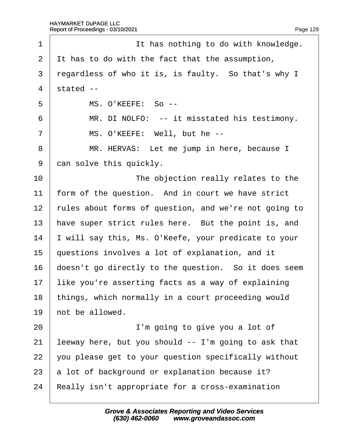$\Gamma$ 

| 1              | It has nothing to do with knowledge.                  |
|----------------|-------------------------------------------------------|
| 2              | It has to do with the fact that the assumption,       |
| 3              | regardless of who it is, is faulty. So that's why I   |
| $\overline{4}$ | stated --                                             |
| 5              | MS. O'KEEFE: So --                                    |
| 6              | MR. DI NOLFO: -- it misstated his testimony.          |
| $\overline{7}$ | MS. O'KEEFE: Well, but he --                          |
| 8              | MR. HERVAS: Let me jump in here, because I            |
| $9\,$          | dan solve this quickly.                               |
| 10             | The objection really relates to the                   |
| 11             | form of the question. And in court we have strict     |
| 12             | fules about forms of question, and we're not going to |
| 13             | have super strict rules here. But the point is, and   |
| 14             | will say this, Ms. O'Keefe, your predicate to your    |
| 15             | questions involves a lot of explanation, and it       |
| 16             | doesn't go directly to the question. So it does seem  |
| 17             | like you're asserting facts as a way of explaining    |
| 18             | things, which normally in a court proceeding would    |
| 19             | hot be allowed.                                       |
| 20             | I'm going to give you a lot of                        |
| 21             | leeway here, but you should -- I'm going to ask that  |
| 22             | you please get to your question specifically without  |
| 23             | a lot of background or explanation because it?        |
| 24             | Really isn't appropriate for a cross-examination      |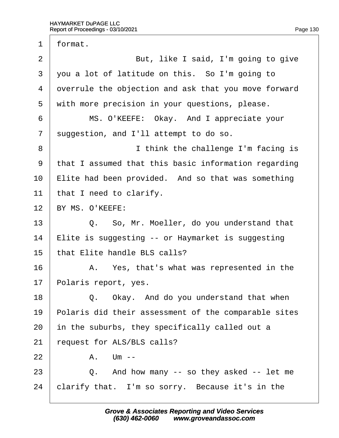1 format. 2 **But, like I said, I'm going to give** 3 you a lot of latitude on this. So I'm going to 4 dyerrule the objection and ask that you move forward 5 with more precision in your questions, please. 6 | MS. O'KEEFE: Okay. And I appreciate your 7 suggestion, and I'll attempt to do so. 8 **I** think the challenge I'm facing is ·9· ·that I assumed that this basic information regarding 10 Elite had been provided. And so that was something 11 that I need to clarify. 12 BY MS. O'KEEFE:  $13$   $\Box$  Q. So, Mr. Moeller, do you understand that 14 Elite is suggesting -- or Haymarket is suggesting 15 that Elite handle BLS calls? 16 A. Yes, that's what was represented in the 17 Polaris report, yes. 18  $\vert$  Q. Okay. And do you understand that when 19 Polaris did their assessment of the comparable sites 20 in the suburbs, they specifically called out a 21 request for ALS/BLS calls?  $22 \mid$  A. Um -- $23 \mid Q$ . And how many -- so they asked -- let me 24 clarify that. I'm so sorry. Because it's in the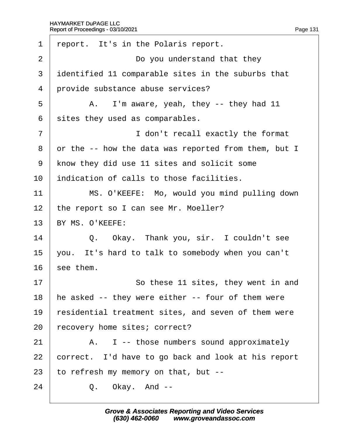| 1              | report. It's in the Polaris report.                  |
|----------------|------------------------------------------------------|
| 2              | Do you understand that they                          |
| 3              | identified 11 comparable sites in the suburbs that   |
| 4              | provide substance abuse services?                    |
| 5              | A. I'm aware, yeah, they -- they had 11              |
| 6              | sites they used as comparables.                      |
| $\overline{7}$ | I don't recall exactly the format                    |
| 8              | or the -- how the data was reported from them, but I |
| 9              | know they did use 11 sites and solicit some          |
| 10             | indication of calls to those facilities.             |
| 11             | MS. O'KEEFE: Mo, would you mind pulling down         |
| 12             | the report so I can see Mr. Moeller?                 |
| 13             | BY MS. O'KEEFE:                                      |
| 14             | Q. Okay. Thank you, sir. I couldn't see              |
| 15             | you. It's hard to talk to somebody when you can't    |
| 16             | see them.                                            |
| 17             | So these 11 sites, they went in and                  |
| 18             | he asked -- they were either -- four of them were    |
| 19             | residential treatment sites, and seven of them were  |
| 20             | recovery home sites; correct?                        |
| 21             | A. I -- those numbers sound approximately            |
| 22             | correct. I'd have to go back and look at his report  |
| 23             | to refresh my memory on that, but --                 |
| 24             | Q. Okay. And --                                      |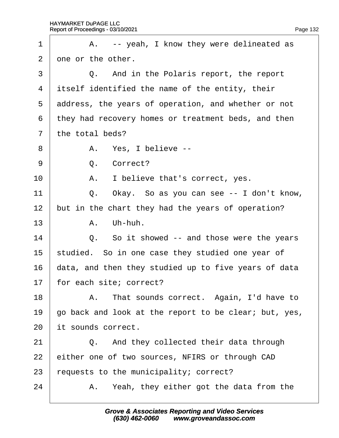| 1              | A. -- yeah, I know they were delineated as            |
|----------------|-------------------------------------------------------|
| 2              | one or the other.                                     |
| 3              | Q. And in the Polaris report, the report              |
| 4              | itself identified the name of the entity, their       |
| 5              | address, the years of operation, and whether or not   |
| 6              | they had recovery homes or treatment beds, and then   |
| $\overline{7}$ | the total beds?                                       |
| 8              | A. Yes, I believe --                                  |
| 9              | Q. Correct?                                           |
| 10             | A. I believe that's correct, yes.                     |
| 11             | Q. Okay. So as you can see -- I don't know,           |
| 12             | but in the chart they had the years of operation?     |
| 13             | A. Uh-huh.                                            |
| 14             | Q. So it showed -- and those were the years           |
| 15             | studied. So in one case they studied one year of      |
| 16             | data, and then they studied up to five years of data  |
| 17             | for each site; correct?                               |
| 18             | A. That sounds correct. Again, I'd have to            |
| 19             | go back and look at the report to be clear; but, yes, |
| 20             | it sounds correct.                                    |
| 21             | And they collected their data through<br>$Q_{1}$      |
| 22             | either one of two sources, NFIRS or through CAD       |
| 23             | equests to the municipality; correct?                 |
| 24             | A. Yeah, they either got the data from the            |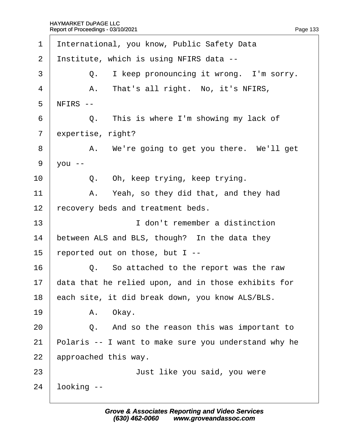| 1              | International, you know, Public Safety Data          |
|----------------|------------------------------------------------------|
| $\overline{2}$ | Institute, which is using NFIRS data --              |
| 3              | Q. I keep pronouncing it wrong. I'm sorry.           |
| 4              | A. That's all right. No, it's NFIRS,                 |
| 5              | NFIRS --                                             |
| 6              | Q. This is where I'm showing my lack of              |
| $\overline{7}$ | expertise, right?                                    |
| 8              | A. We're going to get you there. We'll get           |
| 9              | $\sqrt{ou}$ --                                       |
| 10             | Q. Oh, keep trying, keep trying.                     |
| 11             | A. Yeah, so they did that, and they had              |
| 12             | recovery beds and treatment beds.                    |
| 13             | I don't remember a distinction                       |
| 14             | between ALS and BLS, though? In the data they        |
| 15             | reported out on those, but I--                       |
| 16             | Q. So attached to the report was the raw             |
| 17             | data that he relied upon, and in those exhibits for  |
| 18             | each site, it did break down, you know ALS/BLS.      |
| 19             | A. Okay.                                             |
| 20             | Q. And so the reason this was important to           |
| 21             | Polaris -- I want to make sure you understand why he |
| 22             | approached this way.                                 |
| 23             | Just like you said, you were                         |
| 24             | looking --                                           |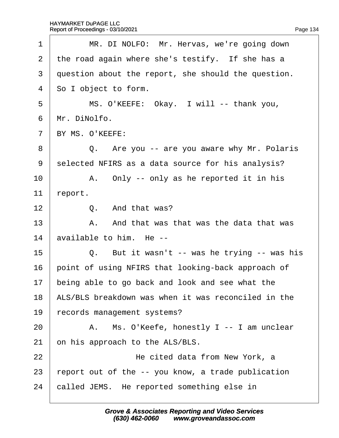| 1              | MR. DI NOLFO: Mr. Hervas, we're going down          |
|----------------|-----------------------------------------------------|
| $\overline{2}$ | the road again where she's testify. If she has a    |
| 3              | question about the report, she should the question. |
| 4              | So I object to form.                                |
| 5              | MS. O'KEEFE: Okay. I will -- thank you,             |
| 6              | Mr. DiNolfo.                                        |
| $\overline{7}$ | BY MS. O'KEEFE:                                     |
| 8              | Q. Are you -- are you aware why Mr. Polaris         |
| 9              | selected NFIRS as a data source for his analysis?   |
| 10             | A. Only -- only as he reported it in his            |
| 11             | report.                                             |
| 12             | Q. And that was?                                    |
| 13             | A. And that was that was the data that was          |
| 14             | available to him. He --                             |
| 15             | Q. But it wasn't -- was he trying -- was his        |
| 16             | point of using NFIRS that looking-back approach of  |
| 17             | being able to go back and look and see what the     |
| 18             | ALS/BLS breakdown was when it was reconciled in the |
| 19             | records management systems?                         |
| 20             | A. Ms. O'Keefe, honestly I -- I am unclear          |
| 21             | on his approach to the ALS/BLS.                     |
| 22             | He cited data from New York, a                      |
| 23             | report out of the -- you know, a trade publication  |
| 24             | called JEMS. He reported something else in          |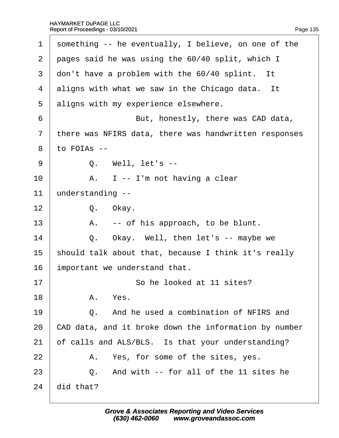| 1              | something -- he eventually, I believe, on one of the  |
|----------------|-------------------------------------------------------|
| $\overline{2}$ | pages said he was using the 60/40 split, which I      |
| 3              | don't have a problem with the 60/40 splint. It        |
| 4              | aligns with what we saw in the Chicago data. It       |
| 5              | aligns with my experience elsewhere.                  |
| 6              | But, honestly, there was CAD data,                    |
| $\overline{7}$ | there was NFIRS data, there was handwritten responses |
| 8              | to FOIAs --                                           |
| 9              | Q. Well, let's --                                     |
| 10             | A. I -- I'm not having a clear                        |
| 11             | understanding --                                      |
| 12             | Q. Okay.                                              |
| 13             | A. -- of his approach, to be blunt.                   |
| 14             | Okay. Well, then let's -- maybe we<br>Q.              |
| 15             | should talk about that, because I think it's really   |
| 16             | important we understand that.                         |
| 17             | So he looked at 11 sites?                             |
| 18             | A. Yes.                                               |
| 19             | And he used a combination of NFIRS and<br>$\Omega$ .  |
| 20             | CAD data, and it broke down the information by number |
| 21             | of calls and ALS/BLS. Is that your understanding?     |
| 22             | A. Yes, for some of the sites, yes.                   |
| 23             | Q. And with -- for all of the 11 sites he             |
| 24             | did that?                                             |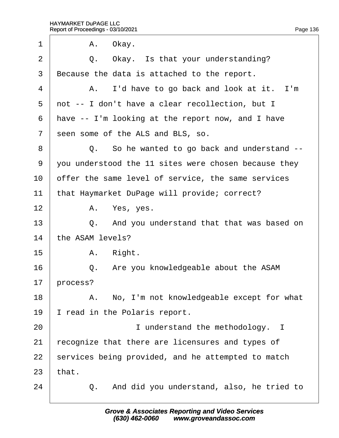| 1              | A. Okay.                                             |
|----------------|------------------------------------------------------|
| 2              | Q. Okay. Is that your understanding?                 |
| 3              | Because the data is attached to the report.          |
| 4              | A. I'd have to go back and look at it. I'm           |
| 5              | not -- I don't have a clear recollection, but I      |
| 6              | have -- I'm looking at the report now, and I have    |
| $\overline{7}$ | seen some of the ALS and BLS, so.                    |
| 8              | Q. So he wanted to go back and understand --         |
| 9              | you understood the 11 sites were chosen because they |
| 10             | offer the same level of service, the same services   |
| 11             | that Haymarket DuPage will provide; correct?         |
| 12             | A. Yes, yes.                                         |
| 13             | Q. And you understand that that was based on         |
| 14             | the ASAM levels?                                     |
| 15             | A. Right.                                            |
| 16             | Q. Are you knowledgeable about the ASAM              |
| 17             | process?                                             |
| 18             | A. No, I'm not knowledgeable except for what         |
| 19             | read in the Polaris report.                          |
| 20             | I understand the methodology. I                      |
| 21             | ecognize that there are licensures and types of      |
| 22             | services being provided, and he attempted to match   |
| 23             | that.                                                |
| 24             | And did you understand, also, he tried to<br>Q.      |
|                |                                                      |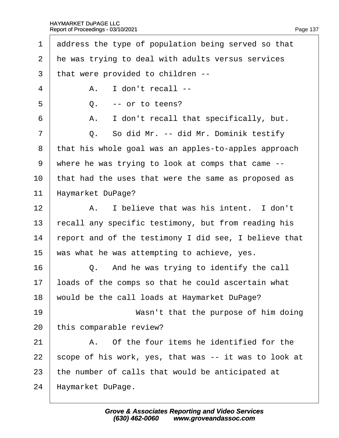1 deding the type of population being served so that 2 he was trying to deal with adults versus services ·3· ·that were provided to children --  $4 \mid$  A. I don't recall -- $5 \quad | \quad Q. \quad -$  or to teens?  $6$  | A. I don't recall that specifically, but.  $7 \mid$  Q. So did Mr. -- did Mr. Dominik testify 8 that his whole goal was an apples-to-apples approach ·9· ·where he was trying to look at comps that came -- 10 that had the uses that were the same as proposed as 11 Haymarket DuPage? 12 A. I believe that was his intent. I don't 13 recall any specific testimony, but from reading his 14 report and of the testimony I did see, I believe that 15 was what he was attempting to achieve, yes.  $16$   $\Box$  Q. And he was trying to identify the call 17 loads of the comps so that he could ascertain what 18 would be the call loads at Haymarket DuPage? 19 **Wasn't that the purpose of him doing** 20 this comparable review?  $21$   $\parallel$  A. Of the four items he identified for the 22 scope of his work, yes, that was -- it was to look at 23 the number of calls that would be anticipated at 24 Haymarket DuPage.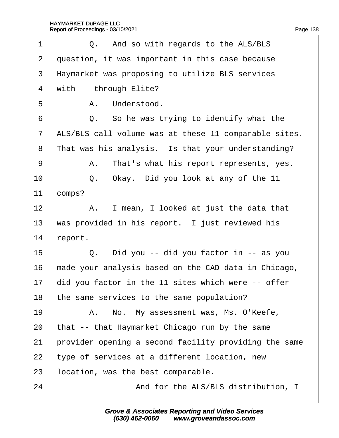| 1              | Q. And so with regards to the ALS/BLS                 |
|----------------|-------------------------------------------------------|
| $\overline{2}$ | question, it was important in this case because       |
| 3              | Haymarket was proposing to utilize BLS services       |
| $\overline{4}$ | with -- through Elite?                                |
| 5              | A. Understood.                                        |
| 6              | Q. So he was trying to identify what the              |
| $\overline{7}$ | ALS/BLS call volume was at these 11 comparable sites. |
| 8              | That was his analysis. Is that your understanding?    |
| 9              | A. That's what his report represents, yes.            |
| 10             | Q. Okay. Did you look at any of the 11                |
| 11             | comps?                                                |
| 12             | A. I mean, I looked at just the data that             |
| 13             | was provided in his report. I just reviewed his       |
| 14             | report.                                               |
| 15             | Q. Did you -- did you factor in -- as you             |
| 16             | made your analysis based on the CAD data in Chicago,  |
| 17             | did you factor in the 11 sites which were -- offer    |
| 18             | the same services to the same population?             |
| 19             | A. No. My assessment was, Ms. O'Keefe,                |
| 20             | that -- that Haymarket Chicago run by the same        |
| 21             | provider opening a second facility providing the same |
| 22             | type of services at a different location, new         |
| 23             | location, was the best comparable.                    |
| 24             | And for the ALS/BLS distribution, I                   |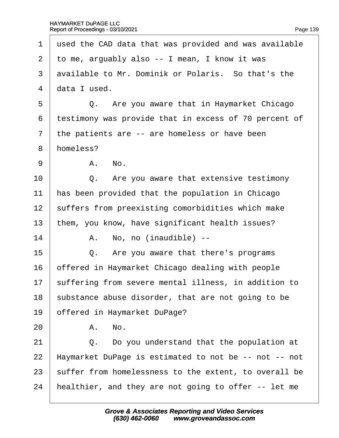1 used the CAD data that was provided and was available 2 to me, arguably also -- I mean, I know it was 3 available to Mr. Dominik or Polaris. So that's the 4 data I used. 5 **Q.** Are you aware that in Haymarket Chicago ·6· ·testimony was provide that in excess of 70 percent of 7 the patients are -- are homeless or have been 8 homeless?  $9 \parallel$  A, No.  $10$   $\Box$  Q. Are you aware that extensive testimony 11 has been provided that the population in Chicago 12 suffers from preexisting comorbidities which make 13 them, you know, have significant health issues?  $14$  | A. No, no (inaudible) -- $15$   $\Box$  Q. Are you aware that there's programs 16 bifered in Haymarket Chicago dealing with people 17 suffering from severe mental illness, in addition to 18 substance abuse disorder, that are not going to be 19 **bffered in Haymarket DuPage?**  $20$   $A$ . No.  $21$   $\Box$  Q. Do you understand that the population at 22 Haymarket DuPage is estimated to not be -- not -- not 23 suffer from homelessness to the extent, to overall be 24 healthier, and they are not going to offer -- let me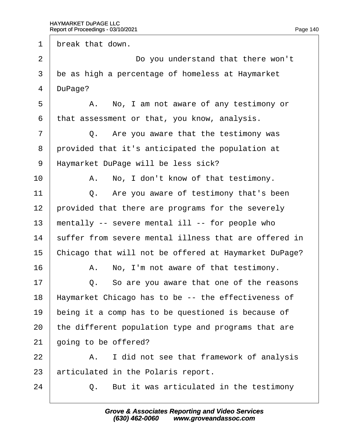1 break that down.

2 **Do you understand that there won't** 3 be as high a percentage of homeless at Haymarket 4 DuPage? 5 A. No, I am not aware of any testimony or ·6· ·that assessment or that, you know, analysis.  $7 \mid$  Q. Are you aware that the testimony was 8 provided that it's anticipated the population at 9 Haymarket DuPage will be less sick? 10 | A. No, I don't know of that testimony. 11  $\Box$  Q. Are you aware of testimony that's been 12 provided that there are programs for the severely 13 mentally -- severe mental ill -- for people who 14 suffer from severe mental illness that are offered in 15 Chicago that will not be offered at Haymarket DuPage?  $16$  | A. No, I'm not aware of that testimony.  $17 \parallel Q$ . So are you aware that one of the reasons 18 Haymarket Chicago has to be -- the effectiveness of 19 being it a comp has to be questioned is because of 20 the different population type and programs that are 21 going to be offered?  $22$  | A. I did not see that framework of analysis 23 articulated in the Polaris report.  $24$   $\Box$  Q. But it was articulated in the testimony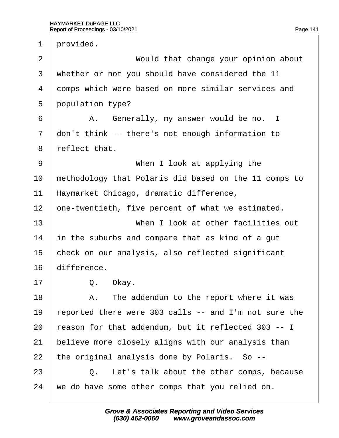1 provided. 2 **Would that change your opinion about** 3 whether or not you should have considered the 11 4 domps which were based on more similar services and 5 population type? 6 | A. Generally, my answer would be no. I 7 don't think -- there's not enough information to 8 reflect that. 9 | When I look at applying the 10 methodology that Polaris did based on the 11 comps to 11 Haymarket Chicago, dramatic difference, 12 one-twentieth, five percent of what we estimated. 13 **I** When I look at other facilities out 14 in the suburbs and compare that as kind of a gut 15 check on our analysis, also reflected significant 16 difference. 17 | Q. Okay.  $18$  | A. The addendum to the report where it was 19 reported there were 303 calls -- and I'm not sure the 20 reason for that addendum, but it reflected 303 -- I 21 believe more closely aligns with our analysis than 22 the original analysis done by Polaris. So -- $23$   $\Box$  Q. Let's talk about the other comps, because 24 we do have some other comps that you relied on.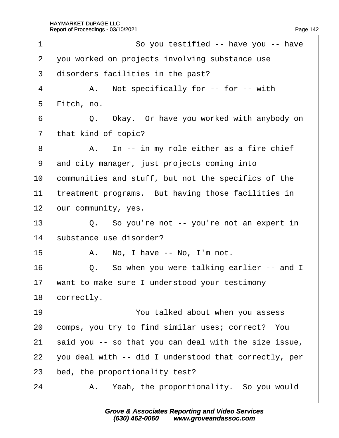| 1              | So you testified -- have you -- have                  |
|----------------|-------------------------------------------------------|
| $\overline{2}$ | you worked on projects involving substance use        |
| 3              | disorders facilities in the past?                     |
| 4              | A. Not specifically for -- for -- with                |
| 5              | Fitch, no.                                            |
| 6              | Q. Okay. Or have you worked with anybody on           |
| $\overline{7}$ | that kind of topic?                                   |
| 8              | A. In -- in my role either as a fire chief            |
| 9              | and city manager, just projects coming into           |
| 10             | communities and stuff, but not the specifics of the   |
| 11             | treatment programs. But having those facilities in    |
| 12             | our community, yes.                                   |
| 13             | Q. So you're not -- you're not an expert in           |
| 14             | substance use disorder?                               |
| 15             | A. No, I have -- No, I'm not.                         |
| 16             | Q. So when you were talking earlier -- and I          |
| 17             | want to make sure I understood your testimony         |
| 18             | correctly.                                            |
| 19             | You talked about when you assess                      |
| 20             | comps, you try to find similar uses; correct? You     |
| 21             | said you -- so that you can deal with the size issue, |
| 22             | you deal with -- did I understood that correctly, per |
| 23             | bed, the proportionality test?                        |
| 24             | A. Yeah, the proportionality. So you would            |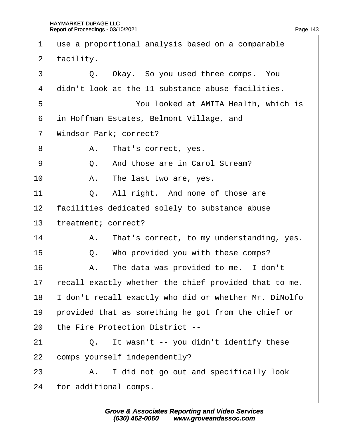$\Gamma$ 

| $\mathbf 1$    | use a proportional analysis based on a comparable    |
|----------------|------------------------------------------------------|
| 2              | facility.                                            |
| 3              | Q. Okay. So you used three comps. You                |
| 4              | didn't look at the 11 substance abuse facilities.    |
| 5              | You looked at AMITA Health, which is                 |
| 6              | in Hoffman Estates, Belmont Village, and             |
| $\overline{7}$ | <b>Windsor Park; correct?</b>                        |
| 8              | A. That's correct, yes.                              |
| 9              | And those are in Carol Stream?<br>Q.                 |
| 10             | A. The last two are, yes.                            |
| 11             | Q. All right. And none of those are                  |
| 12             | facilities dedicated solely to substance abuse       |
| 13             | treatment; correct?                                  |
| 14             | A. That's correct, to my understanding, yes.         |
| 15             | Q. Who provided you with these comps?                |
| 16             | A. The data was provided to me. I don't              |
| 17             | ecall exactly whether the chief provided that to me. |
| 18             | don't recall exactly who did or whether Mr. DiNolfo  |
| 19             | provided that as something he got from the chief or  |
| 20             | the Fire Protection District --                      |
| 21             | Q. It wasn't -- you didn't identify these            |
| 22             | comps yourself independently?                        |
| 23             | A. I did not go out and specifically look            |
| 24             | for additional comps.                                |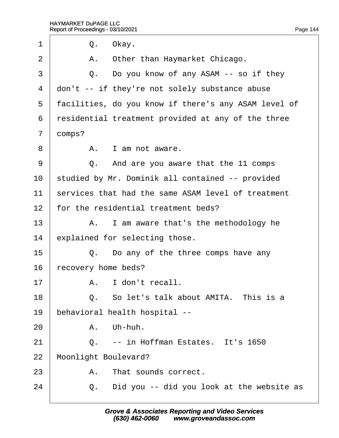<span id="page-144-0"></span>

| 1              |            | Q. Okay.                                             |
|----------------|------------|------------------------------------------------------|
| $\overline{2}$ | А.         | Other than Haymarket Chicago.                        |
| 3              |            | Q. Do you know of any ASAM -- so if they             |
| 4              |            | don't -- if they're not solely substance abuse       |
| 5              |            | facilities, do you know if there's any ASAM level of |
| 6              |            | residential treatment provided at any of the three   |
| $\overline{7}$ | domps?     |                                                      |
| 8              |            | A. I am not aware.                                   |
| 9              |            | Q. And are you aware that the 11 comps               |
| 10             |            | studied by Mr. Dominik all contained -- provided     |
| 11             |            | services that had the same ASAM level of treatment   |
| 12             |            | for the residential treatment beds?                  |
| 13             |            | A. I am aware that's the methodology he              |
| 14             |            | explained for selecting those.                       |
| 15             |            | Q. Do any of the three comps have any                |
| 16             |            | recovery home beds?                                  |
| 17             |            | A. I don't recall.                                   |
| 18             |            | Q. So let's talk about AMITA. This is a              |
| 19             |            | behavioral health hospital --                        |
| 20             |            | A. Uh-huh.                                           |
| 21             | $\Omega$ . | -- in Hoffman Estates. It's 1650                     |
| 22             |            | <b>Moonlight Boulevard?</b>                          |
| 23             | A.         | That sounds correct.                                 |
| 24             | Q.         | Did you -- did you look at the website as            |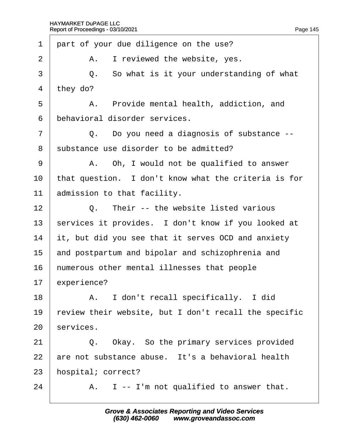<span id="page-145-0"></span>

| 1  | part of your due diligence on the use?                |
|----|-------------------------------------------------------|
| 2  | I reviewed the website, yes.<br>А.                    |
| 3  | Q. So what is it your understanding of what           |
| 4  | they do?                                              |
| 5  | A. Provide mental health, addiction, and              |
| 6  | behavioral disorder services.                         |
| 7  | Q. Do you need a diagnosis of substance --            |
| 8  | substance use disorder to be admitted?                |
| 9  | A. Oh, I would not be qualified to answer             |
| 10 | that question. I don't know what the criteria is for  |
| 11 | admission to that facility.                           |
| 12 | Q. Their -- the website listed various                |
| 13 | services it provides. I don't know if you looked at   |
| 14 | it, but did you see that it serves OCD and anxiety    |
| 15 | and postpartum and bipolar and schizophrenia and      |
| 16 | humerous other mental illnesses that people           |
| 17 | experience?                                           |
| 18 | A. I don't recall specifically. I did                 |
| 19 | review their website, but I don't recall the specific |
| 20 | services.                                             |
| 21 | Q. Okay. So the primary services provided             |
| 22 | are not substance abuse. It's a behavioral health     |
| 23 | hospital; correct?                                    |
| 24 | A. I -- I'm not qualified to answer that.             |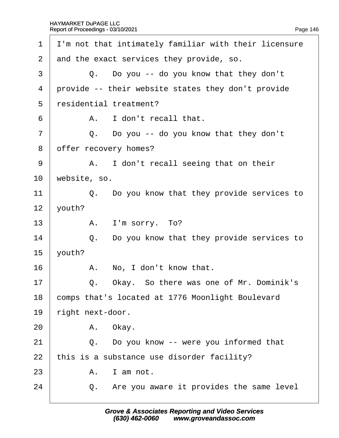<span id="page-146-0"></span>

| I'm not that intimately familiar with their licensure |
|-------------------------------------------------------|
| and the exact services they provide, so.              |
| Q. Do you -- do you know that they don't              |
| provide -- their website states they don't provide    |
| residential treatment?                                |
| A. I don't recall that.                               |
| Q. Do you -- do you know that they don't              |
| offer recovery homes?                                 |
| A. I don't recall seeing that on their                |
| website, so.                                          |
| Q. Do you know that they provide services to          |
| youth?                                                |
| A. I'm sorry. To?                                     |
| Do you know that they provide services to<br>Q.       |
| youth?                                                |
| A. No, I don't know that.                             |
| Okay. So there was one of Mr. Dominik's<br>Q.         |
| comps that's located at 1776 Moonlight Boulevard      |
| right next-door.                                      |
| A. Okay.                                              |
| Q. Do you know -- were you informed that              |
| this is a substance use disorder facility?            |
| A. I am not.                                          |
| Q. Are you aware it provides the same level           |
|                                                       |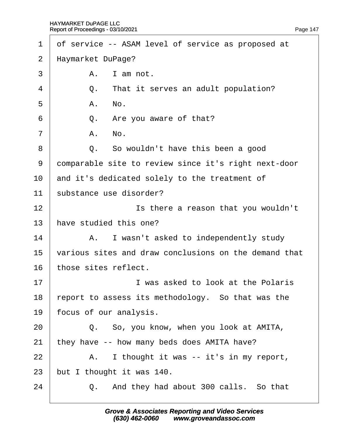<span id="page-147-0"></span>

| 1               | of service -- ASAM level of service as proposed at    |
|-----------------|-------------------------------------------------------|
| $\overline{2}$  | Haymarket DuPage?                                     |
| 3               | A. I am not.                                          |
| $\overline{4}$  | Q. That it serves an adult population?                |
| 5               | A. No.                                                |
| 6               | Q. Are you aware of that?                             |
| $\overline{7}$  | A. No.                                                |
| 8               | Q. So wouldn't have this been a good                  |
| 9               | domparable site to review since it's right next-door  |
| 10              | and it's dedicated solely to the treatment of         |
| 11              | substance use disorder?                               |
| 12              | Is there a reason that you wouldn't                   |
| 13 <sup>2</sup> | have studied this one?                                |
| 14              | A. I wasn't asked to independently study              |
| 15              | various sites and draw conclusions on the demand that |
| 16              | those sites reflect.                                  |
| 17              | I was asked to look at the Polaris                    |
| 18              | report to assess its methodology. So that was the     |
| 19              | focus of our analysis.                                |
| 20              | Q. So, you know, when you look at AMITA,              |
| 21              | they have -- how many beds does AMITA have?           |
| 22              | A. I thought it was -- it's in my report,             |
| 23              | but I thought it was 140.                             |
| 24              | And they had about 300 calls. So that<br>Q.           |
|                 |                                                       |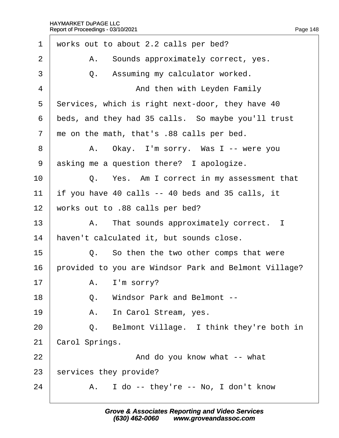<span id="page-148-0"></span>

| $\mathbf 1$    |                                                    | works out to about 2.2 calls per bed?                 |  |  |
|----------------|----------------------------------------------------|-------------------------------------------------------|--|--|
| $\overline{2}$ |                                                    | A. Sounds approximately correct, yes.                 |  |  |
| 3              |                                                    | Q. Assuming my calculator worked.                     |  |  |
| 4              |                                                    | And then with Leyden Family                           |  |  |
| 5              |                                                    | Services, which is right next-door, they have 40      |  |  |
| 6              | beds, and they had 35 calls. So maybe you'll trust |                                                       |  |  |
| $\overline{7}$ |                                                    | the on the math, that's .88 calls per bed.            |  |  |
| 8              |                                                    | A. Okay. I'm sorry. Was I -- were you                 |  |  |
| 9              |                                                    | asking me a question there? I apologize.              |  |  |
| 10             |                                                    | Q. Yes. Am I correct in my assessment that            |  |  |
| 11             |                                                    | if you have 40 calls -- 40 beds and 35 calls, it      |  |  |
| 12             |                                                    | works out to .88 calls per bed?                       |  |  |
| 13             |                                                    | A. That sounds approximately correct. I               |  |  |
| 14             |                                                    | haven't calculated it, but sounds close.              |  |  |
| 15             |                                                    | Q. So then the two other comps that were              |  |  |
| 16             |                                                    | provided to you are Windsor Park and Belmont Village? |  |  |
| 17             |                                                    | A. I'm sorry?                                         |  |  |
| 18             |                                                    | Q. Windsor Park and Belmont --                        |  |  |
| 19             |                                                    | A. In Carol Stream, yes.                              |  |  |
| 20             |                                                    | Q. Belmont Village. I think they're both in           |  |  |
| 21             | Carol Springs.                                     |                                                       |  |  |
| 22             |                                                    | And do you know what -- what                          |  |  |
| 23             |                                                    | services they provide?                                |  |  |
| 24             |                                                    | A. I do -- they're -- No, I don't know                |  |  |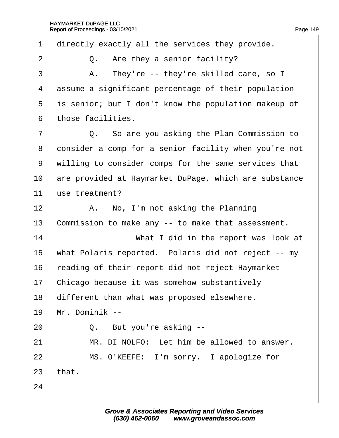<span id="page-149-0"></span>1 directly exactly all the services they provide.  $2 \mid Q$ . Are they a senior facility?  $3 \mid$  A. They're -- they're skilled care, so I 4 dssume a significant percentage of their population 5 is senior; but I don't know the population makeup of ·6· ·those facilities.  $7 \mid$  Q. So are you asking the Plan Commission to 8 donsider a comp for a senior facility when you're not 9 willing to consider comps for the same services that 10 are provided at Haymarket DuPage, which are substance 11 use treatment? 12  $\parallel$  A. No, I'm not asking the Planning 13 Commission to make any -- to make that assessment. 14 **What I did in the report was look at** 15 what Polaris reported. Polaris did not reject -- my 16 reading of their report did not reject Haymarket 17 Chicago because it was somehow substantively 18 different than what was proposed elsewhere. 19 Mr. Dominik -- $20$   $\vert$  Q. But you're asking  $21$  | MR. DI NOLFO: Let him be allowed to answer. 22 | MS. O'KEEFE: I'm sorry. I apologize for  $23$  that. 24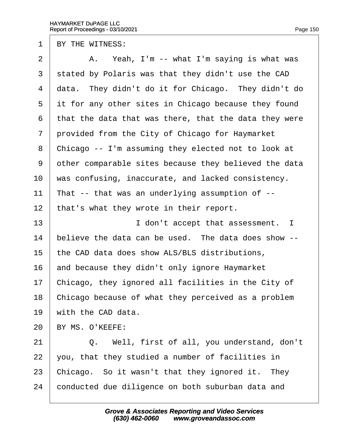<span id="page-150-0"></span>1 BY THE WITNESS:

| $\overline{2}$ | A. Yeah, I'm -- what I'm saying is what was           |
|----------------|-------------------------------------------------------|
| 3              | stated by Polaris was that they didn't use the CAD    |
| 4              | data. They didn't do it for Chicago. They didn't do   |
| 5              | it for any other sites in Chicago because they found  |
| 6              | that the data that was there, that the data they were |
| 7              | provided from the City of Chicago for Haymarket       |
| 8              | Chicago -- I'm assuming they elected not to look at   |
| 9              | other comparable sites because they believed the data |
| 10             | was confusing, inaccurate, and lacked consistency.    |
| 11             | That -- that was an underlying assumption of --       |
| 12             | that's what they wrote in their report.               |
| 13             | I don't accept that assessment. I                     |
| 14             | believe the data can be used. The data does show --   |
| 15             | the CAD data does show ALS/BLS distributions,         |
| 16             | and because they didn't only ignore Haymarket         |
| 17             | Chicago, they ignored all facilities in the City of   |
| 18             | Chicago because of what they perceived as a problem   |
| 19             | with the CAD data.                                    |
| 20             | BY MS. O'KEEFE:                                       |
| 21             | Q. Well, first of all, you understand, don't          |
| 22             | you, that they studied a number of facilities in      |
| 23             | Chicago. So it wasn't that they ignored it. They      |
| 24             | conducted due diligence on both suburban data and     |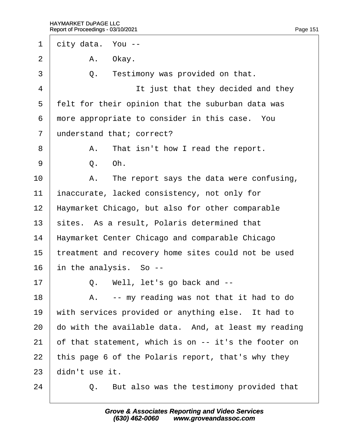<span id="page-151-0"></span>

| 1              |                                                     | dity data. You --                                    |  |
|----------------|-----------------------------------------------------|------------------------------------------------------|--|
| $\overline{2}$ |                                                     | A. Okay.                                             |  |
| 3              | Q.                                                  | Testimony was provided on that.                      |  |
| 4              |                                                     | It just that they decided and they                   |  |
| 5              |                                                     | felt for their opinion that the suburban data was    |  |
| 6              |                                                     | more appropriate to consider in this case. You       |  |
| $\overline{7}$ |                                                     | understand that; correct?                            |  |
| 8              |                                                     | A. That isn't how I read the report.                 |  |
| 9              |                                                     | Q. Oh.                                               |  |
| 10             |                                                     | A. The report says the data were confusing,          |  |
| 11             |                                                     | inaccurate, lacked consistency, not only for         |  |
| 12             |                                                     | Haymarket Chicago, but also for other comparable     |  |
| 13             |                                                     | sites. As a result, Polaris determined that          |  |
| 14             |                                                     | Haymarket Center Chicago and comparable Chicago      |  |
| 15             | treatment and recovery home sites could not be used |                                                      |  |
| 16             |                                                     | in the analysis. So --                               |  |
| 17             |                                                     | Q. Well, let's go back and --                        |  |
| 18             | А.                                                  | -- my reading was not that it had to do              |  |
| 19             |                                                     | with services provided or anything else. It had to   |  |
| 20             |                                                     | do with the available data. And, at least my reading |  |
| 21             |                                                     | of that statement, which is on -- it's the footer on |  |
| 22             |                                                     | this page 6 of the Polaris report, that's why they   |  |
| 23             | didn't use it.                                      |                                                      |  |
| 24             | Q.                                                  | But also was the testimony provided that             |  |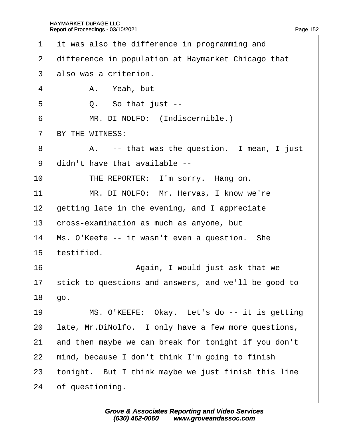<span id="page-152-0"></span>

| 1               | it was also the difference in programming and        |
|-----------------|------------------------------------------------------|
| $\overline{2}$  | difference in population at Haymarket Chicago that   |
| 3               | also was a criterion.                                |
| 4               | A. Yeah, but --                                      |
| 5               | Q. So that just --                                   |
| 6               | MR. DI NOLFO: (Indiscernible.)                       |
| $\overline{7}$  | BY THE WITNESS:                                      |
| 8               | A. -- that was the question. I mean, I just          |
| 9               | didn't have that available --                        |
| 10              | THE REPORTER: I'm sorry. Hang on.                    |
| 11              | MR. DI NOLFO: Mr. Hervas, I know we're               |
| 12 <sub>2</sub> | getting late in the evening, and I appreciate        |
| 13              | cross-examination as much as anyone, but             |
| 14              | Ms. O'Keefe -- it wasn't even a question. She        |
| 15              | testified.                                           |
| 16              | Again, I would just ask that we                      |
| 17              | stick to questions and answers, and we'll be good to |
| 18              | ġо.                                                  |
| 19              | MS. O'KEEFE: Okay. Let's do -- it is getting         |
| 20              | late, Mr.DiNolfo. I only have a few more questions,  |
| 21              | and then maybe we can break for tonight if you don't |
| 22              | mind, because I don't think I'm going to finish      |
| 23              | tonight. But I think maybe we just finish this line  |
| 24              | of questioning.                                      |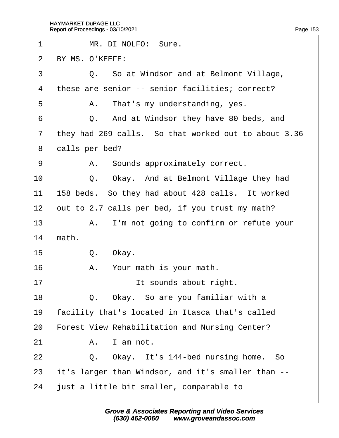<span id="page-153-0"></span>

| 1              |                | MR. DI NOLFO: Sure.                                  |
|----------------|----------------|------------------------------------------------------|
| 2              |                | BY MS. O'KEEFE:                                      |
| 3              |                | Q. So at Windsor and at Belmont Village,             |
| 4              |                | these are senior -- senior facilities; correct?      |
| 5              |                | A. That's my understanding, yes.                     |
| 6              |                | Q. And at Windsor they have 80 beds, and             |
| $\overline{7}$ |                | they had 269 calls. So that worked out to about 3.36 |
| 8              | dalls per bed? |                                                      |
| 9              |                | A. Sounds approximately correct.                     |
| 10             |                | Q. Okay. And at Belmont Village they had             |
| 11             |                | 158 beds. So they had about 428 calls. It worked     |
| 12             |                | out to 2.7 calls per bed, if you trust my math?      |
| 13             |                | A. I'm not going to confirm or refute your           |
| 14             | math.          |                                                      |
| 15             |                | Q. Okay.                                             |
| 16             |                | A. Your math is your math.                           |
| 17             |                | It sounds about right.                               |
| 18             | Q.             | Okay. So are you familiar with a                     |
| 19             |                | acility that's located in Itasca that's called       |
| 20             |                | Forest View Rehabilitation and Nursing Center?       |
| 21             | А.             | I am not.                                            |
| 22             | Q.             | Okay. It's 144-bed nursing home. So                  |
| 23             |                | it's larger than Windsor, and it's smaller than --   |
| 24             |                | just a little bit smaller, comparable to             |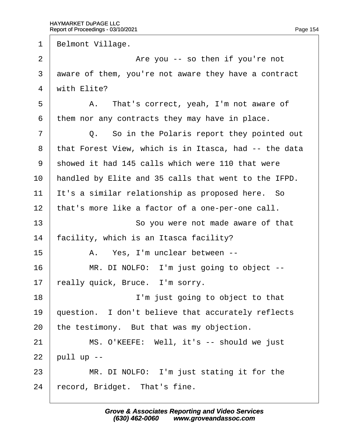<span id="page-154-0"></span>1 Belmont Village.  $2 \mid$  Are you -- so then if you're not 3 dware of them, you're not aware they have a contract 4 with Elite? 5 | A. That's correct, yeah, I'm not aware of 6 them nor any contracts they may have in place.  $7 \mid$  Q. So in the Polaris report they pointed out 8 that Forest View, which is in Itasca, had -- the data ·9· ·showed it had 145 calls which were 110 that were 10 handled by Elite and 35 calls that went to the IFPD. 11  $\parallel$ t's a similar relationship as proposed here. So 12 that's more like a factor of a one-per-one call. 13 **So you were not made aware of that** 14 facility, which is an Itasca facility? 15 | A. Yes, I'm unclear between --16 | MR. DI NOLFO: I'm just going to object --17 really quick, Bruce. I'm sorry. 18 **I'm just going to object to that** 19 question. I don't believe that accurately reflects 20 the testimony. But that was my objection.  $21$  | MS. O'KEEFE: Well, it's -- should we just  $22$  pull up -- $23$  | MR. DI NOLFO: I'm just stating it for the

24 record, Bridget. That's fine.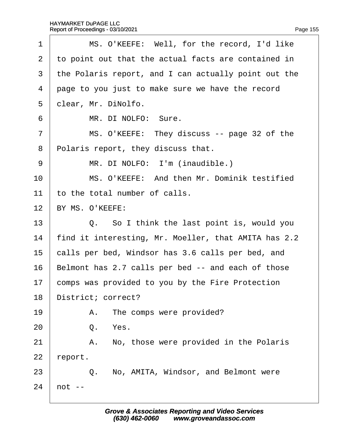<span id="page-155-0"></span>

| 1              |                     | MS. O'KEEFE: Well, for the record, I'd like          |
|----------------|---------------------|------------------------------------------------------|
| $\overline{2}$ |                     | to point out that the actual facts are contained in  |
| 3              |                     | the Polaris report, and I can actually point out the |
| 4              |                     | page to you just to make sure we have the record     |
| 5              | dlear, Mr. DiNolfo. |                                                      |
| 6              |                     | MR. DI NOLFO: Sure.                                  |
| $\overline{7}$ |                     | MS. O'KEEFE: They discuss -- page 32 of the          |
| 8              |                     | Polaris report, they discuss that.                   |
| 9              |                     | MR. DI NOLFO: I'm (inaudible.)                       |
| 10             |                     | MS. O'KEEFE: And then Mr. Dominik testified          |
| 11             |                     | to the total number of calls.                        |
| 12             |                     | BY MS. O'KEEFE:                                      |
| 13             |                     | Q. So I think the last point is, would you           |
| 14             |                     | find it interesting, Mr. Moeller, that AMITA has 2.2 |
| 15             |                     | calls per bed, Windsor has 3.6 calls per bed, and    |
| 16             |                     | Belmont has 2.7 calls per bed -- and each of those   |
| 17             |                     | comps was provided to you by the Fire Protection     |
| 18             | District; correct?  |                                                      |
| 19             |                     | A. The comps were provided?                          |
| 20             | Q. Yes.             |                                                      |
| 21             |                     | A. No, those were provided in the Polaris            |
| 22             | report.             |                                                      |
| 23             |                     | Q. No, AMITA, Windsor, and Belmont were              |
| 24             | hot --              |                                                      |
|                |                     |                                                      |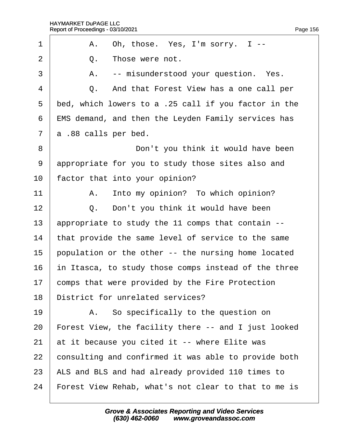<span id="page-156-0"></span>

| 1              | A. Oh, those. Yes, I'm sorry. I--                          |
|----------------|------------------------------------------------------------|
| $\overline{2}$ | Those were not.<br>Q.                                      |
| 3              | A. -- misunderstood your question. Yes.                    |
| 4              | Q. And that Forest View has a one call per                 |
| 5              | bed, which lowers to a .25 call if you factor in the       |
| 6              | <b>EMS demand, and then the Leyden Family services has</b> |
| $\overline{7}$ | a .88 calls per bed.                                       |
| 8              | Don't you think it would have been                         |
| 9              | appropriate for you to study those sites also and          |
| 10             | factor that into your opinion?                             |
| 11             | A. Into my opinion? To which opinion?                      |
| 12             | Q. Don't you think it would have been                      |
| 13             | appropriate to study the 11 comps that contain --          |
| 14             | that provide the same level of service to the same         |
| 15             | population or the other -- the nursing home located        |
| 16             | in Itasca, to study those comps instead of the three       |
| 17             | comps that were provided by the Fire Protection            |
| 18             | District for unrelated services?                           |
| 19             | A. So specifically to the question on                      |
| 20             | Forest View, the facility there -- and I just looked       |
| 21             | at it because you cited it -- where Elite was              |
| 22             | consulting and confirmed it was able to provide both       |
| 23             | ALS and BLS and had already provided 110 times to          |
| 24             | Forest View Rehab, what's not clear to that to me is       |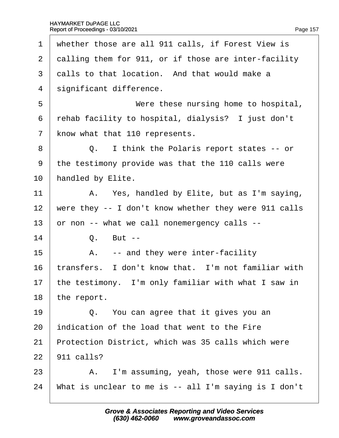<span id="page-157-0"></span>

| $\mathbf 1$    | whether those are all 911 calls, if Forest View is    |
|----------------|-------------------------------------------------------|
| $\overline{2}$ | dalling them for 911, or if those are inter-facility  |
| 3              | dalls to that location. And that would make a         |
| 4              | significant difference.                               |
| 5              | Were these nursing home to hospital,                  |
| 6              | rehab facility to hospital, dialysis? I just don't    |
| $\overline{7}$ | know what that 110 represents.                        |
| 8              | Q. I think the Polaris report states -- or            |
| 9              | the testimony provide was that the 110 calls were     |
| 10             | handled by Elite.                                     |
| 11             | A. Yes, handled by Elite, but as I'm saying,          |
| 12             | were they -- I don't know whether they were 911 calls |
| 13             | or non -- what we call nonemergency calls --          |
| 14             | Q. But --                                             |
| 15             | A. -- and they were inter-facility                    |
| 16             | transfers. I don't know that. I'm not familiar with   |
| 17             | the testimony. I'm only familiar with what I saw in   |
| 18             | the report.                                           |
| 19             | Q. You can agree that it gives you an                 |
| 20             | indication of the load that went to the Fire          |
| 21             | Protection District, which was 35 calls which were    |
| 22             | 911 calls?                                            |
| 23             | A. I'm assuming, yeah, those were 911 calls.          |
| 24             | What is unclear to me is -- all I'm saying is I don't |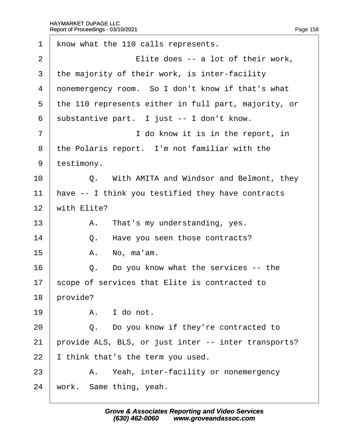<span id="page-158-0"></span>

| $\mathbf 1$    | know what the 110 calls represents.                  |  |  |  |  |
|----------------|------------------------------------------------------|--|--|--|--|
| $\overline{2}$ | Elite does -- a lot of their work,                   |  |  |  |  |
| 3              | the majority of their work, is inter-facility        |  |  |  |  |
| 4              | nonemergency room. So I don't know if that's what    |  |  |  |  |
| 5              | the 110 represents either in full part, majority, or |  |  |  |  |
| 6              | substantive part. I just -- I don't know.            |  |  |  |  |
| 7              | I do know it is in the report, in                    |  |  |  |  |
| 8              | the Polaris report. I'm not familiar with the        |  |  |  |  |
| 9              | testimony.                                           |  |  |  |  |
| 10             | Q. With AMITA and Windsor and Belmont, they          |  |  |  |  |
| 11             | have -- I think you testified they have contracts    |  |  |  |  |
| 12             | with Elite?                                          |  |  |  |  |
| 13             | A. That's my understanding, yes.                     |  |  |  |  |
| 14             | Q. Have you seen those contracts?                    |  |  |  |  |
| 15             | A. No, ma'am.                                        |  |  |  |  |
| 16             | Q. Do you know what the services -- the              |  |  |  |  |
| 17             | scope of services that Elite is contracted to        |  |  |  |  |
| 18             | provide?                                             |  |  |  |  |
| 19             | A. I do not.                                         |  |  |  |  |
| 20             | Q. Do you know if they're contracted to              |  |  |  |  |
| 21             | provide ALS, BLS, or just inter -- inter transports? |  |  |  |  |
| 22             | think that's the term you used.                      |  |  |  |  |
| 23             | A. Yeah, inter-facility or nonemergency              |  |  |  |  |
| 24             | work. Same thing, yeah.                              |  |  |  |  |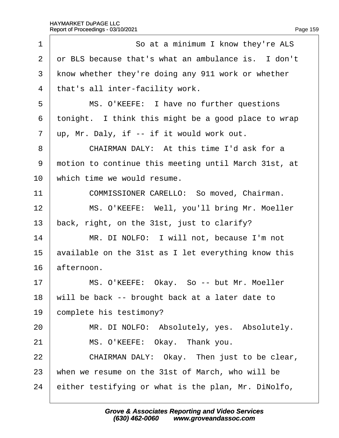<span id="page-159-0"></span>

| 1              | So at a minimum I know they're ALS                   |
|----------------|------------------------------------------------------|
| $\overline{2}$ | or BLS because that's what an ambulance is. I don't  |
| 3              | know whether they're doing any 911 work or whether   |
| 4              | that's all inter-facility work.                      |
| 5              | MS. O'KEEFE: I have no further questions             |
| 6              | tonight. I think this might be a good place to wrap  |
| $\overline{7}$ | up, Mr. Daly, if -- if it would work out.            |
| 8              | CHAIRMAN DALY: At this time I'd ask for a            |
| 9              | motion to continue this meeting until March 31st, at |
| 10             | which time we would resume.                          |
| 11             | COMMISSIONER CARELLO: So moved, Chairman.            |
| 12             | MS. O'KEEFE: Well, you'll bring Mr. Moeller          |
| 13             | back, right, on the 31st, just to clarify?           |
| 14             | MR. DI NOLFO: I will not, because I'm not            |
| 15             | available on the 31st as I let everything know this  |
| 16             | afternoon.                                           |
| 17             | MS. O'KEEFE: Okay. So -- but Mr. Moeller             |
| 18             | will be back -- brought back at a later date to      |
| 19             | complete his testimony?                              |
| 20             | MR. DI NOLFO: Absolutely, yes. Absolutely.           |
| 21             | MS. O'KEEFE: Okay. Thank you.                        |
| 22             | CHAIRMAN DALY: Okay. Then just to be clear,          |
| 23             | when we resume on the 31st of March, who will be     |
| 24             | either testifying or what is the plan, Mr. DiNolfo,  |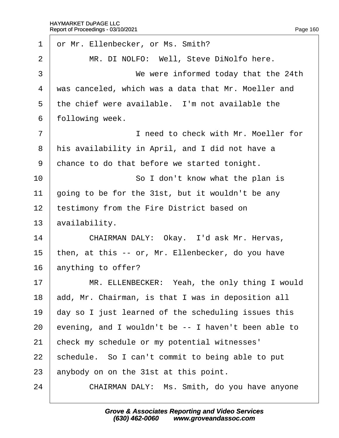<span id="page-160-0"></span>

| 1              | or Mr. Ellenbecker, or Ms. Smith?                    |
|----------------|------------------------------------------------------|
| 2              | MR. DI NOLFO: Well, Steve DiNolfo here.              |
| 3              | We were informed today that the 24th                 |
| 4              | was canceled, which was a data that Mr. Moeller and  |
| 5              | the chief were available. I'm not available the      |
| 6              | following week.                                      |
| $\overline{7}$ | I need to check with Mr. Moeller for                 |
| 8              | his availability in April, and I did not have a      |
| 9              | chance to do that before we started tonight.         |
| 10             | So I don't know what the plan is                     |
| 11             | going to be for the 31st, but it wouldn't be any     |
| 12             | testimony from the Fire District based on            |
| 13             | availability.                                        |
| 14             | CHAIRMAN DALY: Okay. I'd ask Mr. Hervas,             |
| 15             | then, at this -- or, Mr. Ellenbecker, do you have    |
| 16             | anything to offer?                                   |
| 17             | MR. ELLENBECKER: Yeah, the only thing I would        |
| 18             | add, Mr. Chairman, is that I was in deposition all   |
| 19             | day so I just learned of the scheduling issues this  |
| 20             | evening, and I wouldn't be -- I haven't been able to |
| 21             | check my schedule or my potential witnesses'         |
| 22             | schedule. So I can't commit to being able to put     |
| 23             | anybody on on the 31st at this point.                |
| 24             | CHAIRMAN DALY: Ms. Smith, do you have anyone         |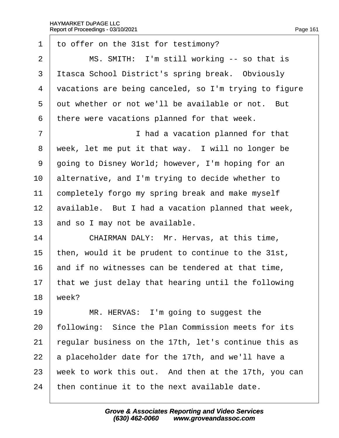<span id="page-161-0"></span>1 to offer on the 31st for testimony?  $2 \mid$  MS. SMITH: I'm still working  $-$  so that is 3 Itasca School District's spring break. Obviously 4 vacations are being canceled, so I'm trying to figure 5 dut whether or not we'll be available or not. But 6 there were vacations planned for that week. 7 | I had a vacation planned for that 8 week, let me put it that way. I will no longer be 9 going to Disney World; however, I'm hoping for an 10 alternative, and I'm trying to decide whether to 11 completely forgo my spring break and make myself 12 available. But I had a vacation planned that week, 13 and so I may not be available. 14 **CHAIRMAN DALY: Mr. Hervas, at this time,** 15 then, would it be prudent to continue to the 31st, 16 and if no witnesses can be tendered at that time, 17 that we just delay that hearing until the following 18  $\text{week}$ ? 19 | MR. HERVAS: I'm going to suggest the 20 following: Since the Plan Commission meets for its 21 regular business on the 17th, let's continue this as 22  $\alpha$  placeholder date for the 17th, and we'll have a 23 week to work this out. And then at the 17th, you can 24 then continue it to the next available date.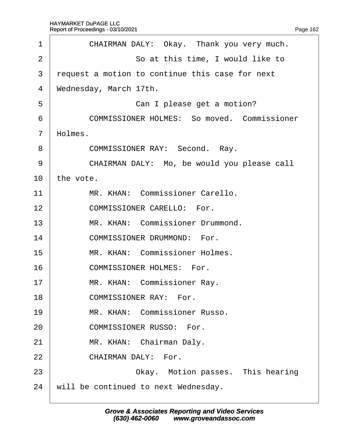<span id="page-162-0"></span>

| 1              | CHAIRMAN DALY: Okay. Thank you very much.          |  |  |  |  |  |
|----------------|----------------------------------------------------|--|--|--|--|--|
| 2              | So at this time, I would like to                   |  |  |  |  |  |
| 3              | request a motion to continue this case for next    |  |  |  |  |  |
| 4              | Wednesday, March 17th.                             |  |  |  |  |  |
| 5              | Can I please get a motion?                         |  |  |  |  |  |
| 6              | <b>COMMISSIONER HOLMES: So moved. Commissioner</b> |  |  |  |  |  |
| $\overline{7}$ | Holmes.                                            |  |  |  |  |  |
| 8              | <b>COMMISSIONER RAY: Second. Ray.</b>              |  |  |  |  |  |
| 9              | CHAIRMAN DALY: Mo, be would you please call        |  |  |  |  |  |
| 10             | the vote.                                          |  |  |  |  |  |
| 11             | MR. KHAN: Commissioner Carello.                    |  |  |  |  |  |
| 12             | <b>COMMISSIONER CARELLO: For.</b>                  |  |  |  |  |  |
| 13             | MR. KHAN: Commissioner Drummond.                   |  |  |  |  |  |
| 14             | <b>COMMISSIONER DRUMMOND: For.</b>                 |  |  |  |  |  |
| 15             | MR. KHAN: Commissioner Holmes.                     |  |  |  |  |  |
| 16             | <b>COMMISSIONER HOLMES: For.</b>                   |  |  |  |  |  |
| 17             | MR. KHAN: Commissioner Ray.                        |  |  |  |  |  |
| 18             | <b>COMMISSIONER RAY: For.</b>                      |  |  |  |  |  |
| 19             | MR. KHAN: Commissioner Russo.                      |  |  |  |  |  |
| 20             | <b>COMMISSIONER RUSSO: For.</b>                    |  |  |  |  |  |
| 21             | MR. KHAN: Chairman Daly.                           |  |  |  |  |  |
| 22             | <b>CHAIRMAN DALY: For.</b>                         |  |  |  |  |  |
| 23             | Okay. Motion passes. This hearing                  |  |  |  |  |  |
| 24             | will be continued to next Wednesday.               |  |  |  |  |  |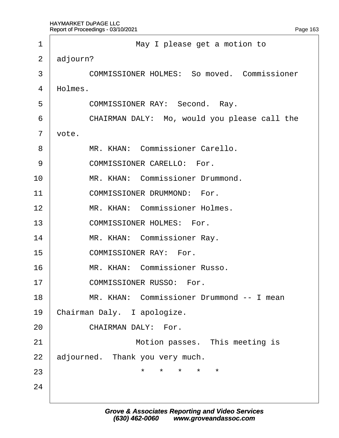<span id="page-163-0"></span>

| 1              | May I please get a motion to                       |  |  |  |  |
|----------------|----------------------------------------------------|--|--|--|--|
| $\overline{2}$ | adjourn?                                           |  |  |  |  |
| 3              | <b>COMMISSIONER HOLMES: So moved. Commissioner</b> |  |  |  |  |
| 4              | Holmes.                                            |  |  |  |  |
| 5              | <b>COMMISSIONER RAY: Second. Ray.</b>              |  |  |  |  |
| 6              | CHAIRMAN DALY: Mo, would you please call the       |  |  |  |  |
| $\overline{7}$ | vote.                                              |  |  |  |  |
| 8              | MR. KHAN: Commissioner Carello.                    |  |  |  |  |
| 9              | <b>COMMISSIONER CARELLO: For.</b>                  |  |  |  |  |
| 10             | MR. KHAN: Commissioner Drummond.                   |  |  |  |  |
| 11             | <b>COMMISSIONER DRUMMOND: For.</b>                 |  |  |  |  |
| 12             | MR. KHAN: Commissioner Holmes.                     |  |  |  |  |
| 13             | <b>COMMISSIONER HOLMES: For.</b>                   |  |  |  |  |
| 14             | MR. KHAN: Commissioner Ray.                        |  |  |  |  |
| 15             | <b>COMMISSIONER RAY: For.</b>                      |  |  |  |  |
| 16             | MR. KHAN: Commissioner Russo.                      |  |  |  |  |
| 17             | COMMISSIONER RUSSO: For.                           |  |  |  |  |
| 18             | MR. KHAN: Commissioner Drummond -- I mean          |  |  |  |  |
| 19             | Chairman Daly. I apologize.                        |  |  |  |  |
| 20             | <b>CHAIRMAN DALY: For.</b>                         |  |  |  |  |
| 21             | Motion passes. This meeting is                     |  |  |  |  |
| 22             | adjourned. Thank you very much.                    |  |  |  |  |
| 23             | $\star$ $\star$ $\star$<br>$\star$                 |  |  |  |  |
| 24             |                                                    |  |  |  |  |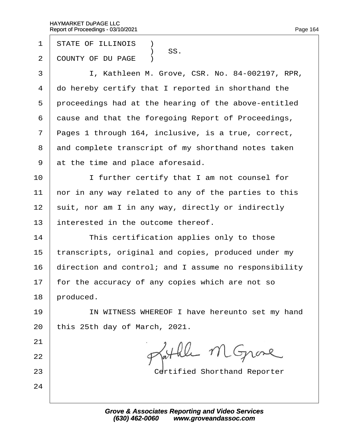- 1 STATE OF ILLINOIS **1**
- SS.<br>2 COUNTY OF DU I COUNTY OF DU PAGE )
- 3 | I, Kathleen M. Grove, CSR. No. 84-002197, RPR,
- 4 do hereby certify that I reported in shorthand the
- 5 proceedings had at the hearing of the above-entitled
- 6 dause and that the foregoing Report of Proceedings,
- 7 Pages 1 through 164, inclusive, is a true, correct,
- 8 and complete transcript of my shorthand notes taken
- 9 at the time and place aforesaid.
- 10 **I** I further certify that I am not counsel for
- 11 hor in any way related to any of the parties to this
- 12 suit, nor am I in any way, directly or indirectly
- 13 interested in the outcome thereof.
- 14 **This certification applies only to those**
- 15 transcripts, original and copies, produced under my
- 16 direction and control; and I assume no responsibility
- 17 for the accuracy of any copies which are not so
- 18 **produced**.

21

22

24

- 19 | IN WITNESS WHEREOF I have hereunto set my hand
- 20 this  $25th$  day of March, 2021.
- 23 **Certified Shorthand Reporter**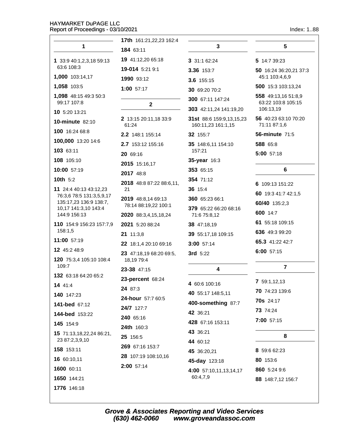$\mathbf{1}$ 

1776 146:18

17th 161:21,22,23 162:4

| 1                                                  | 184 63:11                             | 3                                              | 5                                         |
|----------------------------------------------------|---------------------------------------|------------------------------------------------|-------------------------------------------|
| 1 33:9 40:1,2,3,18 59:13                           | 19 41:12,20 65:18                     | 3 31:1 62:24                                   | 5 14:7 39:23                              |
| 63:6 108:3                                         | 19-014 5:21 9:1                       | 3.36 153:7                                     | 50 16:24 36:20,21 37:3                    |
| 1,000 103:14,17                                    | 1990 93:12                            | 3.6 155:15                                     | 45:1 103:4,6,9                            |
| 1,058 103:5                                        | 1:00 57:17                            | 30 69:20 70:2                                  | 500 15:3 103:13,24                        |
| 1,098 48:15 49:3 50:3<br>99:17 107:8               | $\mathbf{2}$                          | 300 67:11 147:24                               | 558 49:13,16 51:8,9<br>63:22 103:8 105:15 |
| 10 5:20 13:21                                      |                                       | 303 42:11,24 141:19,20                         | 106:13,19                                 |
| <b>10-minute 82:10</b>                             | 2 13:15 20:11,18 33:9<br>61:24        | 31st 88:6 159:9,13,15,23<br>160:11,23 161:1,15 | 56 40:23 63:10 70:20<br>71:11 87:1,6      |
| 100 16:24 68:8                                     | 2.2 148:1 155:14                      | 32 155:7                                       | <b>56-minute 71:5</b>                     |
| 100,000 13:20 14:6                                 | 2.7 153:12 155:16                     | 35 148:6,11 154:10                             | 588 65:8                                  |
| 103 63:11                                          | 20 69:16                              | 157:21                                         | 5:00 57:18                                |
| 108 105:10                                         | 2015 15:16,17                         | 35-year 16:3                                   |                                           |
| 10:00 57:19                                        | 2017 48:8                             | 353 65:15                                      | 6                                         |
| 10th 5:2                                           | 2018 48:8 87:22 88:6,11,              | 354 71:12                                      | 6 109:13 151:22                           |
| 11 24:4 40:13 43:12,23                             | 21                                    | 36 15:4                                        | 60 19:3 41:7 42:1,5                       |
| 76:3,6 78:5 131:3,5,9,17<br>135:17,23 136:9 138:7, | 2019 48:8,14 69:13                    | 360 65:23 66:1                                 | 60/40 135:2,3                             |
| 10,17 141:3,10 143:4                               | 78:14 88:19,22 100:1                  | 379 65:22 66:20 68:16                          | 600 14:7                                  |
| 144:9 156:13                                       | 2020 88:3,4,15,18,24                  | 71:6 75:8,12                                   | 61 55:18 109:15                           |
| 110 154:9 156:23 157:7,9<br>158:1,5                | 2021 5:20 88:24                       | 38 47:18,19                                    | 636 49:3 99:20                            |
| 11:00 57:19                                        | 21 11:3,8                             | 39 55:17,18 109:15                             | 65.3 41:22 42:7                           |
| 12 45:2 48:9                                       | 22 18:1,4 20:10 69:16                 | 3:00 57:14                                     | 6:00 57:15                                |
| 120 75:3,4 105:10 108:4                            | 23 47:18,19 68:20 69:5,<br>18,19 79:4 | 3rd 5:22                                       |                                           |
| 109:7                                              | 23-38 47:15                           | 4                                              | 7                                         |
| 132 63:18 64:20 65:2                               | 23-percent 68:24                      | 4 60:6 100:16                                  | 7 59:1,12,13                              |
| 14 41:4                                            | 24 87:3                               | 40 55:17 148:5,11                              | <b>70</b> 74:23 139:6                     |
| 140 147:23                                         | 24-hour 57:7 60:5                     | 400-something 87:7                             | <b>70s</b> 24:17                          |
| 141-bed 67:12                                      | 24/7 127:7                            |                                                | 73 74:24                                  |
| 144-bed 153:22                                     | 240 65:16                             | 42 36:21                                       | 7:00 57:15                                |
| 145 154:9                                          | 24th 160:3                            | 428 67:16 153:11                               |                                           |
| 15 71:13,18,22,24 86:21,<br>23 87:2,3,9,10         | 25 156:5                              | 43 36:21<br>44 60:12                           | 8                                         |
| <b>158</b> 153:11                                  | 269 67:16 153:7                       | 45 36:20,21                                    | 8 59:6 62:23                              |
| 16 60:10,11                                        | 28 107:19 108:10,16                   | 45-day 123:18                                  | 80 153:6                                  |
| 1600 60:11                                         | 2:00 57:14                            | 4:00 57:10,11,13,14,17<br>60:4,7,9             | 860 5:24 9:6                              |
| 1650 144:21                                        |                                       |                                                | 88 148:7,12 156:7                         |

 $\overline{3}$ 

 $5\phantom{.0}$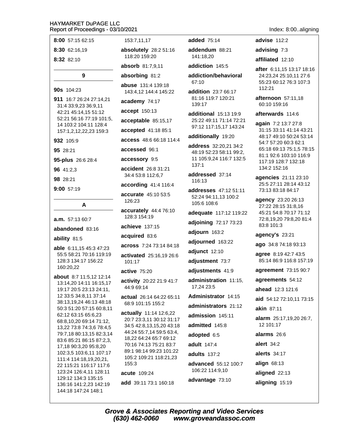| 8:00 57:15 62:15                                   | 153           |
|----------------------------------------------------|---------------|
| 8:30 62:16,19                                      | abso          |
| 8:32 82:10                                         | 118.          |
|                                                    | abso          |
| 9                                                  | abso          |
| 90s 104:23                                         | abus<br>143   |
| 911 16:7 26:24 27:14,21                            | acad          |
| 31:4 33:9,23 36:9,11<br>42:21 45:14,15 51:12       | acce          |
| 52:21 56:16 77:19 101:5,                           | acce          |
| 14 103:2 104:11 128:4<br>157:1,2,12,22,23 159:3    | acce          |
| 932 105:9                                          | acce          |
| 95 28:21                                           | acce          |
| 95-plus 26:6 28:4                                  | acce          |
| 96 41:2,3                                          | accio         |
| 98 28:21                                           | 34:4          |
| 9:00 57:19                                         | acco          |
|                                                    | accu<br>126:  |
| A                                                  | accu          |
| a.m. 57:13 60:7                                    | 128:          |
| abandoned 83:16                                    | achie         |
| ability 81:5                                       | acqu          |
|                                                    | acro:         |
| able 6:11,15 45:3 47:23<br>55:5 58:21 70:16 119:19 | activ         |
| 128:3 134:17 156:22                                | 101:          |
| 160:20,22                                          | activ         |
| about 8:7 11:5,12 12:14                            | activ         |
| 13:14,20 14:11 16:15,17                            | 44:9          |
| 19:17 20:5 23:13 24:11,<br>12 33:5 34:8,11 37:14   | actua         |
| 38:13,19,24 46:13 48:18                            | 68:9          |
| 50:3 51:20 57:15 60:8,11                           |               |
| 62:12 63:15 65:6,23                                | actua<br>20:7 |
| 68:8,10,20 69:14 71:12,                            | 34:5          |
| 13,22 73:8 74:3,6 78:4,5                           | 44:2          |
| 79:7,18 80:13,15 82:3,14                           | 18,2          |
| 83:6 85:21 86:15 87:2,3,                           | 70:1          |
| 17,18 90:3,20 95:8,20<br>102:3,5 103:6,11 107:17   | 89:1          |
| 111:4 114:18,19,20,21,                             | 105           |
| 22 115:21 116:17 117:6                             | 155           |
|                                                    |               |
|                                                    |               |
| 123:24 126:4,11 128:11                             | acute         |
| 129:12 134:3 135:15<br>136:16 141:2,23 142:19      | add           |

7.11.17

**Iutely** 28:2 51:16 20 159:20

orb 81:7,9,11

rbing 81:2

e 131:4 139:18 4,12 144:4 145:22

lemy 74:17

pt 150:13

ptable 85:15,17

pted 41:18 85:1

SS 48:6 66:18 114:4

Ssed 96:1

SSOry 9:5

**dent** 26:8 31:21 53:8 112:6,7

rding 41:4 116:4

rate 45:10 53:5 23

rately 44:4 76:10 3 154:19

eve 137:15

**ired** 83:6

**SS** 7:24 73:14 84:18

ated 25:16,19 26:6 17

e 75:20

ity 20:22 21:9 41:7 69:14

al 26:14 64:22 65:11 101:15 155:2

ally 11:14 12:6,22 23:3,11 30:12 31:17 42:8,13,15,20 43:18 4 55:7,14 59:5 63:4, 2 64:24 65:7 69:12 6 74:13 75:21 83:7 98:14 99:23 101:22 :2 109:21 118:21,23 3

e 109:24

39:11 73:1 160:18

added 75:14

addendum 88:21 141:18,20

addiction 145:5

addiction/behavioral 67:10

addition 23:7 66:17 81:16 119:7 120:21 139:17

additional 15:13 19:9 25:22 49:11 71:14 72:21 97:12 117:15,17 143:24

additionally 19:20

address 32:20,21 34:2 48:19 52:23 58:11 99:2, 11 105:9,24 116:7 132:5  $137:1$ 

addressed 37:14 116:13

addresses 47:12 51:11 52:24 94:11,13 100:2 105:6 108:6

adequate 117:12 119:22

adjoining 72:17 73:23

adjourn 163:2

adjourned 163:22

adjunct 12:10

adjustment 73:7

adjustments 41:9

administration 11:15, 17.24 23:5

Administrator 14:15

administrators 21:12

admission 145:11 admitted 145:8

adopted 6:5

adult 147:4

adults 137:2 advanced 55:12 100:7

106:22 114:9,10 advantage 73:10

**Grove & Associates Reporting and Video Services** (630) 462-0060 www.groveandassoc.com

#### Index: 8:00..aligning

advise 112:2

advising 7:3

affiliated 12:10

after 6:11,15 13:17 18:16 24:23,24 25:10,11 27:6 55:23 60:12 76:3 107:3 112:21

afternoon 57:11.18 60:10 159:16

afterwards 114:6

again 7:2 13:7 27:8 31:15 33:11 41:14 43:21 48:17 49:10 50:24 53:14 54:7 57:20 60:3 62:1 65:18 69:13 75:1,5 78:15 81:1 92:6 103:10 116:9 117:19 128:7 132:18 134:2 152:16

**agencies** 21:11 23:10 25:5 27:11 28:14 43:12 73:13 83:18 84:17

agency 23:20 26:13 27:22 28:15 31:8,16 45:21 54:8 70:17 71:12 72:8,19,20 79:8,20 81:4 83:8 101:3

agency's 23:21

ago 34:8 74:18 93:13

agree 8:19 42:7 43:5 85:14 86:9 116:8 157:19

agreement 73:15 90:7

agreements 54:12

ahead 12:3 121:6

aid 54:12 72:10,11 73:15

akin 87:11

alarm 25:17,19,20 26:7,  $12.101 \cdot 17$ 

alarms 26:6

alert  $34:2$ 

alerts 34:17

align  $68:13$ 

aligned 22:13

aligning 15:19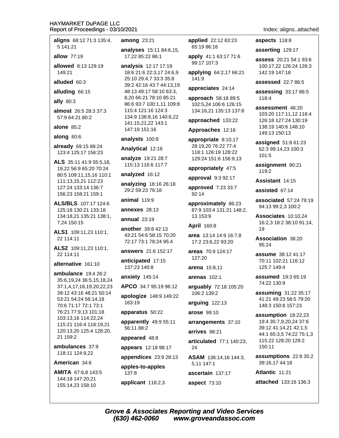| aligns 68:12 71:3 135:4,                                                 | among <sub>2</sub>                  |
|--------------------------------------------------------------------------|-------------------------------------|
| 5 141:21<br>allow 77:19                                                  | analyses<br>17,22 85:               |
| allowed 8:13 129:19<br>149:21                                            | analysis<br>18:6 21:6               |
| alluded 60:3                                                             | 25:10 29:<br>39:2 42:1              |
| alluding 66:15                                                           | 48:13 49:                           |
| ally 80:3                                                                | 8,20 66:2<br>86:6 93:7              |
| almost 26:5 28:3 37:3<br>57:9 64:21 80:2                                 | 115:4 121<br>134:9 138<br>141:15,21 |
| alone $85:2$                                                             | 147:19 15                           |
| along 60:6                                                               | analysts                            |
| already 69:15 88:24<br>123:4 125:17 156:23                               | Analytica                           |
| ALS 35:11 41:9 55:5,18,<br>19,22 56:9 65:20 70:24                        | analyze <sup>2</sup><br>115:13 11   |
| 80:5 109:11,15,16 110:1                                                  | analyzed                            |
| 111:13,15,21 112:23<br>127:24 133:14 136:7<br>156:23 158:21 159:1        | analyzing<br>29:2 59:2              |
| ALS/BLS 107:17 124:6                                                     | animal 1                            |
| 125:18 130:21 133:18                                                     | annexes                             |
| 134:18,21 135:21 138:1,<br>7,24 150:15                                   | annual 2                            |
| ALS1 109:11,23 110:1,<br>22 114:11                                       | another:<br>43:21 54:<br>72:17 73:  |
| ALS2 109:11,23 110:1,<br>22 114:11                                       | answers                             |
| alternative 161:10                                                       | anticipate<br>137:23 14             |
| ambulance 19:4 26:2<br>35:6,19,24 36:5,15,18,24                          | anxiety 1                           |
| 37:1,4,17,18,19,20,22,23                                                 | APCO 34                             |
| 39:12 43:16 48:21 50:14<br>53:21 54:24 56:14,18<br>70:6 71:17 72:1 73:1  | apologize<br>163:19                 |
| 76:21 77:9,13 101:18                                                     | apparatus                           |
| 103:13,16 114:22,24<br>115:21 116:4 118:19,21<br>120:13,20 125:4 128:20, | apparentl<br>56:11 88:              |
| 21 159:2                                                                 | appeared                            |
| ambulances 37:9<br>118:11 124:9,22                                       | appears                             |
| American 34:6                                                            | appendic                            |

AMITA 67:6.8 143:5 144:18 147:20,21 155:14,23 158:10

 $3:21$ 

15:11 84:6.15. 22 86:1

12:17 17:19 22:3,17 24:6,9 4,7 33:3 35:8 6 43:7 44:13,19 :17 58:10 63:3, 1 78:10 85:21 100:1,11 109:8 1:16 124:3 8:8.16 140:6.22 1.22 143:1 51:16

100:8

 $12:16$ 

19:21 28:7 16:6 117:7

16:12

18:16 26:18 3 76:18

19:9

28:13

 $3:19$ 

39:8 42:13 6 58:15 70:20 1 78:24 95:4

21:6 152:17

ed 17:15  $40:8$ 

45:14

:7 95:19 96:12

e 148:9 149:22

 $$50:22$ 

ly 49:9 55:11  $\overline{2}$ 

 $148:8$ 

12:18 98:17

 $\mathbf{es}$  23:9 28:13

apples-to-apples 137:8 applicant 118:2,3 applied 22:12 63:23 65:19 86:16

apply 41:1 63:17 71:6 99:17 107:3

applying 64:2,17 66:21 141:9

appreciates 24:14

approach 58:18 89:5 102:5,24 106:6 126:15 134:16,21 135:13 137:8

approached 133:22

Approaches 12:16

appropriate 8:10,17 28:19,20 76:22 77:4 118:1 126:19 128:22 129:24 151:6 156:9,13

appropriately 47:5

approval 9:3 92:17

approved 7:23 33:7 92:14

approximately 86:23 87:9 103:4 131:21 148:2, 13 153:9

April 160:8

area 13:14 14:9 16:7,8 17:2 23:6,22 93:20

areas 70:9 124:17 127:20

arena 15:8,11

arenas 102:1

arguably 72:18 105:20 106:2 139:2

arguing 122:13

arose 99:10

arrangements 37:10

arrives 98:21

articulated 77:1 140:23. 24

**ASAM** 136:14,16 144:3, 5.11 147:1

ascertain 137:17

aspect 73:10

Index: aligns..attached

#### aspects 118:8

asserting 129:17

assess 20:21 54:1 93:6 100:17,22 126:24 128:3 142:19 147:18

**assessed** 22:7 86:5

assessing 33:17 86:5 118:4

assessment 46:20 103:20 117:11.12 118:4 126:18 127:24 130:19 138:19 140:6 148:10 149:13 150:13

assigned 51:8 61:23 62:3 99:14,23 100:3 101:5

assignment 90:21 119:2

Assistant 14:15

assisted 67:14

associated 57:24 79:19 94:13 99:2,3 100:2

Associates 10:10,24 16:2,3 18:2 38:10 91:14, 19

Association 38:20 95:24

assume 38:12 41:17 70:11 102:21 116:12 125:7 149:4

assumed 19:3 65:19 74:22 130:9

**assuming 31:22 35:17** 41:21 49:23 58:5 79:20 148:3 150:8 157:23

assumption 18:22,23 19:4 35:7,9,20,24 37:6 39:12 41:14,21 42:1,5 44:1 65:3,5 74:22 75:1,3 115:22 128:20 129:2 150:11

assumptions 22:8 35:2 39:16,17 44:18

Atlantic 11:21

attached 133:16 136:3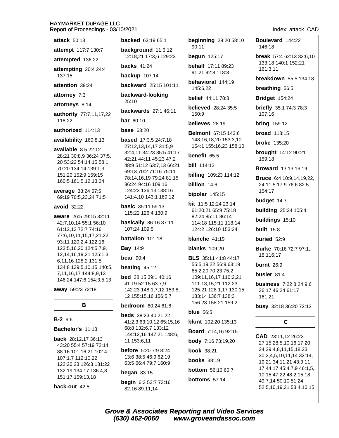**attack 50:13** 

attempt 117:7 130:7

attempted 136:22

attempting 20:4 24:4 137:15

attention 39:24

attorney 7:3

attorneys 8:14

authority 77:7,11,17,22 118:22

authorized 114:13

availability 160:8,13

available 8:5 22:12 28:21 30:8.9 36:24 37:5. 20 53:22 54:14,15 58:1 70:20 134:14 139:1,3 151:20 152:9 159:15 160:5 161:5,12,13,24

average 38:24 57:5 69:19 70:5,23,24 71:5

#### avoid 32:22

aware 26:5 29:15 32:11 42:7,10,14 55:1 56:10 61:12.13 72:7 74:16 77:6,10,11,15,17,21,22 93:11 120:2,4 122:16 123:5.16.20 124:5.7.9. 12,14,16,19,21 125:1,3, 6,11,16 128:2 131:5 134:8 139:5,10,15 140:5, 7,11,16,17 144:8,9,13 146:24 147:6 154:3,5,13

away 59:23 72:18

# B

# **B-2** 9:6

Bachelor's 11:13

back 28:12,17 36:13 43:20 55:4 57:19 72:14 88:16 101:16,21 102:4 107:1,7 112:10,22 122:20,23 126:3 131:22 132:19 134:17 136:4,8 151:17 159:13,18

back-out 42:5

**backed** 63:19 65:1

background 11:6,12 12:18,21 17:3,6 129:23

**backs** 41:24

**backup** 107:14

backward 25:15 101:11

backward-looking  $25.10$ 

backwards 27:1 46:11 **bar** 60:10

# **base 63:20**

**based** 17:3,5 24:7,18 27:12,13,14,17 31:5,9 32:4,11 34:23 35:5 41:17 42:21 44:11 45:23 47:2 48:9 51:12 63:7.13 66:21 69:13 70:2 71:16 75:11 78:14,16,19 79:24 81:15 86:24 94:16 109:16 124:23 136:13 138:16 141:4,10 143:1 160:12

**basic** 35:11 55:13 115:22 126:4 130:9

**basically** 86:16 87:11 107:24 109:5

battalion 101:18

**Bay 14:9** 

bear  $90:4$ 

# beating  $45:12$

bed 38:15 39:1 40:16 41:19 52:15 63:7,9 142:23 148:1,7,12 153:8, 12 155:15,16 156:5,7

# **bedroom** 60:24 61:6

**beds** 38:23 40:21.22 41:2,3 63:10,12 65:15,16 68:8 132:6,7 133:12 144:12,16 147:21 148:6, 11 153:6,11

before 5:20 7:9 8:24 13:6 38:5 46:9 62:19 63:5 66:4 79:7 160:9

# began  $83:15$

begin 6:3 53:7 73:16 82:16 89:11,14

**beginning** 29:20 58:10 90:11

**begun** 125:17

behalf 17:11 89:23 91:21 92:8 118:3

behavioral 144:19 145:6.22

**belief** 44:11 78:8

**believed** 28:24 35:5  $150.9$ 

believes 28:19

**Belmont 67:15 143:6** 148:16,18,20 153:3,10 154:1 155:16,23 158:10

# benefit 65:5

**bill** 114:12

**billing** 109:23 114:12

billion 14.6

bipolar  $145:15$ 

bit 11:5 12:24 23:14 61:20,21 65:9 75:18 82:24 85:11 86:14 114:18 115:11 118:14 124:2 126:10 153:24

blanche 41:19

# **blanks** 109:20

**BLS** 35:11 41:8 44:17 55:5,19,22 56:9 63:19 65:2,20 70:23 75:2 109:11,16,17 110:2,21 111:13,15,21 112:23 125:21 128:1,17 130:15 133:14 136:7 138:3 156:23 158:21 159:2

# blue  $56:5$

**blunt** 102:20 135:13

**Board** 7:14,16 92:15

**body** 7:16 73:19,20

**book 38:21** 

**books** 38:19

**bottom** 56:16 60:7

bottoms 57:14

#### Boulevard 144:22 146:18

break 57:4 62:13 82:6.10 133:18 140:1 152:21 161:3.11

breakdown 55:5 134:18

breathing 56:5

**Bridget** 154:24

**briefly** 35:1 74:3 78:3 107:16

**bring** 159:12

**broad** 118:15

**broke** 135:20

brought 14:12 90:21 159:18

**Broward** 13:13,16,19

**Bruce** 6:4 10:9.14.19.22. 24 11:5 17:9 76:6 82:5 154:17

budget 14:7

**building** 25:24 105:4

buildings 15:10

built  $15:8$ 

buried  $52:9$ 

**Burke** 70:16 72:7 97:1, 18 116:17

**burnt** 26:9

busier 81:4

**business** 7:22 8:24 9:6 36:17 46:24 61:17  $161:21$ 

busy 32:18 36:20 72:13

# $\mathbf C$

CAD 23:11,12 26:23 27:15 28:5,10,16,17,20, 24 29:4,8,11,15,18,23 30:2,4,5,10,11,14 32:14, 19,21 34:11,21 43:9,11, 17 44:17 45:4,7,9 46:1,5, 10,15 47:22 48:2,15,18 49:7,14 50:10 51:24 52:5,10,19,21 53:4,10,15

# Index: attack..CAD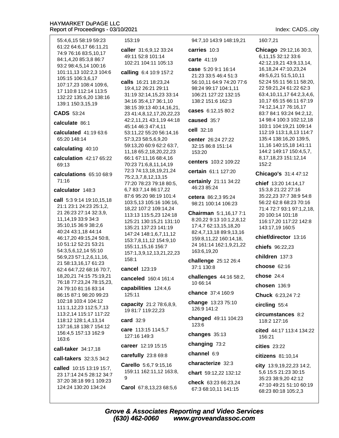55:4.6.15 58:19 59:23 61:22 64:6.17 66:11.21 74:9 76:16 83:5,10,17 84:1,4,20 85:3,8 86:7 93:2 98:4,5,14 100:16 101:11,13 102:2,3 104:6 105:15 106:3,6,17 107:17,23 108:4 109:6, 17 110:8 112:14 113:5 132:22 135:6,20 138:16 139:1 150:3,15,19

#### **CADS 53:24**

calculate 86:1

calculated  $41:1963:6$ 65:20 148:14

#### calculating 40:10

- calculation 42:17 65:22  $69.13$
- calculations 65:10 68:9 71:16

#### calculator 148:3

call 5:3 9:14 19:10,15,18 21:1 23:1 24:23 25:1,2, 21 26:23 27:14 32:3,9, 11, 14, 19 33: 9 34: 3 35:10,15 36:9 38:2,6 40:24 43:1,18 44:14 46:17,20 49:15,24 50:8, 10 51:12 52:21 53:21 54:3,5,6,12,14 55:10 56:9.23 57:1.2.6.11.16. 21 58:13,16,17 61:23 62:4 64:7,22 68:16 70:7, 18,20,21 74:15 75:19,21 76:18 77:23,24 78:15,23, 24 79:10 81:16 83:14 86:15 87:1 98:20 99:23 102:18 103:4 104:12 111:1,12,23 112:5,7,13 113:2,14 115:17 117:22 118:12 128:1,4,13,14 137:16,18 138:7 154:12 156:4.5 157:13 162:9  $163.6$ 

call-taker 34:17,18

call-takers 32:3,5 34:2

called 10:15 13:19 15:7. 23 17:14 24:5 28:12 34:7 37:20 38:18 99:1 109:23 124:24 130:20 134:24

153:19

caller 31:6,9,12 33:24 49:11 52:8 101:14 102:21 104:11 105:13

#### calling 6:4 10:9 157:2

calls 16:21 18:23,24 19:4,12 26:21 29:11 31:19 32:14,15,23 33:14 34:16 35:4,17 36:1,10 38:15 39:13 40:14,16,21, 23 41:4,8,12,17,20,22,23 42:2,11,21 43:1,19 44:18 45:14 46:3 47:4,11 53:11,22 55:20 56:14,16 57:3,23 58:5,6,9,20 59:13,20 60:9 62:2 63:7, 11,18 65:2,18,20,22,23 66:1 67:11,16 68:4,16 70:23 71:6,8,11,14,19 72:3 74:13,18,19,21,24 75:2,3,7,8,12,13,15 77:20 78:23 79:18 80:5, 6,783:7,1486:17,22 87:6 95:20 98:19 101:4 103:5,13 105:16 106:16, 18,22 107:2 109:14,24 113:13 115:5,23 124:18 125:21 130:15,21 131:10 135:21 137:23 141:19 147:24 148:1,6,7,11,12 153:7,8,11,12 154:9,10 155:11,15,16 156:7 157:1,3,9,12,13,21,22,23 158:1

#### cancel 123:19

canceled 160:4 161:4

capabilities 124:4,6 125:11

capacity 21:2 78:6,8,9, 19 81:7 119:22,23

#### card 32:9

care 113:15 114:5,7 127:16 149:3

career 12:19 15:15

#### carefully 23:8 69:8

Carello 5:6,7 9:15,16 159:11 162:11,12 163:8,  $\mathbf{Q}$ 

Carol 67:8,13,23 68:5,6

94:7,10 143:9 148:19,21

# carries 10:3 carte 41:19

case 5:20 9:1 16:14 21:23 33:5 46:4 51:3 56:10,11 64:9 74:20 77:6 98:24 99:17 104:1,11 106:21 127:22 132:15 138:2 151:6 162:3

cases 6:12,15 80:2

caused 35:7

cell 32:18

center 26:24 27:22 32:15 86:8 151:14 153:20

centers 103:2 109:22

certain 61:1 127:20

certainly 21:11 34:22 46:23 85:24

cetera 86:2.3 95:24 98:21 100:14 106:23

Chairman 5:1,16,177:1 8:20,22 9:13 10:1,2,8,12 17:4,7 62:13,15,18,20 82:4.7.13.18 89:9.13.16 159:8,11,22 160:14,18, 24 161:14 162:1,9,21,22 163:6,19,20

challenge 25:12 26:4 37:1 130:8

challenges 44:16 58:2, 10 66:14

chance 37:4 160:9

change 13:23 75:10 126:9 141:2

changed 49:11 104:23 123:6

changes 35:13

changing 73:2

channel 6:9

characterize 32:3

chart 59:12,22 132:12

check 63:23 66:23.24 67:3 68:10,11 141:15

Index: CADS..city

160:7.21

Chicago 29:12,16 30:3, 6,11,15 32:12 33:6 42:12,19,21 43:9,13,14, 16, 18, 24 47: 10, 23, 24 49:5.6.21 51:5.10.11 52:24 55:11 56:11 58:20, 22 59:21,24 61:22 62:3 63:4, 10, 11, 17 64: 2, 3, 4, 6, 10,17 65:15 66:11 67:19 74:12,14,17 76:16,17 83:7 84:1 93:24 94:2.12. 14 98:4 100:3 102:12.18 103:1 104:19,21 109:14 112:19 113:1,8,13 114:7 135:4 138:16,20 139:5, 11,16 140:15,18 141:11 144:2 149:17 150:4,5,7, 8, 17, 18, 23 151: 12, 14 152:2

Chicago's 31:4 47:12

**chief** 13:20 14:14,17 15:3,8 21:22 27:16 35:22.23 37:7 38:9 54:8 56:22 62:8 68:23 70:16 71:4 72:7 93:1 97:1,2,18, 20 100:14 101:18 116:17,20 117:22 142:8 143:17,19 160:5

chief/director 13:16

chiefs 96:22,23

children 137:3

choose  $62.16$ 

chose 24:4

chosen 136:9

Chuck 6:23,24 7:2

circling 55:4

circumstances 8:2 118:2 127:16

cited 44:17 113:4 134:22 156:21

cities 23:22

citizens 81:10,14

city 13:9,19,22,23 14:2, 5.6 15:5 21:23 30:15 35:23 38:9,20 42:12 47:10 49:21 51:10 60:19 68:23 80:18 105:2,3

**Grove & Associates Reporting and Video Services** (630) 462-0060 www.groveandassoc.com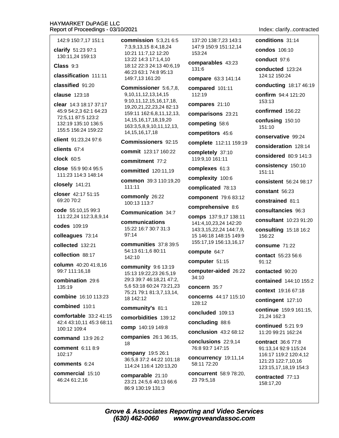142:9 150:7.17 151:1

clarify 51:23 97:1 130:11,24 159:13

 $Class 9:3$ 

classification 111:11

classified 91:20

clause 123:18

clear 14:3 18:17 37:17 45:9 54:2.3 62:1 64:23 72:5,11 87:5 123:2 132:19 135:10 136:5 155:5 156:24 159:22

client 91:23,24 97:6

clients  $67:4$ 

**clock** 60:5

close 55:9 90:4 95:5 111:23 114:3 148:14

closely 141:21

closer 42:17 51:15 69:20 70:2

code 55:10,15 99:3 111:22,24 112:3,8,9,14

codes 109:19

colleagues 73:14

collected 132:21

collection 88:17

column 40:20 41:8,16 99:7 111:16,18

combination 29:6 135:19

combine 16:10 113:23

combined 110:1

comfortable  $33:241:15$ 42:4 43:10,11 45:3 68:11 100:12 109:4

command 13:9 26:2

comment 6:11 8:9 102:17

comments 6:24

commercial 15:10 46:24 61:2,16

commission  $5:3.216:5$ 7:3.9.13.15 8:4.18.24 10:21 11:7,12 12:20 13:22 14:3 17:1,4,10 18:12 22:3 24:13 40:6.19 46:23 63:1 74:8 95:13 149:7,13 161:20

Commissioner 5:6,7,8, 9, 10, 11, 12, 13, 14, 15 9:10.11.12.15.16.17.18. 19,20,21,22,23,24 82:13 159:11 162:6.8.11.12.13. 14.15.16.17.18.19.20 163:3,5,8,9,10,11,12,13, 14, 15, 16, 17, 18

Commissioners 92:15

commit 123:17 160:22

commitment 77:2

committed 120:11,19

common 39:3 110:19,20 111:11

commonly 26:22 100:13 113:7

#### Communication 34:7

communications 15:22 16:7 30:7 31:3 97:14

communities 37:8 39:5 54:13 61:1,6 80:11 142:10

community 9:6 13:19 15:13 19:22,23 26:5,19 29:3 39:7 46:18,21 47:2, 5,6 53:18 60:24 73:21,23 75:21 79:1 81:3,7,13,14, 18 142:12

#### community's 81:1

comorbidities 139:12

comp 140:19 149:8

companies 26:1 36:15, 18

company 19:5 26:1 36:5.8 37:2 44:22 101:18 114:24 116:4 120:13,20

comparable 21:10 23:21 24:5,6 40:13 66:6 86:9 130:19 131:3

137:20 138:7.23 143:1 147:9 150:9 151:12.14 153:24

comparables 43:23  $131:6$ 

compare 63:3 141:14

compared 101:11 112:19

compares 21:10

comparisons 23:21

competing 58:6

competitors 45:6

complete 112:11 159:19

completely 37:10 119:9,10 161:11

complexes 61:3

complexity 100:6

complicated 78:13

component 79:6 83:12

comprehensive 8:6

comps 137:9,17 138:11 141:4,10,23,24 142:20 143:3,15,22,24 144:7,9, 15 146:18 148:15 149:9 155:17,19 156:13,16,17

compute 64:7

computer 51:15

computer-aided 26:22  $34:10$ 

concern 35:7

concerns 44:17 115:10 128:12

concluded 109:13

concluding 88:6

conclusion 43:2 68:12

conclusions 22:9.14 76:8 93:7 147:15

concurrency 19:11,14 58:11 72:20

concurrent 58:9 78:20, 23 79:5,18

### Index: clarify..contracted

conditions 31:14 condos 106:10 conduct 97:6 conducted 123:24 124:12 150:24 conducting 18:17 46:19 confirm 94:4 121:20  $153:13$ confirmed 156:22 confusing 150:10 151:10 conservative 99:24 consideration 128:14 considered 80:9 141:3 consistency 150:10 151:11 consistent 56:24 98:17 constant 56:23 constrained 81:1 consultancies 96:3 consultant 10:23 91:20 **consulting 15:18 16:2** 156:22 consume 71:22 contact 55:23 56:6  $91:12$ contacted 90:20 contained 144:10 155:2 context 19:16 67:18 contingent 127:10 continue 159:9 161:15, 21,24 162:3 continued  $5:219:9$ 11:20 99:21 162:24 contract 36:6 77:8 91:13,14 92:9 115:24 116:17 119:2 120:4,12 121:23 122:7,10,16 123:15,17,18,19 154:3 contracted 77:13 158:17,20

**Grove & Associates Reporting and Video Services** (630) 462-0060 www.groveandassoc.com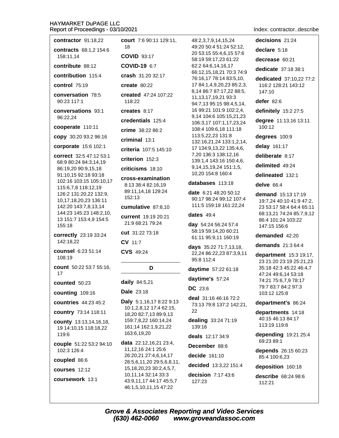decisions 21:24 contractor 91:18,22 court 7:6 90:11 129:11, 48:2.3.7.9.14.15.24 18 49:20 50:4 51:24 52:12. declare 5:18 contracts 68:1.2 154:6 20 53:15 55:4,6,15 57:6 **COVID 93:17** 158:11.14 58:19 59:17,23 61:22 decrease 60:21 contribute 88:12 COVID-19 6:7 62:2 64:6.14.16.17 dedicate 37:18 38:1 66:12,15,18,21 70:3 74:9 contribution 115:4 crash 31:20 32:17 76:16,17 78:14 83:5,10, dedicated 37:10.22 77:2 control 75:19 create  $80:22$ 17 84:1,4,9,20,23 85:2,3, 116:2 128:21 143:12 8,14 86:7 87:17,22 88:5,  $147:10$ conversation 78:5 created 47:24 107:22 11, 13, 17, 19, 21 93: 3 90:23 117:1 118:22 defer  $82:6$ 94:7,13 95:15 98:4,5,14, 16 99:21 101:9 102:2,4, conversations 93:1 creates 8:17 definitely 15:2 27:5 9,14 104:6 105:15,21,23 96:22.24 credentials 125:4 degree 11:13,16 13:11 106:3.17 107:1.17.23.24 cooperate 110:11 100:12 108:4 109:6,18 111:18 crime 38:22 86:2 113:5,22,23 131:8 degrees 100:9 copy 30:20 93:2 96:16  $criminal$  13:1 132:16,21,24 133:1,2,14, corporate 15:6 102:1 delay 161:17 17 134:9,13,22 135:4,6, criteria 107:5 145:10 7,20 136:3 138:12,16 deliberate 8:17 correct 32:5 47:12 53:1 criterion 152:3 139:1,4 143:16 150:4,6, 68:9 80:24 84:3,14,19 delimited 49:24 9, 14, 15, 19, 24 151: 1, 5, 86:19,20 90:9,15,18 criticisms 18:10 10,20 154:8 160:4 91:10,15 92:18 93:18 delineated 132:1 cross-examination 102:16 103:15 105:10,17 databases 113:18 delve 66:4 8:13 38:4 82:16,19 115:6,7,8 118:12,19 89:11,14,18 129:24 date 6:21 48:20 50:12 126:2 131:20,22 132:9, demand 15:13 17:19 152:13 90:17 98:24 99:12 107:4 10,17,18,20,23 136:11 19:7,24 40:10 41:9 47:2, 111:5 159:18 161:22,24 142:20 143:7,8,13,14 cumulative 87:8,10 23 53:17 58:4 64:4 65:11 144:23 145:23 148:2,10, 68:13,21 74:24 85:7,9,12 dates  $49:4$ current 19:19 20:21 13 151:7 153:4,9 154:5 86:4 101:24 103:22 21:9 68:21 79:24 day 54:24 56:24 57:4 155:18 147:15 156:6 58:19 59:14,20 60:21 cut 31:22 73:18 correctly 23:19 33:24 demanded 42:20 61:11 95:9,11 160:19 142:18,22 CV 11:7 demands 21:3 64:4 days 35:22 71:7,13,18, counsel 6:23 51:14 CVS 49:24 22,24 86:22,23 87:3,9,11 department 15:3 19:17,  $108.19$ 95:8 112:4 23 21:20 23:19 25:21,23 count 50:22 53:7 55:16, D 35:18 42:3 45:22 46:4,7 **daytime** 57:22 61:18  $17$ 47:24 49:6,14 53:18 daytime's 57:24 74:21 75:6,7,9 78:17 daily 84:5,21 counted 50:23 79:7 83:7 84:2 97:3  $DC$  23:6 **Dale** 23:18 counting 109:16 103:12 125:8 deal 31:16 46:16 72:2 Daly 5:1,16,17 8:22 9:13 **countries** 44:23 45:2 department's 86:24 73:13 79:8 137:2 142:21, 10:1,2,8,12 17:4 62:15, 22 country 73:14 118:11 departments 14:18 18.20 82:7.13 89:9.13 40:15 46:13 84:17 dealing 33:24 71:19 159:7,8,22 160:14,24 county 13:13,14,16,18, 113:19 119:8 161:14 162:1,9,21,22 139:16 19 14:10,15 118:18,22 163:6,19,20 depending 19:21 25:4 119:6 deals 12:17 34:9 69:23 89:1 data 22:12,16,21 23:4, couple 51:22 53:2 94:10 December 88:6 11,12,16 24:1 25:6 102:3 126:4 depends 26:15 60:23 decide 161:10 26:20,21 27:4,6,14,17 85:4 100:6.23 coupled 86:6 28:5,6,11,20 29:5,6,8,11, decided 13:3,22 151:4 deposition 160:18 15, 18, 20, 23 30: 2, 4, 5, 7, courses 12:12 10,11,14 32:14 33:3 decision  $7:17$  43:6 describe 68:24 98:6 coursework 13:1 43:9,11,17 44:17 45:5,7 127:23 112:21 46:1,5,10,11,15 47:22

Index: contractor..describe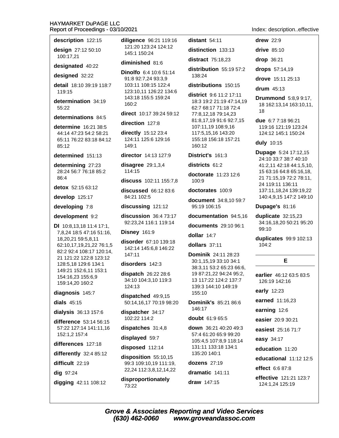description 122:15

design 27:12 50:10 100:17,21

designated 40:22

### designed 32:22

detail 18:10 39:19 118:7 119:15

determination 34:19 55:22

#### determinations 84.5

determine 16:21 38:5 44:14 47:23 54:2 58:21 65:11 76:22 83:18 84:12 85:12

#### determined 151:13

determining 27:23 28:24 56:7 76:18 85:2  $86.4$ 

detox 52:15 63:12

develop 125:17

### developing 7:8

development 9:2

DI 10:8,13,18 11:4 17:1, 7,8,24 18:5 47:16 51:16, 18,20,21 59:5,8,11 62:10.17.19.21.22 76:1.5 82:2 92:4 108:17 120:14. 21 121:22 122:8 123:12 128:5,18 129:6 134:1 149:21 152:6,11 153:1 154:16,23 155:6,9 159:14,20 160:2

# diagnosis 145:7

dials  $45:15$ 

dialysis 36:13 157:6

difference 53:14 56:15 57:22 127:14 141:11,16 152:1,2 157:4

differences 127:18

differently  $32:485:12$ 

difficult 22:19

dig 97:24

digging 42:11 108:12

diligence 96:21 119:16 121:20 123:24 124:12 145:1 150:24

# diminished 81:6

Dinolfo 6:4 10:6 51:14 91:8 92:7,24 93:3,9 103:11 108:15 122:4 123:10,11 126:22 134:6 143:18 155:5 159:24 160:2

direct 10:17 39:24 59:12

# direction 127:8

directly 15:12 23:4 124:11 125:6 129:16 149:1

director 14:13 127:9

disagree  $29:1,3,4$ 114:15

discuss 102:11 155:7.8

**discussed** 66:12 83:6 84:21 102:5

discussing 121:12

discussion 36:4 73:17 92:23,24 116:1 119:14

**Disney 161:9** 

disorder  $67:10$  139:18 142:14 145:6.8 146:22  $147:11$ 

### disorders 142:3

dispatch 26:22 28:6 34:10 104:3,10 119:3 124:13

dispatched 49:9,15 50:14,16,17 70:19 98:20

dispatcher 34:17 102:22 114:2

dispatches 31:4,8

displayed 59:7

disposed 112:14

disposition 55:10.15 99:3 109:10,19 111:19, 22,24 112:3,8,12,14,22

disproportionately 73:22

 $distant$  54:11 distinction 133:13

distract 75:18.23 distribution 55:19 57:2 138:24

# distributions 150:15

district 9:6 11:2 17:11 18:3 19:2 21:19 47:14.19 62:7 68:17 71:18 72:4 77:8,12,18 79:14,23 81:8,17,19 91:6 92:7,15 107:11,19 108:9,16 117:5.15.16 143:20 155:18 156:18 157:21 160:12

District's 161:3

districts 61:2

doctorate 11:23 12:6 100:9

doctorates 100:9

document 34:8,10 59:7  $95.19106.15$ 

documentation 94:5,16

documents 29:10 96:1

dollar  $14:7$ 

dollars 37:11

Dominik 24:11 28:23 30:1,15,19 33:10 34:1 38:3,11 53:2 65:23 66:6, 19 87:21,22 94:24 95:2, 13 117:22 124:2 137:7 139:3 144:10 149:19 155:10

**Dominik's 85:21 86:6** 146:17

doubt 61:9 65:5

down 36:21 40:20 49:3 57:4 61:20 65:9 99:20 105:4,5 107:8,9 118:14 131:11 133:18 134:1 135:20 140:1

dozens  $27:19$ 

dramatic  $141:11$ 

draw 147:15

Index: description..effective

drew  $22:9$ drive  $85:10$ drop 36:21 drops 57:14,19

drove 15:11 25:13

drum  $45:13$ 

**Drummond** 5:8,9 9:17, 18 162:13,14 163:10,11, 18

due 6:7 7:18 96:21 119:16 121:19 123:24 124:12 145:1 150:24

duly 10:15

Dupage 5:24 17:12,15 24:10 33:7 38:7 40:10 41:2,11 42:18 44:1,5,10, 15 63:16 64:8 65:16,18, 21 71:15,19 72:2 78:11, 24 119:11 136:11 137:11,18,24 139:19,22 140:4,9,15 147:2 149:10

Dupage's 81:16

duplicate 32:15,23 34:16,18,20 50:21 95:20 99:10

duplicates 99:9 102:13 104:2

# E

earlier 46:12 63:5 83:5 126:19 142:16

early 12:23

earned 11:16,23

earning 12:6

easier 20:9 30:21

easiest 25:16 71:7

easy 34:17

education 11:20

educational  $11:12$  12:5

effect 6:6 87:8

effective 121:21 123:7 124:1,24 125:19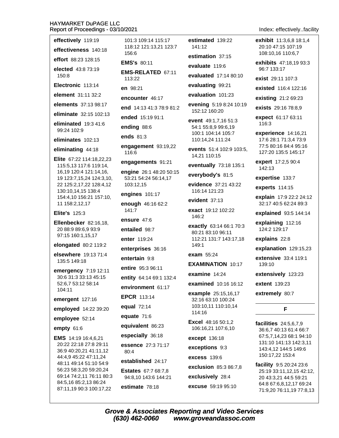effectively 119:19

effectiveness 140:18 effort 88:23 128:15

elected 43:8 73:19

150:8 Electronic 113:14

element 31:11 32:2

elements 37:13 98:17

eliminate 32:15 102:13

eliminated  $19:341:6$ 

99:24 102:9

eliminates 102:13

eliminating 44:18

Elite 67:22 114:18.22.23 115:5,13 117:6 119:14, 16,19 120:4 121:14,16, 19 123:7, 15, 24 124: 3, 10, 22 125:2,17,22 128:4,12 130:10,14,15 138:4 154:4,10 156:21 157:10, 11 158:2,12,17

**Elite's 125:3** 

Ellenbecker 82:16,18, 20 88:9 89:6.9 93:9 97:15 160:1,15,17

elongated 80:2 119:2

elsewhere 19:13 71:4 135:5 149:18

emergency 7:19 12:11 30:6 31:3 33:13 45:15 52:6.7 53:12 58:14 104:11

emergent 127:16

employed 14:22 39:20

employee 52:14

empty 61:6

EMS 14:19 16:4,6,21 20:22 22:18 27:8 29:11 36:9 40:20.21 41:11.12 44:4,9 45:22 47:11,24 48:11 49:14 51:10 54:9 56:23 58:3,20 59:20,24 69:14 74:2,11 76:11 80:3 84:5,16 85:2,13 86:24 87:11,19 90:3 100:17,22

101:3 109:14 115:17 118:12 121:13.21 123:7 156:6

**EMS's 80:11** 

EMS-RELATED 67:11 113:22

 $en 98.21$ 

encounter 46:17

end 14:13 41:3 78:9 81:2

ended 15:19 91:1

ending 88:6

ends 81:3

engagement 93:19,22 116:6

engagements 91:21

engine 26:1 48:20 50:15 53:21 54:24 56:14.17 103:12.15

engines 101:17

enough 46:16 62:2  $141:7$ 

ensure 47:6

entailed 98:7

enter 119:24

enterprises 36:16

entertain 9:8

entire 95:3 96:11

entity 64:14 69:1 132:4

environment 61:17

**EPCR 113:14** 

equal 72:14

equate 71:6

equivalent 86:23

especially 36:18

essence 27:3 71:17 80:4

established 24:17

**Estates** 67:7 68:7,8 94:8,10 143:6 144:21

estimate 78:18

(630) 462-0060

estimated 139:22 141:12

estimation 37:15

evaluate 119:6

evaluated 17:14 80:10

evaluating 99:21

evaluation 101:23

evening 5:19 8:24 10:19 152:12 160:20

event 49:1,7,16 51:3 54:1 55:8,9 99:6,19 100:1 104:14 105:7 110:14,24 111:24

events 51:4 102:9 103:5. 14,21 110:15

eventually 73:18 135:1

everybody's 81:5

evidence 37:21 43:22 116:14 121:23

evident  $37:13$ 

exact 19:12 102:22 146:2

exactly 63:14 66:1 70:3 80:21 83:10 96:11 112:21 131:7 143:17,18 149:1

exam 55:24

**EXAMINATION 10:17** 

examine 14:24

examined 10:16 16:12

example 25:15.16.17 32:16 63:10 100:24 103:10.11 110:10.14 114:16

**Excel** 48:16 50:1,2 106:16,21 107:6,10

except 136:18

exceptions 9:3

**excess 139:6** 

exclusion 85:3 86:7.8

exclusively 28:4

excuse 59:19 95:10

www.groveandassoc.com

**Grove & Associates Reporting and Video Services** 

Index: effectively..facility

exhibit 11:3.6.8 18:1.4 20:10 47:15 107:19 108:10.16 110:6.7

exhibits 47:18,19 93:3 96:7 133:17

exist 29:11 107:3

existed 116:4 122:16

existing 21:2 69:23

exists 29:16 78:8.9

expect 61:17 63:11 116:3

experience 14:16,21 17:6 28:1 71:3,4 73:9 77:5 80:16 84:4 95:16 127:20 135:5 145:17

expert 17:2,5 90:4 142:13

expertise 133:7

experts 114:15

explain 17:9 22:2 24:12 32:17 40:5 62:24 89:3

explained 93:5 144:14

explaining 112:16 124:2 129:17

explains 22:8

explanation 129:15,23

extensive 33:4 119:1 139:10

extensively 123:23

F

36:6,7 40:13 61:4 66:7

67:5,7,14,23 68:1 94:10

131:10 141:13 142:3,11

143:4,12 144:5 149:6

facility 9:5 20:24 23:6

20 43:3,21 44:5 59:21

25:19 33:11,12,15 42:12,

64:8 67:6,8,12,17 69:24

71:9,20 76:11,19 77:8,13

150:17,22 153:4

facilities 24:5,6,7,9

extent 139:23

extremely 80:7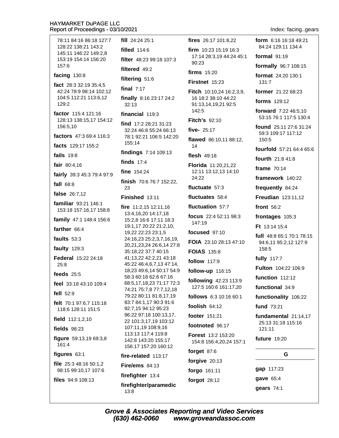| 78:11 84:16 86:18 127:7                           | fill $24:2425:1$                                                  | fires 26:17 101:8,22                                                | form 6:16 16:18 49:21                            |
|---------------------------------------------------|-------------------------------------------------------------------|---------------------------------------------------------------------|--------------------------------------------------|
| 128:22 138:21 143:2<br>145:11 146:22 149:2,8      | <b>filled</b> 114:6                                               | <b>firm</b> $10:23$ 15:19 16:3<br>17:14 28:3,19 44:24 45:1<br>90:23 | 84:24 129:11 134:4                               |
| 153:19 154:14 156:20                              | filter 48:23 99:18 107:3                                          |                                                                     | formal $91:19$                                   |
| 157:6                                             | filtered 49:2                                                     | firms $15:20$                                                       | formally 96:7 108:15                             |
| facing 130:8                                      | filtering 51:6                                                    | Firstnet 15:23                                                      | format 24:20 130:1<br>131:7                      |
| fact $28:332:1935:4,5$<br>42:24 78:9 98:14 102:12 | final $7:17$                                                      | <b>Fitch</b> 10:10,24 16:2,3,9,                                     | former 21:22 68:23                               |
| 104:5 112:21 113:6,12<br>129:2                    | finally 8:16 23:17 24:2<br>32:13                                  | 16 18:2 38:10 44:22<br>91:13,14,19,21 92:5                          | forms 129:12                                     |
| factor 115:4 121:16                               | financial 119:3                                                   | 142:5                                                               | forward 7:22 46:5,10                             |
| 128:13 138:15,17 154:12<br>156:5,10               | find $17:228:2131:23$                                             | <b>Fitch's 92:10</b>                                                | 53:15 76:1 117:5 130:4<br>found 25:11 27:6 31:24 |
| factors 47:3 69:4 116:3                           | 32:24 46:8 55:24 66:13<br>78:1 92:21 106:5 142:20                 | five- 25:17                                                         | 59:3 109:17 117:12                               |
| facts 129:17 155:2                                | 155:14                                                            | flawed 86:10,11 88:12,<br>14                                        | 150:5                                            |
| <b>fails</b> 19:8                                 | findings 7:14 109:13                                              | flesh 49:18                                                         | fourfold 57:21 64:4 65:6                         |
|                                                   | finds $17:4$                                                      |                                                                     | fourth 21:8 41:8                                 |
| fair $80:4,16$                                    | fine $154:24$                                                     | Florida 11:20,21,22<br>12:11 13:12,13 14:10                         | frame 70:14                                      |
| fairly 39:3 45:3 79:4 97:9                        | finish 70:6 76:7 152:22,                                          | 24:22                                                               | framework 140:22                                 |
| fall $68:8$                                       | 23                                                                | fluctuate 57:3                                                      | frequently 84:24                                 |
| false 26:7,12                                     | Finished 13:11                                                    | fluctuates 58:4                                                     | <b>Freudian</b> 123:11,12                        |
| familiar 93:21 146:1<br>153:18 157:16,17 158:8    | fire 11:2,15 12:11,16                                             | fluctuation 57:7                                                    | front $56:2$                                     |
| family 47:1 148:4 156:6                           | 13:4,16,20 14:17,18<br>15:2,8 16:6 17:11 18:3                     | focus 22:4 52:11 98:3                                               | frontages 105:3                                  |
| farther 66:4                                      | 19:1,17 20:22 21:2,10,                                            | 147:19                                                              | Ft 13:14 15:4                                    |
|                                                   | 19,22 22:23 23:1,5                                                | focused $97:10$                                                     | full 48:8 65:1 70:1 78:15                        |
| faults $53:3$                                     | 24:16,23 25:2,3,7,16,19,<br>20,21,23,24 26:6,14 27:8              | FOIA 23:10 28:13 47:10                                              | 94:6,11 95:2,12 127:9                            |
| faulty 129:3                                      | 35:18,22 37:7 40:15                                               | <b>FOIAS 135:8</b>                                                  | 158:5                                            |
| Federal 15:22 24:18<br>25:8                       | 41:13,22 42:2,21 43:18<br>45:22 46:4,6,7,13 47:14,                | follow 117:9                                                        | <b>fully</b> 117:7                               |
| feeds $25:5$                                      | 18,23 49:6,14 50:17 54:9                                          | follow-up 116:15                                                    | Fulton 104:22 106:9                              |
| feel 33:18 43:10 109:4                            | 58:3 60:18 62:6 67:16<br>68:5,17,18,23 71:17 72:3                 | following 42:23 113:9                                               | function 112:12                                  |
| fell $52:9$                                       | 74:21 75:7,8 77:7,12,18                                           | 127:5 160:6 161:17,20                                               | functional 34:9                                  |
|                                                   | 79:22 80:11 81:8,17,19<br>83:7 84:1,17 90:3 91:6                  | follows 6:3 10:16 60:1                                              | functionality 106:22                             |
| felt 70:1 97:6,7 115:18<br>118:6 128:11 151:5     | 92:7,15 94:12 95:23                                               | foolish 64:12                                                       | fund 73:21                                       |
| field 112:1,2,10                                  | 96:22 97:18 100:13,17,<br>22 101:3,17,19 103:12                   | footer 151:21                                                       | fundamental 21:14,17                             |
| <b>fields</b> 98:23                               | 107:11,19 108:9,16                                                | footnoted 96:17                                                     | 25:13 31:18 115:16<br>121:11                     |
| figure 59:13,19 69:3,8<br>161:4                   | 113:13 117:4 119:8<br>142:8 143:20 155:17<br>156:17 157:20 160:12 | <b>Forest 13:2 153:20</b><br>154:8 156:4,20,24 157:1                | <b>future</b> 19:20                              |
| figures 63:1                                      | fire-related 113:17                                               | forget 87:6                                                         | G                                                |
| file 25:3 48:16 50:1,2                            | Fire/ems $84:13$                                                  | forgive 20:13                                                       |                                                  |
| 98:15 99:10,17 107:6                              | firefighter 13:4                                                  | forgo 161:11                                                        | gap 117:23                                       |
| files 94:9 108:13                                 | firefighter/paramedic                                             | forgot 28:12                                                        | gave 65:4                                        |
|                                                   | 13:8                                                              |                                                                     | gears 74:1                                       |
|                                                   |                                                                   |                                                                     |                                                  |

Index: facing..gears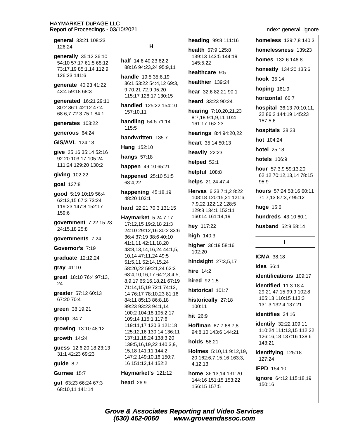general 33:21 108:23 126:24

- **generally** 35:12 36:10 54:10 57:17 61:5 68:12 73:17.19 85:1.14 112:9 126:23 141:6
- qenerate 40:23 41:22 43:4 59:18 68:3
- generated 16:21 29:11 30:2 36:1 42:12 47:4 68:6,7 72:3 75:1 84:1

generates 103:22

generous 64:24

GIS/AVL 124:13

give 25:16 35:14 52:16 92:20 103:17 105:24 111:24 129:20 130:2

#### $qiving$  102:22

**goal 137:8** 

good 5:19 10:19 56:4 62:13.15 67:3 73:24 119:23 147:8 152:17 159:6

government 7:22 15:23 24:15,18 25:8

qovernments 7:24

#### Governor's 7:19

graduate 12:12,24

gray 41:10

great 18:10 76:4 97:13, 24

greater 57:12 60:13 67:20 70:4

green 38:19,21

group 34:7

growing 13:10 48:12

growth 14:24

**quess** 12:6 20:18 23:13 31:1 42:23 69:23

guide  $8:7$ 

# Gurnee 15:7

gut 63:23 66:24 67:3 68:10,11 141:14

#### н

half 14:6 40:23 62:2 88:16 94:23,24 95:9,11

**handle** 19:5 35:6.19 36:1 53:22 54:4.12 69:3. 9 70:21 72:9 95:20 115:17 128:17 130:15

handled 125:22 154:10 157:10,11

handling 54:5 71:14 115:5

handwritten 135:7

Hang 152:10

hangs  $57:18$ 

happen 49:10 65:21

happened 25:10 51:5 63:4,22

happening  $45:18,19$ 48:20 103:1

hard 22:21 70:3 131:15

Havmarket 5:24 7:17 17:12,15 19:2,18 21:3 24:10 29:12,16 30:2 33:6 36:4 37:19 38:6 40:10 41:1,11 42:11,18,20 43:8,13,14,16,24 44:1,5, 10,14 47:11,24 49:5 51:5,11 52:14,15,24 58:20,22 59:21,24 62:3 63:4,10,16,17 64:2,3,4,5, 8,9,17 65:16,18,21 67:19 71:14,15,19 72:1 74:12, 14 76:17 78:10,23 81:16 84:11 85:13 86:8,18 89:23 93:23 94:1,14 100:2 104:18 105:2.17 109:14 115:1 117:6 119:11,17 120:3 121:18 125:12,16 130:14 136:11 137:11,18,24 138:3,20 139:5,16,19,22 140:3,9, 15,18 141:11 144:2 147:2 149:10,16 150:7, 16 151:12,14 152:2

Haymarket's 121:12

**head** 26:9

heading 99:8 111:16

health 67:9 125:8 139:13 143:5 144:19 145:5,22

healthcare 9:5

healthier 139:24

hear 32:6 82:21 90:1

heard 33:23 90:24

hearing 7:10,20,21,23 8:7,18 9:1,9,11 10:4 161:17 162:23

hearings 8:4 94:20,22

heart 35:14 50:13

heavily 22:23

helped 52:1

helpful 108:8

helps 21:24 47:4

Hervas 6:23 7:1,2 8:22 108:18 120:15,21 121:6, 7,9,22 122:12 128:5 129:8 134:1 152:11 160:14 161:14.19

hey 117:22

high 140:3

higher 36:19 58:16 102:20

hindsight 27:3,5,17

**hire** 14:2

hired 92:1.5

historical 101:7

historically 27:18 100:11

hit 26.9

Hoffman 67:7 68:7,8 94:8,10 143:6 144:21

**holds** 58:21

Holmes 5:10,11 9:12,19, 20 162:6,7,15,16 163:3, 4.12.13

home 36:13.14 131:20 144:16 151:15 153:22 156:15 157:5

homeless 139:7.8 140:3 homelessness 139:23

homes 132:6 146:8

honestly 134:20 135:6

hook 35:14

hoping 161:9

horizontal 60:7

hospital 36:13 70:10,11, 22 86:2 144:19 145:23 157:5.6

hospitals 38:23

hot 104:24

**hotel** 25:18

**hotels** 106:9

**hour**  $57:3,959:13,20$ 62:12 70:12,13,14 78:15  $95.9$ 

hours 57:24 58:16 60:11 71:7,13 87:3,7 95:12

huge 15:6

hundreds 43:10 60:1

husband 52:9 58:14

#### $\mathbf{I}$

**ICMA 38:18** 

idea  $56.4$ 

identifications 109:17

identified 11:3 18:4 29:21 47:15 99:9 102:8 105:13 110:15 113:3 131:3 132:4 137:21

identifies 34:16

identify 32:22 109:11 110:24 111:13,15 112:22 126:16,18 137:16 138:6 143:21

identifying 125:18 127:24

**IFPD 154:10** 

**ignore** 64:12 115:18.19 150:16

**Grove & Associates Reporting and Video Services** (630) 462-0060 www.groveandassoc.com

### Index: general..ignore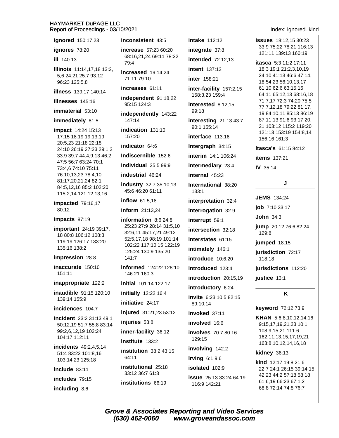Index: ianored..kind

| NEPUITULE FIUCEEUIHUS - UJ/ IU/ZUZ I                                   |                                                    |                                              | IIIUEX. IYIIUIEU.                                  |
|------------------------------------------------------------------------|----------------------------------------------------|----------------------------------------------|----------------------------------------------------|
| ignored 150:17,23                                                      | inconsistent 43:5                                  | <b>intake</b> 112:12                         | <b>issues</b> 18:12,15 30:23                       |
| ignores 78:20<br><b>ill</b> 140:13                                     | increase 57:23 60:20                               | integrate 37:8                               | 33:9 75:22 78:21 116:13<br>121:11 139:13 160:19    |
|                                                                        | 68:16,21,24 69:11 78:22<br>79:4                    | <b>intended</b> 72:12,13                     | itasca 5:3 11:2 17:11                              |
| Illinois 11:14,17,18 13:2,                                             | increased 19:14,24                                 | <b>intent</b> 137:12                         | 18:3 19:1 21:2,3,10,19                             |
| 5,6 24:21 25:7 93:12<br>96:23 125:5,8                                  | 71:11 79:10                                        | <b>inter</b> 158:21                          | 24:10 41:13 46:6 47:14,<br>18 54:23 56:10,13,17    |
| <b>illness</b> 139:17 140:14                                           | increases 61:11                                    | inter-facility 157:2,15                      | 61:10 62:6 63:15,16                                |
| <b>illnesses</b> 145:16                                                | independent 91:18,22                               | 158:3,23 159:4                               | 64:11 65:12,13 68:16,18<br>71:7,17 72:3 74:20 75:5 |
| immaterial 53:10                                                       | 95:15 124:3                                        | interested 8:12,15<br>99:18                  | 77:7,12,18 79:22 81:17,                            |
| immediately 81:5                                                       | independently 143:22<br>147:14                     | interesting 21:13 43:7                       | 19 84:10,11 85:13 86:19<br>87:11,13 91:6 93:17,20, |
| impact 14:24 15:13                                                     | indication 131:10                                  | 90:1 155:14                                  | 21 103:12 115:2 119:20                             |
| 17:15 18:19 19:13,19                                                   | 157:20                                             | interface 113:16                             | 121:13 153:19 154:8,14<br>156:16 161:3             |
| 20:5,23 21:18 22:18<br>24:10 26:19 27:23 29:1,2                        | indicator 64:6                                     | Intergraph 34:15                             | Itasca's 61:15 84:12                               |
| 33:9 39:7 44:4,9,13 46:2                                               | Indiscernible 152:6                                | interim 14:1 106:24                          | <b>items</b> 137:21                                |
| 47:5 56:7 63:24 70:1<br>73:4,6 74:10 75:11                             | individual 25:5 99:9                               | intermediary 23:4                            | <b>IV</b> 35:14                                    |
| 76:10,13,23 78:4,10                                                    | industrial 46:24                                   | internal 45:23                               |                                                    |
| 81:17,20,21,24 82:1<br>84:5,12,16 85:2 102:20<br>115:2,14 121:12,13,16 | industry 32:7 35:10,13<br>45:6 46:20 61:11         | International 38:20<br>133:1                 | J                                                  |
| impacted 79:16,17                                                      | inflow $61:5,18$                                   | interpretation 32:4                          | <b>JEMS</b> 134:24                                 |
| 80:12                                                                  | inform 21:13,24                                    | interrogation 32:9                           | <b>job</b> 7:10 33:17                              |
| impacts 87:19                                                          | information 8:6 24:8                               | interrupt 59:1                               | John $34:3$                                        |
| important 24:19 39:17,                                                 | 25:23 27:9 28:14 31:5,10<br>32:6,11 45:17,21 49:12 | intersection 32:18                           | jump 20:12 76:6 82:24<br>129:8                     |
| 18 80:8 106:12 108:3<br>119:19 126:17 133:20                           | 52:5,17,18 98:19 101:14                            | interstates 61:15                            | jumped 18:15                                       |
| 135:16 138:2                                                           | 102:22 117:10,15 122:19<br>125:24 130:9 135:20     | intimately 146:1                             | jurisdiction 72:17                                 |
| impression 28:8                                                        | 141:7                                              | introduce 10:6,20                            | 118:18                                             |
| inaccurate 150:10                                                      | informed 124:22 128:10                             | introduced 123:4                             | jurisdictions 112:20                               |
| 151:11                                                                 | 146:21 160:3                                       | introduction 20:15,19                        | justice 13:1                                       |
| inappropriate 122:2                                                    | initial 101:14 122:17                              | introductory 6:24                            |                                                    |
| inaudible 91:15 120:10<br>139:14 155:9                                 | initially 12:22 16:4                               | invite 6:23 10:5 82:15                       | K                                                  |
| incidences 104:7                                                       | initiative 24:17                                   | 89:10,14                                     | keyword 72:12 73:9                                 |
| incident 23:2 31:13 49:1                                               | injured 31:21,23 53:12                             | invoked 37:11                                | KHAN 5:6,8,10,12,14,16                             |
| 50:12,19 51:7 55:8 83:14                                               | injuries 53:8                                      | involved 16:6                                | 9:15,17,19,21,23 10:1                              |
| 99:2,6,12,19 102:24<br>104:17 112:11                                   | inner-facility 36:12                               | involves 70:7 80:16<br>129:15                | 108:9,15,21 111:6<br>162:11,13,15,17,19,21         |
| incidents 49:2,4,5,14                                                  | Institute 133:2                                    | involving 142:2                              | 163:8, 10, 12, 14, 16, 18                          |
| 51:4 83:22 101:8,16                                                    | institution 38:2 43:15<br>64:11                    | <b>Irving 6:1 9:6</b>                        | kidney 36:13                                       |
| 103:14,23 125:18<br>include 83:11                                      | institutional 25:18                                | isolated 102:9                               | kind 12:17 19:8 21:6<br>22:7 24:1 26:15 39:14,15   |
|                                                                        | 33:12 36:7 61:3                                    | <b>issue</b> 25:13 33:24 64:19               | 42:23 44:2 57:18 58:18                             |
| includes 79:15<br>institutions 66:19                                   | 116:9 142:21                                       | 61:6,19 66:23 67:1,2<br>68:8 72:14 74:8 76:7 |                                                    |
| including 8:6                                                          |                                                    |                                              |                                                    |

**Grove & Associates Reporting and Video Services**  $(630)$  462-0060 www.groveandassoc.com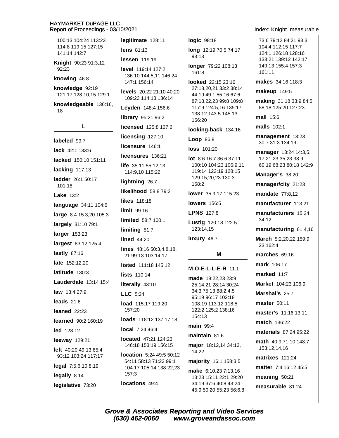100:13 104:24 113:23 114:8 119:15 127:15 141:14 142:7 Knight 90:23 91:3,12 92:23 knowing 46:8 knowledge 92:19 121:17 128:10,15 129:1 knowledgeable 136:16, 18  $\mathbf{L}$ labeled 99:7 lack 42:1 133:6 lacked 150:10 151:11 lacking 117:13 ladder 26:1 50:17  $101:18$ **Lake 13:2** language 34:11 104:6 large 8:4 15:3,20 105:3 largely 31:10 79:1 larger 153:23 largest 83:12 125:4 lastly  $87:16$ late 152:12.20 latitude  $130:3$ **Lauderdale** 13:14 15:4 law 13:4 27:9 leads  $21.6$ leaned 22:23 learned 90:2 160:19 led 128:12 leeway 129:21 left 40:20 49:13 65:4 93:12 103:24 117:17 legal 7:5,6,10 8:19 legally 8:14 locations 49:4 legislative 73:20

legitimate 128:11 lens  $81:13$ lessen 119:19 level 119:14 127:2 136:10 144:5,11 146:24 147:1 156:14 levels 20:22 21:10 40:20 109:23 114:13 136:14 Leyden 148:4 156:6 library 95:21 96:2 licensed 125:8 127:6 licensing 127:10 licensure 146:1 licensures 136:21 **life**  $35:1155:12,13$ 114:9,10 115:22 lightning 26:7 likelihood 58:8 79:2 likes 118:18 limit 99:16 **limited** 58:7 100:1 limiting 51:7 **lined** 44:20 **lines**  $48:1650:3,4,8,18$ 21 99:13 103:14,17 listed 111:18 145:12 lists 110:14 literally 43:10  $LLC.5:24$ load 115:17 119:20  $157:20$ loads 118:12 137:17,18 local 7:24 46:4 **located** 47:21 124:23 146:18 153:19 156:15 location 5:24 49:5 50:12 54:11 58:13 71:23 99:1 104:17 105:14 138:22,23  $157:3$ 

logic 98:18

long 12:19 70:5 74:17  $93:13$ 

longer 79:22 108:13 161:8

looked 22:15 23:16 27:18,20,21 33:2 38:14 44:19 49:1 55:16 67:6 87:18,22,23 99:8 109:8 117:9 124:5,16 135:17 138:12 143:5 145:13 156:20

looking-back 134:16

Loop 86:8

loss 101:20

lot 8:6 16:7 36:6 37:11 100:10 104:23 106:9,11 119:14 122:19 128:15 129:15,20,23 130:3 158:2

lower 35:9,17 115:23

**lowers** 156:5

**LPNS 127:8** 

Lustig 120:18 122:5 123:14,15

luxury 46:7

м

M-O-E-L-L-E-R 11:1

made 18:22.23 23:9 25:14.21 28:14 30:24 34:3 75:13 88:2.4.5 95:19 96:17 102:18 108:19 113:12 118:5 122:2 125:2 138:16 154:13

#### main 99:4

maintain  $81:6$ 

major 18:12,14 34:13, 14,22

majority 16:1 158:3,5

make 6:10,23 7:13,16 13:23 15:11 22:1 29:20 34:19 37:6 40:8 43:24 45:9 50:20 55:23 56:6,8 Index: Knight..measurable

73:6 79:12 84:21 93:3 104:4 112:15 117:7 124:1 126:18 128:16 133:21 139:12 142:17 149:13 155:4 157:3  $161.11$ 

makes 34:16 118:3

makeup 149:5

making 31:18 33:9 84:5 88:18 125:20 127:23

mall 15:6

**malls** 102:1

management 13:23 30:7 31:3 134:19

manager 13:24 14:3,5, 17 21:23 35:23 38:9 60:19 68:23 80:18 142:9

Manager's 38:20

manager/city 21:23

**mandate 77:8.12** 

manufacturer 113:21

manufacturers 15:24 34:12

manufacturing 61:4,16

March 5:2,20,22 159:9, 23 162:4

marches 69:16

mark 106:17

marked 11:7

Market 104:23 106:9

Marshal's 25:7

**master** 50:11

master's 11:16 13:11

**match** 136:22

materials 87:24 95:22

math 40:9 71:10 148:7 153:12,14,16

**matrixes** 121:24

matter 7:4 16:12 45:5

meaning 50:21

measurable 81:24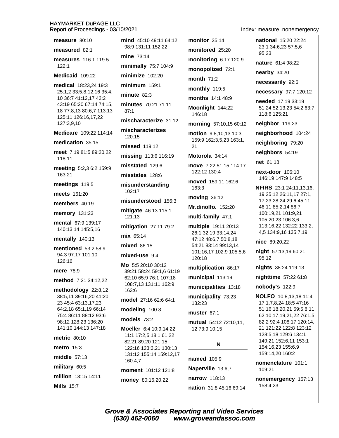measure 80:10 measured 82:1 measures 116:1 119:5  $122:1$ Medicaid 109:22 medical 18:23,24 19:3 25:1,2 33:5,8,12,16 35:4, 10 36:7 41:12,17 42:2 43:19 65:20 67:14 74:15, 18 77:8,13 80:6,7 113:13 125:11 126:16,17,22 127:3,9,10 Medicare 109:22 114:14 medication 35:15 meet 7:19 81:5 89:20,22 118:11 meeting 5:2,3 6:2 159:9 163:21 meetings 119:5 meets 161:20 members  $40:19$ memory 131:23 mental 67:9 139:17 140:13.14 145:5.16 mentally 140:13 mentioned 53:2 58:9 94:3 97:17 101:10 126:16 mere  $78.9$ method 7:21 34:12,22 methodology  $22:8,12$ 38:5,11 39:16,20 41:20, 23 45:4 63:13,17,23 64:2,18 65:1,19 66:14 75:4 86:11 88:12 93:6 98:12 128:23 136:20 141:10 144:13 147:18 metric 80:10 metro 15:3 middle  $57:13$ military 60:5 million 13:15 14:11 **Mills 15:7** 

mind 45:10 49:11 64:12 98:9 131:11 152:22 mine 73:14 minimally 75:7 104:9 minimize 102:20  $minimum$  159:1 minute  $82:3$ minutes 70:21 71:11  $87:1$ mischaracterize 31:12 mischaracterizes  $120.15$ missed 119:12 missing 113:6 116:19 misstated 129:6 misstates 128:6 misunderstanding 102:17 misunderstood 156:3 mitigate 46:13 115:1 121:13 **mitigation** 27:11 79:2 mix 65:14 mixed 86:15 mixed-use 9:4 Mo 5:5 20:10 30:12 39:21 58:24 59:1,6 61:19 62:10 65:9 76:1 107:18 108:7,13 131:11 162:9 163:6 model 27:16 62:6 64:1 modeling 100:8 models 73:2 Moeller 6:4 10:9,14,22 11:1 17:2,5 18:1 61:22 82:21 89:20 121:15 122:16 123:3.21 130:13 131:12 155:14 159:12,17 160:4.7 moment 101:12 121:8

money 80:16,20,22

monopolized 72:1 month  $71:2$ monthly 119:5 months 14:1 48:9 Moonlight 144:22 146:18 morning 57:10,15 60:12 motion 9:8,10,13 10:3 159:9 162:3,5,23 163:1,  $21$ Motorola 34:14 move 7:22 51:15 114:17 122:12 130:4 moved 159:11 162:6 163:3 moving 36:12 Mr.dinolfo. 152:20 multi-family 47:1 multiple 19:11 20:13 26:1 32:19 33:14,24 47:12 48:6,7 50:8,18 54:21 83:14 99:13.14 101:16,17 102:9 105:5,6 120:18 multiplication 86:17 municipal 113:19 municipalities 13:18 municipality 73:23 132:23 muster 67:1 mutual 54:12 72:10,11, 12 73:9,10,15 N named 105:9 Naperville 13:6,7

monitor 35:14

monitored 25:20

monitoring 6:17 120:9

Index: measure..nonemergency

national 15:20 22:24 23:1 34:6.23 57:5.6 95:23

nature 61:4 98:22

nearby 34:20

necessarily 92:6

necessary 97:7 120:12

needed 17:19 33:19 51:24 52:13.23 54:2 63:7 118:6 125:21

neighbor 119:23

neighborhood 104:24

neighboring 79:20

neighbors 54:19

net 61:18

next-door 106:10 146:19 147:9 148:5

NFIRS 23:1 24:11,13,16, 19 25:12 26:11,17 27:1, 17,23 28:24 29:6 45:11 46:11 85:2,14 86:7 100:19,21 101:9,21 105:20,23 106:3,6 113:16,22 132:22 133:2, 4,5 134:9,16 135:7,19

nice 89:20,22

night 57:13,19 60:21 95:12

nights 38:24 119:13

nighttime 57:22 61:8

nobody's 122:9

**NOLFO** 10:8.13.18 11:4 17:1,7,8,24 18:5 47:16 51:16,18,20,21 59:5,8,11 62:10,17,19,21,22 76:1,5 82:2 92:4 108:17 120:14, 21 121:22 122:8 123:12 128:5,18 129:6 134:1 149:21 152:6,11 153:1 154:16,23 155:6,9 159:14,20 160:2

nomenclature 101:1 109:21

nonemergency 157:13 158:4,23

narrow 118:13

nation 31:8 45:16 69:14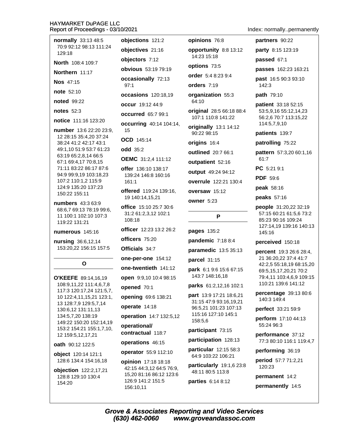| normally 33:13 48:5                                 | objections 121:2                                | opinions 76:8                                     | partners 90:22                                    |
|-----------------------------------------------------|-------------------------------------------------|---------------------------------------------------|---------------------------------------------------|
| 70:9 92:12 98:13 111:24<br>129:18                   | objectives 21:16                                | opportunity 8:8 13:12                             | party 8:15 123:19                                 |
| North 108:4 109:7                                   | objectors 7:12                                  | 14:23 15:18                                       | passed 67:1                                       |
| Northern 11:17                                      | <b>obvious</b> 53:19 79:19                      | options 73:5                                      | passes 162:23 163:21                              |
| <b>Nos</b> 47:15                                    | occasionally 72:13                              | <b>order</b> 5:4 8:23 9:4                         | past 16:5 90:3 93:10                              |
| <b>note</b> 52:10                                   | 97:1                                            | orders 7:19                                       | 142:3                                             |
| <b>noted</b> 99:22                                  | occasions 120:18,19                             | organization 55:3<br>64:10                        | path 79:10                                        |
| notes $52:3$                                        | occur 19:12 44:9                                | original 28:5 66:18 88:4                          | patient 33:18 52:15<br>53:5,9,16 55:12,14,23      |
| notice 111:16 123:20                                | <b>occurred</b> 65:7 99:1                       | 107:1 110:8 141:22                                | 56:2,6 70:7 113:15,22                             |
| number 13:6 22:20 23:9,                             | <b>occurring</b> 40:14 104:14,<br>15            | originally 13:1 14:12                             | 114:5,7,9,10                                      |
| 12 28:15 35:4,20 37:24                              | OCD 145:14                                      | 90:22 98:15                                       | patients 139:7                                    |
| 38:24 41:2 42:17 43:1<br>49:1,10 51:9 53:7 61:23    | <b>odd</b> 35:2                                 | origins 16:4                                      | patrolling 75:22                                  |
| 63:19 65:2,8,14 66:5                                | <b>OEMC</b> 31:2,4 111:12                       | outlined 20:7 66:1                                | pattern 57:3,20 60:1,16<br>61:7                   |
| 67:1 69:4,17 70:8,15<br>71:11 83:22 86:17 87:6      | offer 136:10 138:17                             | outpatient 52:16                                  | PC 5:21 9:1                                       |
| 94:9 99:9,19 103:18,23                              | 139:24 146:8 160:16                             | output 49:24 94:12                                | <b>PDF</b> 59:6                                   |
| 107:2 110:1,2 115:9<br>124:9 135:20 137:23          | 161:1                                           | overrule 122:21 130:4                             | peak 58:16                                        |
| 150:22 155:11                                       | offered 119:24 139:16,<br>19 140:14,15,21       | oversaw 15:12                                     | peaks 57:16                                       |
| numbers 43:3 63:9                                   | office 15:10 25:7 30:6                          | owner 5:23                                        | people 31:20,22 32:19                             |
| 68:6,7 69:13 78:19 99:6,<br>11 100:1 102:10 107:3   | 31:2 61:2,3,12 102:1                            | P                                                 | 57:15 60:21 61:5,6 73:2                           |
| 119:22 131:21                                       | 108:18                                          |                                                   | 85:23 90:16 109:24<br>127:14,19 139:16 140:13     |
| numerous 145:16                                     | officer 12:23 13:2 26:2                         | pages 135:2                                       | 145:16                                            |
| nursing 36:6,12,14                                  | officers 75:20                                  | pandemic 7:18 8:4                                 | perceived 150:18                                  |
| 153:20,22 156:15 157:5                              | Officials 34:7                                  | paramedic 13:5 35:13                              | percent 19:3 26:6 28:4,                           |
| O                                                   | one-per-one 154:12                              | parcel 31:15                                      | 21 36:20,22 37:4 41:7<br>42:2,5 55:18,19 68:15,20 |
|                                                     | one-twentieth 141:12                            | park 6:1 9:6 15:6 67:15                           | 69:5,15,17,20,21 70:2                             |
| O'KEEFE 89:14,16,19                                 | open 9:9,10 10:4 98:15                          | 143:7 148:16,18                                   | 79:4,11 103:4,6,9 109:15<br>110:21 139:6 141:12   |
| 108:9,11,22 111:4,6,7,8<br>117:3 120:17,24 121:5,7, | opened 70:1                                     | parks 61:2,12,16 102:1                            | <b>percentage</b> 39:13 80:6                      |
| 10 122:4,11,15,21 123:1,<br>13 128:7,9 129:5,7,14   | opening 69:6 138:21                             | part 13:9 17:21 18:6,21<br>31:15 47:9 93:16,19,21 | 140:3 149:4                                       |
| 130:6,12 131:11,13                                  | operate 14:18                                   | 96:5,21 101:23 107:13                             | perfect 33:21 59:9                                |
| 134:5,7,20 138:19<br>149:22 150:20 152:14,19        | operation 14:7 132:5,12                         | 115:16 127:10 145:1<br>158:5,6                    | perform 17:10 44:13                               |
| 153:2 154:21 155:1,7,10,                            | operational/                                    | participant 73:15                                 | 55:24 96:3                                        |
| 12 159:5,12,17,21                                   | contractual 118:7                               | participation 128:13                              | performance 37:12<br>77:3 80:10 116:1 119:4,7     |
| oath 90:12 122:5                                    | operations 46:15                                | particular 12:15 58:3                             | performing 36:19                                  |
| object 120:14 121:1<br>128:6 134:4 154:16,18        | operator 55:9 112:10                            | 64:9 103:22 106:21                                | period 57:7 71:2,21                               |
|                                                     | opinion 17:18 18:18<br>42:15 44:3,12 64:5 76:9, | particularly 19:1,6 23:8                          | 120:23                                            |
| objection 122:2,17,21<br>128:8 129:10 130:4         | 15,20 81:16 86:12 123:6                         | 48:11 80:5 113:8                                  | permanent 14:2                                    |
| 154:20                                              | 126:9 141:2 151:5<br>156:10,11                  | parties 6:14 8:12                                 | permanently 14:5                                  |

Index: normally..permanently

Grove & Associates Reporting and Video Services<br>(630) 462-0060 www.groveandassoc.com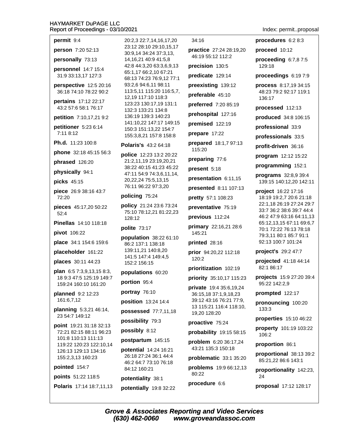permit 9:4

**person** 7:20 52:13

personally 73:13

personnel 14:7 15:4 31:9 33:13,17 127:3

perspective 12:5 20:16 36:18 74:10 78:22 90:2

pertains 17:12 22:17 43:2 57:6 58:1 76:17

petition 7:10,17,21 9:2

petitioner 5:23 6:14 7:11 8:12

Ph.d. 11:23 100:8

phone 32:18 45:15 56:3

phrased 126:20

physically 94:1

picks 45:15

piece 26:9 38:16 43:7 72:20

pieces 45:17,20 50:22  $52:4$ 

**Pinellas** 14:10 118:18

pivot 106:22

**place** 34:1 154:6 159:6

placeholder 161:22

places 30:11 44:23

plan 6:5 7:3,9,13,15 8:3, 18 9:3 47:5 125:19 149:7 159:24 160:10 161:20

planned 9:2 12:23 161:6,7,12

planning 5:3,21 46:14, 23 54:7 149:12

point 19:21 31:18 32:13 72:21 82:15 88:11 96:23 101:8 110:13 111:13 119:22 120:23 122:10,14 126:13 129:13 134:16 155:2,3,13 160:23

pointed 154:7

points 51:22 118:5

Polaris 17:14 18:7,11,13

20:2.3 22:7.14.16.17.20 23:12 28:10 29:10.15.17 30:9,14 34:24 37:3,13, 14, 16, 21 40: 9 41: 5, 8 42:8 44:3,20 63:3,6,9,13 65:1,17 66:2,10 67:21 68:13 74:23 76:9,12 77:1 93:2.6 94:6.11 98:11 113:5,11 115:20 116:5,7, 12,19 117:10 118:3 123:23 130:17,19 131:1 132:3 133:21 134:8 136:19 139:3 140:23 141:10.22 147:17 149:15 150:3 151:13,22 154:7 155:3,8,21 157:8 158:8

#### **Polaris's 43:2 64:18**

police 12:23 13:2 20:22 21:2,11,19 23:19,20,21 38:22 40:15 41:23 45:22 47:11 54:9 74:3,6,11,14, 20, 22, 24 75: 5, 13, 15 76:11 96:22 97:3,20

# policing 75:24

policy 21:24 23:6 73:24 75:10 78:12,21 81:22,23 128:12

#### polite 73:17

population 38:22 61:10 86:2 137:1 138:18 139:11.21 140:8.20 141:5 147:4 149:4.5 152:2 156:15

populations 60:20

portion 95:4

portray 76:10

position 13:24 14:4

possessed 77:7,11,18

possibility 79:3

possibly 8:12

postpartum 145:15

potential 14:24 16:21 26:18 27:24 36:1 44:4 46:2 64:7 73:10 76:18 84:12 160:21

potentiality 38:1

potentially 19:8 32:22

34:16

practice 27:24 28:19,20 46:19 55:12 112:2 precision 130:5 predicate 129:14 preexisting 139:12 preferable 45:10 preferred 7:20 85:19 prehospital 127:16 premised 122:19 prepare 17:22 prepared 18:1,7 97:13 115:20 preparing 77:6 present 5:18 presentation 6:11,15 presented 8:11 107:13 pretty 57:1 108:23 preventative 75:19 previous 112:24 primary 22:16,21 28:6 145:21 printed 28:16 prior 94:20,22 112:18 120:2 prioritization 102:19 priority 35:10,17 115:23 **private** 19:4 35:6.19.24 36:15,18 37:1,9,18,23 39:12 43:16 76:21 77:9, 13 115:21 116:4 118:10. 19,20 128:20 proactive 75:24 probability 19:15 58:15 problem 6:20 36:17,24 43:21 135:3 150:18

problematic 33:1 35:20

problems 19:9 66:12,13 80:22

procedure 6:6

Index: permit..proposal

procedures 6:2 8:3 proceed 10:12 proceeding  $6:7.87:5$ 129:18 proceedings 6:19 7:9 process 8:17,19 34:15 48:23 79:2 92:17 119:1 136:17 processed 112:13 produced 34:8 106:15 professional 33:9 professionals 33:5 profit-driven 36:16 program 12:12 15:22 programming 152:1 programs 32:8,9 39:4 139:15 140:12,20 142:11 project 16:22 17:16 18:19 19:2,7 20:6 21:18 22:1,18 26:19 27:24 29:7 33:7 36:2 38:6 39:7 44:4 46:2 47:9 63:16 64:11,13 65:12,13,15 67:11 69:6,7 70:1 72:22 76:13 78:18 79:3.11 80:1 85:7 91:1 92:13 100:7 101:24 project's 29:2 47:7 projected 41:18 44:14 82:1 86:17 projects 15:9 27:20 39:4 95:22 142:2,9 prompted 122:17 pronouncing 100:20 133:3 properties 15:10 46:22

property 101:19 103:22 106:2

proportion 86:1

proportional 38:13 39:2 85:21,22 86:6 143:1

proportionality 142:23, 24

proposal 17:12 128:17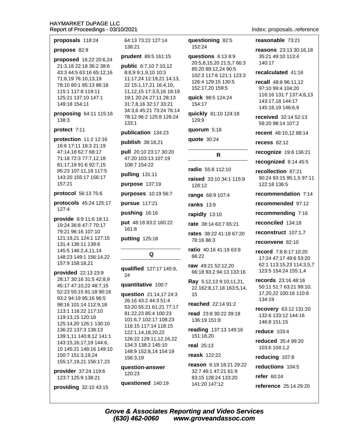proposals 118:24

# propose 82:9

proposed 16:22 20:6,24 21:3,18 22:18 36:2 38:6 43:3 44:5 63:16 65:12,16 71:8,19 76:10,13,19 78:10 80:1 85:13 86:18 115:1 117:8 119:11 125:21 137:10 147:1 149:18 154:11

proposing 64:11 115:16 138:3

#### protect 7:11

protection 11:2 12:16 16:6 17:11 18:3 21:19 47:14,18 62:7 68:17 71:18 72:3 77:7,12,18 81:17,19 91:6 92:7,15 95:23 107:11,19 117:5 143:20 155:17 156:17 157:21

#### protocol 56:13 75:6

- protocols 45:24 125:17  $127:4$
- provide 8:9 11:6 18:11 19:24 36:8 47:7 70:17 79:21 96:16 107:10 121:19,21 124:1 127:15 131:4 136:11 139:6 145:5 146:2,4,11,14 148:23 149:1 156:14.22 157:9 158:18,21

provided 22:13 23:9 28:17 30:16 31:5 42:8,9 45:17 47:10,22 48:7,15 52:23 55:15 81:18 90:16 93:2 94:19 95:16 96:5 98:16 101:14 112:9,18 113:1 116:22 117:10 119:13,15 120:18 125:14,20 126:1 130:10 136:22 137:3 138:13 139:1,11 140:8,12 141:1 143:15,16,17,19 144:6, 10 145:21 148:16 149:10 150:7 151:3,19,24 155:17,19,21 156:17,23

provider 37:24 119:6 123:7 125:9 138:21

providing 32:10 43:15

64:13 73:22 127:14 138:21

#### prudent 89:5 161:15

public 6:7,10 7:10,12 8:8,9 9:1,9,10 10:3 11:17,24 12:19,21 14:13, 22 15:1,17,21 16:4,10, 11, 12, 15 17: 3, 5, 16 18: 19 19:1 20:24 27:11 28:13 31:7,8,16 32:17 33:21 34:3,6 45:21 73:24 76:14 78:12 96:2 125:8 126:24  $133:1$ 

#### publication 134:23

publish 38:18,21

pull 20:10 23:17 30:20 47:20 103:13 107:19 108:7 154:22

pulling  $131:11$ 

purpose 137:19

purposes 10:19 56:7

pursue 117:21

pushing 16:16

put 48:18 83:2 160:22 161:8

putting 125:18

qualified 127:17 145:9, 24

Q

#### quantitative 100:7

question 21:14,17 24:3 26:16 43:2 44:3 51:4 53:20 55:21 61:21 77:17 81:22,23 85:4 100:23 101:6,7 102:17 108:23 116:15 117:14 118:15 122:1,14,18,20,22 126:22 129:11.12.16.22 134:3 138:2 145:10 148:9 152:8,14 154:19 156:3,19

question-answer 120:23

questioned 140:19

#### questioning 82:5 152:24

questions 6:13 8:9 20:5,8,15,20 21:5,7 66:3 85:20 89:12,24 90:5 102:3 117:6 121:1 123:3 126:4 129:15 130:5 152:17,20 159:5

quick 98:5 124:24 154:17

quickly 81:10 124:18 129:9

quorum 5:18

quote 30:24

R

radio 55:8 112:10

raised 33:10 34:1 115:9 128:12

range 68:9 107:4

**ranks** 13:9

rapidly 13:10

rate 38:14 63:7 65:21

rates 38:22 41:18 67:20 78:16 86:3

ratio 40:16 41:19 63:9 66:22

raw 49:21 52:12.20 66:18 93:2 94:13 133:16

Ray 5:12,13 9:10,11,21, 22 162:8,17,18 163:5,14, 15

### reached 22:14 91:2

read 23:8 30:22 39:18 136:19 151:8

reading 137:13 149:16 151:18.20

real 25:13

### reask 122:22

reason 6:19 18:21 29:22 32:7 46:1 47:21 61:9 83:15 128:24 133:20 141:20 147:12

Index: proposals..reference

#### reasonable 73:21

reasons 23:13 30:16,18 35:21 49:10 113:4 140:17

#### recalculated 41:16

recall 48:8 96:11.12 97:10 99:4 104:20 116:16 131:7 137:4,6,13 143:17,18 144:17 145:18,19 146:6,9

received 32:14 52:13 58:20 98:14 107:2

recent 48:10.12 88:14

**recess 82:12** 

recognize 19:8 136:21

recognized 8:14 45:5

recollection 87:21 90:24 93:15 95:1,5 97:11 122:18 136:5

recommendation 7:14

recommended 97:12

recommending 7:16

reconciled 134:18

reconstruct 107:1.7

reconvene 82:10

record 7:8 8:17 10:20 17:24 47:17 49:6 53:20 62:1 113:15,23 114:3,5,7 123:5 154:24 155:1,4

records 23:16 48:16 50:11 51:7 63:21 99:10, 17,20,22 100:16 110:8 134:19

recovery 63:12 131:20 132:6 133:12 144:16 146:8 151:15

**reduce** 103:4

reduced 35:4 99:20 103:6 104:1,2

reducing 107:8

reductions 104:5

refer 60:24

reference 25:14 29:20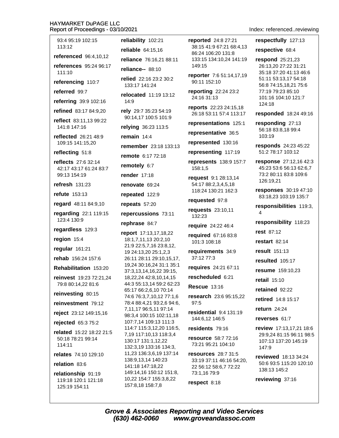93:4 95:19 102:15 113:12 **referenced** 96:4.10.12 references 95:24 96:17 111:10 referencing 110:7 referred 99:7 referring 39:9 102:16 refined 83:17 84:9.20 reflect 83:11.13 99:22 141:8 147:16 reflected 26:21 48:9 109:15 141:15,20 reflecting 51:8 **reflects** 27:6 32:14 42:17 43:17 61:24 83:7 99:13 154:19 refresh  $131:23$ refute 153:13 regard 48:11 84:9,10 regarding 22:1 119:15 123:4 130:9 regardless 129:3 region 15:4 reqular 161:21 rehab 156:24 157:6 Rehabilitation 153:20 reinvest 19:23 72:21.24 79:8 80:14,22 81:6 reinvesting 80:15 reinvestment 79:12 reject 23:12 149:15,16 rejected 65:3 75:2 related 15:22 18:22 21:5 50:18 78:21 99:14 114:11 relates 74:10 129:10 relation 83:6

relationship 91:19 119:18 120:1 121:18 125:19 154:11

reliability 102:21 reliable 64:15.16 reliance 76:16,21 88:11 reliance-- 88:10 relied 22:16 23:2 30:2 133:17 141:24 relocated 11:19 13:12  $14:9$ rely 29:7 35:23 54:19 90:14,17 100:5 101:9 relying 36:23 113:5 remain  $14:4$ remember 23:18 133:13 remote 6:17 72:18 remotely 6:7 **render** 17:18 renovate 69:24 repeated 122:9 repeats 57:20 repercussions 73:11 rephrase 84:7 report 17:13,17,18,22 18:1,7,11,13 20:2,10 21:9 22:5,7,16 23:8,12, 19 24:13,20 25:1,2,3 26:11 28:11 29:10,15,17, 19,24 30:16,24 31:1 35:1 37:3,13,14,16,22 39:15, 18,22,24 42:8,10,14,15 44:3 55:13,14 59:2 62:23 65:17 66:2,6,10 70:14 74:6 76:3,7,10,12 77:1,6 78:4 88:4,21 93:2,6 94:6, 7,11,17 96:5,11 97:14 98:3.4 100:15 102:11.18 107:7,14 109:13 111:3 114:7 115:3,12,20 116:5, 7,19 117:10,13 118:3,4 130:17 131:1,12,22 132:3,19 133:16 134:3, 11,23 136:3,6,19 137:14 138:9,13,14 140:23 141:18 147:18,22 149:14,16 150:12 151:8, 10,22 154:7 155:3,8,22 157:8,18 158:7,8

reported 24:8 27:21 38:15 41:9 67:21 68:4.13 86:24 106:20 131:8 133:15 134:10,24 141:19 149:15

reporter 7:6 51:14,17,19 90:11 152:10

reporting 22:24 23:2 24:16 31:13

reports 22:23 24:15,18 26:18 53:11 57:4 113:17

representations 125:1

representative 36:5

represented 130:16

representing 117:19

represents 138:9 157:7 158:1.5

request 9:1 28:13,14 54:17 88:2,3,4,5,18 118:24 130:21 162:3

requested 97:8

requests 23:10,11 132:23

require 24:22 46:4

required 67:16 83:8 101:3 108:18

requirements 34:9 37:12 77:3

requires 24:21 67:11

rescheduled 6:21

**Rescue 13:16** 

research 23:6 95:15.22  $97.5$ 

residential 9:4 131:19 144:6.12 146:5

residents 79:16

resource 58:7 72:16 73:21 95:21 104:10

**resources** 28:7 31:5 33:19 37:11 46:16 54:20, 22 56:12 58:6,7 72:22 73:1,16 79:9

respect 8:18

### Index: referenced..reviewing

respectfully 127:13

respective 68:4

respond 25:21,23 26:13,20 27:22 31:21 35:18 37:20 41:13 46:6 51:11 53:13,17 54:18 56:8 74:15,18,21 75:6 77:19 79:23 85:10 101:16 104:10 121:7 124:18

responded 18:24 49:16

responding 27:13 56:18 83:8,18 99:4 103:19

responds 24:23 45:22 51:2 78:17 103:12

response 27:12,16 42:3 45:23 53:6 56:13 62:6,7 73:2 80:11 83:8 109:6 126:19.21

responses 30:19 47:10 83:18,23 103:19 135:7

responsibilities 119:3,  $\overline{4}$ 

responsibility 118:23

rest 87:12

restart  $82:14$ 

result 151:13

resulted 105:17

resume 159:10,23

retail 15:10

retained 92:22

retired 14:8 15:17

return 24:24

reverses 61:7

review 17:13,17,21 18:6 29:9.24 81:15 96:11 98:5 107:13 137:20 145:19 147:9

reviewed 18:13 34:24 50:6 93:5 115:20 120:10 138:13 145:2

reviewing 37:16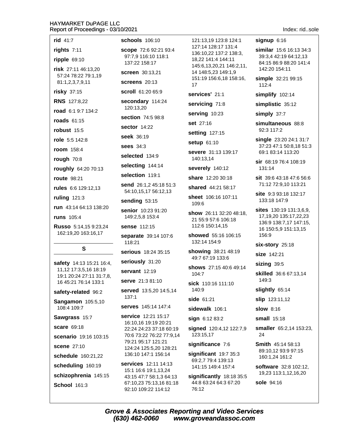| rid 41:7                                                                      | schools 106:10                                      | 121:13,19 123:8 124:1                           | $signup$ 6:16                                   |
|-------------------------------------------------------------------------------|-----------------------------------------------------|-------------------------------------------------|-------------------------------------------------|
| rights 7:11                                                                   | scope 72:6 92:21 93:4                               | 127:14 128:17 131:4<br>136:10,22 137:2 138:3,   | similar 15:6 16:13 34:3                         |
| ripple 69:10                                                                  | 97:7,9 116:10 118:1<br>137:22 158:17                | 18,22 141:4 144:11                              | 39:3,4 42:19 64:12,13<br>84:15 86:9 88:20 141:4 |
| risk 27:11 46:13,20<br>57:24 78:22 79:1,19                                    | <b>screen</b> 30:13,21                              | 145:6,13,20,21 146:2,11,<br>14 148:5,23 149:1,9 | 142:20 154:11                                   |
| 81:1,2,3,7,9,11                                                               | screens 20:13                                       | 151:19 156:6,18 158:16,<br>17                   | simple 32:21 99:15<br>112:4                     |
| <b>risky</b> 37:15                                                            | scroll 61:20 65:9                                   | services' 21:1                                  | simplify 102:14                                 |
| <b>RNS</b> 127:8,22                                                           | secondary 114:24                                    | servicing 71:8                                  | simplistic 35:12                                |
| road 6:1 9:7 134:2                                                            | 120:13,20                                           | serving 10:23                                   | simply 37:7                                     |
| roads 61:15                                                                   | section 74:5 98:8                                   | <b>set</b> 27:16                                | simultaneous 88:8                               |
| robust 15:5                                                                   | <b>sector 14:22</b>                                 | setting 127:15                                  | 92:3 117:2                                      |
| role 5:5 142:8                                                                | seek 36:19                                          | setup 61:10                                     | single 23:20 24:1 31:7                          |
| room 158:4                                                                    | <b>sees</b> 34:3                                    | severe 31:13 139:17                             | 37:23 47:1 50:8,18 51:3<br>69:1 83:14 113:20    |
| rough 70:8                                                                    | selected 134:9                                      | 140:13,14                                       | sir 68:19 76:4 108:19                           |
| roughly 64:20 70:13                                                           | selecting 144:14                                    | severely 140:12                                 | 131:14                                          |
| <b>route</b> 98:21                                                            | selection 119:1                                     | share 12:20 30:18                               | sit 39:6 43:18 47:6 56:6                        |
| rules 6:6 129:12,13                                                           | send 26:1,2 45:18 51:3<br>54:10,15,17 56:12,13      | shared 44:21 58:17                              | 71:12 72:9,10 113:21                            |
| ruling 121:3                                                                  | sending 53:15                                       | sheet 106:16 107:11                             | site 9:3 93:18 132:17<br>133:18 147:9           |
| run 43:14 64:13 138:20                                                        | senior 10:23 91:20                                  | 109:6                                           | <b>sites</b> $130:19$ $131:3,6,9$ ,             |
| <b>runs</b> 105:4                                                             | 149:2,5,8 153:4                                     | show 26:11 32:20 48:18,<br>21 55:9 57:6 106:18  | 17, 19, 20 135: 17, 22, 23                      |
| Russo 5:14,15 9:23,24<br>162:19,20 163:16,17                                  | sense 112:15                                        | 112:6 150:14,15                                 | 136:9 138:7,17 147:15,<br>16 150:5,9 151:13,15  |
|                                                                               | separate 39:14 107:6                                | showed 55:16 106:15                             | 156:9                                           |
| S                                                                             | 118:21                                              | 132:14 154:9                                    | six-story 25:18                                 |
|                                                                               | serious 18:24 35:15                                 | showing 38:21 48:19<br>49:7 67:19 133:6         | size 142:21                                     |
| safety 14:13 15:21 16:4,<br>11,12 17:3,5,16 18:19<br>19:1 20:24 27:11 31:7,8, | seriously 31:20                                     | shows 27:15 40:6 49:14<br>104:7                 | sizing 39:5                                     |
|                                                                               | servant 12:19                                       |                                                 | <b>skilled</b> 36:6 67:13,14                    |
| 16 45:21 76:14 133:1                                                          | serve 21:3 81:10                                    | sick 110:16 111:10                              | 149:3                                           |
| safety-related 96:2                                                           | served 13:5,20 14:5,14<br>137:1                     | 140:9                                           | slightly 65:14                                  |
| <b>Sangamon</b> 105:5,10<br>108:4 109:7                                       | <b>serves</b> 145:14 147:4                          | side 61:21                                      | <b>slip</b> 123:11,12                           |
| Sawgrass 15:7                                                                 | <b>service</b> 12:21 15:17                          | sidewalk 106:1                                  | <b>slow 8:16</b>                                |
| scare 69:18                                                                   | 16:10,16 19:19 20:21                                | sign 6:12 83:2                                  | small 15:18                                     |
| scenario 19:16 103:15                                                         | 22:24 24:23 37:18 60:19<br>70:6 73:22 76:22 77:9,14 | signed 120:4,12 122:7,9<br>123:15,17            | smaller 65:2,14 153:23,<br>24                   |
| <b>scene 27:10</b>                                                            | 79:21 95:17 121:21                                  | significance 7:6                                | <b>Smith 45:14 58:13</b>                        |
| schedule 160:21,22                                                            | 124:24 125:5,20 128:21<br>136:10 147:1 156:14       | significant $19:735:3$                          | 89:10,12 93:9 97:15<br>160:1,24 161:2           |
| scheduling 160:19                                                             | <b>services</b> 12:11 14:13                         | 69:2,7 79:4 139:13                              | software 32:8 102:12,                           |
| schizophrenia 145:15                                                          | 15:1 16:6 19:1,13,24<br>43:15 47:7 58:1,3 64:13     | 141:15 149:4 157:4<br>significantly 18:18 35:5  | 19,23 113:1,12,16,20                            |
| <b>School 161:3</b>                                                           | 67:10,23 75:13,16 81:18<br>92:10 109:22 114:12      | 44:8 63:24 64:3 67:20<br>76:12                  | <b>sole</b> 94:16                               |
|                                                                               |                                                     |                                                 |                                                 |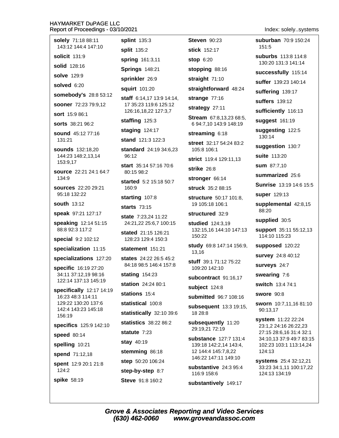| solely 71:18 88:11<br>143:12 144:4 147:10     | splint 135<br>split 135:2 |
|-----------------------------------------------|---------------------------|
| solicit 131:9                                 | spring 16                 |
| solid 128:16                                  | Springs 1                 |
| <b>solve</b> 129:9                            | sprinkler                 |
| solved 6:20                                   | squirt 101                |
| somebody's 28:8 53:12                         | staff 6:14,               |
| <b>sooner</b> 72:23 79:9,12                   | 17 35:23 1                |
| <b>sort</b> 15:9 86:1                         | 126:16,18                 |
| <b>sorts</b> 38:21 96:2                       | staffing 1                |
| <b>sound</b> 45:12 77:16                      | staging 1                 |
| 131:21                                        | stand 121                 |
| <b>sounds</b> 132:18,20<br>144:23 148:2,13,14 | standard<br>96:12         |
| 153:9,17                                      | start 35:14               |
| source 22:21 24:1 64:7<br>134:9               | 80:15 98:2                |
| sources 22:20 29:21                           | started 5:<br>160:9       |
| 95:18 132:22                                  | starting 1                |
| <b>south</b> 13:12                            | starts 73:                |
| speak 97:21 127:17                            | state $7:23$              |
| speaking 12:14 51:15<br>88:8 92:3 117:2       | 24:21,222                 |
| special 9:2 102:12                            | stated 21:<br>128:23 12   |
| specialization 11:15                          | statement                 |
| specializations 127:20                        | states 24:                |
| specific 16:19 27:20                          | 84:18 98:5                |
| 34:11 37:12,19 98:16                          | stating 15                |
| 122:14 137:13 145:19                          | station 24                |
| specifically 12:17 14:19<br>16:23 48:3 114:11 | stations 1                |
| 129:22 130:20 137:6                           | statistical               |
| 142:4 143:23 145:18<br>156:19                 | <b>statistical</b>        |
| specifics 125:9 142:10                        | <b>statistics</b>         |
| speed 80:14                                   | statute 7:                |
| spelling 10:21                                | stay 40:19                |
| spend 71:12,18                                | stemming                  |
| spent 12:9 20:1 21:8                          | step 50:20                |
| 124:2                                         | step-by-st                |
| spike 58:19                                   | <b>Steve 91:8</b>         |
|                                               |                           |

**Steven 90:23**  $\ddot{3}$ 2  $1:3,11$ 48:21 26:9  $:20$ 17 13:9 14:14, 19:6 125:12 22 127:3.7  $25:3$ 24:17 :3 122:3 24:19 34:6,23 4 57:16 70:6 2 15:18 50:7 07:8 15 24 11:22 25:6,7 100:15 :15 126:21 9:4 150:3  $151.21$ 22 26:5 45:2 5 146:4 157:8  $4:23$  $1:2480:1$  $5:4$ 100:8 ly 32:10 39:6 38:22 86:2 23 86:18 106:24 tep 8:7

8 160:2

stick 152:17 **stop 6:20** stopping 88:16

straight 71:10

straightforward 48:24

strange  $77:16$ 

strategy 27:11

Stream 67:8,13,23 68:5, 6 94:7,10 143:9 148:19

streaming 6:18

street 32:17 54:24 83:2 105:8 106:1

strict 119:4 129:11.13

strike 26:8

stronger 66:14

struck 35:2 88:15

structure 50:17 101:8, 19 105:18 106:1

structured 32:9

studied 124:3.19 132:15.16 144:10 147:13 150:22

study 69:8 147:14 156:9, 13,16

stuff 39:1 71:12 75:22 109:20 142:10

subcontract 91:16.17

subject 124:8

submitted 96:7 108:16

subsequent 13:3 19:15, 18 28:8

subsequently 11:20 29:19,21 72:19

substance 127:7 131:4 139:18 142:2,14 143:4, 12 144:4 145:7,8,22 146:22 147:11 149:10

substantive 24:3 95:4 116:9 158:6

substantively 149:17

Index: solely..systems

suburban 70:9 150:24 151:5

**suburbs** 113:8 114:8 130:20 131:3 141:14

successfully 115:14

suffer 139:23 140:14

suffering 139:17

suffers 139:12

sufficiently 116:13

suggest 161:19

suggesting 122:5 130:14

suggestion 130:7

suite 113:20

**sum** 87:7,10

summarized 25:6

Sunrise 13:19 14:6 15:5

super 129:13

supplemental 42:8,15 88:20

supplied 30:5

**support** 35:11 55:12,13 114:10 115:23

supposed 120:22

survey 24:8 40:12

surveys 24:7

swearing 7:6

switch 13:4 74:1

swore 90:8

sworn 10:7,11,16 81:10 90:13,17

system 11:22 22:24 23:1,2 24:16 26:22,23 27:15 28:6,16 31:4 32:1 34:10.13 37:9 49:7 83:15 102:23 103:1 113:14,24 124:13

systems 25:4 32:12,21 33:23 34:1,11 100:17,22 124:13 134:19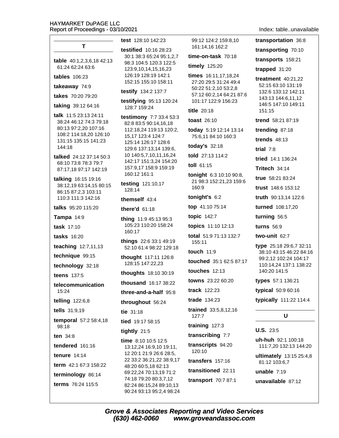Index: table..unavailable

| 0/2021                                                              |                                                  |                                                                                                                                      |
|---------------------------------------------------------------------|--------------------------------------------------|--------------------------------------------------------------------------------------------------------------------------------------|
| test 128:10 142:23                                                  | 99:12 124:2 159:8,10<br>161:14,16 162:2          | tı                                                                                                                                   |
| testified 10:16 28:23<br>30:1 38:3 65:24 95:1,2,7                   | time-on-task $70:18$                             | tı                                                                                                                                   |
| 98:3 104:5 120:3 122:5                                              | timely 125:20                                    |                                                                                                                                      |
| 123:9,10,14,15,16,23<br>126:19 128:19 142:1<br>152:15 155:10 158:11 | times 16:11,17,18,24<br>27:20 29:5 31:24 49:4    | tı                                                                                                                                   |
| testify 134:2 137:7                                                 | 50:22 51:2,10 53:2,8<br>57:12 60:2,14 64:21 87:6 |                                                                                                                                      |
| testifying 95:13 120:24<br>128:7 159:24                             | 101:17 122:9 156:23<br><b>title 20:18</b>        | tı<br>tı<br>tı<br>tı<br>tı<br>tı<br>tı<br>T<br>tı<br>tı<br>tı<br>t١<br>tı<br>t١<br>t۱<br>t<br>t١<br>t١<br>t<br>U<br>u<br>u<br>u<br>u |
| testimony 7:7 33:4 53:3<br>82:8 83:5 90:14,16,18                    | <b>toast</b> 26:10                               |                                                                                                                                      |
| 112:18,24 119:13 120:2,<br>15,17 123:4 124:7                        | today 5:19 12:14 13:14<br>75:6,11 84:10 160:3    |                                                                                                                                      |
| 125:14 126:17 128:6<br>129:6 137:13,14 139:6,                       | today's 32:18                                    |                                                                                                                                      |
| 10 140:5,7,10,11,16,24                                              | told 27:13 114:2                                 |                                                                                                                                      |
| 142:17 151:3,24 154:20<br>157:9,17 158:9 159:19                     | toll $61:15$                                     |                                                                                                                                      |
| 160:12 161:1                                                        | tonight 6:3 10:10 90:8,                          |                                                                                                                                      |
| testing 121:10,17<br>128:14                                         | 21 98:3 152:21,23 159:6<br>160:9                 |                                                                                                                                      |
| themself $43:4$                                                     | tonight's 6:2                                    |                                                                                                                                      |
| there'd 61:18                                                       | top 41:10 75:14                                  |                                                                                                                                      |
| thing 11:9 45:13 95:3                                               | topic 142:7                                      |                                                                                                                                      |
| 105:23 110:20 158:24<br>160:17                                      | topics 11:10 12:13                               |                                                                                                                                      |
| things 22:6 33:1 49:19<br>52:10 61:4 98:22 129:18                   | total 51:9 71:13 132:7<br>155:11                 |                                                                                                                                      |
| thought 117:11 126:8<br>128:15 147:22,23                            | touch 11:9<br>touched 35:1 62:5 87:17            |                                                                                                                                      |
| thoughts 18:10 30:19                                                | touches $12:13$                                  |                                                                                                                                      |
| thousand 16:17 38:22                                                | towns 23:22 60:20                                |                                                                                                                                      |
| three-and-a-half 95:8                                               | <b>track</b> 122:23                              |                                                                                                                                      |
| throughout 56:24                                                    | <b>trade</b> 134:23                              |                                                                                                                                      |
| tie 31:18                                                           | trained 33:5,8,12,16<br>127:7                    |                                                                                                                                      |
| tied 19:17 58:15                                                    | training 127:3                                   |                                                                                                                                      |
| tightly 21:5                                                        | transcribing 7:7                                 |                                                                                                                                      |
| time 8:10 10:5 12:5<br>13:12,24 16:9,10 19:11,                      | transcripts 94:20<br>120:10                      |                                                                                                                                      |
| 12 20:1 21:9 26:6 28:5,<br>22 33:2 36:21,22 38:9,17                 | transfers 157:16                                 |                                                                                                                                      |
| 48:20 60:5,18 62:13                                                 | transitioned 22:11                               |                                                                                                                                      |
| 69:22,24 70:13,19 71:2<br>74:18 79:20 80:3,7,12                     |                                                  |                                                                                                                                      |
| 82:24 86:15,24 89:10,13<br>90:24 93:13 95:2,4 98:24                 | transport 70:7 87:1                              |                                                                                                                                      |

ransportation 36:8 ransporting 70:10 ransports 158:21 rapped 31:20 reatment 40:21,22 52:15 63:10 131:19 132:6 133:12 142:11 143:13 144:6,11,12 146:5 147:10 149:11  $151:15$ rend 58:21 87:19 rending 87:18 rends 48:13  $\dot{\mathbf{a}}$  7:8 ried 14:1 136:24 ritech 34:14 rue 58:21 83:24 rust 148:6 153:12 ruth 90:13,14 122:6 urned 108:17,20  $uring<sub>56:5</sub>$ urns 56:9 **wo-unit** 62:7 ype 25:18 29:6,7 32:11 38:10 43:15 46:22 84:16 99:2,12 102:24 104:17 110:14,24 137:1 138:22 140:20 141:5 ypes 57:1 136:21 ypical 50:9 60:16 ypically 111:22 114:4 U J.S. 23:5 h-huh 92:1 100:18 111:7,20 132:13 144:20

> **Iltimately** 13:15 25:4,8 81:12 103:6,7

nable 7:19

navailable 87:12

| table 40:1,2,3,6,18 42:13<br>61:24 62:24 63:6<br>tables 106:23<br>takeaway 74:9<br>takes 70:20 79:20<br>taking 39:12 64:16<br>talk 11:5 23:13 24:11<br>38:24 46:12 74:3 79:18<br>80:13 97:2,20 107:16<br>108:2 114:18,20 126:10<br>131:15 135:15 141:23<br>144:18<br>talked 24:12 37:14 50:3<br>68:10 73:8 78:3 79:7<br>87:17,18 97:17 142:19<br>talking 16:15 19:16<br>38:12,19 63:14,15 80:15<br>86:15 87:2,3 103:11<br>110:3 111:3 142:16<br>talks 95:20 115:20<br>Tampa 14:9<br>task 17:10<br><b>tasks</b> 16:20<br>teaching 12:7,11,13<br>technique 99:15<br>technology 32:18<br>teens 137:5<br>telecommunication<br>15:24<br>telling $122:6,8$<br><b>tells</b> $31:9,19$<br>temporal 57:2 58:4,18<br>98:18<br>ten $34:8$<br>tendered $161:16$<br><b>tenure</b> 14:14<br>term 42:1 67:3 158:22<br>terminology 86:14<br>terms 76:24 115:5 | т |
|-----------------------------------------------------------------------------------------------------------------------------------------------------------------------------------------------------------------------------------------------------------------------------------------------------------------------------------------------------------------------------------------------------------------------------------------------------------------------------------------------------------------------------------------------------------------------------------------------------------------------------------------------------------------------------------------------------------------------------------------------------------------------------------------------------------------------------------------------|---|
|                                                                                                                                                                                                                                                                                                                                                                                                                                                                                                                                                                                                                                                                                                                                                                                                                                               |   |
|                                                                                                                                                                                                                                                                                                                                                                                                                                                                                                                                                                                                                                                                                                                                                                                                                                               |   |
|                                                                                                                                                                                                                                                                                                                                                                                                                                                                                                                                                                                                                                                                                                                                                                                                                                               |   |
|                                                                                                                                                                                                                                                                                                                                                                                                                                                                                                                                                                                                                                                                                                                                                                                                                                               |   |
|                                                                                                                                                                                                                                                                                                                                                                                                                                                                                                                                                                                                                                                                                                                                                                                                                                               |   |
|                                                                                                                                                                                                                                                                                                                                                                                                                                                                                                                                                                                                                                                                                                                                                                                                                                               |   |
|                                                                                                                                                                                                                                                                                                                                                                                                                                                                                                                                                                                                                                                                                                                                                                                                                                               |   |
|                                                                                                                                                                                                                                                                                                                                                                                                                                                                                                                                                                                                                                                                                                                                                                                                                                               |   |
|                                                                                                                                                                                                                                                                                                                                                                                                                                                                                                                                                                                                                                                                                                                                                                                                                                               |   |
|                                                                                                                                                                                                                                                                                                                                                                                                                                                                                                                                                                                                                                                                                                                                                                                                                                               |   |
|                                                                                                                                                                                                                                                                                                                                                                                                                                                                                                                                                                                                                                                                                                                                                                                                                                               |   |
|                                                                                                                                                                                                                                                                                                                                                                                                                                                                                                                                                                                                                                                                                                                                                                                                                                               |   |
|                                                                                                                                                                                                                                                                                                                                                                                                                                                                                                                                                                                                                                                                                                                                                                                                                                               |   |
|                                                                                                                                                                                                                                                                                                                                                                                                                                                                                                                                                                                                                                                                                                                                                                                                                                               |   |
|                                                                                                                                                                                                                                                                                                                                                                                                                                                                                                                                                                                                                                                                                                                                                                                                                                               |   |
|                                                                                                                                                                                                                                                                                                                                                                                                                                                                                                                                                                                                                                                                                                                                                                                                                                               |   |
|                                                                                                                                                                                                                                                                                                                                                                                                                                                                                                                                                                                                                                                                                                                                                                                                                                               |   |
|                                                                                                                                                                                                                                                                                                                                                                                                                                                                                                                                                                                                                                                                                                                                                                                                                                               |   |
|                                                                                                                                                                                                                                                                                                                                                                                                                                                                                                                                                                                                                                                                                                                                                                                                                                               |   |
|                                                                                                                                                                                                                                                                                                                                                                                                                                                                                                                                                                                                                                                                                                                                                                                                                                               |   |
|                                                                                                                                                                                                                                                                                                                                                                                                                                                                                                                                                                                                                                                                                                                                                                                                                                               |   |
|                                                                                                                                                                                                                                                                                                                                                                                                                                                                                                                                                                                                                                                                                                                                                                                                                                               |   |
|                                                                                                                                                                                                                                                                                                                                                                                                                                                                                                                                                                                                                                                                                                                                                                                                                                               |   |
|                                                                                                                                                                                                                                                                                                                                                                                                                                                                                                                                                                                                                                                                                                                                                                                                                                               |   |
|                                                                                                                                                                                                                                                                                                                                                                                                                                                                                                                                                                                                                                                                                                                                                                                                                                               |   |
|                                                                                                                                                                                                                                                                                                                                                                                                                                                                                                                                                                                                                                                                                                                                                                                                                                               |   |
|                                                                                                                                                                                                                                                                                                                                                                                                                                                                                                                                                                                                                                                                                                                                                                                                                                               |   |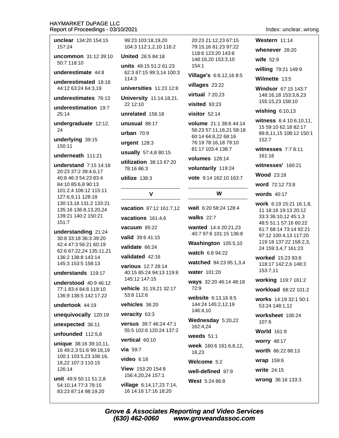unclear 134:20 154:15 157:24 uncommon 31:12 39:10 50:7 118:10 underestimate 44:8 underestimated 18:18 44:12 63:24 64:3.19 underestimates 76:13 underestimation 19:7  $25.14$ undergraduate 12:12, 24 underlying 39:15 150:11 underneath 111:21 understand 7:15 14:18 20:23 37:2 39:4.6.17 40:8 46:3 54:23 83:4 84:10 85:6,8 90:13 101:2,4 106:12 115:11 127:6,9,11 128:18 130:13,18 131:2 133:21 135:16 136:8,13,20,24 139:21 140:2 150:21  $151:7$ understanding 21:24 30:8 33:18 36:3 39:20 42:4 47:3 56:21 60:19 62:6 67:22.24 135:11.21 136:2 138:8 143:14 145:3 153:5 158:13 understands 119:17 understood 40:9 46:12

77:1 83:4 84:8 119:10 136:9 138:5 142:17,22

undertook 44:19

unequivocally 120:19

unexpected 36:11

unfounded 112:5,8

unique 38:16 39:10,11, 16 49:2,3 51:6 99:18,19 100:1 103:5,23 106:16, 18,22 107:3 110:15 126:14

unit 49:9 50:11 51:2,8 54:10,14 77:3 78:15 83:23 87:14 98:19,20

99:23 103:18.19.20 104:3 112:1.2.10 116:2 **United** 26:5 84:18 units 49:15 51:2 61:23 62:3 87:15 99:3,14 100:3  $114:3$ universities  $11:23$  12:8 University 11:14.18.21. 22 12:10 unrelated 156:18 unusual 88:17 urban  $70:9$ urgent  $128:3$ usually 57:4,8 80:15 utilization 38:13 67:20 78:16 86:3 utilize  $138:3$  $\mathbf{v}$ 

**vacation** 87:12 161:7.12 vacations 161:4.6 vacuum  $85:22$ valid 39:6 41:15 validate 66:24 validated 42:16 various 12:7.28:14 40:15 85:24 94:13 119:8 145:12 147:15 vehicle 31:19,21 32:17 53:8 112:6 vehicles 36:20 veracity 63:3 versus 39:7 46:24 47:1 55:5 102:6 120:24 137:2 vertical 60:10 via  $59:7$  $video$  6:18 View 153:20 154:8 156:4.20.24 157:1

village 6:14,17,23 7:14, 16 14:16 17:16 18:20

20:23 21:12.23 67:15 79:15.16 81:23 97:22 118:6 123:20 143:6 148:16,20 153:3,10 154:1 Village's 6:8,12,16 8:5 villages 23:22 virtual 7:20,23  $visited$  93:23 visitor  $52.14$ volume 21:1 38:6 44:14 56:23 57:11.16.21 58:18 60:14 64:8,22 68:16 76:19 78:16,18 79:10 81:17 103:4 138:7 **volumes** 128:14 voluntarily 119:24 vote 9:14 162:10 163:7

# W

wait 6:20 58:24 128:4

walks  $22.7$ 

wanted 14:4 20:21,23 40:7 97:6 101:15 136:8

Washington 105:5,10

watch 6:8 94:22

watched 94:23 95:1,3,4

water 101:20

ways 32:20 46:14 48:18  $72.9$ 

website 6:13.16 8:5 144:24 145:2,12,19 146:4,10

Wednesday 5:20,22 162:4.24

weeds  $51:1$ 

week 160:6 161:6,8,12, 18,23

Welcome 5:2

well-defined 97:9 West 5:24 86:8

# Index: unclear..wrong

Western 11:14 whenever 28:20 wife  $52:9$ willing 79:21 149:9 Wilmette 13:5 Windsor 67:15 143:7

148:16.18 153:3,6,23 155:15,23 158:10

wishing  $6:10,13$ 

witness 6:4 10:6,10,11, 15 59:10 62:18 82:17 89:8,11,15 108:12 150:1 152:7

witnesses  $7:78:11$ 161:16

witnesses' 160:21

**Wood 23:18** 

word 72:12 73:8

words 40:17

work 6:19 15:21 16:1,8, 11 18:16 19:13 20:12 33:3 36:10,12 45:1,3 48:5 51:1 57:16 60:22 61:7 68:14 73:14 92:21 97:12 100:4.13 117:20 119:18 137:22 158:2,3, 24 159:3.4.7 161:23

worked 15:23 93:8 118:17 142:2,6 148:3 153:7,11

working 119:7 161:2

workload 68:22 101:2

works 14:19 32:1 50:1 53:24 148:1,12

worksheet 106:24  $107:6$ 

**World** 161:9

**worry 48:17** 

worth 86:22 88:13

wrap 159:6

write 24:15

wrong 36:16 133:3